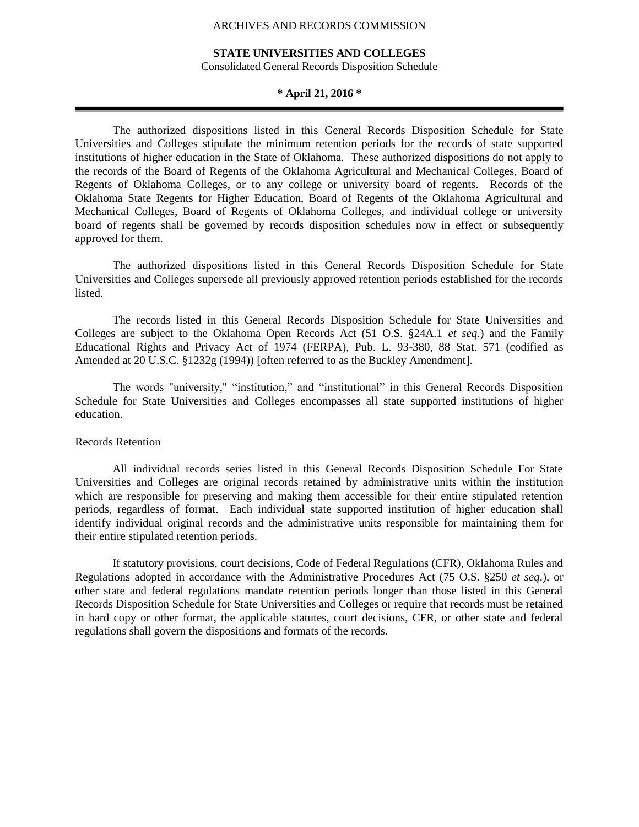## **STATE UNIVERSITIES AND COLLEGES**

Consolidated General Records Disposition Schedule

## **\* April 21, 2016 \***

The authorized dispositions listed in this General Records Disposition Schedule for State Universities and Colleges stipulate the minimum retention periods for the records of state supported institutions of higher education in the State of Oklahoma. These authorized dispositions do not apply to the records of the Board of Regents of the Oklahoma Agricultural and Mechanical Colleges, Board of Regents of Oklahoma Colleges, or to any college or university board of regents. Records of the Oklahoma State Regents for Higher Education, Board of Regents of the Oklahoma Agricultural and Mechanical Colleges, Board of Regents of Oklahoma Colleges, and individual college or university board of regents shall be governed by records disposition schedules now in effect or subsequently approved for them.

The authorized dispositions listed in this General Records Disposition Schedule for State Universities and Colleges supersede all previously approved retention periods established for the records listed.

The records listed in this General Records Disposition Schedule for State Universities and Colleges are subject to the Oklahoma Open Records Act (51 O.S. §24A.1 *et seq*.) and the Family Educational Rights and Privacy Act of 1974 (FERPA), Pub. L. 93-380, 88 Stat. 571 (codified as Amended at 20 U.S.C. §1232g (1994)) [often referred to as the Buckley Amendment].

The words "university," "institution," and "institutional" in this General Records Disposition Schedule for State Universities and Colleges encompasses all state supported institutions of higher education.

# Records Retention

All individual records series listed in this General Records Disposition Schedule For State Universities and Colleges are original records retained by administrative units within the institution which are responsible for preserving and making them accessible for their entire stipulated retention periods, regardless of format. Each individual state supported institution of higher education shall identify individual original records and the administrative units responsible for maintaining them for their entire stipulated retention periods.

If statutory provisions, court decisions, Code of Federal Regulations (CFR), Oklahoma Rules and Regulations adopted in accordance with the Administrative Procedures Act (75 O.S. §250 *et seq*.), or other state and federal regulations mandate retention periods longer than those listed in this General Records Disposition Schedule for State Universities and Colleges or require that records must be retained in hard copy or other format, the applicable statutes, court decisions, CFR, or other state and federal regulations shall govern the dispositions and formats of the records.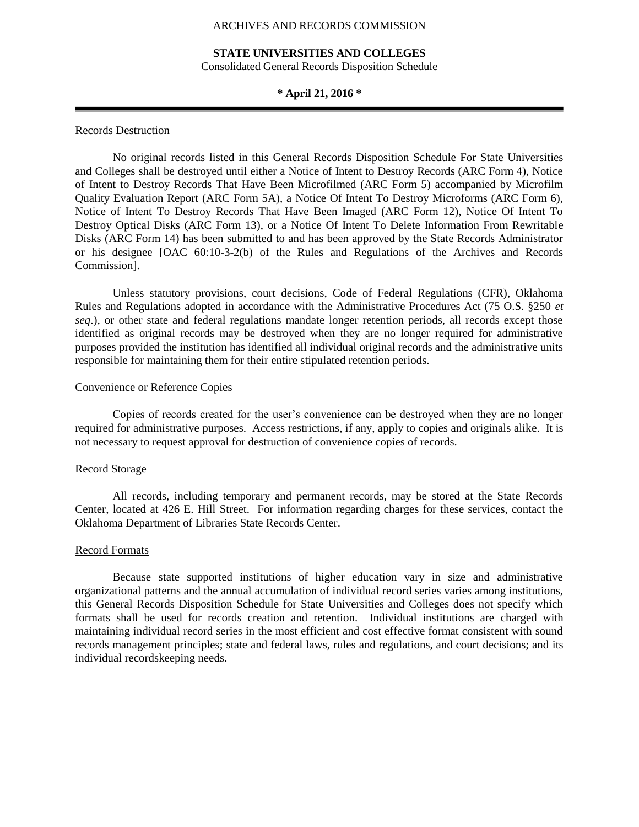## **STATE UNIVERSITIES AND COLLEGES**

Consolidated General Records Disposition Schedule

## **\* April 21, 2016 \***

#### Records Destruction

No original records listed in this General Records Disposition Schedule For State Universities and Colleges shall be destroyed until either a Notice of Intent to Destroy Records (ARC Form 4), Notice of Intent to Destroy Records That Have Been Microfilmed (ARC Form 5) accompanied by Microfilm Quality Evaluation Report (ARC Form 5A), a Notice Of Intent To Destroy Microforms (ARC Form 6), Notice of Intent To Destroy Records That Have Been Imaged (ARC Form 12), Notice Of Intent To Destroy Optical Disks (ARC Form 13), or a Notice Of Intent To Delete Information From Rewritable Disks (ARC Form 14) has been submitted to and has been approved by the State Records Administrator or his designee [OAC 60:10-3-2(b) of the Rules and Regulations of the Archives and Records Commission].

Unless statutory provisions, court decisions, Code of Federal Regulations (CFR), Oklahoma Rules and Regulations adopted in accordance with the Administrative Procedures Act (75 O.S. §250 *et seq*.), or other state and federal regulations mandate longer retention periods, all records except those identified as original records may be destroyed when they are no longer required for administrative purposes provided the institution has identified all individual original records and the administrative units responsible for maintaining them for their entire stipulated retention periods.

#### Convenience or Reference Copies

Copies of records created for the user's convenience can be destroyed when they are no longer required for administrative purposes. Access restrictions, if any, apply to copies and originals alike. It is not necessary to request approval for destruction of convenience copies of records.

#### Record Storage

All records, including temporary and permanent records, may be stored at the State Records Center, located at 426 E. Hill Street. For information regarding charges for these services, contact the Oklahoma Department of Libraries State Records Center.

#### Record Formats

Because state supported institutions of higher education vary in size and administrative organizational patterns and the annual accumulation of individual record series varies among institutions, this General Records Disposition Schedule for State Universities and Colleges does not specify which formats shall be used for records creation and retention. Individual institutions are charged with maintaining individual record series in the most efficient and cost effective format consistent with sound records management principles; state and federal laws, rules and regulations, and court decisions; and its individual recordskeeping needs.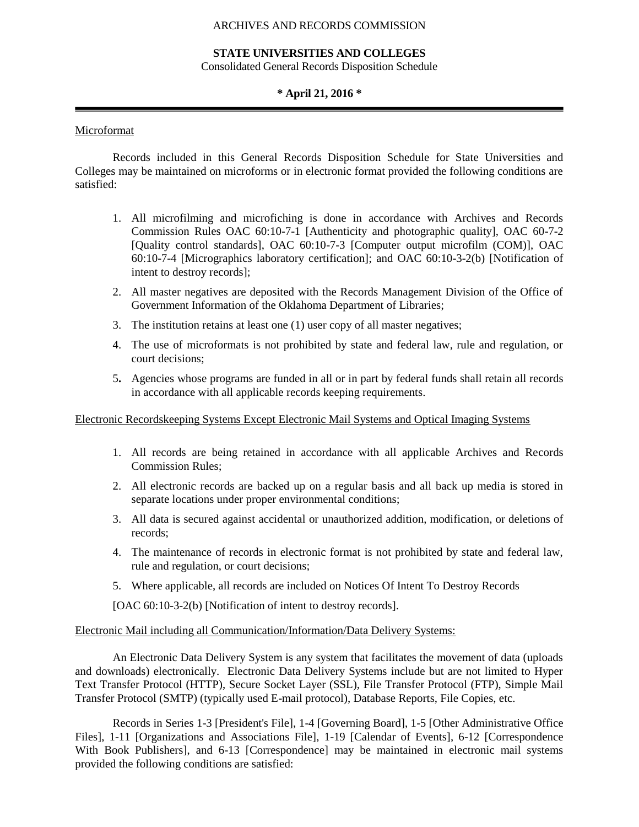#### **STATE UNIVERSITIES AND COLLEGES**

Consolidated General Records Disposition Schedule

# **\* April 21, 2016 \***

### Microformat

Records included in this General Records Disposition Schedule for State Universities and Colleges may be maintained on microforms or in electronic format provided the following conditions are satisfied:

- 1. All microfilming and microfiching is done in accordance with Archives and Records Commission Rules OAC 60:10-7-1 [Authenticity and photographic quality], OAC 60-7-2 [Quality control standards], OAC 60:10-7-3 [Computer output microfilm (COM)], OAC 60:10-7-4 [Micrographics laboratory certification]; and OAC 60:10-3-2(b) [Notification of intent to destroy records];
- 2. All master negatives are deposited with the Records Management Division of the Office of Government Information of the Oklahoma Department of Libraries;
- 3. The institution retains at least one (1) user copy of all master negatives;
- 4. The use of microformats is not prohibited by state and federal law, rule and regulation, or court decisions;
- 5**.** Agencies whose programs are funded in all or in part by federal funds shall retain all records in accordance with all applicable records keeping requirements.

#### Electronic Recordskeeping Systems Except Electronic Mail Systems and Optical Imaging Systems

- 1. All records are being retained in accordance with all applicable Archives and Records Commission Rules;
- 2. All electronic records are backed up on a regular basis and all back up media is stored in separate locations under proper environmental conditions;
- 3. All data is secured against accidental or unauthorized addition, modification, or deletions of records;
- 4. The maintenance of records in electronic format is not prohibited by state and federal law, rule and regulation, or court decisions;
- 5. Where applicable, all records are included on Notices Of Intent To Destroy Records

[OAC 60:10-3-2(b) [Notification of intent to destroy records].

#### Electronic Mail including all Communication/Information/Data Delivery Systems:

An Electronic Data Delivery System is any system that facilitates the movement of data (uploads and downloads) electronically. Electronic Data Delivery Systems include but are not limited to Hyper Text Transfer Protocol (HTTP), Secure Socket Layer (SSL), File Transfer Protocol (FTP), Simple Mail Transfer Protocol (SMTP) (typically used E-mail protocol), Database Reports, File Copies, etc.

Records in Series 1-3 [President's File], 1-4 [Governing Board], 1-5 [Other Administrative Office Files], 1-11 [Organizations and Associations File], 1-19 [Calendar of Events], 6-12 [Correspondence With Book Publishers], and 6-13 [Correspondence] may be maintained in electronic mail systems provided the following conditions are satisfied: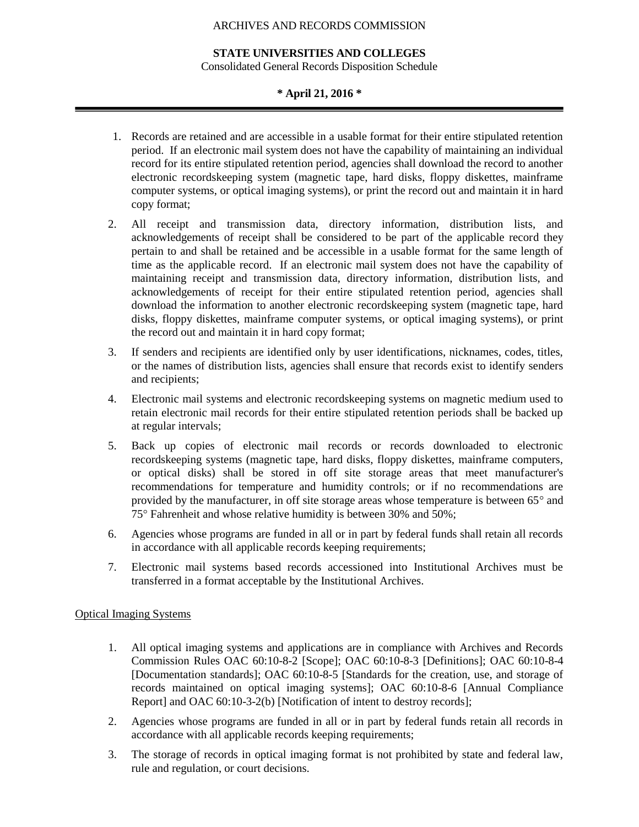#### **STATE UNIVERSITIES AND COLLEGES**

Consolidated General Records Disposition Schedule

## **\* April 21, 2016 \***

- 1. Records are retained and are accessible in a usable format for their entire stipulated retention period. If an electronic mail system does not have the capability of maintaining an individual record for its entire stipulated retention period, agencies shall download the record to another electronic recordskeeping system (magnetic tape, hard disks, floppy diskettes, mainframe computer systems, or optical imaging systems), or print the record out and maintain it in hard copy format;
- 2. All receipt and transmission data, directory information, distribution lists, and acknowledgements of receipt shall be considered to be part of the applicable record they pertain to and shall be retained and be accessible in a usable format for the same length of time as the applicable record. If an electronic mail system does not have the capability of maintaining receipt and transmission data, directory information, distribution lists, and acknowledgements of receipt for their entire stipulated retention period, agencies shall download the information to another electronic recordskeeping system (magnetic tape, hard disks, floppy diskettes, mainframe computer systems, or optical imaging systems), or print the record out and maintain it in hard copy format;
- 3. If senders and recipients are identified only by user identifications, nicknames, codes, titles, or the names of distribution lists, agencies shall ensure that records exist to identify senders and recipients;
- 4. Electronic mail systems and electronic recordskeeping systems on magnetic medium used to retain electronic mail records for their entire stipulated retention periods shall be backed up at regular intervals;
- 5. Back up copies of electronic mail records or records downloaded to electronic recordskeeping systems (magnetic tape, hard disks, floppy diskettes, mainframe computers, or optical disks) shall be stored in off site storage areas that meet manufacturer's recommendations for temperature and humidity controls; or if no recommendations are provided by the manufacturer, in off site storage areas whose temperature is between  $65^{\circ}$  and 75 Fahrenheit and whose relative humidity is between 30% and 50%;
- 6. Agencies whose programs are funded in all or in part by federal funds shall retain all records in accordance with all applicable records keeping requirements;
- 7. Electronic mail systems based records accessioned into Institutional Archives must be transferred in a format acceptable by the Institutional Archives.

## Optical Imaging Systems

- 1. All optical imaging systems and applications are in compliance with Archives and Records Commission Rules OAC 60:10-8-2 [Scope]; OAC 60:10-8-3 [Definitions]; OAC 60:10-8-4 [Documentation standards]; OAC 60:10-8-5 [Standards for the creation, use, and storage of records maintained on optical imaging systems]; OAC 60:10-8-6 [Annual Compliance Report] and OAC 60:10-3-2(b) [Notification of intent to destroy records];
- 2. Agencies whose programs are funded in all or in part by federal funds retain all records in accordance with all applicable records keeping requirements;
- 3. The storage of records in optical imaging format is not prohibited by state and federal law, rule and regulation, or court decisions.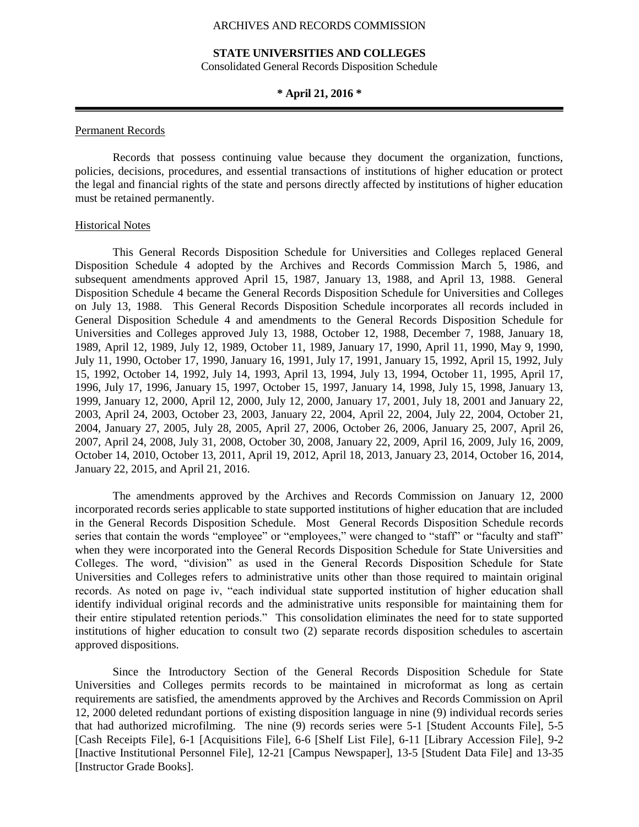#### **STATE UNIVERSITIES AND COLLEGES**

Consolidated General Records Disposition Schedule

#### **\* April 21, 2016 \***

#### Permanent Records

Records that possess continuing value because they document the organization, functions, policies, decisions, procedures, and essential transactions of institutions of higher education or protect the legal and financial rights of the state and persons directly affected by institutions of higher education must be retained permanently.

#### Historical Notes

This General Records Disposition Schedule for Universities and Colleges replaced General Disposition Schedule 4 adopted by the Archives and Records Commission March 5, 1986, and subsequent amendments approved April 15, 1987, January 13, 1988, and April 13, 1988. General Disposition Schedule 4 became the General Records Disposition Schedule for Universities and Colleges on July 13, 1988. This General Records Disposition Schedule incorporates all records included in General Disposition Schedule 4 and amendments to the General Records Disposition Schedule for Universities and Colleges approved July 13, 1988, October 12, 1988, December 7, 1988, January 18, 1989, April 12, 1989, July 12, 1989, October 11, 1989, January 17, 1990, April 11, 1990, May 9, 1990, July 11, 1990, October 17, 1990, January 16, 1991, July 17, 1991, January 15, 1992, April 15, 1992, July 15, 1992, October 14, 1992, July 14, 1993, April 13, 1994, July 13, 1994, October 11, 1995, April 17, 1996, July 17, 1996, January 15, 1997, October 15, 1997, January 14, 1998, July 15, 1998, January 13, 1999, January 12, 2000, April 12, 2000, July 12, 2000, January 17, 2001, July 18, 2001 and January 22, 2003, April 24, 2003, October 23, 2003, January 22, 2004, April 22, 2004, July 22, 2004, October 21, 2004, January 27, 2005, July 28, 2005, April 27, 2006, October 26, 2006, January 25, 2007, April 26, 2007, April 24, 2008, July 31, 2008, October 30, 2008, January 22, 2009, April 16, 2009, July 16, 2009, October 14, 2010, October 13, 2011, April 19, 2012, April 18, 2013, January 23, 2014, October 16, 2014, January 22, 2015, and April 21, 2016.

The amendments approved by the Archives and Records Commission on January 12, 2000 incorporated records series applicable to state supported institutions of higher education that are included in the General Records Disposition Schedule. Most General Records Disposition Schedule records series that contain the words "employee" or "employees," were changed to "staff" or "faculty and staff" when they were incorporated into the General Records Disposition Schedule for State Universities and Colleges. The word, "division" as used in the General Records Disposition Schedule for State Universities and Colleges refers to administrative units other than those required to maintain original records. As noted on page iv, "each individual state supported institution of higher education shall identify individual original records and the administrative units responsible for maintaining them for their entire stipulated retention periods."This consolidation eliminates the need for to state supported institutions of higher education to consult two (2) separate records disposition schedules to ascertain approved dispositions.

Since the Introductory Section of the General Records Disposition Schedule for State Universities and Colleges permits records to be maintained in microformat as long as certain requirements are satisfied, the amendments approved by the Archives and Records Commission on April 12, 2000 deleted redundant portions of existing disposition language in nine (9) individual records series that had authorized microfilming. The nine (9) records series were 5-1 [Student Accounts File], 5-5 [Cash Receipts File], 6-1 [Acquisitions File], 6-6 [Shelf List File], 6-11 [Library Accession File], 9-2 [Inactive Institutional Personnel File], 12-21 [Campus Newspaper], 13-5 [Student Data File] and 13-35 [Instructor Grade Books].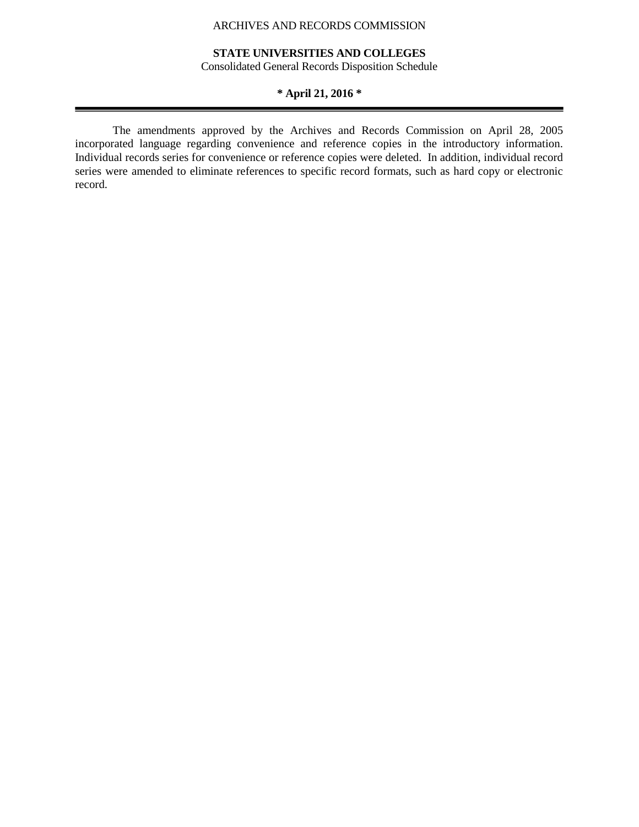# **STATE UNIVERSITIES AND COLLEGES**

Consolidated General Records Disposition Schedule

# **\* April 21, 2016 \***

The amendments approved by the Archives and Records Commission on April 28, 2005 incorporated language regarding convenience and reference copies in the introductory information. Individual records series for convenience or reference copies were deleted. In addition, individual record series were amended to eliminate references to specific record formats, such as hard copy or electronic record.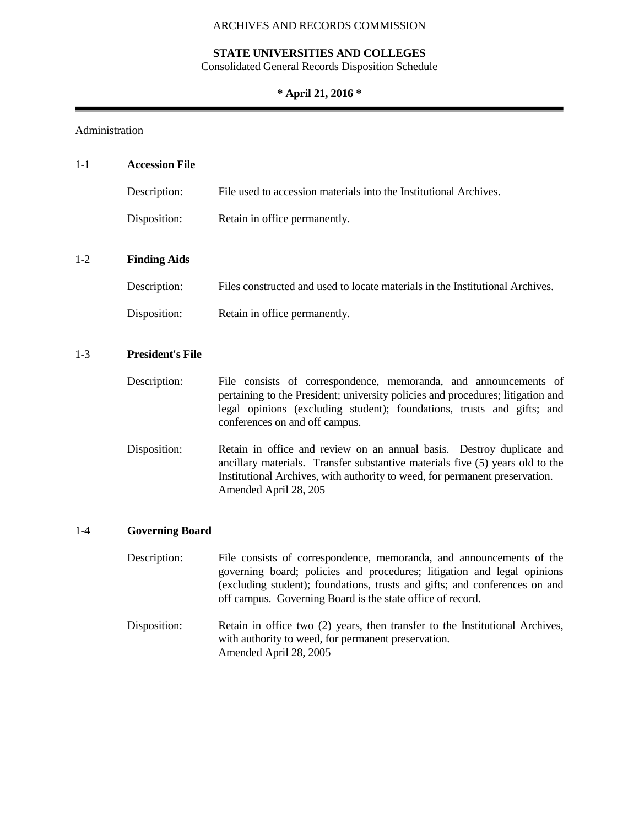# **STATE UNIVERSITIES AND COLLEGES**

Consolidated General Records Disposition Schedule

# **\* April 21, 2016 \***

# **Administration**

| $1 - 1$ | <b>Accession File</b>   |                                                                                                                                                                                                                                                                 |
|---------|-------------------------|-----------------------------------------------------------------------------------------------------------------------------------------------------------------------------------------------------------------------------------------------------------------|
|         | Description:            | File used to accession materials into the Institutional Archives.                                                                                                                                                                                               |
|         | Disposition:            | Retain in office permanently.                                                                                                                                                                                                                                   |
| $1-2$   | <b>Finding Aids</b>     |                                                                                                                                                                                                                                                                 |
|         | Description:            | Files constructed and used to locate materials in the Institutional Archives.                                                                                                                                                                                   |
|         | Disposition:            | Retain in office permanently.                                                                                                                                                                                                                                   |
| $1-3$   | <b>President's File</b> |                                                                                                                                                                                                                                                                 |
|         | Description:            | File consists of correspondence, memoranda, and announcements of<br>pertaining to the President; university policies and procedures; litigation and<br>legal opinions (excluding student); foundations, trusts and gifts; and<br>conferences on and off campus. |
|         | Disposition:            | Retain in office and review on an annual basis. Destroy duplicate and<br>ancillary materials. Transfer substantive materials five (5) years old to the<br>Institutional Archives, with authority to weed, for permanent preservation.<br>Amended April 28, 205  |

# 1-4 **Governing Board**

| Description: | File consists of correspondence, memoranda, and announcements of the<br>governing board; policies and procedures; litigation and legal opinions<br>(excluding student); foundations, trusts and gifts; and conferences on and<br>off campus. Governing Board is the state office of record. |
|--------------|---------------------------------------------------------------------------------------------------------------------------------------------------------------------------------------------------------------------------------------------------------------------------------------------|
| Disposition: | Retain in office two (2) years, then transfer to the Institutional Archives,<br>with authority to weed, for permanent preservation.<br>Amended April 28, 2005                                                                                                                               |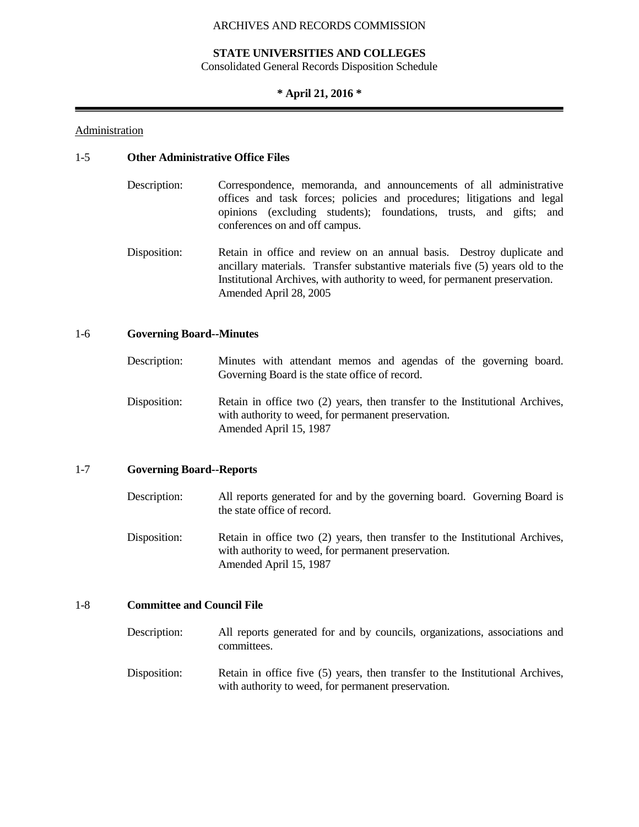#### **STATE UNIVERSITIES AND COLLEGES**

Consolidated General Records Disposition Schedule

## **\* April 21, 2016 \***

#### Administration

#### 1-5 **Other Administrative Office Files**

- Description: Correspondence, memoranda, and announcements of all administrative offices and task forces; policies and procedures; litigations and legal opinions (excluding students); foundations, trusts, and gifts; and conferences on and off campus.
- Disposition: Retain in office and review on an annual basis. Destroy duplicate and ancillary materials. Transfer substantive materials five (5) years old to the Institutional Archives, with authority to weed, for permanent preservation. Amended April 28, 2005

#### 1-6 **Governing Board--Minutes**

- Description: Minutes with attendant memos and agendas of the governing board. Governing Board is the state office of record.
- Disposition: Retain in office two (2) years, then transfer to the Institutional Archives, with authority to weed, for permanent preservation. Amended April 15, 1987

#### 1-7 **Governing Board--Reports**

- Description: All reports generated for and by the governing board. Governing Board is the state office of record.
- Disposition: Retain in office two (2) years, then transfer to the Institutional Archives, with authority to weed, for permanent preservation. Amended April 15, 1987

## 1-8 **Committee and Council File**

- Description: All reports generated for and by councils, organizations, associations and committees.
- Disposition: Retain in office five (5) years, then transfer to the Institutional Archives, with authority to weed, for permanent preservation.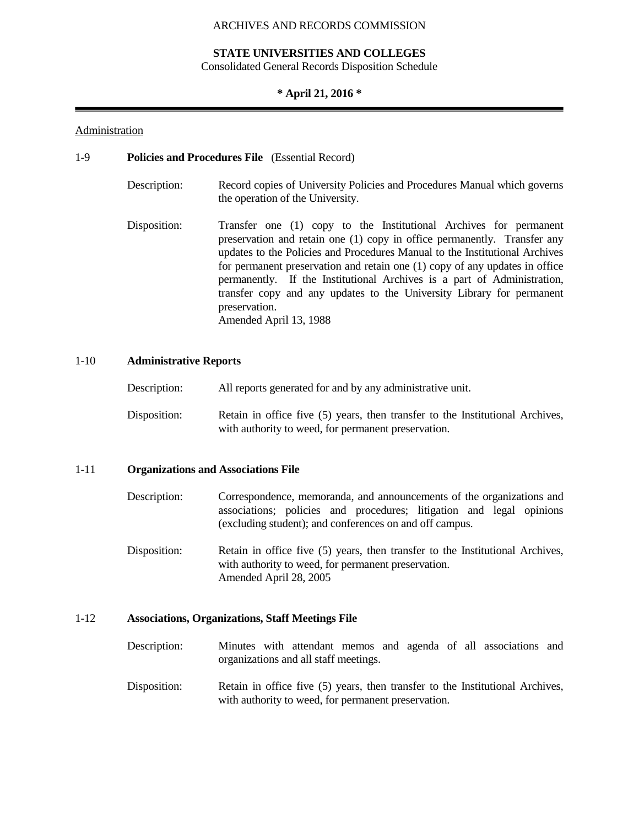#### **STATE UNIVERSITIES AND COLLEGES**

Consolidated General Records Disposition Schedule

## **\* April 21, 2016 \***

## Administration

### 1-9 **Policies and Procedures File** (Essential Record)

- Description: Record copies of University Policies and Procedures Manual which governs the operation of the University.
- Disposition: Transfer one (1) copy to the Institutional Archives for permanent preservation and retain one (1) copy in office permanently. Transfer any updates to the Policies and Procedures Manual to the Institutional Archives for permanent preservation and retain one (1) copy of any updates in office permanently. If the Institutional Archives is a part of Administration, transfer copy and any updates to the University Library for permanent preservation. Amended April 13, 1988

## 1-10 **Administrative Reports**

| Description: | All reports generated for and by any administrative unit.                     |
|--------------|-------------------------------------------------------------------------------|
| Disposition: | Retain in office five (5) years, then transfer to the Institutional Archives, |
|              | with authority to weed, for permanent preservation.                           |

#### 1-11 **Organizations and Associations File**

- Description: Correspondence, memoranda, and announcements of the organizations and associations; policies and procedures; litigation and legal opinions (excluding student); and conferences on and off campus.
- Disposition: Retain in office five (5) years, then transfer to the Institutional Archives, with authority to weed, for permanent preservation. Amended April 28, 2005

#### 1-12 **Associations, Organizations, Staff Meetings File**

- Description: Minutes with attendant memos and agenda of all associations and organizations and all staff meetings.
- Disposition: Retain in office five (5) years, then transfer to the Institutional Archives, with authority to weed, for permanent preservation.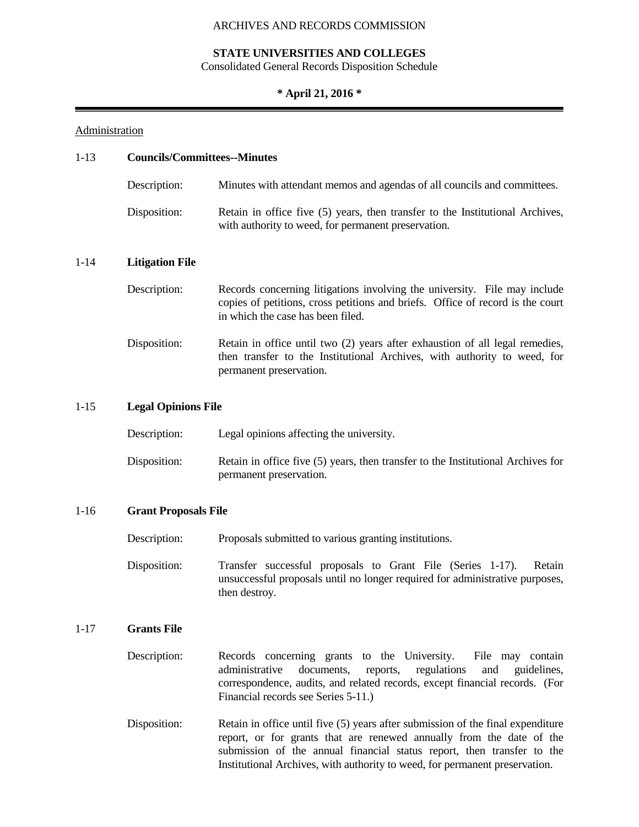# **STATE UNIVERSITIES AND COLLEGES**

Consolidated General Records Disposition Schedule

# **\* April 21, 2016 \***

# **Administration**

| $1-13$   |                        | <b>Councils/Committees--Minutes</b>                                                                                                                                                                                                                                                                              |  |  |  |  |
|----------|------------------------|------------------------------------------------------------------------------------------------------------------------------------------------------------------------------------------------------------------------------------------------------------------------------------------------------------------|--|--|--|--|
|          | Description:           | Minutes with attendant memos and agendas of all councils and committees.                                                                                                                                                                                                                                         |  |  |  |  |
|          | Disposition:           | Retain in office five (5) years, then transfer to the Institutional Archives,<br>with authority to weed, for permanent preservation.                                                                                                                                                                             |  |  |  |  |
| $1 - 14$ | <b>Litigation File</b> |                                                                                                                                                                                                                                                                                                                  |  |  |  |  |
|          | Description:           | Records concerning litigations involving the university. File may include<br>copies of petitions, cross petitions and briefs. Office of record is the court<br>in which the case has been filed.                                                                                                                 |  |  |  |  |
|          | Disposition:           | Retain in office until two (2) years after exhaustion of all legal remedies,<br>then transfer to the Institutional Archives, with authority to weed, for<br>permanent preservation.                                                                                                                              |  |  |  |  |
| $1 - 15$ |                        | <b>Legal Opinions File</b>                                                                                                                                                                                                                                                                                       |  |  |  |  |
|          | Description:           | Legal opinions affecting the university.                                                                                                                                                                                                                                                                         |  |  |  |  |
|          | Disposition:           | Retain in office five (5) years, then transfer to the Institutional Archives for<br>permanent preservation.                                                                                                                                                                                                      |  |  |  |  |
| $1-16$   |                        | <b>Grant Proposals File</b>                                                                                                                                                                                                                                                                                      |  |  |  |  |
|          | Description:           | Proposals submitted to various granting institutions.                                                                                                                                                                                                                                                            |  |  |  |  |
|          | Disposition:           | Transfer successful proposals to Grant File (Series 1-17).<br>Retain<br>unsuccessful proposals until no longer required for administrative purposes,<br>then destroy.                                                                                                                                            |  |  |  |  |
| $1-17$   | <b>Grants File</b>     |                                                                                                                                                                                                                                                                                                                  |  |  |  |  |
|          | Description:           | Records concerning grants to the University.<br>File may contain<br>administrative<br>documents,<br>reports,<br>regulations<br>and<br>guidelines,<br>correspondence, audits, and related records, except financial records. (For<br>Financial records see Series 5-11.)                                          |  |  |  |  |
|          | Disposition:           | Retain in office until five (5) years after submission of the final expenditure<br>report, or for grants that are renewed annually from the date of the<br>submission of the annual financial status report, then transfer to the<br>Institutional Archives, with authority to weed, for permanent preservation. |  |  |  |  |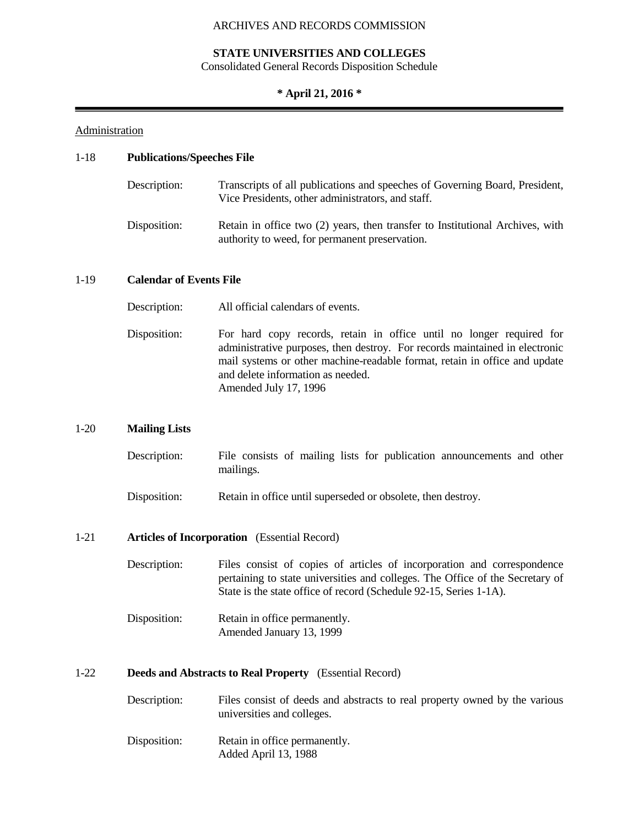#### **STATE UNIVERSITIES AND COLLEGES**

Consolidated General Records Disposition Schedule

# **\* April 21, 2016 \***

#### Administration

## 1-18 **Publications/Speeches File**

| Description: | Transcripts of all publications and speeches of Governing Board, President,<br>Vice Presidents, other administrators, and staff. |
|--------------|----------------------------------------------------------------------------------------------------------------------------------|
| Disposition: | Retain in office two (2) years, then transfer to Institutional Archives, with<br>authority to weed, for permanent preservation.  |

### 1-19 **Calendar of Events File**

- Description: All official calendars of events.
- Disposition: For hard copy records, retain in office until no longer required for administrative purposes, then destroy. For records maintained in electronic mail systems or other machine-readable format, retain in office and update and delete information as needed. Amended July 17, 1996

#### 1-20 **Mailing Lists**

| Description: |           |  |  |  | File consists of mailing lists for publication announcements and other |  |
|--------------|-----------|--|--|--|------------------------------------------------------------------------|--|
|              | mailings. |  |  |  |                                                                        |  |

Disposition: Retain in office until superseded or obsolete, then destroy.

#### 1-21 **Articles of Incorporation** (Essential Record)

| Description: | Files consist of copies of articles of incorporation and correspondence       |
|--------------|-------------------------------------------------------------------------------|
|              | pertaining to state universities and colleges. The Office of the Secretary of |
|              | State is the state office of record (Schedule 92-15, Series 1-1A).            |

Disposition: Retain in office permanently. Amended January 13, 1999

#### 1-22 **Deeds and Abstracts to Real Property** (Essential Record)

| Description: | Files consist of deeds and abstracts to real property owned by the various |
|--------------|----------------------------------------------------------------------------|
|              | universities and colleges.                                                 |

Disposition: Retain in office permanently. Added April 13, 1988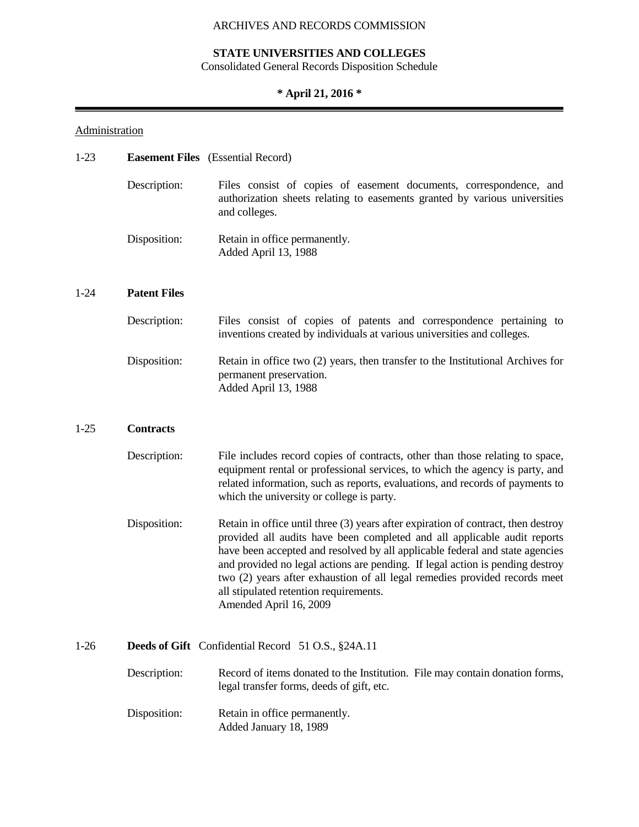# **STATE UNIVERSITIES AND COLLEGES**

Consolidated General Records Disposition Schedule

# **\* April 21, 2016 \***

۰

# **Administration**

| $1 - 23$ |                     | <b>Easement Files</b> (Essential Record)                                                                                                                                                                                                                                                                                                                                                                                                                                           |  |  |
|----------|---------------------|------------------------------------------------------------------------------------------------------------------------------------------------------------------------------------------------------------------------------------------------------------------------------------------------------------------------------------------------------------------------------------------------------------------------------------------------------------------------------------|--|--|
|          | Description:        | Files consist of copies of easement documents, correspondence, and<br>authorization sheets relating to easements granted by various universities<br>and colleges.                                                                                                                                                                                                                                                                                                                  |  |  |
|          | Disposition:        | Retain in office permanently.<br>Added April 13, 1988                                                                                                                                                                                                                                                                                                                                                                                                                              |  |  |
| $1 - 24$ | <b>Patent Files</b> |                                                                                                                                                                                                                                                                                                                                                                                                                                                                                    |  |  |
|          | Description:        | Files consist of copies of patents and correspondence pertaining to<br>inventions created by individuals at various universities and colleges.                                                                                                                                                                                                                                                                                                                                     |  |  |
|          | Disposition:        | Retain in office two (2) years, then transfer to the Institutional Archives for<br>permanent preservation.<br>Added April 13, 1988                                                                                                                                                                                                                                                                                                                                                 |  |  |
| $1-25$   | <b>Contracts</b>    |                                                                                                                                                                                                                                                                                                                                                                                                                                                                                    |  |  |
|          | Description:        | File includes record copies of contracts, other than those relating to space,<br>equipment rental or professional services, to which the agency is party, and<br>related information, such as reports, evaluations, and records of payments to<br>which the university or college is party.                                                                                                                                                                                        |  |  |
|          | Disposition:        | Retain in office until three $(3)$ years after expiration of contract, then destroy<br>provided all audits have been completed and all applicable audit reports<br>have been accepted and resolved by all applicable federal and state agencies<br>and provided no legal actions are pending. If legal action is pending destroy<br>two (2) years after exhaustion of all legal remedies provided records meet<br>all stipulated retention requirements.<br>Amended April 16, 2009 |  |  |
| $1-26$   |                     | Deeds of Gift Confidential Record 51 O.S., §24A.11                                                                                                                                                                                                                                                                                                                                                                                                                                 |  |  |
|          | Description:        | Record of items donated to the Institution. File may contain donation forms,<br>legal transfer forms, deeds of gift, etc.                                                                                                                                                                                                                                                                                                                                                          |  |  |
|          | Disposition:        | Retain in office permanently.<br>Added January 18, 1989                                                                                                                                                                                                                                                                                                                                                                                                                            |  |  |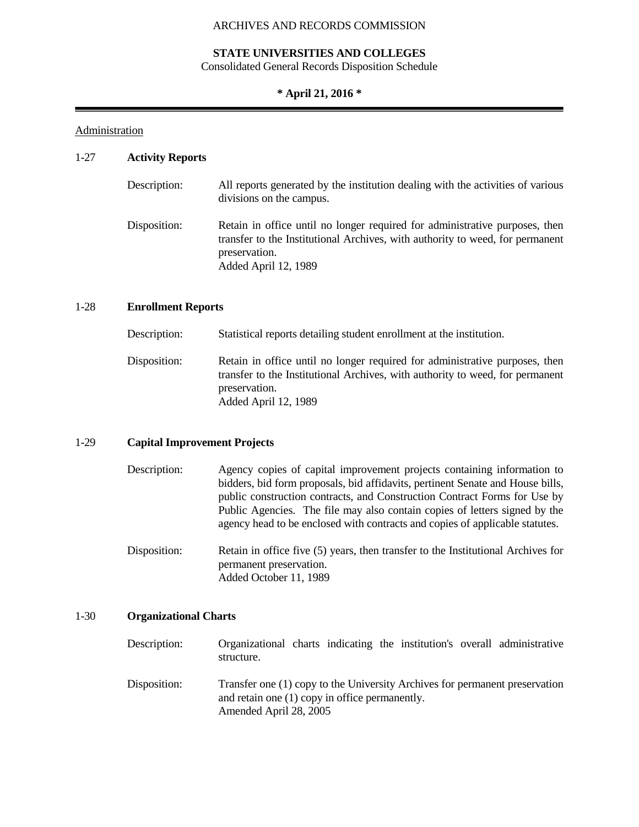#### **STATE UNIVERSITIES AND COLLEGES**

Consolidated General Records Disposition Schedule

## **\* April 21, 2016 \***

#### Administration

### 1-27 **Activity Reports**

| Description: | All reports generated by the institution dealing with the activities of various<br>divisions on the campus.                                                                                           |
|--------------|-------------------------------------------------------------------------------------------------------------------------------------------------------------------------------------------------------|
| Disposition: | Retain in office until no longer required for administrative purposes, then<br>transfer to the Institutional Archives, with authority to weed, for permanent<br>preservation.<br>Added April 12, 1989 |

# 1-28 **Enrollment Reports**

| Description: | Statistical reports detailing student enrollment at the institution.                                                                                                                                  |
|--------------|-------------------------------------------------------------------------------------------------------------------------------------------------------------------------------------------------------|
| Disposition: | Retain in office until no longer required for administrative purposes, then<br>transfer to the Institutional Archives, with authority to weed, for permanent<br>preservation.<br>Added April 12, 1989 |

#### 1-29 **Capital Improvement Projects**

- Description: Agency copies of capital improvement projects containing information to bidders, bid form proposals, bid affidavits, pertinent Senate and House bills, public construction contracts, and Construction Contract Forms for Use by Public Agencies. The file may also contain copies of letters signed by the agency head to be enclosed with contracts and copies of applicable statutes.
- Disposition: Retain in office five (5) years, then transfer to the Institutional Archives for permanent preservation. Added October 11, 1989

## 1-30 **Organizational Charts**

Description: Organizational charts indicating the institution's overall administrative structure. Disposition: Transfer one (1) copy to the University Archives for permanent preservation and retain one (1) copy in office permanently.

Amended April 28, 2005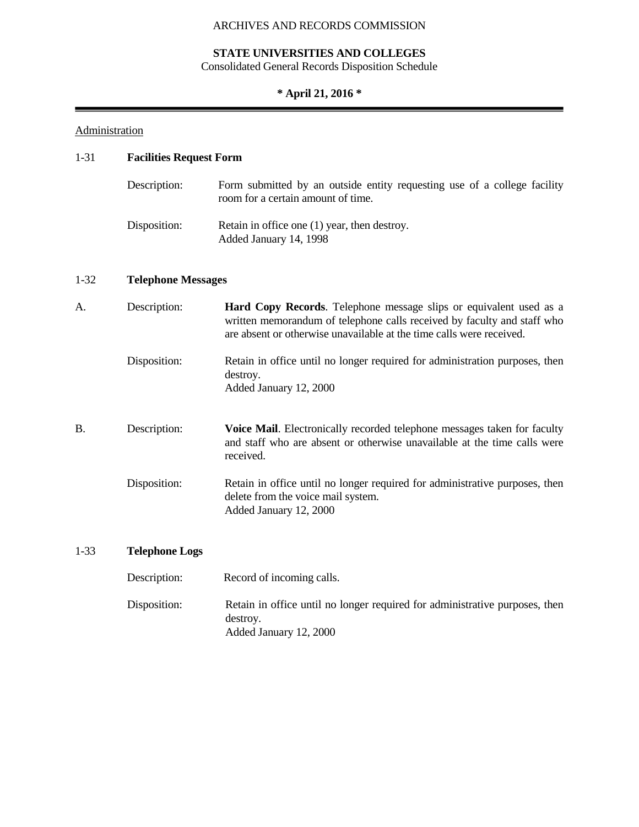# **STATE UNIVERSITIES AND COLLEGES**

Consolidated General Records Disposition Schedule

# **\* April 21, 2016 \***

# **Administration**

# 1-31 **Facilities Request Form**

| Description: | Form submitted by an outside entity requesting use of a college facility<br>room for a certain amount of time. |
|--------------|----------------------------------------------------------------------------------------------------------------|
| Disposition: | Retain in office one (1) year, then destroy.<br>Added January 14, 1998                                         |

▄

# 1-32 **Telephone Messages**

| A.        | Description:          | <b>Hard Copy Records.</b> Telephone message slips or equivalent used as a<br>written memorandum of telephone calls received by faculty and staff who<br>are absent or otherwise unavailable at the time calls were received. |
|-----------|-----------------------|------------------------------------------------------------------------------------------------------------------------------------------------------------------------------------------------------------------------------|
|           | Disposition:          | Retain in office until no longer required for administration purposes, then<br>destroy.<br>Added January 12, 2000                                                                                                            |
| <b>B.</b> | Description:          | <b>Voice Mail.</b> Electronically recorded telephone messages taken for faculty<br>and staff who are absent or otherwise unavailable at the time calls were<br>received.                                                     |
|           | Disposition:          | Retain in office until no longer required for administrative purposes, then<br>delete from the voice mail system.<br>Added January 12, 2000                                                                                  |
| $1 - 33$  | <b>Telephone Logs</b> |                                                                                                                                                                                                                              |

| Description: | Record of incoming calls.                                                                                         |
|--------------|-------------------------------------------------------------------------------------------------------------------|
| Disposition: | Retain in office until no longer required for administrative purposes, then<br>destroy.<br>Added January 12, 2000 |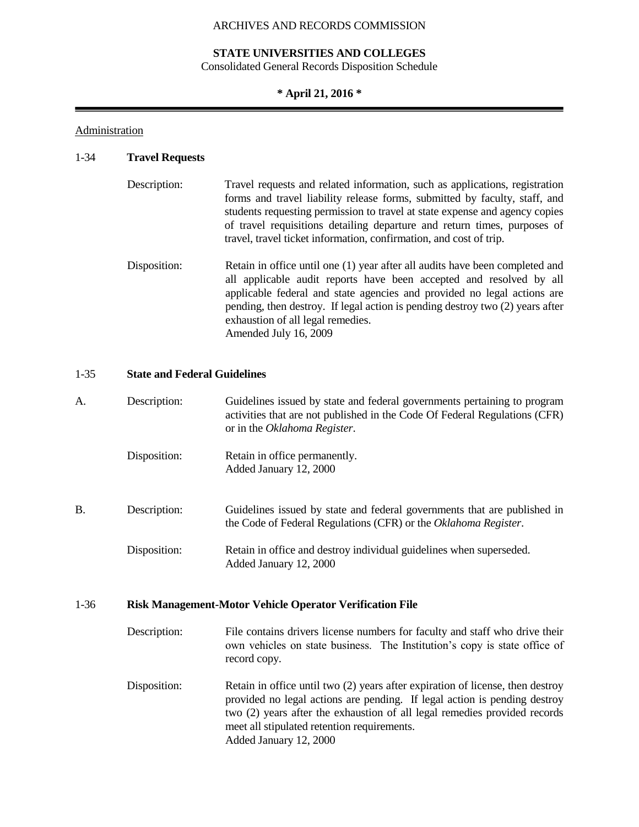#### **STATE UNIVERSITIES AND COLLEGES**

Consolidated General Records Disposition Schedule

## **\* April 21, 2016 \***

#### **Administration**

#### 1-34 **Travel Requests**

| Description: | Travel requests and related information, such as applications, registration<br>forms and travel liability release forms, submitted by faculty, staff, and<br>students requesting permission to travel at state expense and agency copies<br>of travel requisitions detailing departure and return times, purposes of<br>travel, travel ticket information, confirmation, and cost of trip. |
|--------------|--------------------------------------------------------------------------------------------------------------------------------------------------------------------------------------------------------------------------------------------------------------------------------------------------------------------------------------------------------------------------------------------|
| Disposition: | Retain in office until one (1) year after all audits have been completed and<br>all applicable audit reports have been accepted and resolved by all<br>applicable federal and state agencies and provided no legal actions are<br>pending, then destroy. If legal action is pending destroy two (2) years after<br>exhaustion of all legal remedies.<br>Amended July 16, 2009              |

## 1-35 **State and Federal Guidelines**

| А.        | Description: | Guidelines issued by state and federal governments pertaining to program<br>activities that are not published in the Code Of Federal Regulations (CFR)<br>or in the Oklahoma Register. |
|-----------|--------------|----------------------------------------------------------------------------------------------------------------------------------------------------------------------------------------|
|           | Disposition: | Retain in office permanently.<br>Added January 12, 2000                                                                                                                                |
| <b>B.</b> | Description: | Guidelines issued by state and federal governments that are published in<br>the Code of Federal Regulations (CFR) or the Oklahoma Register.                                            |
|           | Disposition: | Retain in office and destroy individual guidelines when superseded.<br>Added January 12, 2000                                                                                          |

#### 1-36 **Risk Management-Motor Vehicle Operator Verification File**

- Description: File contains drivers license numbers for faculty and staff who drive their own vehicles on state business. The Institution's copy is state office of record copy.
- Disposition: Retain in office until two (2) years after expiration of license, then destroy provided no legal actions are pending. If legal action is pending destroy two (2) years after the exhaustion of all legal remedies provided records meet all stipulated retention requirements. Added January 12, 2000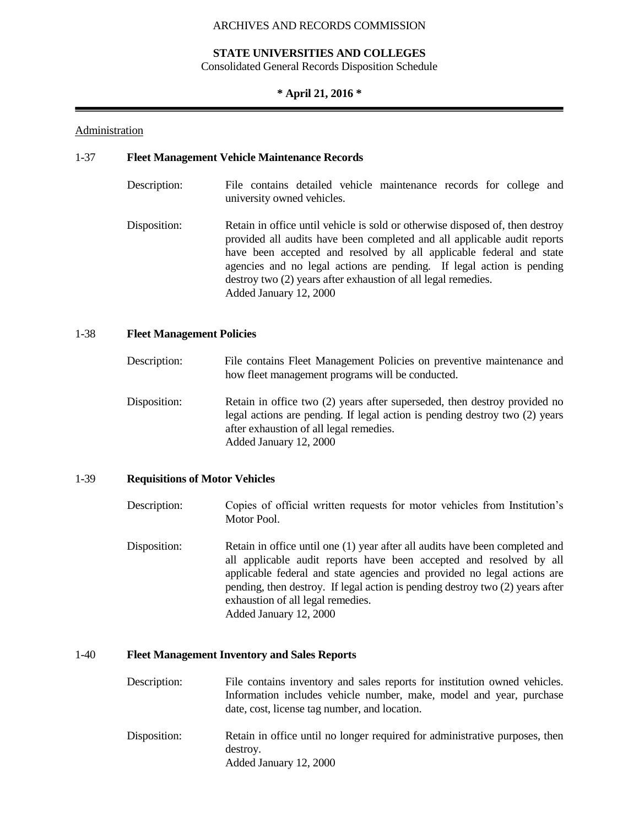#### **STATE UNIVERSITIES AND COLLEGES**

Consolidated General Records Disposition Schedule

#### **\* April 21, 2016 \***

#### Administration

#### 1-37 **Fleet Management Vehicle Maintenance Records**

- Description: File contains detailed vehicle maintenance records for college and university owned vehicles.
- Disposition: Retain in office until vehicle is sold or otherwise disposed of, then destroy provided all audits have been completed and all applicable audit reports have been accepted and resolved by all applicable federal and state agencies and no legal actions are pending. If legal action is pending destroy two (2) years after exhaustion of all legal remedies. Added January 12, 2000

#### 1-38 **Fleet Management Policies**

Description: File contains Fleet Management Policies on preventive maintenance and how fleet management programs will be conducted. Disposition: Retain in office two (2) years after superseded, then destroy provided no legal actions are pending. If legal action is pending destroy two (2) years after exhaustion of all legal remedies. Added January 12, 2000

# 1-39 **Requisitions of Motor Vehicles**

- Description: Copies of official written requests for motor vehicles from Institution's Motor Pool.
- Disposition: Retain in office until one (1) year after all audits have been completed and all applicable audit reports have been accepted and resolved by all applicable federal and state agencies and provided no legal actions are pending, then destroy. If legal action is pending destroy two (2) years after exhaustion of all legal remedies. Added January 12, 2000

## 1-40 **Fleet Management Inventory and Sales Reports**

- Description: File contains inventory and sales reports for institution owned vehicles. Information includes vehicle number, make, model and year, purchase date, cost, license tag number, and location.
- Disposition: Retain in office until no longer required for administrative purposes, then destroy. Added January 12, 2000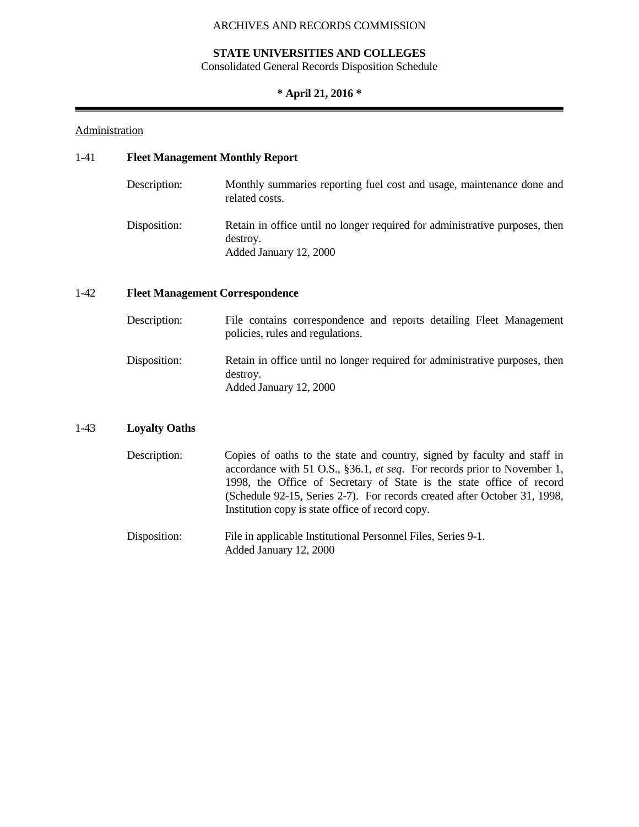# **STATE UNIVERSITIES AND COLLEGES**

Consolidated General Records Disposition Schedule

# **\* April 21, 2016 \***

# **Administration**

# 1-41 **Fleet Management Monthly Report**

| Description: | Monthly summaries reporting fuel cost and usage, maintenance done and<br>related costs.                           |
|--------------|-------------------------------------------------------------------------------------------------------------------|
| Disposition: | Retain in office until no longer required for administrative purposes, then<br>destroy.<br>Added January 12, 2000 |

# 1-42 **Fleet Management Correspondence**

| Description: | File contains correspondence and reports detailing Fleet Management<br>policies, rules and regulations.           |
|--------------|-------------------------------------------------------------------------------------------------------------------|
| Disposition: | Retain in office until no longer required for administrative purposes, then<br>destroy.<br>Added January 12, 2000 |

# 1-43 **Loyalty Oaths**

| Description: | Copies of oaths to the state and country, signed by faculty and staff in        |
|--------------|---------------------------------------------------------------------------------|
|              | accordance with 51 O.S., §36.1, <i>et seq.</i> For records prior to November 1, |
|              | 1998, the Office of Secretary of State is the state office of record            |
|              | (Schedule 92-15, Series 2-7). For records created after October 31, 1998,       |
|              | Institution copy is state office of record copy.                                |
|              |                                                                                 |

| Disposition: | File in applicable Institutional Personnel Files, Series 9-1. |  |
|--------------|---------------------------------------------------------------|--|
|              | Added January 12, 2000                                        |  |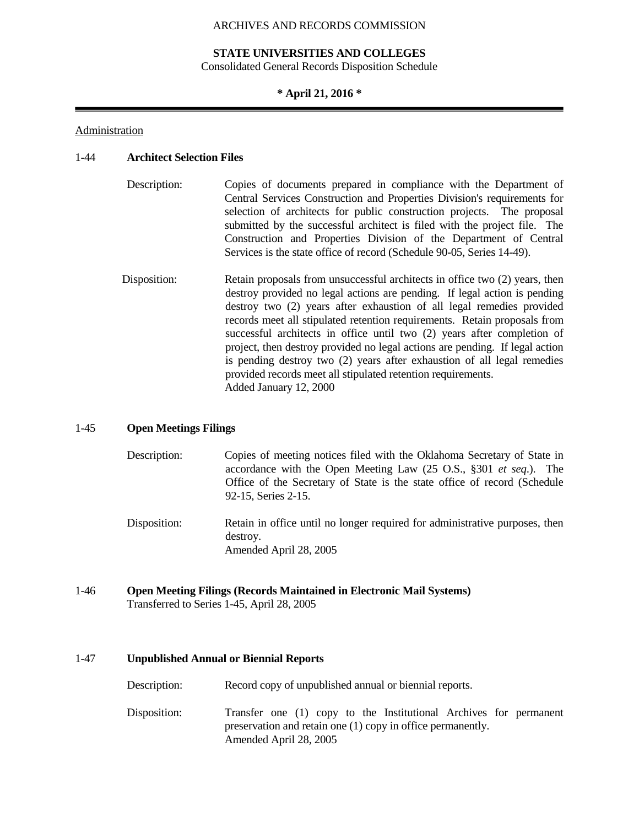#### **STATE UNIVERSITIES AND COLLEGES**

Consolidated General Records Disposition Schedule

#### **\* April 21, 2016 \***

### Administration

## 1-44 **Architect Selection Files**

- Description: Copies of documents prepared in compliance with the Department of Central Services Construction and Properties Division's requirements for selection of architects for public construction projects. The proposal submitted by the successful architect is filed with the project file. The Construction and Properties Division of the Department of Central Services is the state office of record (Schedule 90-05, Series 14-49).
- Disposition: Retain proposals from unsuccessful architects in office two (2) years, then destroy provided no legal actions are pending. If legal action is pending destroy two (2) years after exhaustion of all legal remedies provided records meet all stipulated retention requirements. Retain proposals from successful architects in office until two (2) years after completion of project, then destroy provided no legal actions are pending. If legal action is pending destroy two (2) years after exhaustion of all legal remedies provided records meet all stipulated retention requirements. Added January 12, 2000

## 1-45 **Open Meetings Filings**

- Description: Copies of meeting notices filed with the Oklahoma Secretary of State in accordance with the Open Meeting Law (25 O.S., §301 *et seq*.). The Office of the Secretary of State is the state office of record (Schedule 92-15, Series 2-15.
- Disposition: Retain in office until no longer required for administrative purposes, then destroy. Amended April 28, 2005
- 1-46 **Open Meeting Filings (Records Maintained in Electronic Mail Systems)** Transferred to Series 1-45, April 28, 2005

#### 1-47 **Unpublished Annual or Biennial Reports**

- Description: Record copy of unpublished annual or biennial reports.
- Disposition: Transfer one (1) copy to the Institutional Archives for permanent preservation and retain one (1) copy in office permanently. Amended April 28, 2005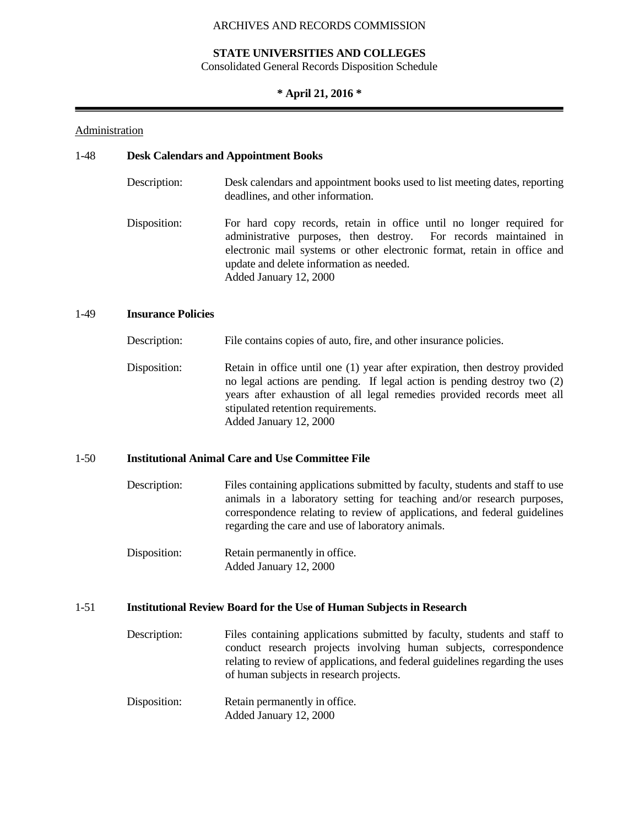#### **STATE UNIVERSITIES AND COLLEGES**

Consolidated General Records Disposition Schedule

#### **\* April 21, 2016 \***

#### Administration

## 1-48 **Desk Calendars and Appointment Books**

- Description: Desk calendars and appointment books used to list meeting dates, reporting deadlines, and other information.
- Disposition: For hard copy records, retain in office until no longer required for administrative purposes, then destroy. For records maintained in electronic mail systems or other electronic format, retain in office and update and delete information as needed. Added January 12, 2000

#### 1-49 **Insurance Policies**

- Description: File contains copies of auto, fire, and other insurance policies.
- Disposition: Retain in office until one (1) year after expiration, then destroy provided no legal actions are pending. If legal action is pending destroy two (2) years after exhaustion of all legal remedies provided records meet all stipulated retention requirements. Added January 12, 2000

#### 1-50 **Institutional Animal Care and Use Committee File**

- Description: Files containing applications submitted by faculty, students and staff to use animals in a laboratory setting for teaching and/or research purposes, correspondence relating to review of applications, and federal guidelines regarding the care and use of laboratory animals.
- Disposition: Retain permanently in office. Added January 12, 2000

#### 1-51 **Institutional Review Board for the Use of Human Subjects in Research**

- Description: Files containing applications submitted by faculty, students and staff to conduct research projects involving human subjects, correspondence relating to review of applications, and federal guidelines regarding the uses of human subjects in research projects.
- Disposition: Retain permanently in office. Added January 12, 2000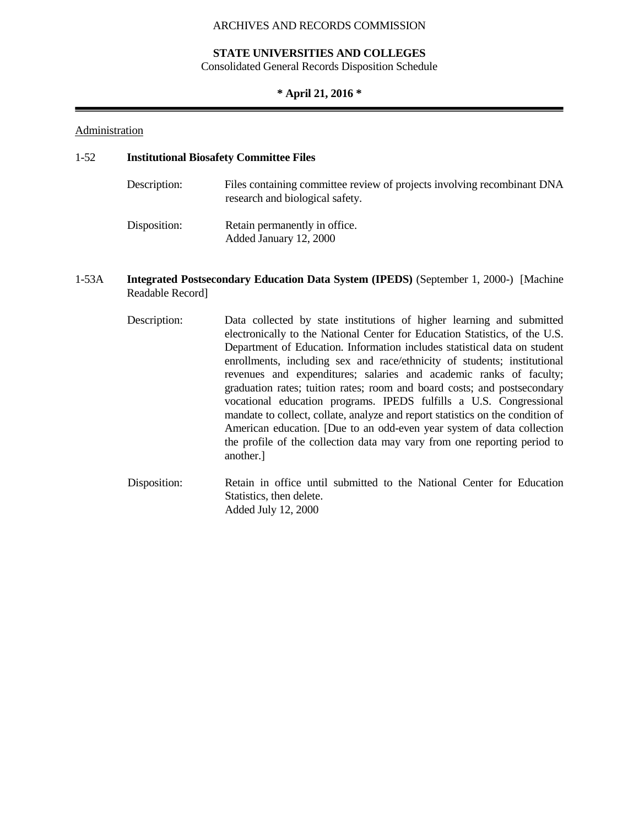#### **STATE UNIVERSITIES AND COLLEGES**

Consolidated General Records Disposition Schedule

## **\* April 21, 2016 \***

#### Administration

#### 1-52 **Institutional Biosafety Committee Files**

| Description: | Files containing committee review of projects involving recombinant DNA<br>research and biological safety. |
|--------------|------------------------------------------------------------------------------------------------------------|
| Disposition: | Retain permanently in office.<br>Added January 12, 2000                                                    |

- 1-53A **Integrated Postsecondary Education Data System (IPEDS)** (September 1, 2000-) [Machine Readable Record]
	- Description: Data collected by state institutions of higher learning and submitted electronically to the National Center for Education Statistics, of the U.S. Department of Education. Information includes statistical data on student enrollments, including sex and race/ethnicity of students; institutional revenues and expenditures; salaries and academic ranks of faculty; graduation rates; tuition rates; room and board costs; and postsecondary vocational education programs. IPEDS fulfills a U.S. Congressional mandate to collect, collate, analyze and report statistics on the condition of American education. [Due to an odd-even year system of data collection the profile of the collection data may vary from one reporting period to another.]
	- Disposition: Retain in office until submitted to the National Center for Education Statistics, then delete. Added July 12, 2000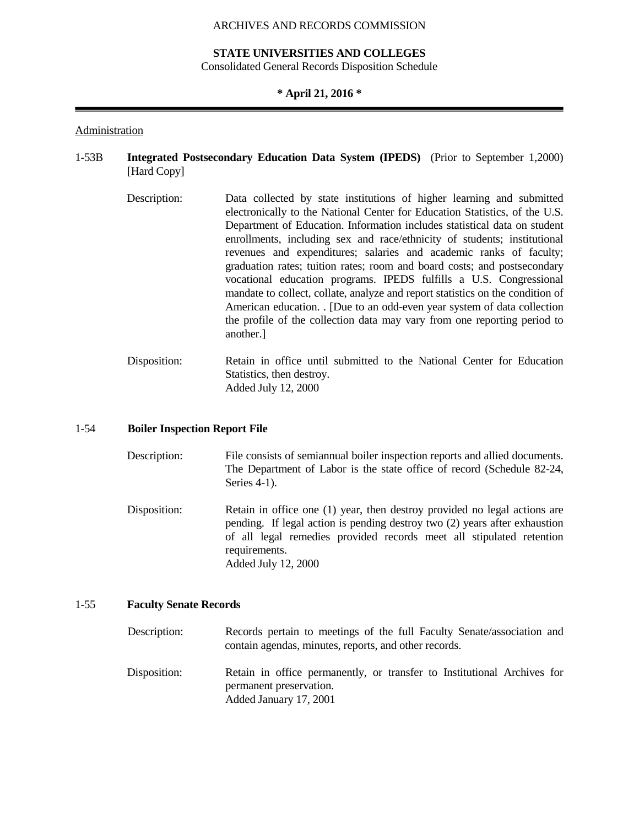#### **STATE UNIVERSITIES AND COLLEGES**

Consolidated General Records Disposition Schedule

#### **\* April 21, 2016 \***

#### Administration

# 1-53B **Integrated Postsecondary Education Data System (IPEDS)** (Prior to September 1,2000) [Hard Copy]

- Description: Data collected by state institutions of higher learning and submitted electronically to the National Center for Education Statistics, of the U.S. Department of Education. Information includes statistical data on student enrollments, including sex and race/ethnicity of students; institutional revenues and expenditures; salaries and academic ranks of faculty; graduation rates; tuition rates; room and board costs; and postsecondary vocational education programs. IPEDS fulfills a U.S. Congressional mandate to collect, collate, analyze and report statistics on the condition of American education. . [Due to an odd-even year system of data collection the profile of the collection data may vary from one reporting period to another.]
- Disposition: Retain in office until submitted to the National Center for Education Statistics, then destroy. Added July 12, 2000

#### 1-54 **Boiler Inspection Report File**

- Description: File consists of semiannual boiler inspection reports and allied documents. The Department of Labor is the state office of record (Schedule 82-24, Series 4-1).
- Disposition: Retain in office one (1) year, then destroy provided no legal actions are pending. If legal action is pending destroy two (2) years after exhaustion of all legal remedies provided records meet all stipulated retention requirements. Added July 12, 2000

## 1-55 **Faculty Senate Records**

| Description: | Records pertain to meetings of the full Faculty Senate/association and<br>contain agendas, minutes, reports, and other records. |
|--------------|---------------------------------------------------------------------------------------------------------------------------------|
| Disposition: | Retain in office permanently, or transfer to Institutional Archives for<br>permanent preservation.<br>Added January 17, 2001    |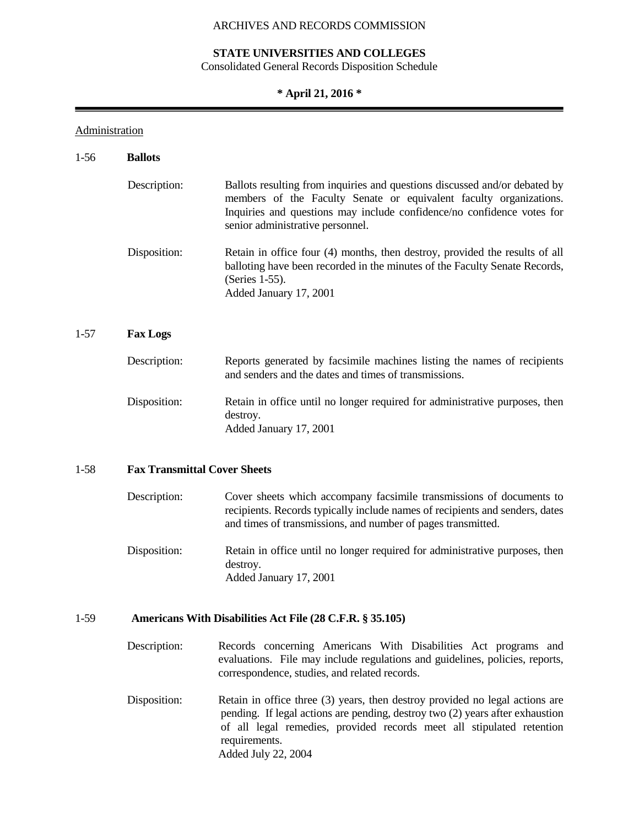# **STATE UNIVERSITIES AND COLLEGES**

Consolidated General Records Disposition Schedule

# **\* April 21, 2016 \***

۰

# **Administration**

| $1-56$                                          | <b>Ballots</b>                                            |                                                                                                                                                                                                                                                                                |
|-------------------------------------------------|-----------------------------------------------------------|--------------------------------------------------------------------------------------------------------------------------------------------------------------------------------------------------------------------------------------------------------------------------------|
|                                                 | Description:                                              | Ballots resulting from inquiries and questions discussed and/or debated by<br>members of the Faculty Senate or equivalent faculty organizations.<br>Inquiries and questions may include confidence/no confidence votes for<br>senior administrative personnel.                 |
|                                                 | Disposition:                                              | Retain in office four (4) months, then destroy, provided the results of all<br>balloting have been recorded in the minutes of the Faculty Senate Records,<br>(Series 1-55).<br>Added January 17, 2001                                                                          |
| $1 - 57$                                        | <b>Fax Logs</b>                                           |                                                                                                                                                                                                                                                                                |
|                                                 | Description:                                              | Reports generated by facsimile machines listing the names of recipients<br>and senders and the dates and times of transmissions.                                                                                                                                               |
|                                                 | Disposition:                                              | Retain in office until no longer required for administrative purposes, then<br>destroy.<br>Added January 17, 2001                                                                                                                                                              |
| <b>Fax Transmittal Cover Sheets</b><br>$1 - 58$ |                                                           |                                                                                                                                                                                                                                                                                |
|                                                 | Description:                                              | Cover sheets which accompany facsimile transmissions of documents to<br>recipients. Records typically include names of recipients and senders, dates<br>and times of transmissions, and number of pages transmitted.                                                           |
|                                                 | Disposition:                                              | Retain in office until no longer required for administrative purposes, then<br>destroy.<br>Added January 17, 2001                                                                                                                                                              |
| $1-59$                                          | Americans With Disabilities Act File (28 C.F.R. § 35.105) |                                                                                                                                                                                                                                                                                |
|                                                 | Description:                                              | Records concerning Americans With Disabilities Act programs and<br>evaluations. File may include regulations and guidelines, policies, reports,<br>correspondence, studies, and related records.                                                                               |
|                                                 | Disposition:                                              | Retain in office three (3) years, then destroy provided no legal actions are<br>pending. If legal actions are pending, destroy two (2) years after exhaustion<br>of all legal remedies, provided records meet all stipulated retention<br>requirements.<br>Added July 22, 2004 |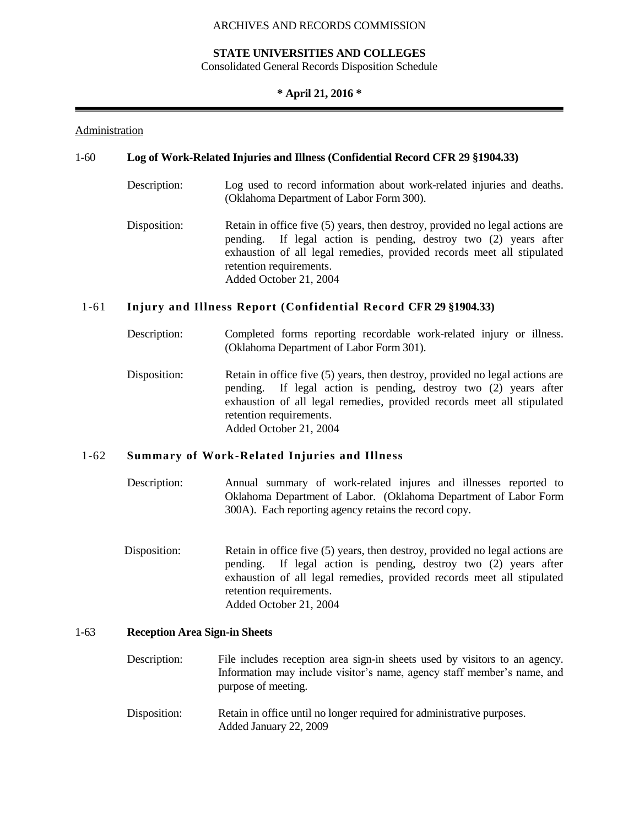#### **STATE UNIVERSITIES AND COLLEGES**

Consolidated General Records Disposition Schedule

### **\* April 21, 2016 \***

#### Administration

### 1-60 **Log of Work-Related Injuries and Illness (Confidential Record CFR 29 §1904.33)**

- Description: Log used to record information about work-related injuries and deaths. (Oklahoma Department of Labor Form 300).
- Disposition: Retain in office five (5) years, then destroy, provided no legal actions are pending. If legal action is pending, destroy two (2) years after exhaustion of all legal remedies, provided records meet all stipulated retention requirements. Added October 21, 2004

# 1-61 **Injury and Illness Report (Confidential Record CFR 29 §1904.33)**

- Description: Completed forms reporting recordable work-related injury or illness. (Oklahoma Department of Labor Form 301).
- Disposition: Retain in office five (5) years, then destroy, provided no legal actions are pending. If legal action is pending, destroy two (2) years after exhaustion of all legal remedies, provided records meet all stipulated retention requirements. Added October 21, 2004

## 1-62 **Summary of Work-Related Injuries and Illness**

- Description: Annual summary of work-related injures and illnesses reported to Oklahoma Department of Labor. (Oklahoma Department of Labor Form 300A). Each reporting agency retains the record copy.
- Disposition: Retain in office five (5) years, then destroy, provided no legal actions are pending. If legal action is pending, destroy two (2) years after exhaustion of all legal remedies, provided records meet all stipulated retention requirements. Added October 21, 2004

# 1-63 **Reception Area Sign-in Sheets**

- Description: File includes reception area sign-in sheets used by visitors to an agency. Information may include visitor's name, agency staff member's name, and purpose of meeting.
- Disposition: Retain in office until no longer required for administrative purposes. Added January 22, 2009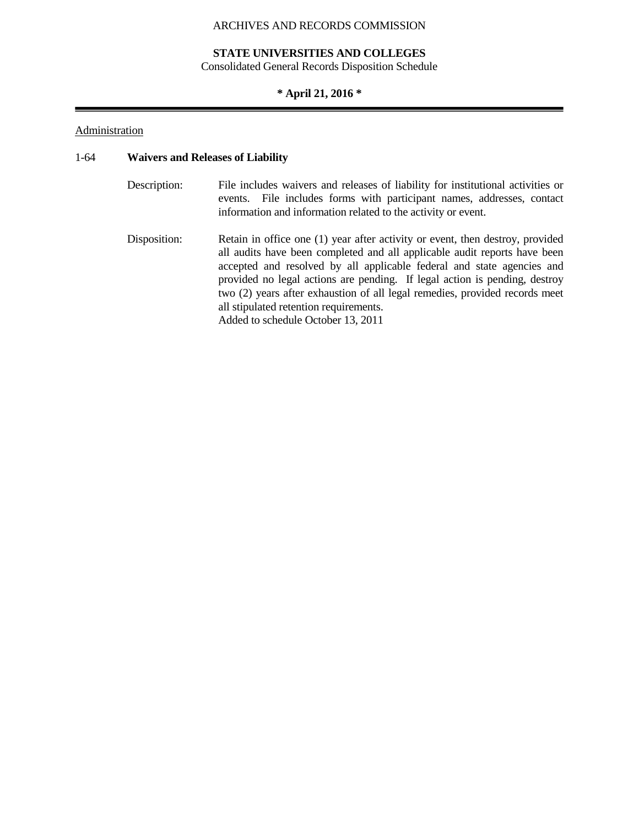# **STATE UNIVERSITIES AND COLLEGES**

Consolidated General Records Disposition Schedule

# **\* April 21, 2016 \***

# **Administration**

## 1-64 **Waivers and Releases of Liability**

| Description: | File includes waivers and releases of liability for institutional activities or<br>events. File includes forms with participant names, addresses, contact<br>information and information related to the activity or event.                                                                                         |
|--------------|--------------------------------------------------------------------------------------------------------------------------------------------------------------------------------------------------------------------------------------------------------------------------------------------------------------------|
| Disposition: | Retain in office one (1) year after activity or event, then destroy, provided<br>all audits have been completed and all applicable audit reports have been<br>accepted and resolved by all applicable federal and state agencies and<br>provided no legal actions are pending. If legal action is pending, destroy |

two (2) years after exhaustion of all legal remedies, provided records meet

all stipulated retention requirements. Added to schedule October 13, 2011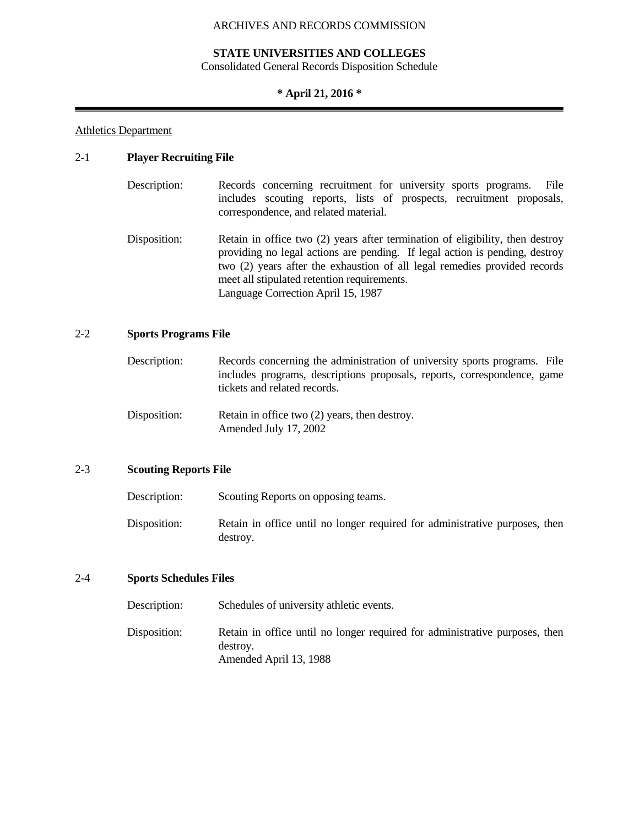#### **STATE UNIVERSITIES AND COLLEGES**

Consolidated General Records Disposition Schedule

## **\* April 21, 2016 \***

#### Athletics Department

## 2-1 **Player Recruiting File**

- Description: Records concerning recruitment for university sports programs. File includes scouting reports, lists of prospects, recruitment proposals, correspondence, and related material.
- Disposition: Retain in office two (2) years after termination of eligibility, then destroy providing no legal actions are pending. If legal action is pending, destroy two (2) years after the exhaustion of all legal remedies provided records meet all stipulated retention requirements. Language Correction April 15, 1987

## 2-2 **Sports Programs File**

- Description: Records concerning the administration of university sports programs. File includes programs, descriptions proposals, reports, correspondence, game tickets and related records.
- Disposition: Retain in office two (2) years, then destroy. Amended July 17, 2002

#### 2-3 **Scouting Reports File**

Description: Scouting Reports on opposing teams.

Disposition: Retain in office until no longer required for administrative purposes, then destroy.

#### 2-4 **Sports Schedules Files**

Description: Schedules of university athletic events. Disposition: Retain in office until no longer required for administrative purposes, then destroy. Amended April 13, 1988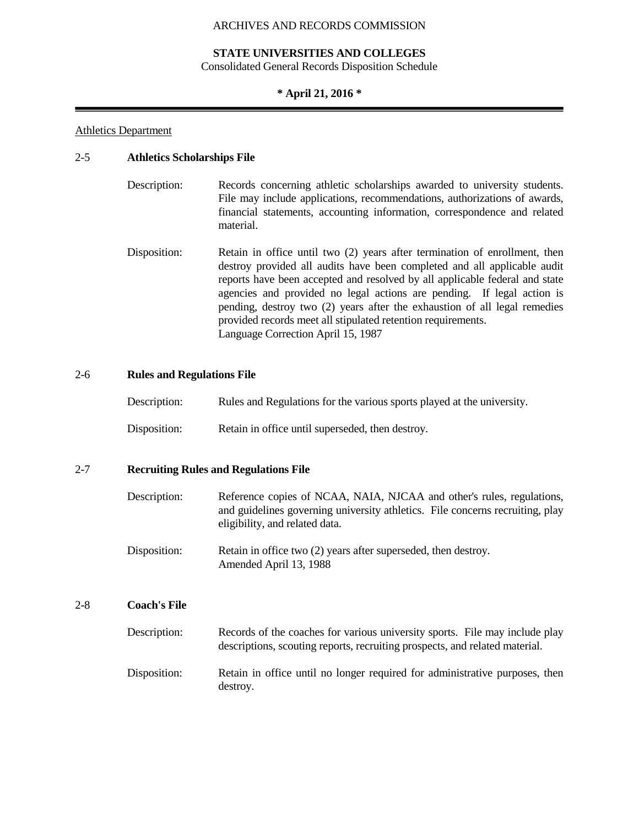#### **STATE UNIVERSITIES AND COLLEGES**

Consolidated General Records Disposition Schedule

## **\* April 21, 2016 \***

#### Athletics Department

#### 2-5 **Athletics Scholarships File**

| Description: | Records concerning athletic scholarships awarded to university students.  |
|--------------|---------------------------------------------------------------------------|
|              | File may include applications, recommendations, authorizations of awards, |
|              | financial statements, accounting information, correspondence and related  |
|              | material.                                                                 |

Disposition: Retain in office until two (2) years after termination of enrollment, then destroy provided all audits have been completed and all applicable audit reports have been accepted and resolved by all applicable federal and state agencies and provided no legal actions are pending. If legal action is pending, destroy two (2) years after the exhaustion of all legal remedies provided records meet all stipulated retention requirements. Language Correction April 15, 1987

#### 2-6 **Rules and Regulations File**

| Description:<br>Rules and Regulations for the various sports played at the university. |  |
|----------------------------------------------------------------------------------------|--|
|----------------------------------------------------------------------------------------|--|

Disposition: Retain in office until superseded, then destroy.

#### 2-7 **Recruiting Rules and Regulations File**

- Description: Reference copies of NCAA, NAIA, NJCAA and other's rules, regulations, and guidelines governing university athletics. File concerns recruiting, play eligibility, and related data.
- Disposition: Retain in office two (2) years after superseded, then destroy. Amended April 13, 1988

## 2-8 **Coach's File**

| Description: | Records of the coaches for various university sports. File may include play<br>descriptions, scouting reports, recruiting prospects, and related material. |
|--------------|------------------------------------------------------------------------------------------------------------------------------------------------------------|
| Disposition: | Retain in office until no longer required for administrative purposes, then<br>destroy.                                                                    |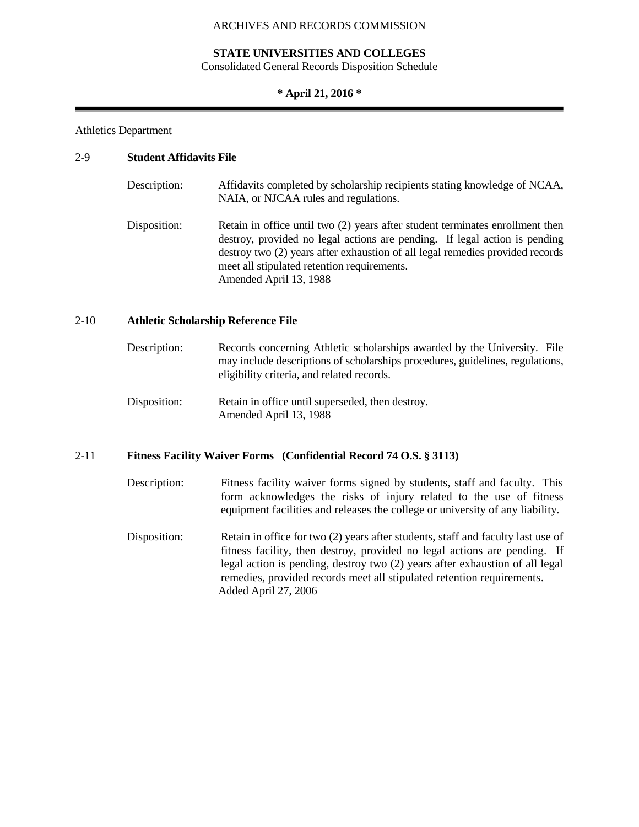### **STATE UNIVERSITIES AND COLLEGES**

Consolidated General Records Disposition Schedule

# **\* April 21, 2016 \***

#### Athletics Department

## 2-9 **Student Affidavits File**

| Description: | Affidavits completed by scholarship recipients stating knowledge of NCAA,<br>NAIA, or NJCAA rules and regulations.                                                                                                                                                                                                    |
|--------------|-----------------------------------------------------------------------------------------------------------------------------------------------------------------------------------------------------------------------------------------------------------------------------------------------------------------------|
| Disposition: | Retain in office until two (2) years after student terminates enrollment then<br>destroy, provided no legal actions are pending. If legal action is pending<br>destroy two (2) years after exhaustion of all legal remedies provided records<br>meet all stipulated retention requirements.<br>Amended April 13, 1988 |

### 2-10 **Athletic Scholarship Reference File**

- Description: Records concerning Athletic scholarships awarded by the University. File may include descriptions of scholarships procedures, guidelines, regulations, eligibility criteria, and related records.
- Disposition: Retain in office until superseded, then destroy. Amended April 13, 1988

#### 2-11 **Fitness Facility Waiver Forms (Confidential Record 74 O.S. § 3113)**

- Description: Fitness facility waiver forms signed by students, staff and faculty. This form acknowledges the risks of injury related to the use of fitness equipment facilities and releases the college or university of any liability.
- Disposition: Retain in office for two (2) years after students, staff and faculty last use of fitness facility, then destroy, provided no legal actions are pending. If legal action is pending, destroy two (2) years after exhaustion of all legal remedies, provided records meet all stipulated retention requirements. Added April 27, 2006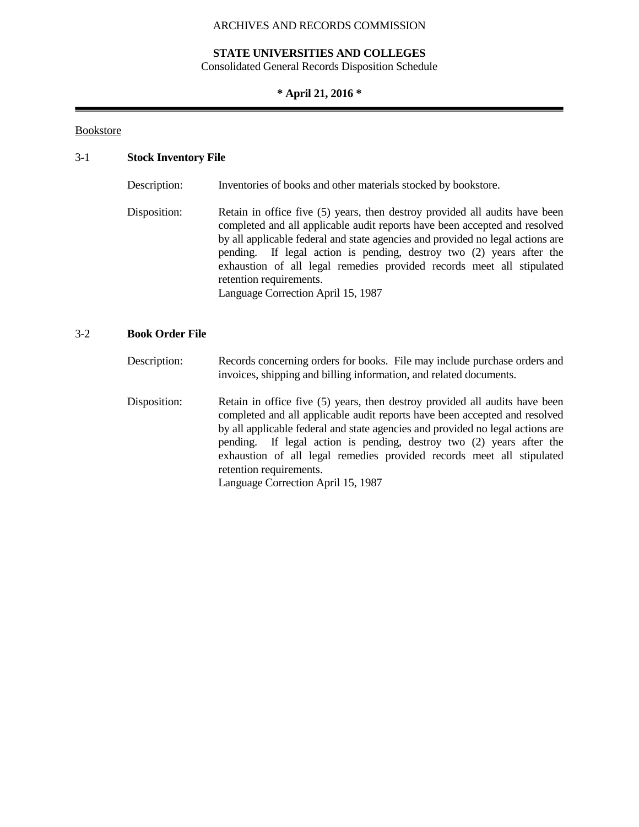## **STATE UNIVERSITIES AND COLLEGES**

Consolidated General Records Disposition Schedule

# **\* April 21, 2016 \***

#### Bookstore

#### 3-1 **Stock Inventory File**

Description: Inventories of books and other materials stocked by bookstore.

Disposition: Retain in office five (5) years, then destroy provided all audits have been completed and all applicable audit reports have been accepted and resolved by all applicable federal and state agencies and provided no legal actions are pending. If legal action is pending, destroy two (2) years after the exhaustion of all legal remedies provided records meet all stipulated retention requirements. Language Correction April 15, 1987

#### 3-2 **Book Order File**

Description: Records concerning orders for books. File may include purchase orders and invoices, shipping and billing information, and related documents.

Disposition: Retain in office five (5) years, then destroy provided all audits have been completed and all applicable audit reports have been accepted and resolved by all applicable federal and state agencies and provided no legal actions are pending. If legal action is pending, destroy two (2) years after the exhaustion of all legal remedies provided records meet all stipulated retention requirements.

Language Correction April 15, 1987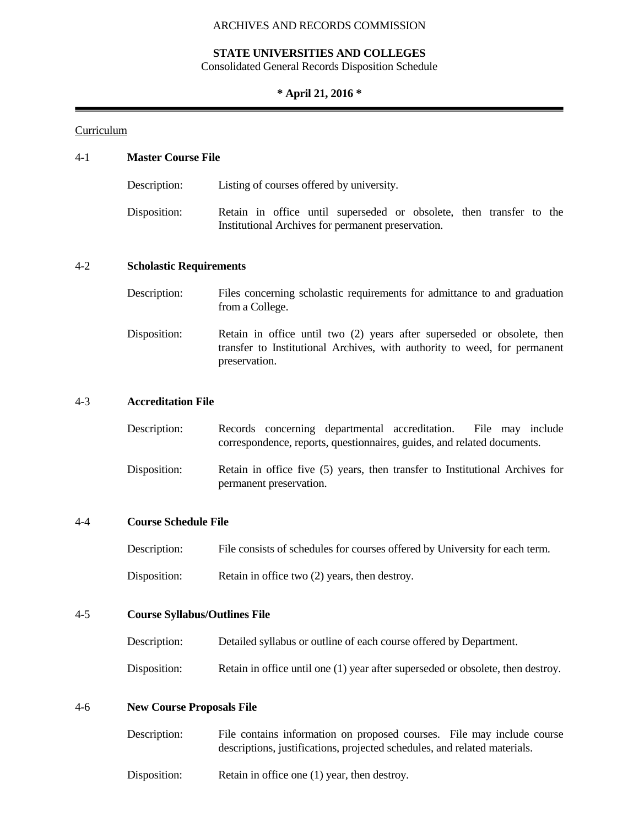### **STATE UNIVERSITIES AND COLLEGES**

Consolidated General Records Disposition Schedule

#### **\* April 21, 2016 \***

#### Curriculum

# 4-1 **Master Course File** Description: Listing of courses offered by university. Disposition: Retain in office until superseded or obsolete, then transfer to the Institutional Archives for permanent preservation. 4-2 **Scholastic Requirements** Description: Files concerning scholastic requirements for admittance to and graduation from a College. Disposition: Retain in office until two (2) years after superseded or obsolete, then transfer to Institutional Archives, with authority to weed, for permanent preservation. 4-3 **Accreditation File** Description: Records concerning departmental accreditation. File may include correspondence, reports, questionnaires, guides, and related documents. Disposition: Retain in office five (5) years, then transfer to Institutional Archives for permanent preservation. 4-4 **Course Schedule File** Description: File consists of schedules for courses offered by University for each term. Disposition: Retain in office two (2) years, then destroy. 4-5 **Course Syllabus/Outlines File** Description: Detailed syllabus or outline of each course offered by Department. Disposition: Retain in office until one (1) year after superseded or obsolete, then destroy. 4-6 **New Course Proposals File**

| Description: | File contains information on proposed courses. File may include course<br>descriptions, justifications, projected schedules, and related materials. |
|--------------|-----------------------------------------------------------------------------------------------------------------------------------------------------|
| Disposition: | Retain in office one (1) year, then destroy.                                                                                                        |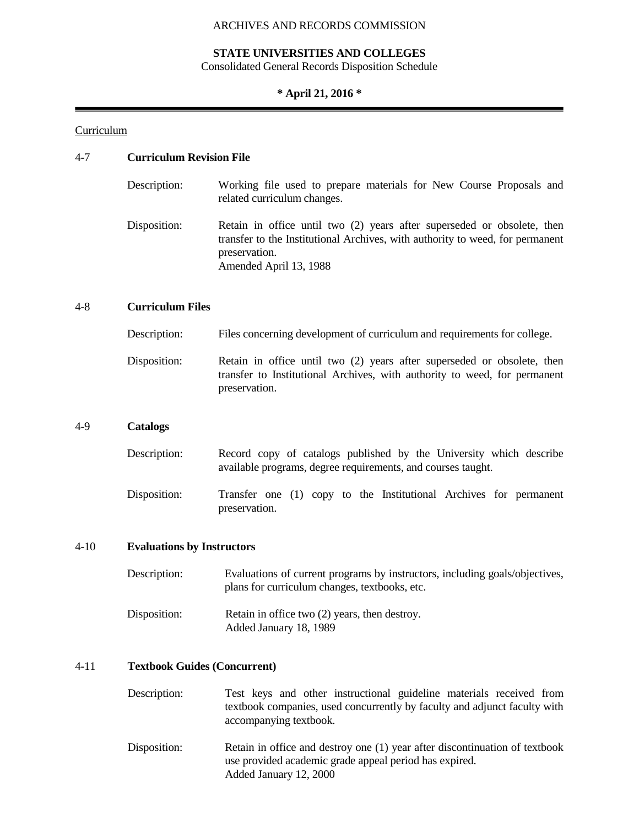# **STATE UNIVERSITIES AND COLLEGES**

Consolidated General Records Disposition Schedule

# **\* April 21, 2016 \***

# **Curriculum**

# 4-7 **Curriculum Revision File**

| Description: | Working file used to prepare materials for New Course Proposals and<br>related curriculum changes.                                                                                                  |
|--------------|-----------------------------------------------------------------------------------------------------------------------------------------------------------------------------------------------------|
| Disposition: | Retain in office until two (2) years after superseded or obsolete, then<br>transfer to the Institutional Archives, with authority to weed, for permanent<br>preservation.<br>Amended April 13, 1988 |

## 4-8 **Curriculum Files**

| Description: | Files concerning development of curriculum and requirements for college.                                                                                              |
|--------------|-----------------------------------------------------------------------------------------------------------------------------------------------------------------------|
| Disposition: | Retain in office until two (2) years after superseded or obsolete, then<br>transfer to Institutional Archives, with authority to weed, for permanent<br>preservation. |

# 4-9 **Catalogs**

| Description: |  |  |  | Record copy of catalogs published by the University which describe |  |
|--------------|--|--|--|--------------------------------------------------------------------|--|
|              |  |  |  | available programs, degree requirements, and courses taught.       |  |
|              |  |  |  |                                                                    |  |

Disposition: Transfer one (1) copy to the Institutional Archives for permanent preservation.

## 4-10 **Evaluations by Instructors**

| Description: | Evaluations of current programs by instructors, including goals/objectives,<br>plans for curriculum changes, textbooks, etc. |
|--------------|------------------------------------------------------------------------------------------------------------------------------|
| Disposition: | Retain in office two $(2)$ years, then destroy.<br>Added January 18, 1989                                                    |

# 4-11 **Textbook Guides (Concurrent)**

| Description: | Test keys and other instructional guideline materials received from<br>textbook companies, used concurrently by faculty and adjunct faculty with<br>accompanying textbook. |
|--------------|----------------------------------------------------------------------------------------------------------------------------------------------------------------------------|
| Disposition: | Retain in office and destroy one (1) year after discontinuation of textbook<br>use provided academic grade appeal period has expired.<br>Added January 12, 2000            |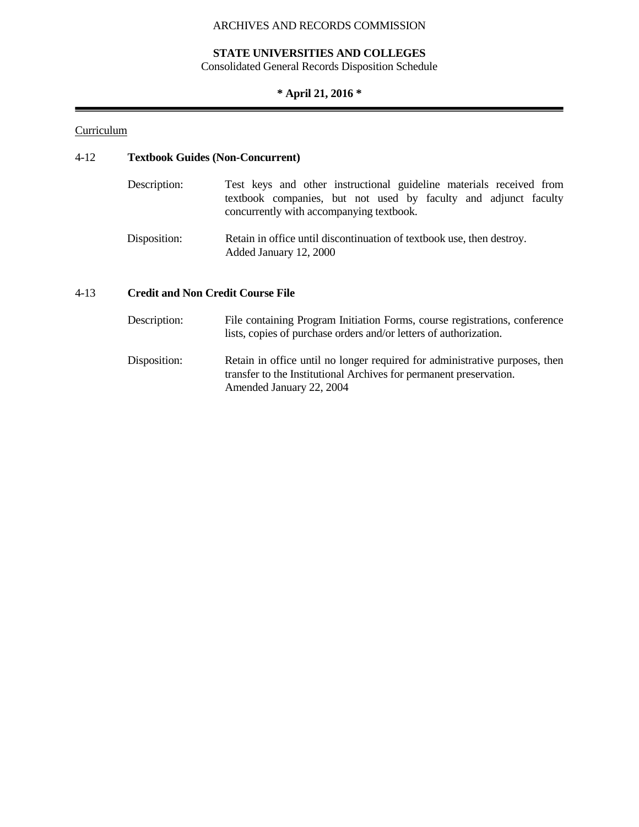# **STATE UNIVERSITIES AND COLLEGES**

Consolidated General Records Disposition Schedule

# **\* April 21, 2016 \***

# **Curriculum**

# 4-12 **Textbook Guides (Non-Concurrent)**

| Description: | Test keys and other instructional guideline materials received from                                         |
|--------------|-------------------------------------------------------------------------------------------------------------|
|              | textbook companies, but not used by faculty and adjunct faculty<br>concurrently with accompanying textbook. |
| Disposition: | Retain in office until discontinuation of textbook use, then destroy.<br>Added January 12, 2000             |

# 4-13 **Credit and Non Credit Course File**

| Description: | File containing Program Initiation Forms, course registrations, conference<br>lists, copies of purchase orders and/or letters of authorization.                               |
|--------------|-------------------------------------------------------------------------------------------------------------------------------------------------------------------------------|
| Disposition: | Retain in office until no longer required for administrative purposes, then<br>transfer to the Institutional Archives for permanent preservation.<br>Amended January 22, 2004 |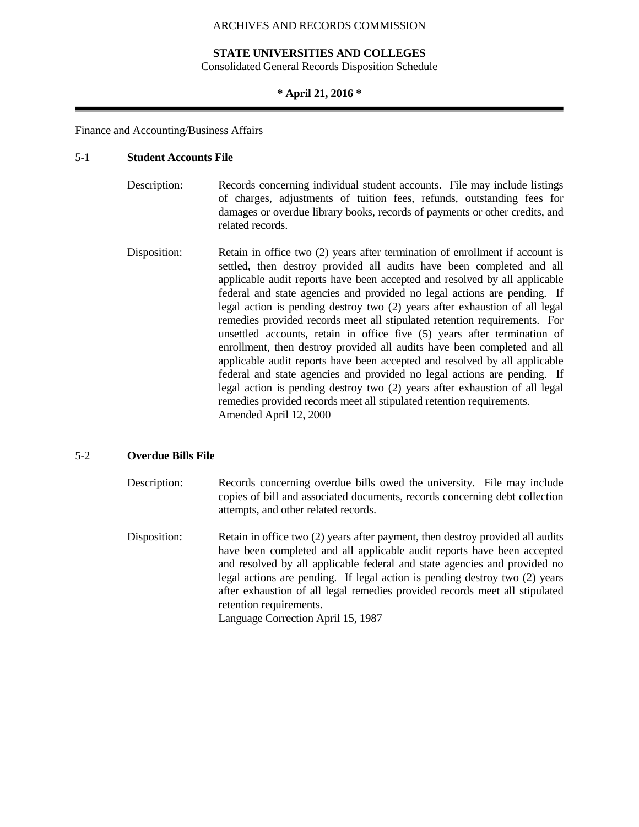#### **STATE UNIVERSITIES AND COLLEGES**

Consolidated General Records Disposition Schedule

#### **\* April 21, 2016 \***

#### Finance and Accounting/Business Affairs

#### 5-1 **Student Accounts File**

- Description: Records concerning individual student accounts. File may include listings of charges, adjustments of tuition fees, refunds, outstanding fees for damages or overdue library books, records of payments or other credits, and related records.
- Disposition: Retain in office two (2) years after termination of enrollment if account is settled, then destroy provided all audits have been completed and all applicable audit reports have been accepted and resolved by all applicable federal and state agencies and provided no legal actions are pending. If legal action is pending destroy two (2) years after exhaustion of all legal remedies provided records meet all stipulated retention requirements. For unsettled accounts, retain in office five (5) years after termination of enrollment, then destroy provided all audits have been completed and all applicable audit reports have been accepted and resolved by all applicable federal and state agencies and provided no legal actions are pending. If legal action is pending destroy two (2) years after exhaustion of all legal remedies provided records meet all stipulated retention requirements. Amended April 12, 2000

#### 5-2 **Overdue Bills File**

- Description: Records concerning overdue bills owed the university. File may include copies of bill and associated documents, records concerning debt collection attempts, and other related records.
- Disposition: Retain in office two (2) years after payment, then destroy provided all audits have been completed and all applicable audit reports have been accepted and resolved by all applicable federal and state agencies and provided no legal actions are pending. If legal action is pending destroy two (2) years after exhaustion of all legal remedies provided records meet all stipulated retention requirements. Language Correction April 15, 1987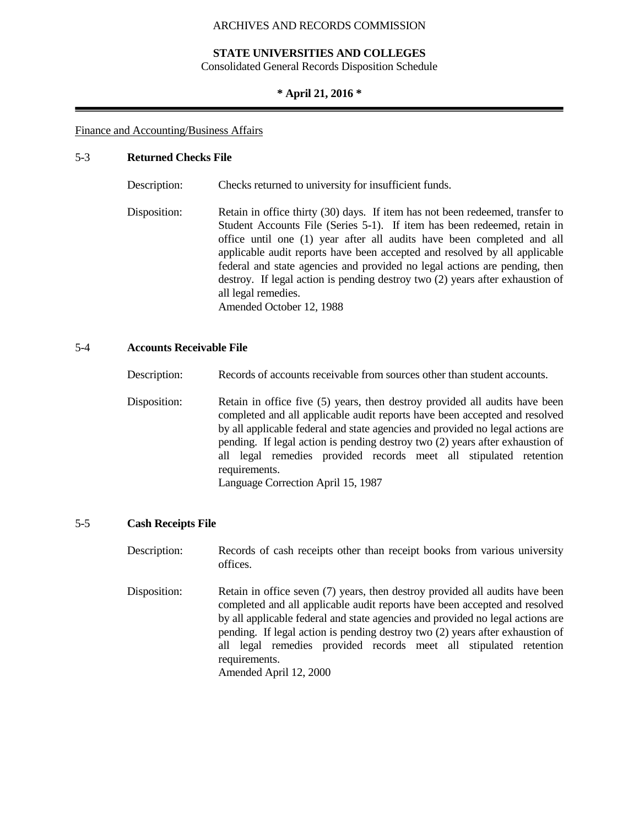## **STATE UNIVERSITIES AND COLLEGES**

Consolidated General Records Disposition Schedule

#### **\* April 21, 2016 \***

#### Finance and Accounting/Business Affairs

#### 5-3 **Returned Checks File**

Description: Checks returned to university for insufficient funds. Disposition: Retain in office thirty (30) days. If item has not been redeemed, transfer to

Student Accounts File (Series 5-1). If item has been redeemed, retain in office until one (1) year after all audits have been completed and all applicable audit reports have been accepted and resolved by all applicable federal and state agencies and provided no legal actions are pending, then destroy. If legal action is pending destroy two (2) years after exhaustion of all legal remedies. Amended October 12, 1988

#### 5-4 **Accounts Receivable File**

Description: Records of accounts receivable from sources other than student accounts.

Disposition: Retain in office five (5) years, then destroy provided all audits have been completed and all applicable audit reports have been accepted and resolved by all applicable federal and state agencies and provided no legal actions are pending. If legal action is pending destroy two (2) years after exhaustion of all legal remedies provided records meet all stipulated retention requirements. Language Correction April 15, 1987

#### 5-5 **Cash Receipts File**

Description: Records of cash receipts other than receipt books from various university offices. Disposition: Retain in office seven (7) years, then destroy provided all audits have been completed and all applicable audit reports have been accepted and resolved by all applicable federal and state agencies and provided no legal actions are pending. If legal action is pending destroy two (2) years after exhaustion of all legal remedies provided records meet all stipulated retention requirements.

Amended April 12, 2000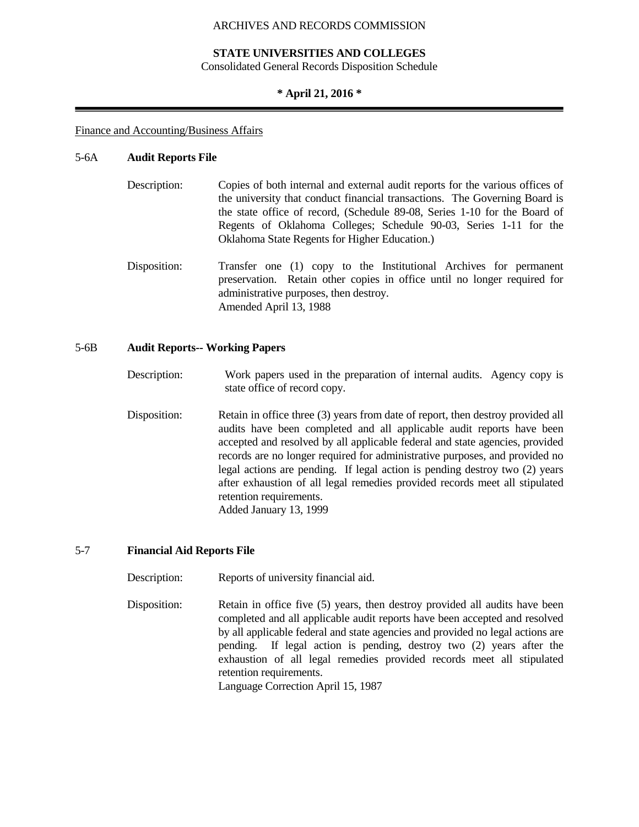#### **STATE UNIVERSITIES AND COLLEGES**

Consolidated General Records Disposition Schedule

#### **\* April 21, 2016 \***

#### Finance and Accounting/Business Affairs

#### 5-6A **Audit Reports File**

- Description: Copies of both internal and external audit reports for the various offices of the university that conduct financial transactions. The Governing Board is the state office of record, (Schedule 89-08, Series 1-10 for the Board of Regents of Oklahoma Colleges; Schedule 90-03, Series 1-11 for the Oklahoma State Regents for Higher Education.)
- Disposition: Transfer one (1) copy to the Institutional Archives for permanent preservation. Retain other copies in office until no longer required for administrative purposes, then destroy. Amended April 13, 1988

#### 5-6B **Audit Reports-- Working Papers**

- Description: Work papers used in the preparation of internal audits. Agency copy is state office of record copy.
- Disposition: Retain in office three (3) years from date of report, then destroy provided all audits have been completed and all applicable audit reports have been accepted and resolved by all applicable federal and state agencies, provided records are no longer required for administrative purposes, and provided no legal actions are pending. If legal action is pending destroy two (2) years after exhaustion of all legal remedies provided records meet all stipulated retention requirements. Added January 13, 1999

## 5-7 **Financial Aid Reports File**

Description: Reports of university financial aid.

Disposition: Retain in office five (5) years, then destroy provided all audits have been completed and all applicable audit reports have been accepted and resolved by all applicable federal and state agencies and provided no legal actions are pending. If legal action is pending, destroy two (2) years after the exhaustion of all legal remedies provided records meet all stipulated retention requirements. Language Correction April 15, 1987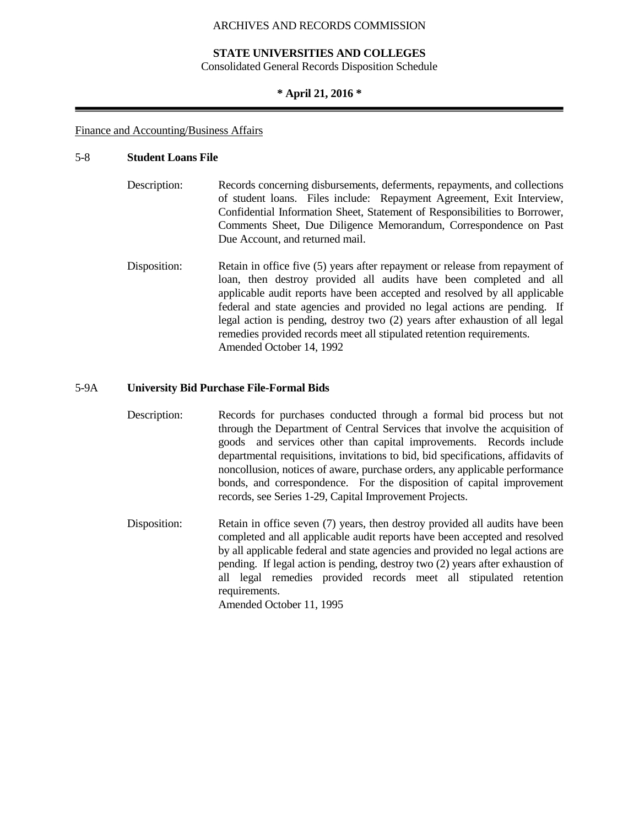#### **STATE UNIVERSITIES AND COLLEGES**

Consolidated General Records Disposition Schedule

#### **\* April 21, 2016 \***

#### Finance and Accounting/Business Affairs

#### 5-8 **Student Loans File**

- Description: Records concerning disbursements, deferments, repayments, and collections of student loans. Files include: Repayment Agreement, Exit Interview, Confidential Information Sheet, Statement of Responsibilities to Borrower, Comments Sheet, Due Diligence Memorandum, Correspondence on Past Due Account, and returned mail.
- Disposition: Retain in office five (5) years after repayment or release from repayment of loan, then destroy provided all audits have been completed and all applicable audit reports have been accepted and resolved by all applicable federal and state agencies and provided no legal actions are pending. If legal action is pending, destroy two (2) years after exhaustion of all legal remedies provided records meet all stipulated retention requirements. Amended October 14, 1992

#### 5-9A **University Bid Purchase File-Formal Bids**

- Description: Records for purchases conducted through a formal bid process but not through the Department of Central Services that involve the acquisition of goods and services other than capital improvements. Records include departmental requisitions, invitations to bid, bid specifications, affidavits of noncollusion, notices of aware, purchase orders, any applicable performance bonds, and correspondence. For the disposition of capital improvement records, see Series 1-29, Capital Improvement Projects.
- Disposition: Retain in office seven (7) years, then destroy provided all audits have been completed and all applicable audit reports have been accepted and resolved by all applicable federal and state agencies and provided no legal actions are pending. If legal action is pending, destroy two (2) years after exhaustion of all legal remedies provided records meet all stipulated retention requirements.

Amended October 11, 1995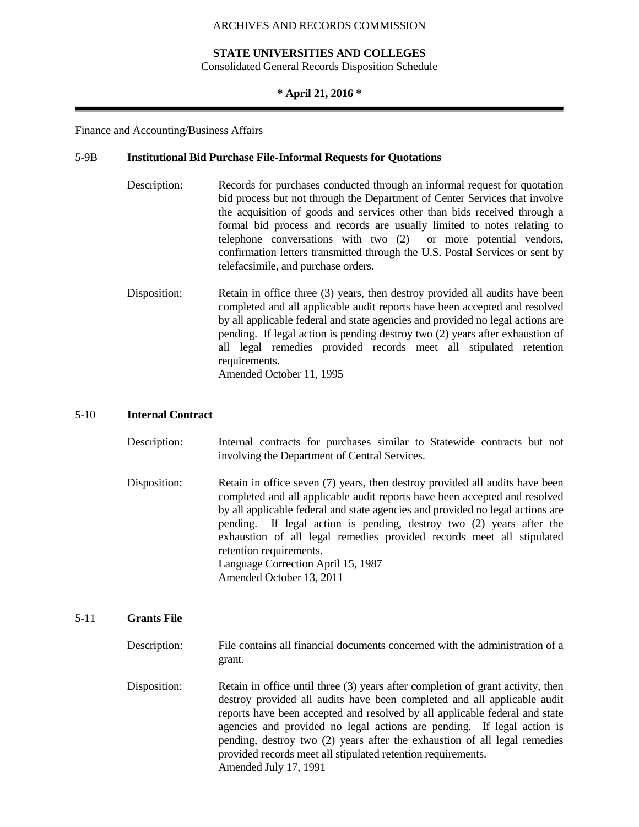#### **STATE UNIVERSITIES AND COLLEGES**

Consolidated General Records Disposition Schedule

## **\* April 21, 2016 \***

#### Finance and Accounting/Business Affairs

#### 5-9B **Institutional Bid Purchase File-Informal Requests for Quotations**

- Description: Records for purchases conducted through an informal request for quotation bid process but not through the Department of Center Services that involve the acquisition of goods and services other than bids received through a formal bid process and records are usually limited to notes relating to telephone conversations with two (2) or more potential vendors, confirmation letters transmitted through the U.S. Postal Services or sent by telefacsimile, and purchase orders.
- Disposition: Retain in office three (3) years, then destroy provided all audits have been completed and all applicable audit reports have been accepted and resolved by all applicable federal and state agencies and provided no legal actions are pending. If legal action is pending destroy two (2) years after exhaustion of all legal remedies provided records meet all stipulated retention requirements. Amended October 11, 1995

#### 5-10 **Internal Contract**

- Description: Internal contracts for purchases similar to Statewide contracts but not involving the Department of Central Services.
- Disposition: Retain in office seven (7) years, then destroy provided all audits have been completed and all applicable audit reports have been accepted and resolved by all applicable federal and state agencies and provided no legal actions are pending. If legal action is pending, destroy two (2) years after the exhaustion of all legal remedies provided records meet all stipulated retention requirements. Language Correction April 15, 1987 Amended October 13, 2011

#### 5-11 **Grants File**

- Description: File contains all financial documents concerned with the administration of a grant.
- Disposition: Retain in office until three (3) years after completion of grant activity, then destroy provided all audits have been completed and all applicable audit reports have been accepted and resolved by all applicable federal and state agencies and provided no legal actions are pending. If legal action is pending, destroy two (2) years after the exhaustion of all legal remedies provided records meet all stipulated retention requirements. Amended July 17, 1991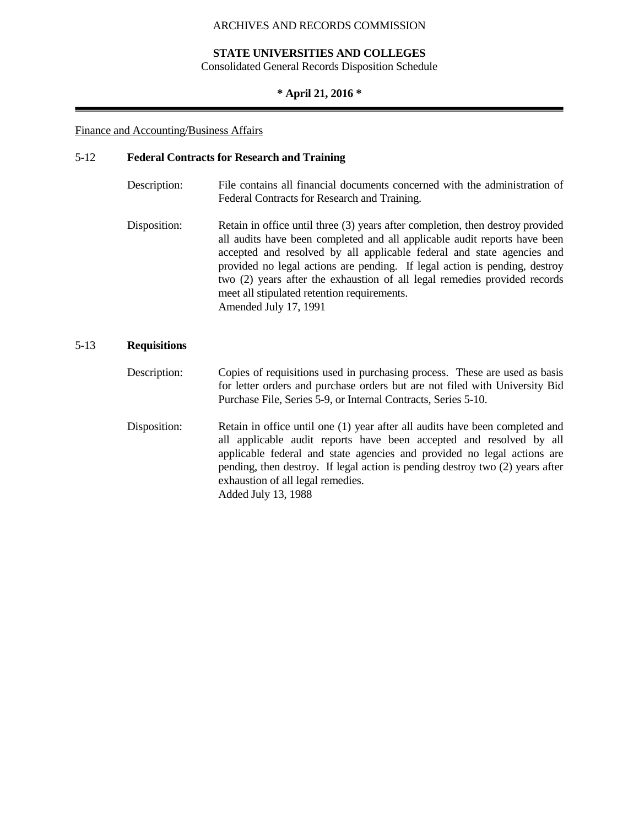## **STATE UNIVERSITIES AND COLLEGES**

Consolidated General Records Disposition Schedule

## **\* April 21, 2016 \***

#### Finance and Accounting/Business Affairs

## 5-12 **Federal Contracts for Research and Training**

| Description: | File contains all financial documents concerned with the administration of<br>Federal Contracts for Research and Training.                                                                                                                                                                                                                                                                                                                                               |
|--------------|--------------------------------------------------------------------------------------------------------------------------------------------------------------------------------------------------------------------------------------------------------------------------------------------------------------------------------------------------------------------------------------------------------------------------------------------------------------------------|
| Disposition: | Retain in office until three (3) years after completion, then destroy provided<br>all audits have been completed and all applicable audit reports have been<br>accepted and resolved by all applicable federal and state agencies and<br>provided no legal actions are pending. If legal action is pending, destroy<br>two (2) years after the exhaustion of all legal remedies provided records<br>meet all stipulated retention requirements.<br>Amended July 17, 1991 |

## 5-13 **Requisitions**

- Description: Copies of requisitions used in purchasing process. These are used as basis for letter orders and purchase orders but are not filed with University Bid Purchase File, Series 5-9, or Internal Contracts, Series 5-10.
- Disposition: Retain in office until one (1) year after all audits have been completed and all applicable audit reports have been accepted and resolved by all applicable federal and state agencies and provided no legal actions are pending, then destroy. If legal action is pending destroy two (2) years after exhaustion of all legal remedies. Added July 13, 1988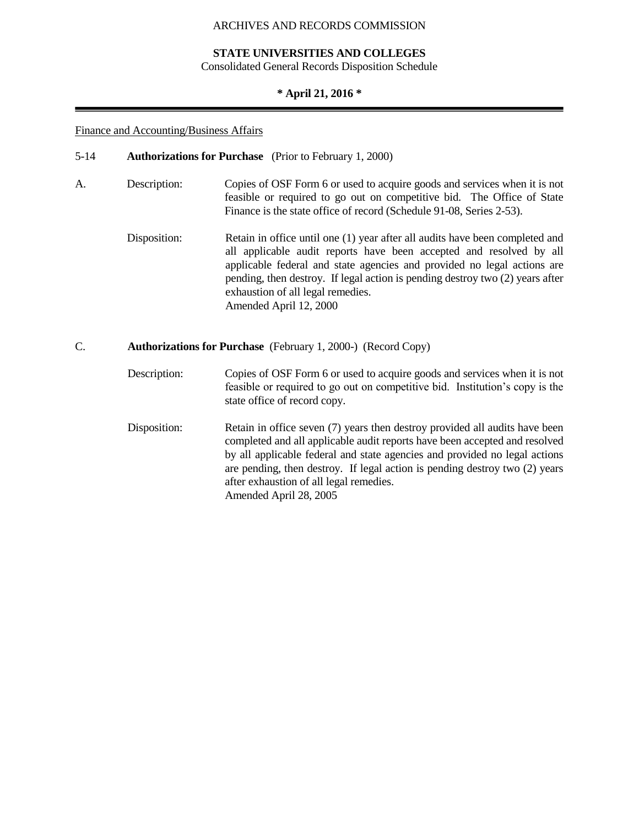## **STATE UNIVERSITIES AND COLLEGES**

Consolidated General Records Disposition Schedule

## **\* April 21, 2016 \***

#### Finance and Accounting/Business Affairs

- 5-14 **Authorizations for Purchase** (Prior to February 1, 2000)
- A. Description: Copies of OSF Form 6 or used to acquire goods and services when it is not feasible or required to go out on competitive bid. The Office of State Finance is the state office of record (Schedule 91-08, Series 2-53).
	- Disposition: Retain in office until one (1) year after all audits have been completed and all applicable audit reports have been accepted and resolved by all applicable federal and state agencies and provided no legal actions are pending, then destroy. If legal action is pending destroy two (2) years after exhaustion of all legal remedies. Amended April 12, 2000

## C. **Authorizations for Purchase** (February 1, 2000-) (Record Copy)

- Description: Copies of OSF Form 6 or used to acquire goods and services when it is not feasible or required to go out on competitive bid. Institution's copy is the state office of record copy.
- Disposition: Retain in office seven (7) years then destroy provided all audits have been completed and all applicable audit reports have been accepted and resolved by all applicable federal and state agencies and provided no legal actions are pending, then destroy. If legal action is pending destroy two (2) years after exhaustion of all legal remedies. Amended April 28, 2005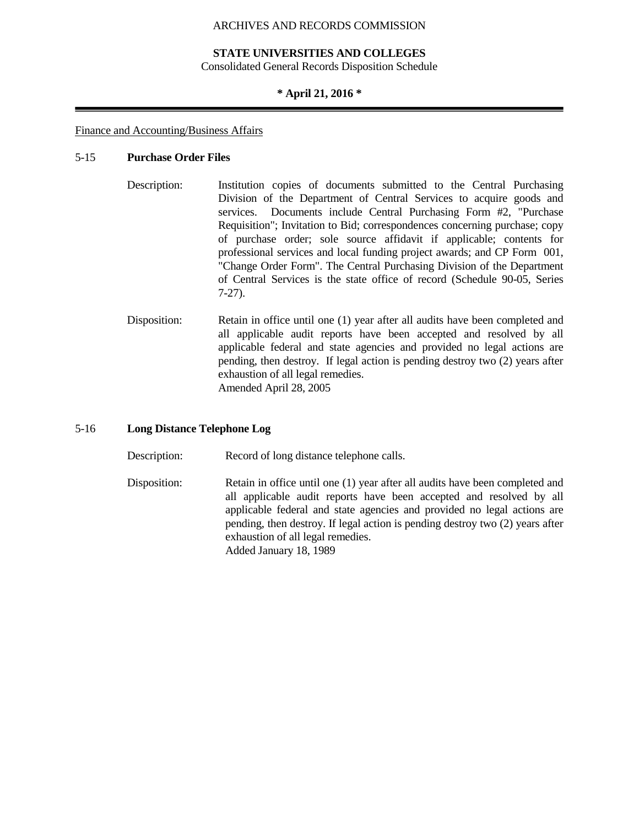#### **STATE UNIVERSITIES AND COLLEGES**

Consolidated General Records Disposition Schedule

### **\* April 21, 2016 \***

#### Finance and Accounting/Business Affairs

### 5-15 **Purchase Order Files**

- Description: Institution copies of documents submitted to the Central Purchasing Division of the Department of Central Services to acquire goods and services. Documents include Central Purchasing Form #2, "Purchase Requisition"; Invitation to Bid; correspondences concerning purchase; copy of purchase order; sole source affidavit if applicable; contents for professional services and local funding project awards; and CP Form 001, "Change Order Form". The Central Purchasing Division of the Department of Central Services is the state office of record (Schedule 90-05, Series 7-27).
- Disposition: Retain in office until one (1) year after all audits have been completed and all applicable audit reports have been accepted and resolved by all applicable federal and state agencies and provided no legal actions are pending, then destroy. If legal action is pending destroy two (2) years after exhaustion of all legal remedies. Amended April 28, 2005

#### 5-16 **Long Distance Telephone Log**

Description: Record of long distance telephone calls.

Disposition: Retain in office until one (1) year after all audits have been completed and all applicable audit reports have been accepted and resolved by all applicable federal and state agencies and provided no legal actions are pending, then destroy. If legal action is pending destroy two (2) years after exhaustion of all legal remedies. Added January 18, 1989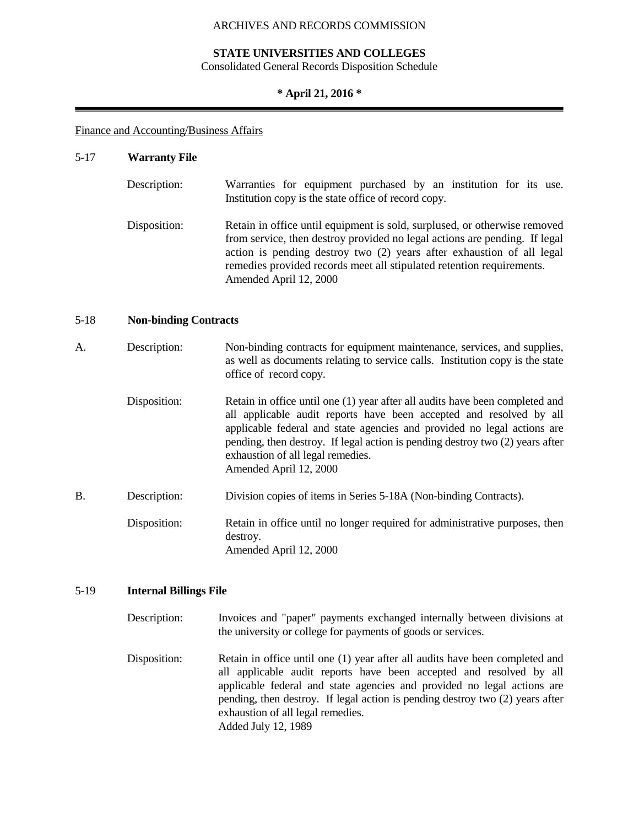# **STATE UNIVERSITIES AND COLLEGES**

Consolidated General Records Disposition Schedule

# **\* April 21, 2016 \***

# Finance and Accounting/Business Affairs

# 5-17 **Warranty File**

| Description: | Warranties for equipment purchased by an institution for its use.<br>Institution copy is the state office of record copy.                                                                                                                                                                                                           |
|--------------|-------------------------------------------------------------------------------------------------------------------------------------------------------------------------------------------------------------------------------------------------------------------------------------------------------------------------------------|
| Disposition: | Retain in office until equipment is sold, surplused, or otherwise removed<br>from service, then destroy provided no legal actions are pending. If legal<br>action is pending destroy two (2) years after exhaustion of all legal<br>remedies provided records meet all stipulated retention requirements.<br>Amended April 12, 2000 |

# 5-18 **Non-binding Contracts**

| А.        | Description: | Non-binding contracts for equipment maintenance, services, and supplies,<br>as well as documents relating to service calls. Institution copy is the state<br>office of record copy.                                                                                                                                                                                            |
|-----------|--------------|--------------------------------------------------------------------------------------------------------------------------------------------------------------------------------------------------------------------------------------------------------------------------------------------------------------------------------------------------------------------------------|
|           | Disposition: | Retain in office until one (1) year after all audits have been completed and<br>all applicable audit reports have been accepted and resolved by all<br>applicable federal and state agencies and provided no legal actions are<br>pending, then destroy. If legal action is pending destroy two (2) years after<br>exhaustion of all legal remedies.<br>Amended April 12, 2000 |
| <b>B.</b> | Description: | Division copies of items in Series 5-18A (Non-binding Contracts).                                                                                                                                                                                                                                                                                                              |
|           | Disposition: | Retain in office until no longer required for administrative purposes, then<br>destroy.<br>Amended April 12, 2000                                                                                                                                                                                                                                                              |

# 5-19 **Internal Billings File**

| Description: | Invoices and "paper" payments exchanged internally between divisions at<br>the university or college for payments of goods or services.                                                                                                                                                                                                                                     |
|--------------|-----------------------------------------------------------------------------------------------------------------------------------------------------------------------------------------------------------------------------------------------------------------------------------------------------------------------------------------------------------------------------|
| Disposition: | Retain in office until one (1) year after all audits have been completed and<br>all applicable audit reports have been accepted and resolved by all<br>applicable federal and state agencies and provided no legal actions are<br>pending, then destroy. If legal action is pending destroy two (2) years after<br>exhaustion of all legal remedies.<br>Added July 12, 1989 |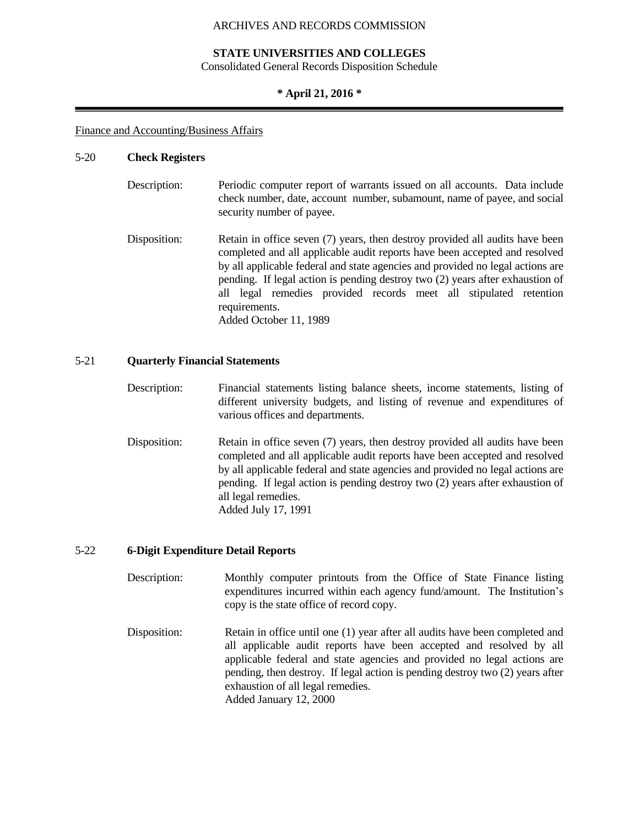### **STATE UNIVERSITIES AND COLLEGES**

Consolidated General Records Disposition Schedule

#### **\* April 21, 2016 \***

#### Finance and Accounting/Business Affairs

#### 5-20 **Check Registers**

| Description: | Periodic computer report of warrants issued on all accounts. Data include<br>check number, date, account number, subamount, name of payee, and social<br>security number of payee. |
|--------------|------------------------------------------------------------------------------------------------------------------------------------------------------------------------------------|
| Disposition: | Retain in office seven (7) years, then destroy provided all audits have been<br>completed and all applicable audit reports have been accepted and resolved                         |

by all applicable federal and state agencies and provided no legal actions are pending. If legal action is pending destroy two (2) years after exhaustion of all legal remedies provided records meet all stipulated retention requirements. Added October 11, 1989

# 5-21 **Quarterly Financial Statements**

- Description: Financial statements listing balance sheets, income statements, listing of different university budgets, and listing of revenue and expenditures of various offices and departments.
- Disposition: Retain in office seven (7) years, then destroy provided all audits have been completed and all applicable audit reports have been accepted and resolved by all applicable federal and state agencies and provided no legal actions are pending. If legal action is pending destroy two (2) years after exhaustion of all legal remedies. Added July 17, 1991

## 5-22 **6-Digit Expenditure Detail Reports**

- Description: Monthly computer printouts from the Office of State Finance listing expenditures incurred within each agency fund/amount. The Institution's copy is the state office of record copy.
- Disposition: Retain in office until one (1) year after all audits have been completed and all applicable audit reports have been accepted and resolved by all applicable federal and state agencies and provided no legal actions are pending, then destroy. If legal action is pending destroy two (2) years after exhaustion of all legal remedies. Added January 12, 2000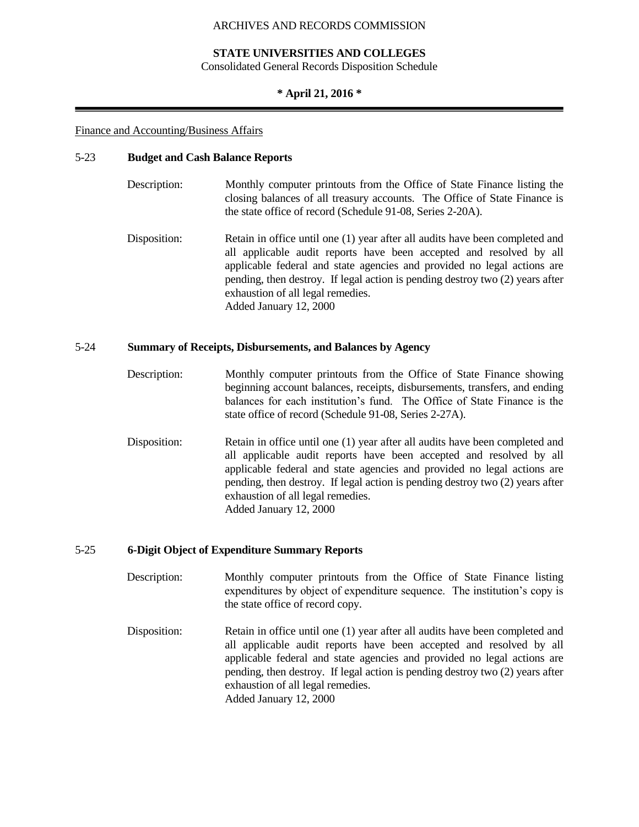## **STATE UNIVERSITIES AND COLLEGES**

Consolidated General Records Disposition Schedule

#### **\* April 21, 2016 \***

#### Finance and Accounting/Business Affairs

#### 5-23 **Budget and Cash Balance Reports**

- Description: Monthly computer printouts from the Office of State Finance listing the closing balances of all treasury accounts. The Office of State Finance is the state office of record (Schedule 91-08, Series 2-20A).
- Disposition: Retain in office until one (1) year after all audits have been completed and all applicable audit reports have been accepted and resolved by all applicable federal and state agencies and provided no legal actions are pending, then destroy. If legal action is pending destroy two (2) years after exhaustion of all legal remedies. Added January 12, 2000

## 5-24 **Summary of Receipts, Disbursements, and Balances by Agency**

- Description: Monthly computer printouts from the Office of State Finance showing beginning account balances, receipts, disbursements, transfers, and ending balances for each institution's fund. The Office of State Finance is the state office of record (Schedule 91-08, Series 2-27A).
- Disposition: Retain in office until one (1) year after all audits have been completed and all applicable audit reports have been accepted and resolved by all applicable federal and state agencies and provided no legal actions are pending, then destroy. If legal action is pending destroy two (2) years after exhaustion of all legal remedies. Added January 12, 2000

#### 5-25 **6-Digit Object of Expenditure Summary Reports**

- Description: Monthly computer printouts from the Office of State Finance listing expenditures by object of expenditure sequence. The institution's copy is the state office of record copy.
- Disposition: Retain in office until one (1) year after all audits have been completed and all applicable audit reports have been accepted and resolved by all applicable federal and state agencies and provided no legal actions are pending, then destroy. If legal action is pending destroy two (2) years after exhaustion of all legal remedies. Added January 12, 2000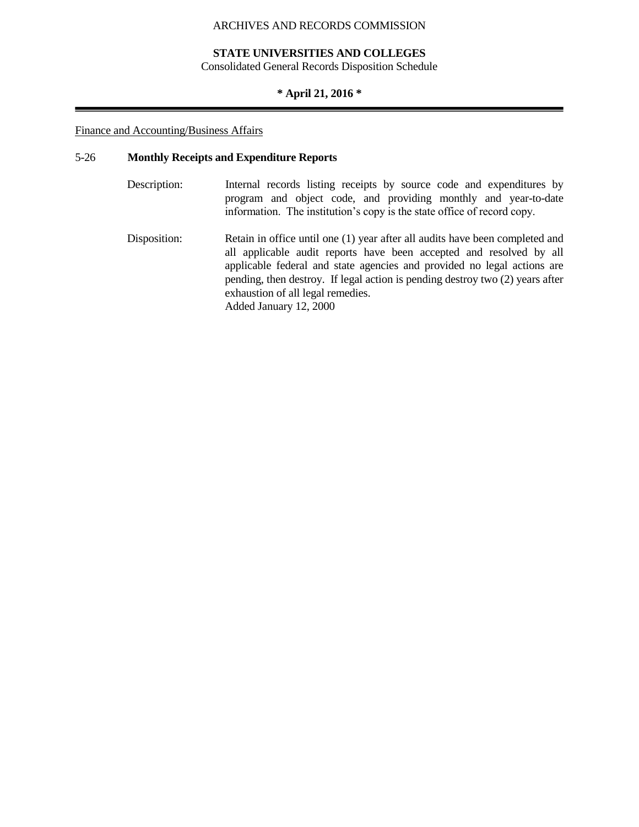## **STATE UNIVERSITIES AND COLLEGES**

Consolidated General Records Disposition Schedule

# **\* April 21, 2016 \***

# Finance and Accounting/Business Affairs

# 5-26 **Monthly Receipts and Expenditure Reports**

| Description: | Internal records listing receipts by source code and expenditures by<br>program and object code, and providing monthly and year-to-date<br>information. The institution's copy is the state office of record copy.                                                                                                                                   |
|--------------|------------------------------------------------------------------------------------------------------------------------------------------------------------------------------------------------------------------------------------------------------------------------------------------------------------------------------------------------------|
| Disposition: | Retain in office until one (1) year after all audits have been completed and<br>all applicable audit reports have been accepted and resolved by all<br>applicable federal and state agencies and provided no legal actions are<br>pending, then destroy. If legal action is pending destroy two (2) years after<br>exhaustion of all legal remedies. |

Added January 12, 2000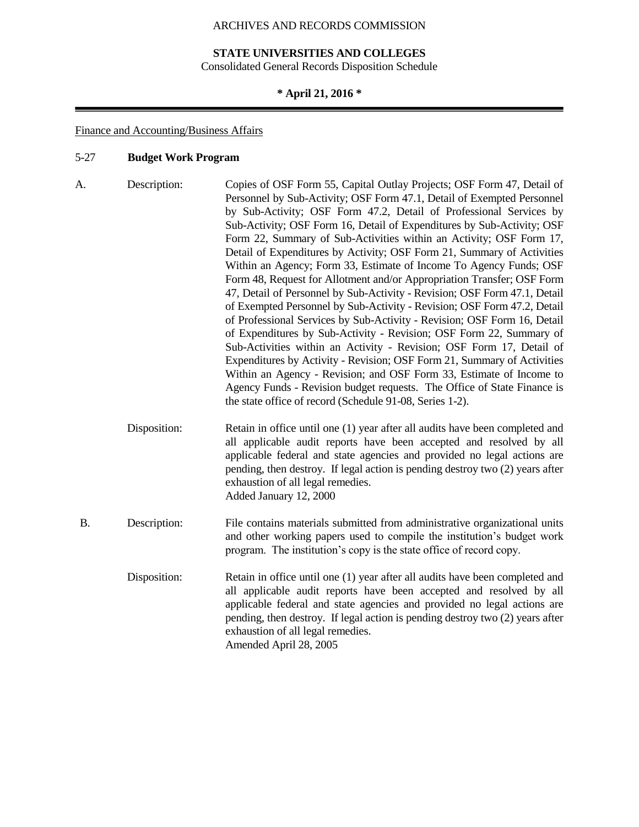# **STATE UNIVERSITIES AND COLLEGES**

Consolidated General Records Disposition Schedule

# **\* April 21, 2016 \***

# Finance and Accounting/Business Affairs

# 5-27 **Budget Work Program**

| A.        | Description: | Copies of OSF Form 55, Capital Outlay Projects; OSF Form 47, Detail of<br>Personnel by Sub-Activity; OSF Form 47.1, Detail of Exempted Personnel<br>by Sub-Activity; OSF Form 47.2, Detail of Professional Services by<br>Sub-Activity; OSF Form 16, Detail of Expenditures by Sub-Activity; OSF<br>Form 22, Summary of Sub-Activities within an Activity; OSF Form 17,<br>Detail of Expenditures by Activity; OSF Form 21, Summary of Activities<br>Within an Agency; Form 33, Estimate of Income To Agency Funds; OSF<br>Form 48, Request for Allotment and/or Appropriation Transfer; OSF Form<br>47, Detail of Personnel by Sub-Activity - Revision; OSF Form 47.1, Detail<br>of Exempted Personnel by Sub-Activity - Revision; OSF Form 47.2, Detail<br>of Professional Services by Sub-Activity - Revision; OSF Form 16, Detail<br>of Expenditures by Sub-Activity - Revision; OSF Form 22, Summary of<br>Sub-Activities within an Activity - Revision; OSF Form 17, Detail of<br>Expenditures by Activity - Revision; OSF Form 21, Summary of Activities<br>Within an Agency - Revision; and OSF Form 33, Estimate of Income to<br>Agency Funds - Revision budget requests. The Office of State Finance is<br>the state office of record (Schedule 91-08, Series 1-2). |
|-----------|--------------|-------------------------------------------------------------------------------------------------------------------------------------------------------------------------------------------------------------------------------------------------------------------------------------------------------------------------------------------------------------------------------------------------------------------------------------------------------------------------------------------------------------------------------------------------------------------------------------------------------------------------------------------------------------------------------------------------------------------------------------------------------------------------------------------------------------------------------------------------------------------------------------------------------------------------------------------------------------------------------------------------------------------------------------------------------------------------------------------------------------------------------------------------------------------------------------------------------------------------------------------------------------------------------|
|           | Disposition: | Retain in office until one (1) year after all audits have been completed and<br>all applicable audit reports have been accepted and resolved by all<br>applicable federal and state agencies and provided no legal actions are<br>pending, then destroy. If legal action is pending destroy two (2) years after<br>exhaustion of all legal remedies.<br>Added January 12, 2000                                                                                                                                                                                                                                                                                                                                                                                                                                                                                                                                                                                                                                                                                                                                                                                                                                                                                                |
| <b>B.</b> | Description: | File contains materials submitted from administrative organizational units<br>and other working papers used to compile the institution's budget work<br>program. The institution's copy is the state office of record copy.                                                                                                                                                                                                                                                                                                                                                                                                                                                                                                                                                                                                                                                                                                                                                                                                                                                                                                                                                                                                                                                   |
|           | Disposition: | Retain in office until one (1) year after all audits have been completed and<br>all applicable audit reports have been accepted and resolved by all<br>applicable federal and state agencies and provided no legal actions are<br>pending, then destroy. If legal action is pending destroy two (2) years after<br>exhaustion of all legal remedies.<br>Amended April 28, 2005                                                                                                                                                                                                                                                                                                                                                                                                                                                                                                                                                                                                                                                                                                                                                                                                                                                                                                |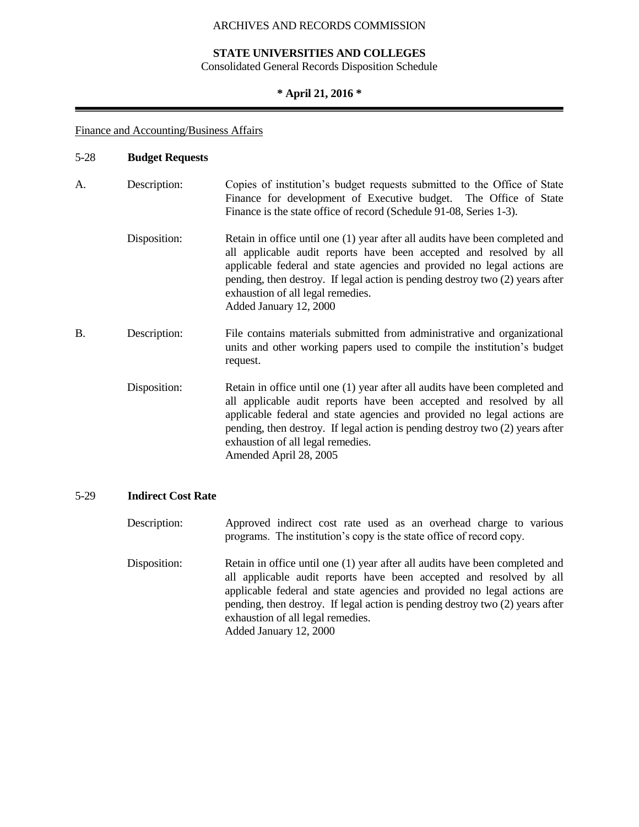# **STATE UNIVERSITIES AND COLLEGES**

Consolidated General Records Disposition Schedule

# **\* April 21, 2016 \***

# Finance and Accounting/Business Affairs

| $5 - 28$ | <b>Budget Requests</b> |                                                                                                                                                                                                                                                                                                                                                                                |
|----------|------------------------|--------------------------------------------------------------------------------------------------------------------------------------------------------------------------------------------------------------------------------------------------------------------------------------------------------------------------------------------------------------------------------|
| A.       | Description:           | Copies of institution's budget requests submitted to the Office of State<br>Finance for development of Executive budget. The Office of State<br>Finance is the state office of record (Schedule 91-08, Series 1-3).                                                                                                                                                            |
|          | Disposition:           | Retain in office until one (1) year after all audits have been completed and<br>all applicable audit reports have been accepted and resolved by all<br>applicable federal and state agencies and provided no legal actions are<br>pending, then destroy. If legal action is pending destroy two (2) years after<br>exhaustion of all legal remedies.<br>Added January 12, 2000 |
| B.       | Description:           | File contains materials submitted from administrative and organizational<br>units and other working papers used to compile the institution's budget<br>request.                                                                                                                                                                                                                |
|          | Disposition:           | Retain in office until one (1) year after all audits have been completed and<br>all applicable audit reports have been accepted and resolved by all<br>applicable federal and state agencies and provided no legal actions are<br>pending, then destroy. If legal action is pending destroy two (2) years after<br>exhaustion of all legal remedies.<br>Amended April 28, 2005 |

# 5-29 **Indirect Cost Rate**

| Description: | Approved indirect cost rate used as an overhead charge to various<br>programs. The institution's copy is the state office of record copy.                                                                                                                                                                                                                                      |
|--------------|--------------------------------------------------------------------------------------------------------------------------------------------------------------------------------------------------------------------------------------------------------------------------------------------------------------------------------------------------------------------------------|
| Disposition: | Retain in office until one (1) year after all audits have been completed and<br>all applicable audit reports have been accepted and resolved by all<br>applicable federal and state agencies and provided no legal actions are<br>pending, then destroy. If legal action is pending destroy two (2) years after<br>exhaustion of all legal remedies.<br>Added January 12, 2000 |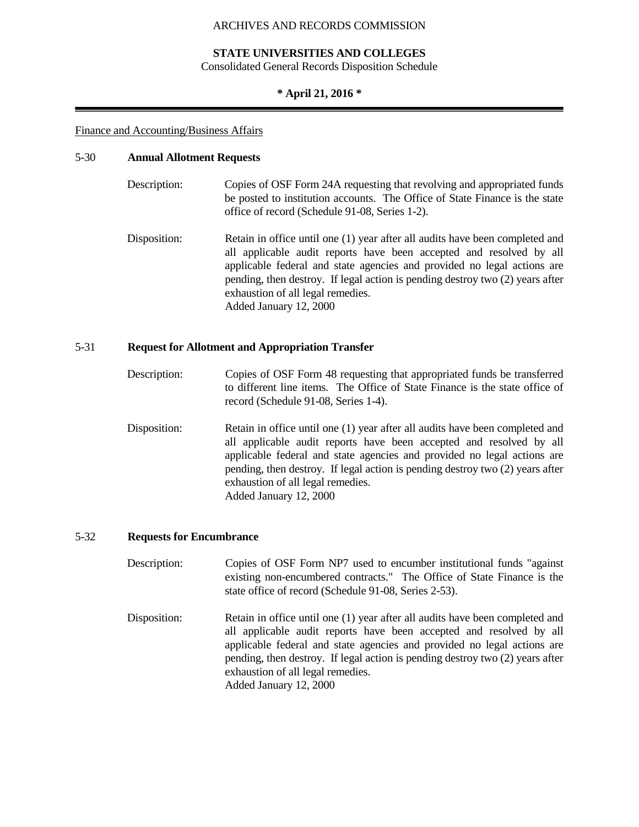## **STATE UNIVERSITIES AND COLLEGES**

Consolidated General Records Disposition Schedule

### **\* April 21, 2016 \***

#### Finance and Accounting/Business Affairs

#### 5-30 **Annual Allotment Requests**

| Description: | Copies of OSF Form 24A requesting that revolving and appropriated funds     |
|--------------|-----------------------------------------------------------------------------|
|              | be posted to institution accounts. The Office of State Finance is the state |
|              | office of record (Schedule 91-08, Series 1-2).                              |

Disposition: Retain in office until one (1) year after all audits have been completed and all applicable audit reports have been accepted and resolved by all applicable federal and state agencies and provided no legal actions are pending, then destroy. If legal action is pending destroy two (2) years after exhaustion of all legal remedies. Added January 12, 2000

## 5-31 **Request for Allotment and Appropriation Transfer**

- Description: Copies of OSF Form 48 requesting that appropriated funds be transferred to different line items. The Office of State Finance is the state office of record (Schedule 91-08, Series 1-4).
- Disposition: Retain in office until one (1) year after all audits have been completed and all applicable audit reports have been accepted and resolved by all applicable federal and state agencies and provided no legal actions are pending, then destroy. If legal action is pending destroy two (2) years after exhaustion of all legal remedies. Added January 12, 2000

## 5-32 **Requests for Encumbrance**

- Description: Copies of OSF Form NP7 used to encumber institutional funds "against" existing non-encumbered contracts." The Office of State Finance is the state office of record (Schedule 91-08, Series 2-53).
- Disposition: Retain in office until one (1) year after all audits have been completed and all applicable audit reports have been accepted and resolved by all applicable federal and state agencies and provided no legal actions are pending, then destroy. If legal action is pending destroy two (2) years after exhaustion of all legal remedies. Added January 12, 2000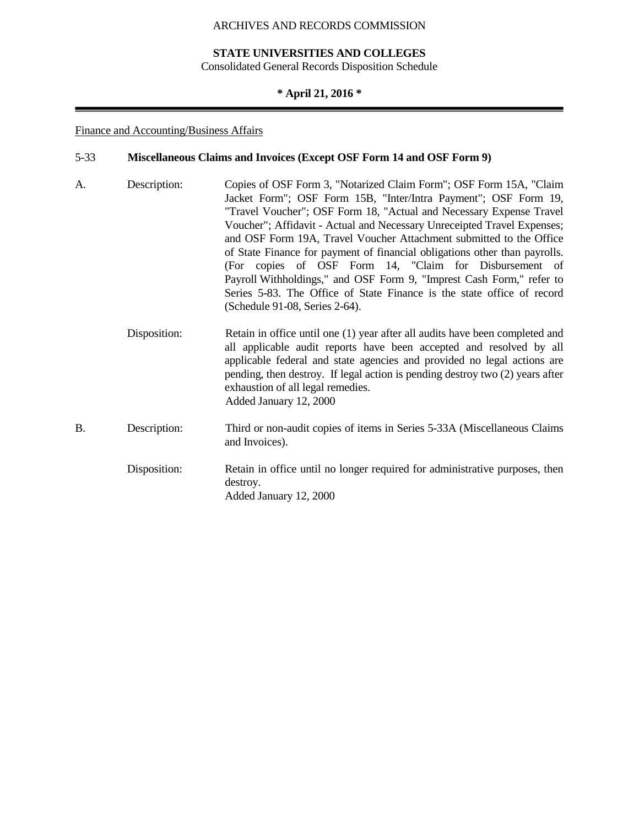## **STATE UNIVERSITIES AND COLLEGES**

Consolidated General Records Disposition Schedule

# **\* April 21, 2016 \***

# Finance and Accounting/Business Affairs

# 5-33 **Miscellaneous Claims and Invoices (Except OSF Form 14 and OSF Form 9)**

| A.        | Description: | Copies of OSF Form 3, "Notarized Claim Form"; OSF Form 15A, "Claim<br>Jacket Form"; OSF Form 15B, "Inter/Intra Payment"; OSF Form 19,<br>"Travel Voucher"; OSF Form 18, "Actual and Necessary Expense Travel<br>Voucher"; Affidavit - Actual and Necessary Unreceipted Travel Expenses;<br>and OSF Form 19A, Travel Voucher Attachment submitted to the Office<br>of State Finance for payment of financial obligations other than payrolls.<br>(For copies of OSF Form 14, "Claim for Disbursement of<br>Payroll Withholdings," and OSF Form 9, "Imprest Cash Form," refer to<br>Series 5-83. The Office of State Finance is the state office of record<br>(Schedule 91-08, Series 2-64). |
|-----------|--------------|--------------------------------------------------------------------------------------------------------------------------------------------------------------------------------------------------------------------------------------------------------------------------------------------------------------------------------------------------------------------------------------------------------------------------------------------------------------------------------------------------------------------------------------------------------------------------------------------------------------------------------------------------------------------------------------------|
|           | Disposition: | Retain in office until one (1) year after all audits have been completed and<br>all applicable audit reports have been accepted and resolved by all<br>applicable federal and state agencies and provided no legal actions are<br>pending, then destroy. If legal action is pending destroy two (2) years after<br>exhaustion of all legal remedies.<br>Added January 12, 2000                                                                                                                                                                                                                                                                                                             |
| <b>B.</b> | Description: | Third or non-audit copies of items in Series 5-33A (Miscellaneous Claims<br>and Invoices).                                                                                                                                                                                                                                                                                                                                                                                                                                                                                                                                                                                                 |
|           | Disposition: | Retain in office until no longer required for administrative purposes, then<br>destroy.<br>Added January 12, 2000                                                                                                                                                                                                                                                                                                                                                                                                                                                                                                                                                                          |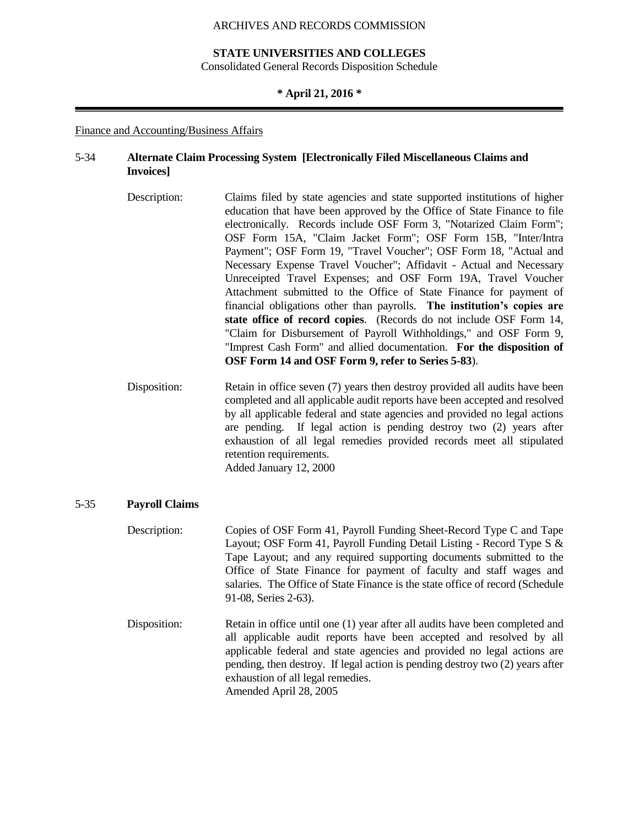## **STATE UNIVERSITIES AND COLLEGES**

Consolidated General Records Disposition Schedule

#### **\* April 21, 2016 \***

#### Finance and Accounting/Business Affairs

## 5-34 **Alternate Claim Processing System [Electronically Filed Miscellaneous Claims and Invoices]**

- Description: Claims filed by state agencies and state supported institutions of higher education that have been approved by the Office of State Finance to file electronically. Records include OSF Form 3, "Notarized Claim Form"; OSF Form 15A, "Claim Jacket Form"; OSF Form 15B, "Inter/Intra Payment"; OSF Form 19, "Travel Voucher"; OSF Form 18, "Actual and Necessary Expense Travel Voucher"; Affidavit - Actual and Necessary Unreceipted Travel Expenses; and OSF Form 19A, Travel Voucher Attachment submitted to the Office of State Finance for payment of financial obligations other than payrolls. **The institution's copies are state office of record copies**. (Records do not include OSF Form 14, "Claim for Disbursement of Payroll Withholdings," and OSF Form 9, "Imprest Cash Form" and allied documentation. **For the disposition of OSF Form 14 and OSF Form 9, refer to Series 5-83**).
- Disposition: Retain in office seven (7) years then destroy provided all audits have been completed and all applicable audit reports have been accepted and resolved by all applicable federal and state agencies and provided no legal actions are pending. If legal action is pending destroy two (2) years after exhaustion of all legal remedies provided records meet all stipulated retention requirements. Added January 12, 2000

#### 5-35 **Payroll Claims**

- Description: Copies of OSF Form 41, Payroll Funding Sheet-Record Type C and Tape Layout; OSF Form 41, Payroll Funding Detail Listing - Record Type S & Tape Layout; and any required supporting documents submitted to the Office of State Finance for payment of faculty and staff wages and salaries. The Office of State Finance is the state office of record (Schedule 91-08, Series 2-63).
- Disposition: Retain in office until one (1) year after all audits have been completed and all applicable audit reports have been accepted and resolved by all applicable federal and state agencies and provided no legal actions are pending, then destroy. If legal action is pending destroy two (2) years after exhaustion of all legal remedies. Amended April 28, 2005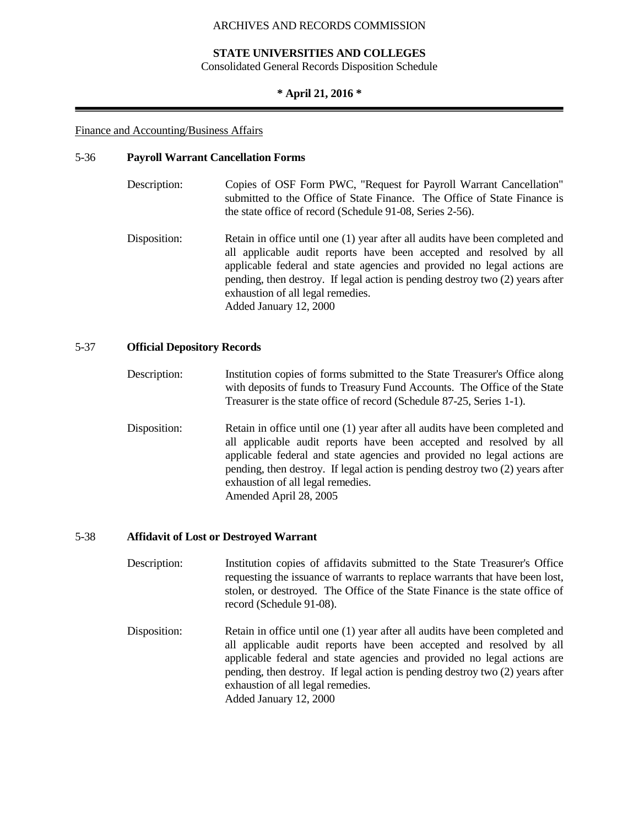## **STATE UNIVERSITIES AND COLLEGES**

Consolidated General Records Disposition Schedule

## **\* April 21, 2016 \***

#### Finance and Accounting/Business Affairs

#### 5-36 **Payroll Warrant Cancellation Forms**

- Description: Copies of OSF Form PWC, "Request for Payroll Warrant Cancellation" submitted to the Office of State Finance. The Office of State Finance is the state office of record (Schedule 91-08, Series 2-56).
- Disposition: Retain in office until one (1) year after all audits have been completed and all applicable audit reports have been accepted and resolved by all applicable federal and state agencies and provided no legal actions are pending, then destroy. If legal action is pending destroy two (2) years after exhaustion of all legal remedies. Added January 12, 2000

## 5-37 **Official Depository Records**

- Description: Institution copies of forms submitted to the State Treasurer's Office along with deposits of funds to Treasury Fund Accounts. The Office of the State Treasurer is the state office of record (Schedule 87-25, Series 1-1).
- Disposition: Retain in office until one (1) year after all audits have been completed and all applicable audit reports have been accepted and resolved by all applicable federal and state agencies and provided no legal actions are pending, then destroy. If legal action is pending destroy two (2) years after exhaustion of all legal remedies. Amended April 28, 2005

#### 5-38 **Affidavit of Lost or Destroyed Warrant**

- Description: Institution copies of affidavits submitted to the State Treasurer's Office requesting the issuance of warrants to replace warrants that have been lost, stolen, or destroyed. The Office of the State Finance is the state office of record (Schedule 91-08).
- Disposition: Retain in office until one (1) year after all audits have been completed and all applicable audit reports have been accepted and resolved by all applicable federal and state agencies and provided no legal actions are pending, then destroy. If legal action is pending destroy two (2) years after exhaustion of all legal remedies. Added January 12, 2000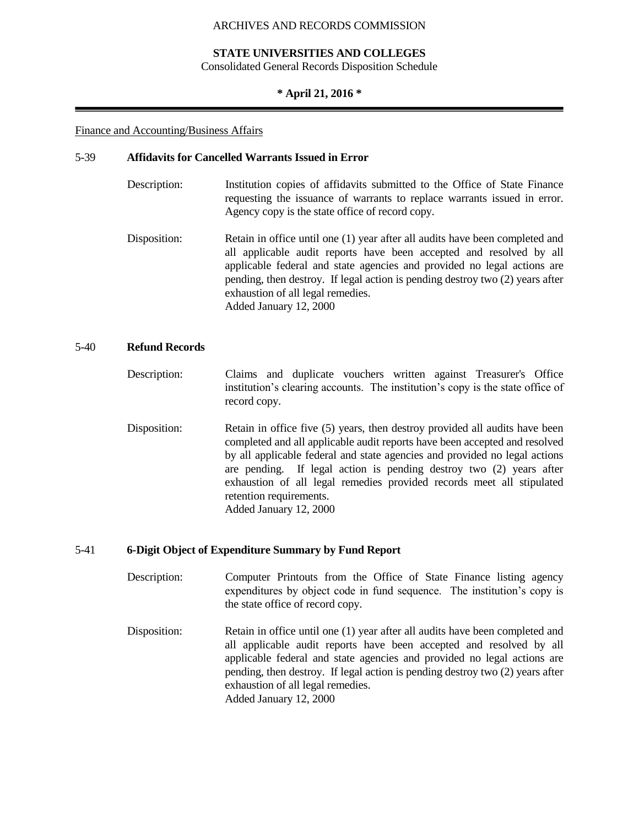## **STATE UNIVERSITIES AND COLLEGES**

Consolidated General Records Disposition Schedule

#### **\* April 21, 2016 \***

#### Finance and Accounting/Business Affairs

#### 5-39 **Affidavits for Cancelled Warrants Issued in Error**

- Description: Institution copies of affidavits submitted to the Office of State Finance requesting the issuance of warrants to replace warrants issued in error. Agency copy is the state office of record copy.
- Disposition: Retain in office until one (1) year after all audits have been completed and all applicable audit reports have been accepted and resolved by all applicable federal and state agencies and provided no legal actions are pending, then destroy. If legal action is pending destroy two (2) years after exhaustion of all legal remedies. Added January 12, 2000

#### 5-40 **Refund Records**

- Description: Claims and duplicate vouchers written against Treasurer's Office institution's clearing accounts. The institution's copy is the state office of record copy.
- Disposition: Retain in office five (5) years, then destroy provided all audits have been completed and all applicable audit reports have been accepted and resolved by all applicable federal and state agencies and provided no legal actions are pending. If legal action is pending destroy two (2) years after exhaustion of all legal remedies provided records meet all stipulated retention requirements. Added January 12, 2000

#### 5-41 **6-Digit Object of Expenditure Summary by Fund Report**

- Description: Computer Printouts from the Office of State Finance listing agency expenditures by object code in fund sequence. The institution's copy is the state office of record copy.
- Disposition: Retain in office until one (1) year after all audits have been completed and all applicable audit reports have been accepted and resolved by all applicable federal and state agencies and provided no legal actions are pending, then destroy. If legal action is pending destroy two (2) years after exhaustion of all legal remedies. Added January 12, 2000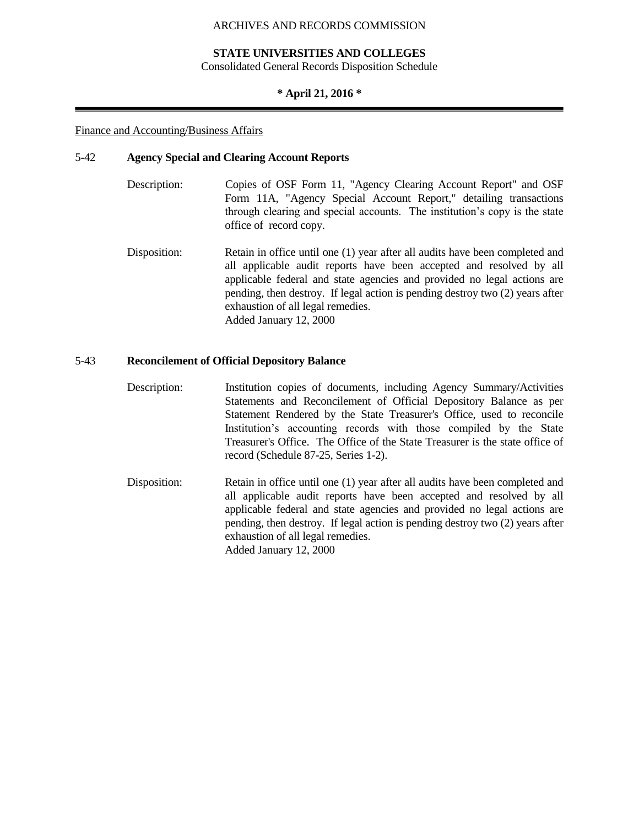## **STATE UNIVERSITIES AND COLLEGES**

Consolidated General Records Disposition Schedule

## **\* April 21, 2016 \***

#### Finance and Accounting/Business Affairs

#### 5-42 **Agency Special and Clearing Account Reports**

- Description: Copies of OSF Form 11, "Agency Clearing Account Report" and OSF Form 11A, "Agency Special Account Report," detailing transactions through clearing and special accounts. The institution's copy is the state office of record copy.
- Disposition: Retain in office until one (1) year after all audits have been completed and all applicable audit reports have been accepted and resolved by all applicable federal and state agencies and provided no legal actions are pending, then destroy. If legal action is pending destroy two (2) years after exhaustion of all legal remedies. Added January 12, 2000

## 5-43 **Reconcilement of Official Depository Balance**

- Description: Institution copies of documents, including Agency Summary/Activities Statements and Reconcilement of Official Depository Balance as per Statement Rendered by the State Treasurer's Office, used to reconcile Institution's accounting records with those compiled by the State Treasurer's Office. The Office of the State Treasurer is the state office of record (Schedule 87-25, Series 1-2).
- Disposition: Retain in office until one (1) year after all audits have been completed and all applicable audit reports have been accepted and resolved by all applicable federal and state agencies and provided no legal actions are pending, then destroy. If legal action is pending destroy two (2) years after exhaustion of all legal remedies. Added January 12, 2000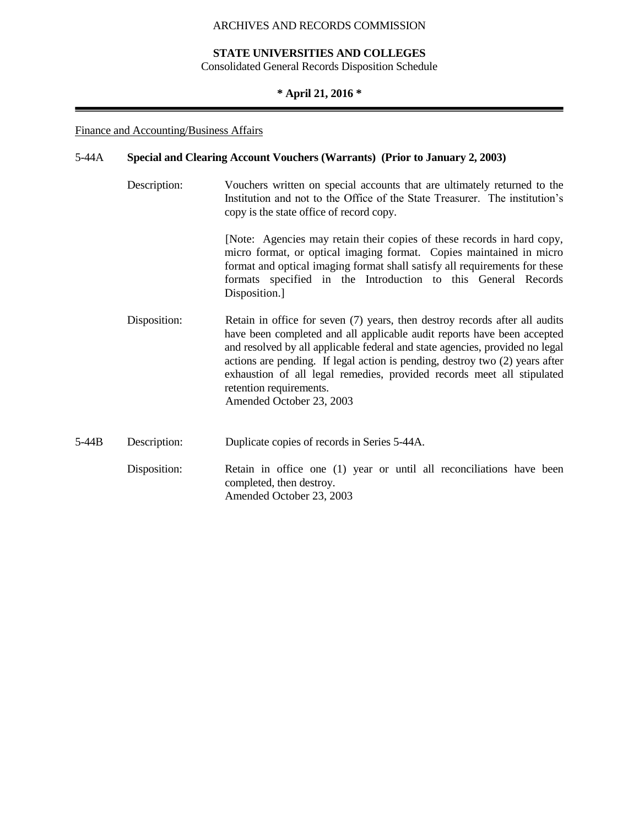### **STATE UNIVERSITIES AND COLLEGES**

Consolidated General Records Disposition Schedule

## **\* April 21, 2016 \***

#### Finance and Accounting/Business Affairs

#### 5-44A **Special and Clearing Account Vouchers (Warrants) (Prior to January 2, 2003)**

Description: Vouchers written on special accounts that are ultimately returned to the Institution and not to the Office of the State Treasurer. The institution's copy is the state office of record copy.

> [Note: Agencies may retain their copies of these records in hard copy, micro format, or optical imaging format. Copies maintained in micro format and optical imaging format shall satisfy all requirements for these formats specified in the Introduction to this General Records Disposition.]

- Disposition: Retain in office for seven (7) years, then destroy records after all audits have been completed and all applicable audit reports have been accepted and resolved by all applicable federal and state agencies, provided no legal actions are pending. If legal action is pending, destroy two (2) years after exhaustion of all legal remedies, provided records meet all stipulated retention requirements. Amended October 23, 2003
- 5-44B Description: Duplicate copies of records in Series 5-44A.
	- Disposition: Retain in office one (1) year or until all reconciliations have been completed, then destroy. Amended October 23, 2003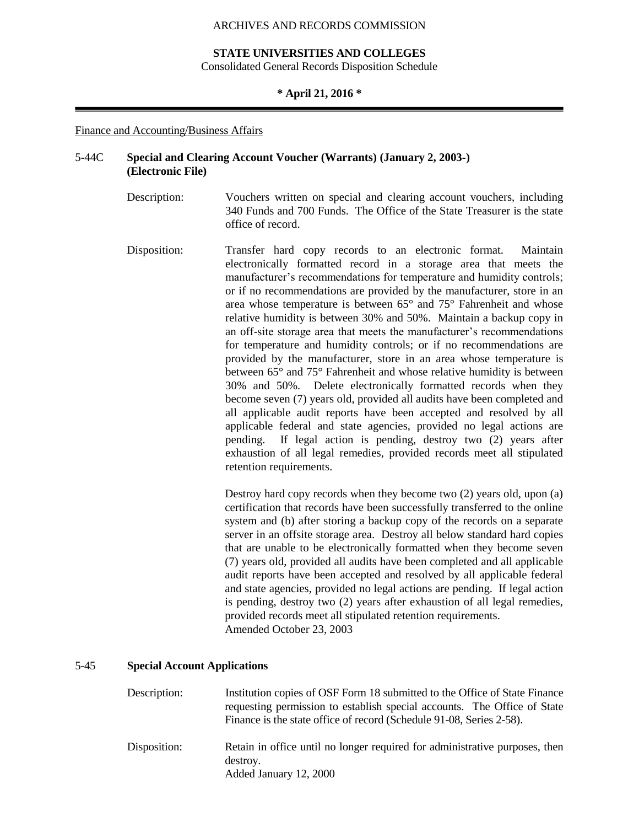## **STATE UNIVERSITIES AND COLLEGES**

Consolidated General Records Disposition Schedule

#### **\* April 21, 2016 \***

#### Finance and Accounting/Business Affairs

## 5-44C **Special and Clearing Account Voucher (Warrants) (January 2, 2003-) (Electronic File)**

- Description: Vouchers written on special and clearing account vouchers, including 340 Funds and 700 Funds. The Office of the State Treasurer is the state office of record.
- Disposition: Transfer hard copy records to an electronic format. Maintain electronically formatted record in a storage area that meets the manufacturer's recommendations for temperature and humidity controls; or if no recommendations are provided by the manufacturer, store in an area whose temperature is between 65° and 75° Fahrenheit and whose relative humidity is between 30% and 50%. Maintain a backup copy in an off-site storage area that meets the manufacturer's recommendations for temperature and humidity controls; or if no recommendations are provided by the manufacturer, store in an area whose temperature is between 65° and 75° Fahrenheit and whose relative humidity is between 30% and 50%. Delete electronically formatted records when they become seven (7) years old, provided all audits have been completed and all applicable audit reports have been accepted and resolved by all applicable federal and state agencies, provided no legal actions are pending. If legal action is pending, destroy two (2) years after exhaustion of all legal remedies, provided records meet all stipulated retention requirements.

Destroy hard copy records when they become two (2) years old, upon (a) certification that records have been successfully transferred to the online system and (b) after storing a backup copy of the records on a separate server in an offsite storage area. Destroy all below standard hard copies that are unable to be electronically formatted when they become seven (7) years old, provided all audits have been completed and all applicable audit reports have been accepted and resolved by all applicable federal and state agencies, provided no legal actions are pending. If legal action is pending, destroy two (2) years after exhaustion of all legal remedies, provided records meet all stipulated retention requirements. Amended October 23, 2003

## 5-45 **Special Account Applications**

| Description: | Institution copies of OSF Form 18 submitted to the Office of State Finance<br>requesting permission to establish special accounts. The Office of State<br>Finance is the state office of record (Schedule 91-08, Series 2-58). |
|--------------|--------------------------------------------------------------------------------------------------------------------------------------------------------------------------------------------------------------------------------|
| Disposition: | Retain in office until no longer required for administrative purposes, then<br>destroy.<br>Added January 12, 2000                                                                                                              |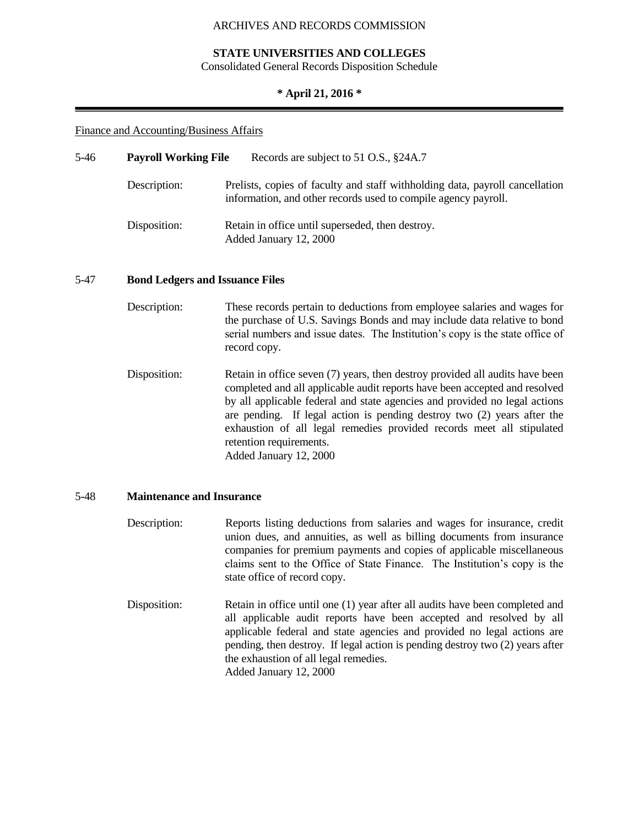## **STATE UNIVERSITIES AND COLLEGES**

Consolidated General Records Disposition Schedule

## **\* April 21, 2016 \***

#### Finance and Accounting/Business Affairs

| 5-46 | <b>Payroll Working File</b> | Records are subject to 51 O.S., §24A.7                                                                                                         |  |
|------|-----------------------------|------------------------------------------------------------------------------------------------------------------------------------------------|--|
|      | Description:                | Prelists, copies of faculty and staff withholding data, payroll cancellation<br>information, and other records used to compile agency payroll. |  |
|      | Disposition:                | Retain in office until superseded, then destroy.<br>Added January 12, 2000                                                                     |  |

#### 5-47 **Bond Ledgers and Issuance Files**

| Description: | These records pertain to deductions from employee salaries and wages for      |
|--------------|-------------------------------------------------------------------------------|
|              | the purchase of U.S. Savings Bonds and may include data relative to bond      |
|              | serial numbers and issue dates. The Institution's copy is the state office of |
|              | record copy.                                                                  |

Disposition: Retain in office seven (7) years, then destroy provided all audits have been completed and all applicable audit reports have been accepted and resolved by all applicable federal and state agencies and provided no legal actions are pending. If legal action is pending destroy two (2) years after the exhaustion of all legal remedies provided records meet all stipulated retention requirements. Added January 12, 2000

#### 5-48 **Maintenance and Insurance**

- Description: Reports listing deductions from salaries and wages for insurance, credit union dues, and annuities, as well as billing documents from insurance companies for premium payments and copies of applicable miscellaneous claims sent to the Office of State Finance. The Institution's copy is the state office of record copy.
- Disposition: Retain in office until one (1) year after all audits have been completed and all applicable audit reports have been accepted and resolved by all applicable federal and state agencies and provided no legal actions are pending, then destroy. If legal action is pending destroy two (2) years after the exhaustion of all legal remedies. Added January 12, 2000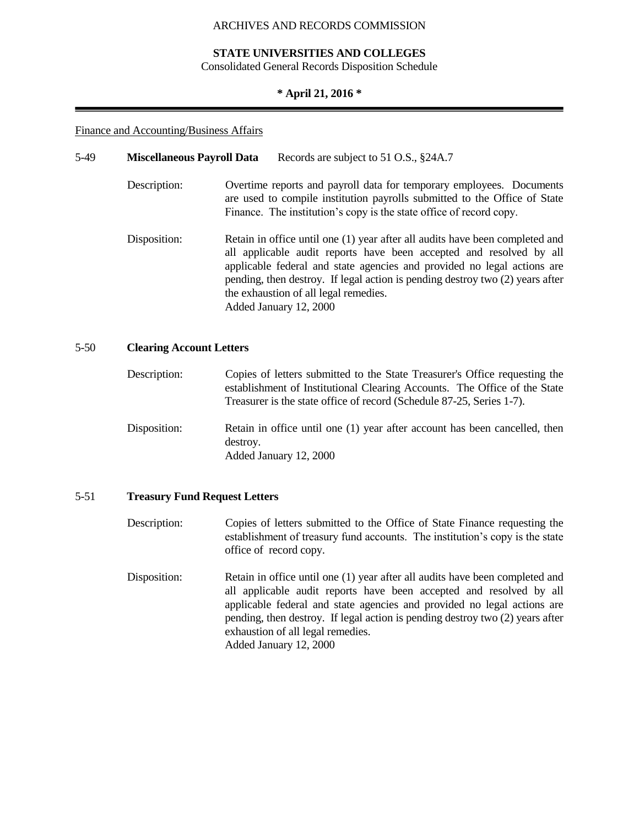## **STATE UNIVERSITIES AND COLLEGES**

Consolidated General Records Disposition Schedule

## **\* April 21, 2016 \***

## Finance and Accounting/Business Affairs

| 5-49 | <b>Miscellaneous Payroll Data</b> | Records are subject to 51 O.S., §24A.7                                                                                                                                                                                                                                                                                                                                             |
|------|-----------------------------------|------------------------------------------------------------------------------------------------------------------------------------------------------------------------------------------------------------------------------------------------------------------------------------------------------------------------------------------------------------------------------------|
|      | Description:                      | Overtime reports and payroll data for temporary employees. Documents<br>are used to compile institution payrolls submitted to the Office of State<br>Finance. The institution's copy is the state office of record copy.                                                                                                                                                           |
|      | Disposition:                      | Retain in office until one (1) year after all audits have been completed and<br>all applicable audit reports have been accepted and resolved by all<br>applicable federal and state agencies and provided no legal actions are<br>pending, then destroy. If legal action is pending destroy two (2) years after<br>the exhaustion of all legal remedies.<br>Added January 12, 2000 |

## 5-50 **Clearing Account Letters**

| Description: | Copies of letters submitted to the State Treasurer's Office requesting the<br>establishment of Institutional Clearing Accounts. The Office of the State<br>Treasurer is the state office of record (Schedule 87-25, Series 1-7). |
|--------------|----------------------------------------------------------------------------------------------------------------------------------------------------------------------------------------------------------------------------------|
| Disposition: | Retain in office until one (1) year after account has been cancelled, then<br>destroy.<br>Added January 12, 2000                                                                                                                 |

## 5-51 **Treasury Fund Request Letters**

Description: Copies of letters submitted to the Office of State Finance requesting the establishment of treasury fund accounts. The institution's copy is the state office of record copy.

Disposition: Retain in office until one (1) year after all audits have been completed and all applicable audit reports have been accepted and resolved by all applicable federal and state agencies and provided no legal actions are pending, then destroy. If legal action is pending destroy two (2) years after exhaustion of all legal remedies. Added January 12, 2000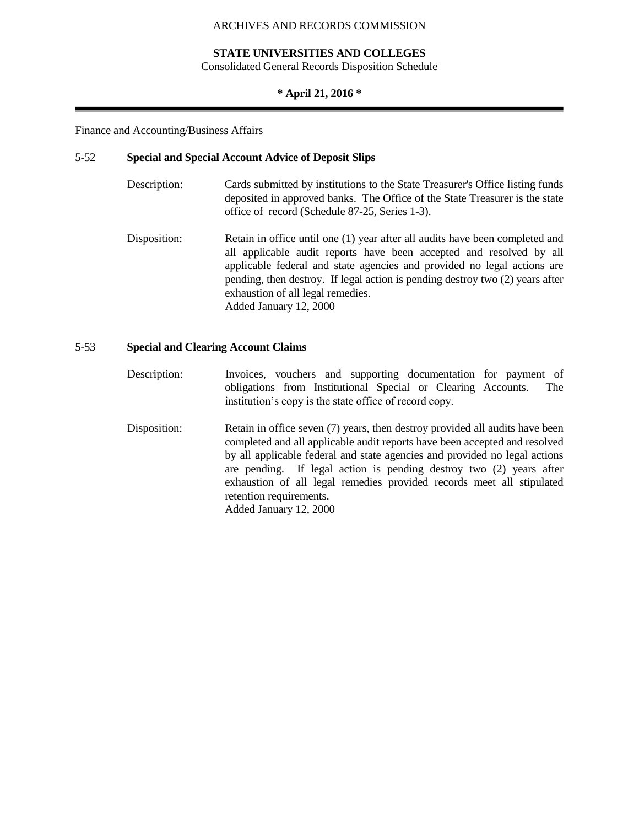## **STATE UNIVERSITIES AND COLLEGES**

Consolidated General Records Disposition Schedule

#### **\* April 21, 2016 \***

#### Finance and Accounting/Business Affairs

#### 5-52 **Special and Special Account Advice of Deposit Slips**

- Description: Cards submitted by institutions to the State Treasurer's Office listing funds deposited in approved banks. The Office of the State Treasurer is the state office of record (Schedule 87-25, Series 1-3).
- Disposition: Retain in office until one (1) year after all audits have been completed and all applicable audit reports have been accepted and resolved by all applicable federal and state agencies and provided no legal actions are pending, then destroy. If legal action is pending destroy two (2) years after exhaustion of all legal remedies. Added January 12, 2000

## 5-53 **Special and Clearing Account Claims**

- Description: Invoices, vouchers and supporting documentation for payment of obligations from Institutional Special or Clearing Accounts. The institution's copy is the state office of record copy.
- Disposition: Retain in office seven (7) years, then destroy provided all audits have been completed and all applicable audit reports have been accepted and resolved by all applicable federal and state agencies and provided no legal actions are pending. If legal action is pending destroy two (2) years after exhaustion of all legal remedies provided records meet all stipulated retention requirements. Added January 12, 2000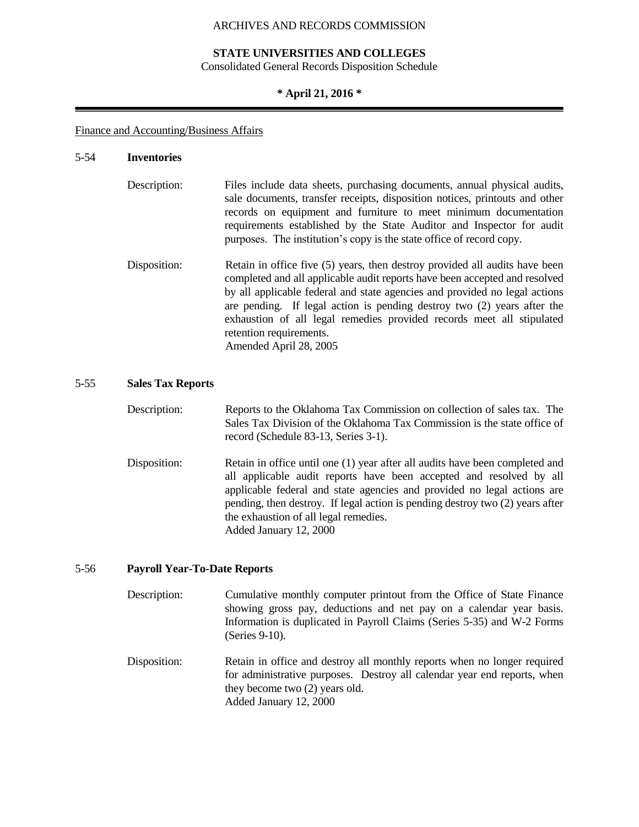## **STATE UNIVERSITIES AND COLLEGES**

Consolidated General Records Disposition Schedule

#### **\* April 21, 2016 \***

#### Finance and Accounting/Business Affairs

#### 5-54 **Inventories**

| Description: | Files include data sheets, purchasing documents, annual physical audits,<br>sale documents, transfer receipts, disposition notices, printouts and other<br>records on equipment and furniture to meet minimum documentation<br>requirements established by the State Auditor and Inspector for audit<br>purposes. The institution's copy is the state office of record copy. |
|--------------|------------------------------------------------------------------------------------------------------------------------------------------------------------------------------------------------------------------------------------------------------------------------------------------------------------------------------------------------------------------------------|
| Disposition: | Retain in office five (5) years, then destroy provided all audits have been                                                                                                                                                                                                                                                                                                  |

completed and all applicable audit reports have been accepted and resolved by all applicable federal and state agencies and provided no legal actions are pending. If legal action is pending destroy two (2) years after the exhaustion of all legal remedies provided records meet all stipulated retention requirements. Amended April 28, 2005

#### 5-55 **Sales Tax Reports**

| Description: | Reports to the Oklahoma Tax Commission on collection of sales tax. The   |
|--------------|--------------------------------------------------------------------------|
|              | Sales Tax Division of the Oklahoma Tax Commission is the state office of |
|              | record (Schedule 83-13, Series 3-1).                                     |

Disposition: Retain in office until one (1) year after all audits have been completed and all applicable audit reports have been accepted and resolved by all applicable federal and state agencies and provided no legal actions are pending, then destroy. If legal action is pending destroy two (2) years after the exhaustion of all legal remedies. Added January 12, 2000

## 5-56 **Payroll Year-To-Date Reports**

- Description: Cumulative monthly computer printout from the Office of State Finance showing gross pay, deductions and net pay on a calendar year basis. Information is duplicated in Payroll Claims (Series 5-35) and W-2 Forms (Series 9-10).
- Disposition: Retain in office and destroy all monthly reports when no longer required for administrative purposes. Destroy all calendar year end reports, when they become two (2) years old. Added January 12, 2000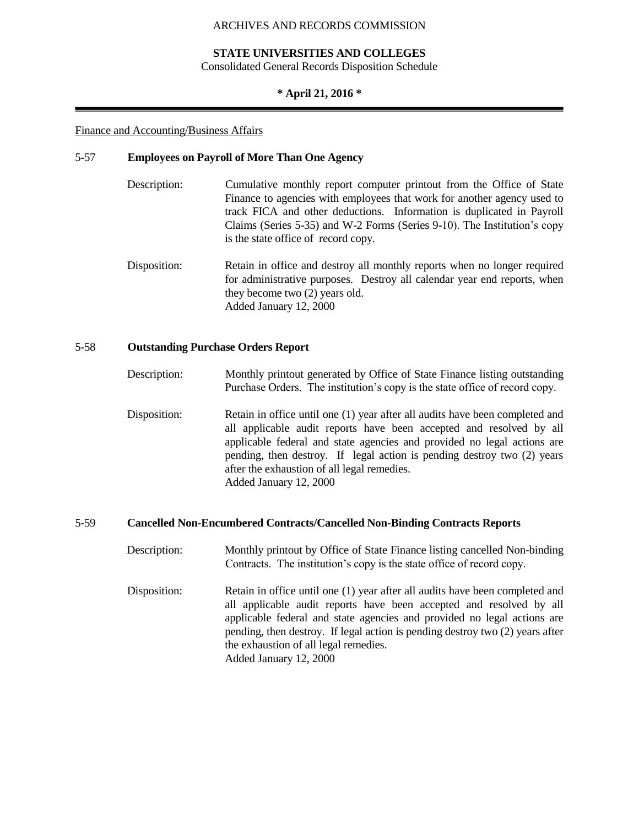## **STATE UNIVERSITIES AND COLLEGES**

Consolidated General Records Disposition Schedule

## **\* April 21, 2016 \***

#### Finance and Accounting/Business Affairs

#### 5-57 **Employees on Payroll of More Than One Agency**

- Description: Cumulative monthly report computer printout from the Office of State Finance to agencies with employees that work for another agency used to track FICA and other deductions. Information is duplicated in Payroll Claims (Series 5-35) and W-2 Forms (Series 9-10). The Institution's copy is the state office of record copy.
- Disposition: Retain in office and destroy all monthly reports when no longer required for administrative purposes. Destroy all calendar year end reports, when they become two (2) years old. Added January 12, 2000

## 5-58 **Outstanding Purchase Orders Report**

- Description: Monthly printout generated by Office of State Finance listing outstanding Purchase Orders. The institution's copy is the state office of record copy.
- Disposition: Retain in office until one (1) year after all audits have been completed and all applicable audit reports have been accepted and resolved by all applicable federal and state agencies and provided no legal actions are pending, then destroy. If legal action is pending destroy two (2) years after the exhaustion of all legal remedies. Added January 12, 2000

## 5-59 **Cancelled Non-Encumbered Contracts/Cancelled Non-Binding Contracts Reports**

Description: Monthly printout by Office of State Finance listing cancelled Non-binding Contracts. The institution's copy is the state office of record copy. Disposition: Retain in office until one (1) year after all audits have been completed and all applicable audit reports have been accepted and resolved by all applicable federal and state agencies and provided no legal actions are pending, then destroy. If legal action is pending destroy two (2) years after the exhaustion of all legal remedies. Added January 12, 2000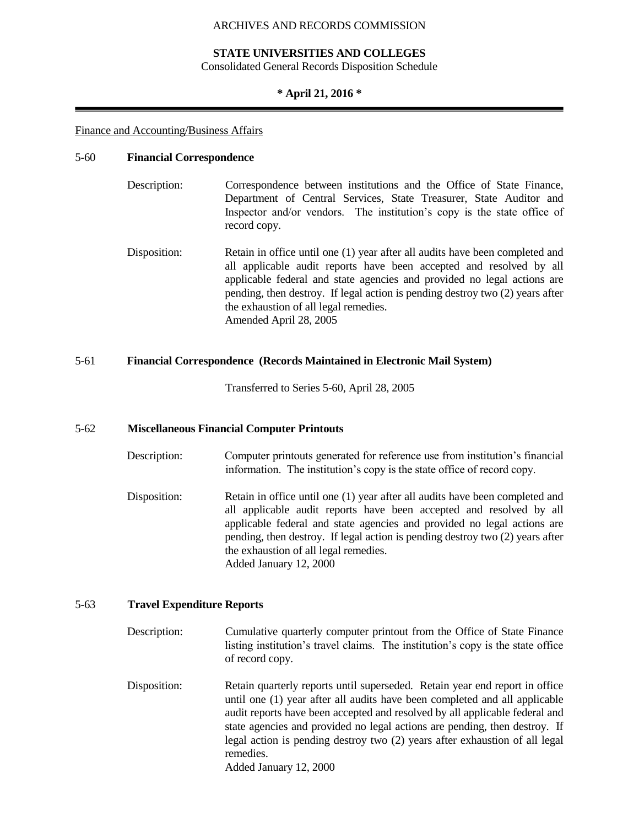### **STATE UNIVERSITIES AND COLLEGES**

Consolidated General Records Disposition Schedule

#### **\* April 21, 2016 \***

#### Finance and Accounting/Business Affairs

#### 5-60 **Financial Correspondence**

- Description: Correspondence between institutions and the Office of State Finance, Department of Central Services, State Treasurer, State Auditor and Inspector and/or vendors. The institution's copy is the state office of record copy.
- Disposition: Retain in office until one (1) year after all audits have been completed and all applicable audit reports have been accepted and resolved by all applicable federal and state agencies and provided no legal actions are pending, then destroy. If legal action is pending destroy two (2) years after the exhaustion of all legal remedies. Amended April 28, 2005

## 5-61 **Financial Correspondence (Records Maintained in Electronic Mail System)**

Transferred to Series 5-60, April 28, 2005

#### 5-62 **Miscellaneous Financial Computer Printouts**

- Description: Computer printouts generated for reference use from institution's financial information. The institution's copy is the state office of record copy.
- Disposition: Retain in office until one (1) year after all audits have been completed and all applicable audit reports have been accepted and resolved by all applicable federal and state agencies and provided no legal actions are pending, then destroy. If legal action is pending destroy two (2) years after the exhaustion of all legal remedies. Added January 12, 2000

## 5-63 **Travel Expenditure Reports**

- Description: Cumulative quarterly computer printout from the Office of State Finance listing institution's travel claims. The institution's copy is the state office of record copy.
- Disposition: Retain quarterly reports until superseded. Retain year end report in office until one (1) year after all audits have been completed and all applicable audit reports have been accepted and resolved by all applicable federal and state agencies and provided no legal actions are pending, then destroy. If legal action is pending destroy two (2) years after exhaustion of all legal remedies.

Added January 12, 2000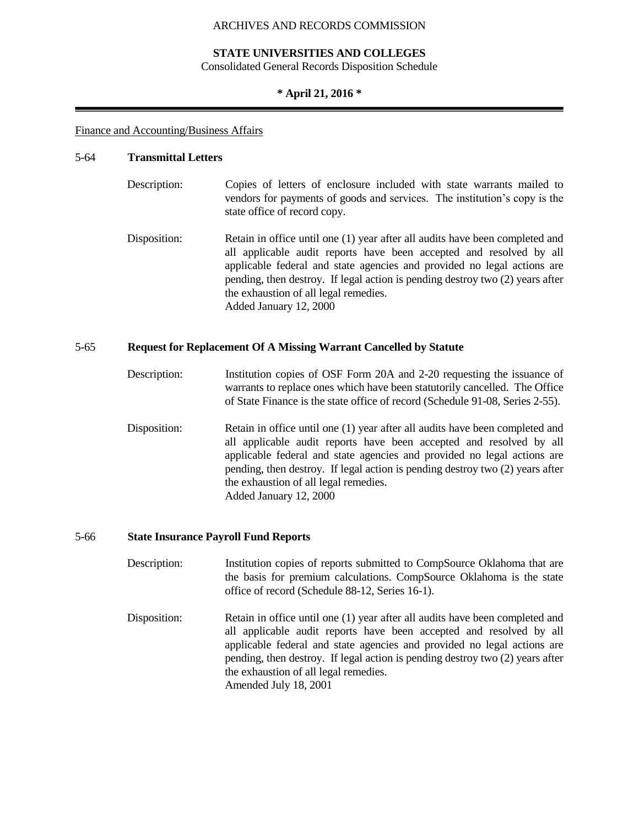### **STATE UNIVERSITIES AND COLLEGES**

Consolidated General Records Disposition Schedule

#### **\* April 21, 2016 \***

#### Finance and Accounting/Business Affairs

#### 5-64 **Transmittal Letters**

- Description: Copies of letters of enclosure included with state warrants mailed to vendors for payments of goods and services. The institution's copy is the state office of record copy.
- Disposition: Retain in office until one (1) year after all audits have been completed and all applicable audit reports have been accepted and resolved by all applicable federal and state agencies and provided no legal actions are pending, then destroy. If legal action is pending destroy two (2) years after the exhaustion of all legal remedies. Added January 12, 2000

#### 5-65 **Request for Replacement Of A Missing Warrant Cancelled by Statute**

- Description: Institution copies of OSF Form 20A and 2-20 requesting the issuance of warrants to replace ones which have been statutorily cancelled. The Office of State Finance is the state office of record (Schedule 91-08, Series 2-55).
- Disposition: Retain in office until one (1) year after all audits have been completed and all applicable audit reports have been accepted and resolved by all applicable federal and state agencies and provided no legal actions are pending, then destroy. If legal action is pending destroy two (2) years after the exhaustion of all legal remedies. Added January 12, 2000

#### 5-66 **State Insurance Payroll Fund Reports**

- Description: Institution copies of reports submitted to CompSource Oklahoma that are the basis for premium calculations. CompSource Oklahoma is the state office of record (Schedule 88-12, Series 16-1).
- Disposition: Retain in office until one (1) year after all audits have been completed and all applicable audit reports have been accepted and resolved by all applicable federal and state agencies and provided no legal actions are pending, then destroy. If legal action is pending destroy two (2) years after the exhaustion of all legal remedies. Amended July 18, 2001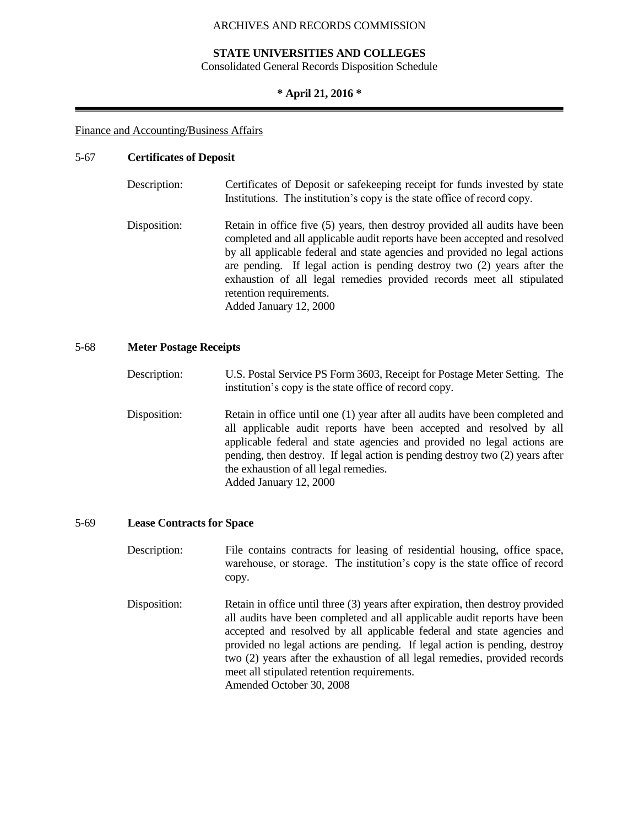## **STATE UNIVERSITIES AND COLLEGES**

Consolidated General Records Disposition Schedule

### **\* April 21, 2016 \***

#### Finance and Accounting/Business Affairs

## 5-67 **Certificates of Deposit**

| Description: | Certificates of Deposit or safekeeping receipt for funds invested by state<br>Institutions. The institution's copy is the state office of record copy.                                                                                                                                                                                                                                                                                           |
|--------------|--------------------------------------------------------------------------------------------------------------------------------------------------------------------------------------------------------------------------------------------------------------------------------------------------------------------------------------------------------------------------------------------------------------------------------------------------|
| Disposition: | Retain in office five (5) years, then destroy provided all audits have been<br>completed and all applicable audit reports have been accepted and resolved<br>by all applicable federal and state agencies and provided no legal actions<br>are pending. If legal action is pending destroy two (2) years after the<br>exhaustion of all legal remedies provided records meet all stipulated<br>retention requirements.<br>Added January 12, 2000 |

#### 5-68 **Meter Postage Receipts**

| Description: | U.S. Postal Service PS Form 3603, Receipt for Postage Meter Setting. The |
|--------------|--------------------------------------------------------------------------|
|              | institution's copy is the state office of record copy.                   |

Disposition: Retain in office until one (1) year after all audits have been completed and all applicable audit reports have been accepted and resolved by all applicable federal and state agencies and provided no legal actions are pending, then destroy. If legal action is pending destroy two (2) years after the exhaustion of all legal remedies. Added January 12, 2000

#### 5-69 **Lease Contracts for Space**

Description: File contains contracts for leasing of residential housing, office space, warehouse, or storage. The institution's copy is the state office of record copy.

Disposition: Retain in office until three (3) years after expiration, then destroy provided all audits have been completed and all applicable audit reports have been accepted and resolved by all applicable federal and state agencies and provided no legal actions are pending. If legal action is pending, destroy two (2) years after the exhaustion of all legal remedies, provided records meet all stipulated retention requirements. Amended October 30, 2008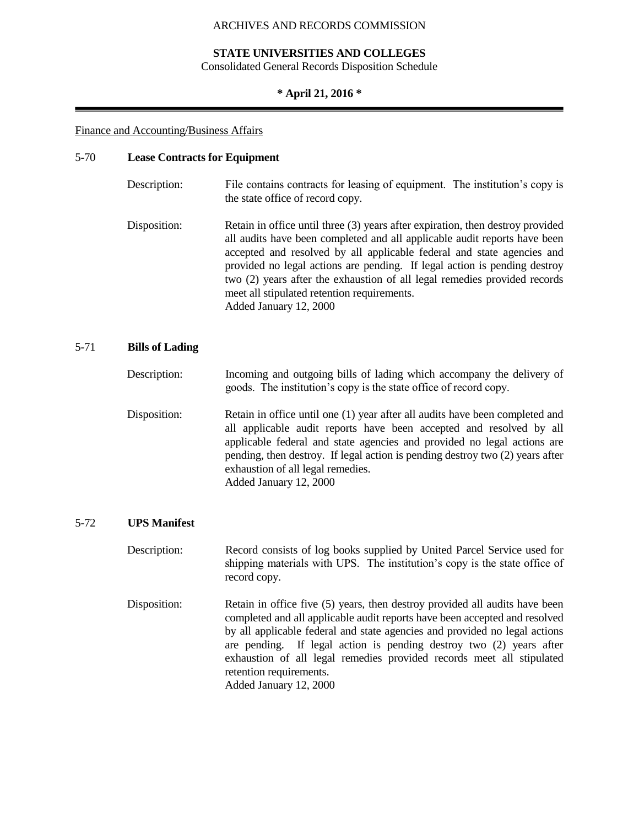## **STATE UNIVERSITIES AND COLLEGES**

Consolidated General Records Disposition Schedule

## **\* April 21, 2016 \***

#### Finance and Accounting/Business Affairs

#### 5-70 **Lease Contracts for Equipment**

| Description: | File contains contracts for leasing of equipment. The institution's copy is<br>the state office of record copy.                                                                                                                                                                                                                                                                                                                                                          |
|--------------|--------------------------------------------------------------------------------------------------------------------------------------------------------------------------------------------------------------------------------------------------------------------------------------------------------------------------------------------------------------------------------------------------------------------------------------------------------------------------|
| Disposition: | Retain in office until three (3) years after expiration, then destroy provided<br>all audits have been completed and all applicable audit reports have been<br>accepted and resolved by all applicable federal and state agencies and<br>provided no legal actions are pending. If legal action is pending destroy<br>two (2) years after the exhaustion of all legal remedies provided records<br>meet all stipulated retention requirements.<br>Added January 12, 2000 |

## 5-71 **Bills of Lading**

| Description: | Incoming and outgoing bills of lading which accompany the delivery of |
|--------------|-----------------------------------------------------------------------|
|              | goods. The institution's copy is the state office of record copy.     |
|              |                                                                       |

Disposition: Retain in office until one (1) year after all audits have been completed and all applicable audit reports have been accepted and resolved by all applicable federal and state agencies and provided no legal actions are pending, then destroy. If legal action is pending destroy two (2) years after exhaustion of all legal remedies. Added January 12, 2000

#### 5-72 **UPS Manifest**

Description: Record consists of log books supplied by United Parcel Service used for shipping materials with UPS. The institution's copy is the state office of record copy.

Disposition: Retain in office five (5) years, then destroy provided all audits have been completed and all applicable audit reports have been accepted and resolved by all applicable federal and state agencies and provided no legal actions are pending. If legal action is pending destroy two (2) years after exhaustion of all legal remedies provided records meet all stipulated retention requirements. Added January 12, 2000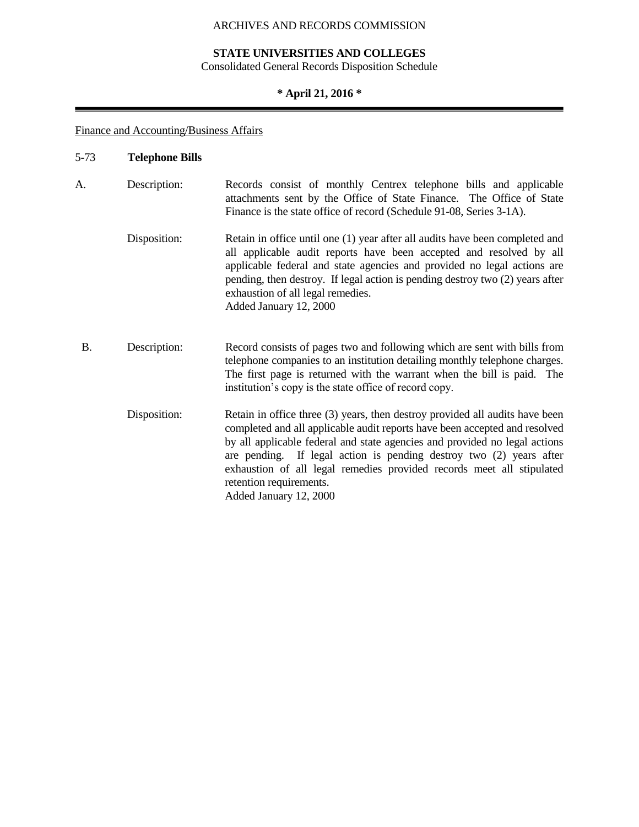# **STATE UNIVERSITIES AND COLLEGES**

Consolidated General Records Disposition Schedule

# **\* April 21, 2016 \***

Finance and Accounting/Business Affairs

| $5 - 73$  | <b>Telephone Bills</b> |                                                                                                                                                                                                                                                                                                                                                                                                                                               |
|-----------|------------------------|-----------------------------------------------------------------------------------------------------------------------------------------------------------------------------------------------------------------------------------------------------------------------------------------------------------------------------------------------------------------------------------------------------------------------------------------------|
| A.        | Description:           | Records consist of monthly Centrex telephone bills and applicable<br>attachments sent by the Office of State Finance. The Office of State<br>Finance is the state office of record (Schedule 91-08, Series 3-1A).                                                                                                                                                                                                                             |
|           | Disposition:           | Retain in office until one (1) year after all audits have been completed and<br>all applicable audit reports have been accepted and resolved by all<br>applicable federal and state agencies and provided no legal actions are<br>pending, then destroy. If legal action is pending destroy two (2) years after<br>exhaustion of all legal remedies.<br>Added January 12, 2000                                                                |
| <b>B.</b> | Description:           | Record consists of pages two and following which are sent with bills from<br>telephone companies to an institution detailing monthly telephone charges.<br>The first page is returned with the warrant when the bill is paid. The<br>institution's copy is the state office of record copy.                                                                                                                                                   |
|           | Disposition:           | Retain in office three (3) years, then destroy provided all audits have been<br>completed and all applicable audit reports have been accepted and resolved<br>by all applicable federal and state agencies and provided no legal actions<br>are pending. If legal action is pending destroy two (2) years after<br>exhaustion of all legal remedies provided records meet all stipulated<br>retention requirements.<br>Added January 12, 2000 |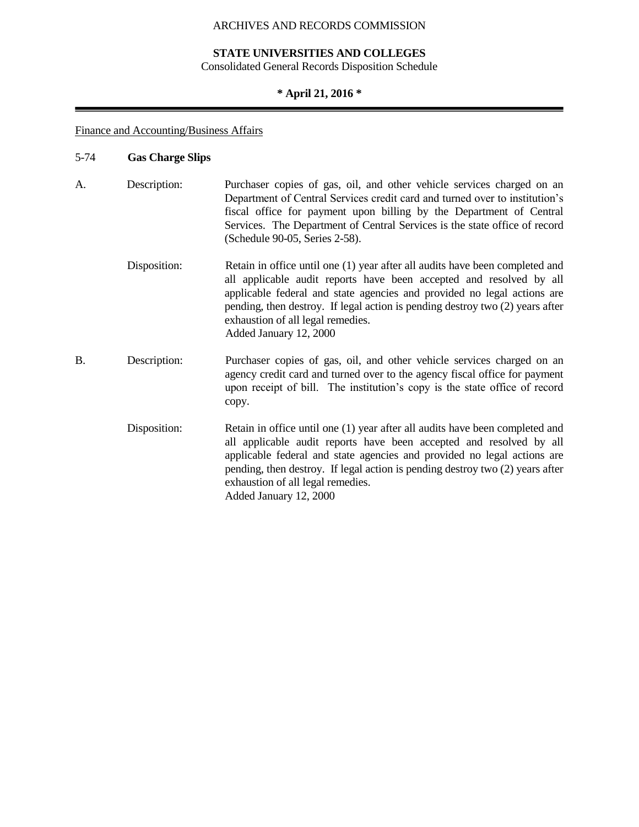# **STATE UNIVERSITIES AND COLLEGES**

Consolidated General Records Disposition Schedule

# **\* April 21, 2016 \***

# Finance and Accounting/Business Affairs

# 5-74 **Gas Charge Slips**

| A.        | Description: | Purchaser copies of gas, oil, and other vehicle services charged on an<br>Department of Central Services credit card and turned over to institution's<br>fiscal office for payment upon billing by the Department of Central<br>Services. The Department of Central Services is the state office of record<br>(Schedule 90-05, Series 2-58).                                   |
|-----------|--------------|--------------------------------------------------------------------------------------------------------------------------------------------------------------------------------------------------------------------------------------------------------------------------------------------------------------------------------------------------------------------------------|
|           | Disposition: | Retain in office until one (1) year after all audits have been completed and<br>all applicable audit reports have been accepted and resolved by all<br>applicable federal and state agencies and provided no legal actions are<br>pending, then destroy. If legal action is pending destroy two (2) years after<br>exhaustion of all legal remedies.<br>Added January 12, 2000 |
| <b>B.</b> | Description: | Purchaser copies of gas, oil, and other vehicle services charged on an<br>agency credit card and turned over to the agency fiscal office for payment<br>upon receipt of bill. The institution's copy is the state office of record<br>copy.                                                                                                                                    |
|           | Disposition: | Retain in office until one (1) year after all audits have been completed and<br>all applicable audit reports have been accepted and resolved by all<br>applicable federal and state agencies and provided no legal actions are<br>pending, then destroy. If legal action is pending destroy two (2) years after<br>exhaustion of all legal remedies.<br>Added January 12, 2000 |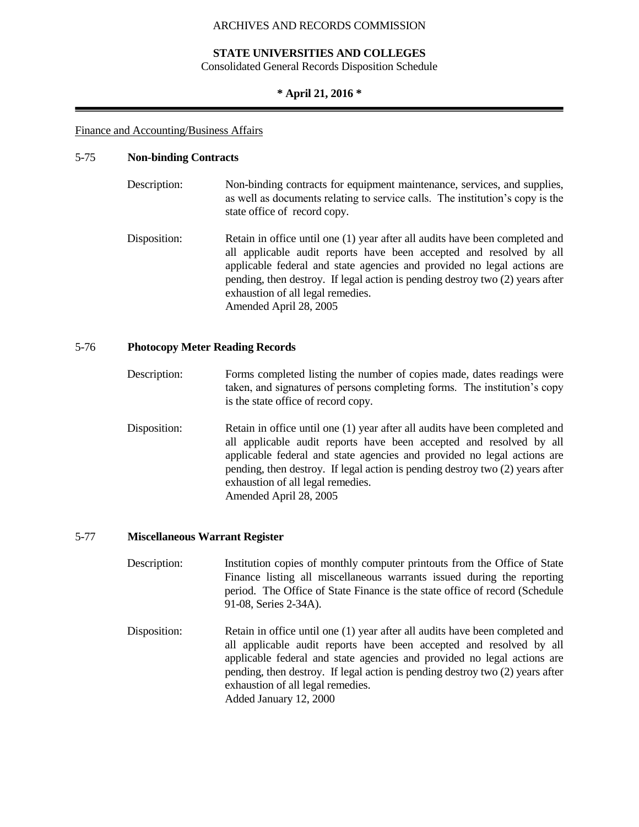## **STATE UNIVERSITIES AND COLLEGES**

Consolidated General Records Disposition Schedule

#### **\* April 21, 2016 \***

#### Finance and Accounting/Business Affairs

#### 5-75 **Non-binding Contracts**

- Description: Non-binding contracts for equipment maintenance, services, and supplies, as well as documents relating to service calls. The institution's copy is the state office of record copy.
- Disposition: Retain in office until one (1) year after all audits have been completed and all applicable audit reports have been accepted and resolved by all applicable federal and state agencies and provided no legal actions are pending, then destroy. If legal action is pending destroy two (2) years after exhaustion of all legal remedies. Amended April 28, 2005

## 5-76 **Photocopy Meter Reading Records**

- Description: Forms completed listing the number of copies made, dates readings were taken, and signatures of persons completing forms. The institution's copy is the state office of record copy.
- Disposition: Retain in office until one (1) year after all audits have been completed and all applicable audit reports have been accepted and resolved by all applicable federal and state agencies and provided no legal actions are pending, then destroy. If legal action is pending destroy two (2) years after exhaustion of all legal remedies. Amended April 28, 2005

#### 5-77 **Miscellaneous Warrant Register**

- Description: Institution copies of monthly computer printouts from the Office of State Finance listing all miscellaneous warrants issued during the reporting period. The Office of State Finance is the state office of record (Schedule 91-08, Series 2-34A).
- Disposition: Retain in office until one (1) year after all audits have been completed and all applicable audit reports have been accepted and resolved by all applicable federal and state agencies and provided no legal actions are pending, then destroy. If legal action is pending destroy two (2) years after exhaustion of all legal remedies. Added January 12, 2000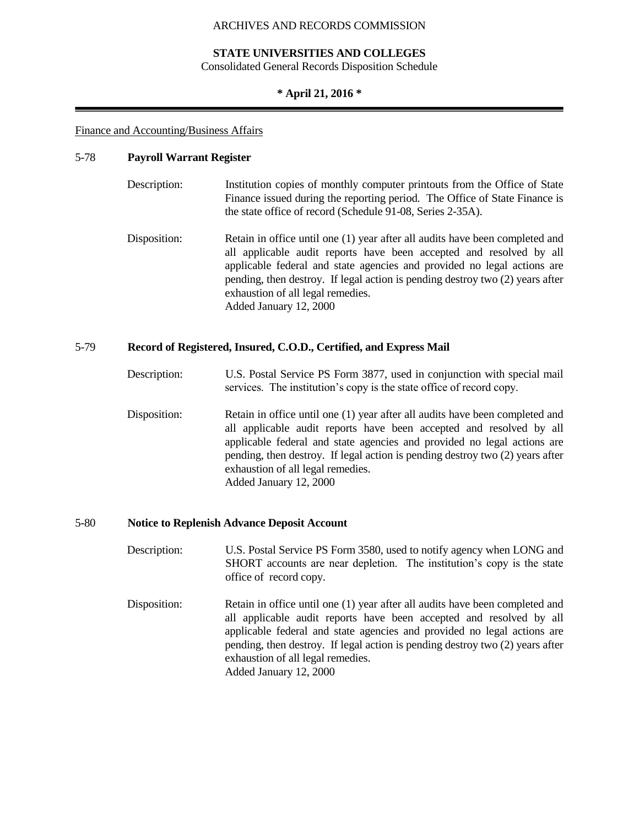## **STATE UNIVERSITIES AND COLLEGES**

Consolidated General Records Disposition Schedule

#### **\* April 21, 2016 \***

#### Finance and Accounting/Business Affairs

#### 5-78 **Payroll Warrant Register**

| Description: | Institution copies of monthly computer printouts from the Office of State  |
|--------------|----------------------------------------------------------------------------|
|              | Finance issued during the reporting period. The Office of State Finance is |
|              | the state office of record (Schedule 91-08, Series 2-35A).                 |

Disposition: Retain in office until one (1) year after all audits have been completed and all applicable audit reports have been accepted and resolved by all applicable federal and state agencies and provided no legal actions are pending, then destroy. If legal action is pending destroy two (2) years after exhaustion of all legal remedies. Added January 12, 2000

### 5-79 **Record of Registered, Insured, C.O.D., Certified, and Express Mail**

- Description: U.S. Postal Service PS Form 3877, used in conjunction with special mail services. The institution's copy is the state office of record copy.
- Disposition: Retain in office until one (1) year after all audits have been completed and all applicable audit reports have been accepted and resolved by all applicable federal and state agencies and provided no legal actions are pending, then destroy. If legal action is pending destroy two (2) years after exhaustion of all legal remedies. Added January 12, 2000

## 5-80 **Notice to Replenish Advance Deposit Account**

- Description: U.S. Postal Service PS Form 3580, used to notify agency when LONG and SHORT accounts are near depletion. The institution's copy is the state office of record copy.
- Disposition: Retain in office until one (1) year after all audits have been completed and all applicable audit reports have been accepted and resolved by all applicable federal and state agencies and provided no legal actions are pending, then destroy. If legal action is pending destroy two (2) years after exhaustion of all legal remedies. Added January 12, 2000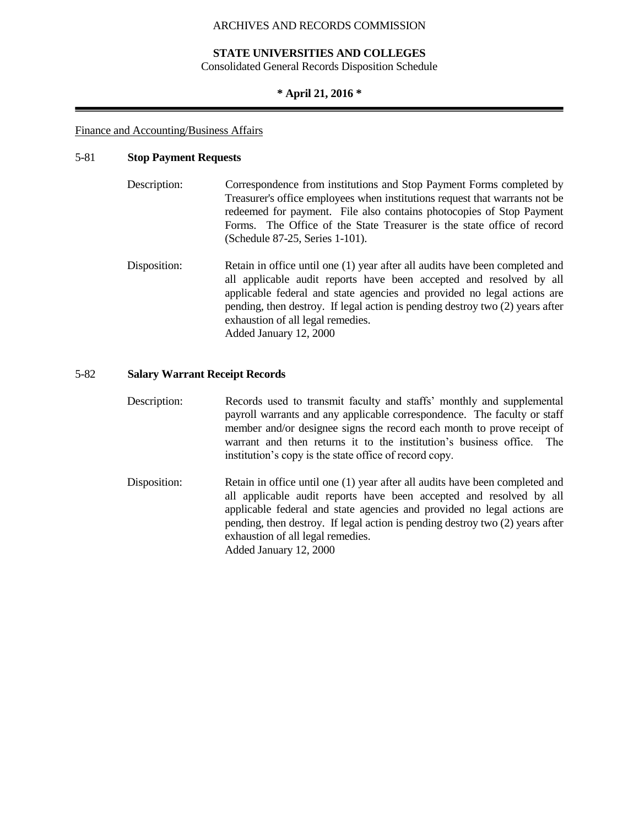### **STATE UNIVERSITIES AND COLLEGES**

Consolidated General Records Disposition Schedule

### **\* April 21, 2016 \***

#### Finance and Accounting/Business Affairs

## 5-81 **Stop Payment Requests**

| Description: | Correspondence from institutions and Stop Payment Forms completed by         |
|--------------|------------------------------------------------------------------------------|
|              | Treasurer's office employees when institutions request that warrants not be  |
|              | redeemed for payment. File also contains photocopies of Stop Payment         |
|              | Forms. The Office of the State Treasurer is the state office of record       |
|              | (Schedule 87-25, Series 1-101).                                              |
| Disposition: | Retain in office until one (1) year after all audits have been completed and |
|              | all applicable audit reports have been accepted and resolved by all          |
|              | applicable federal and state agencies and provided no legal actions are      |

applicable federal and state agencies and provided no legal actions are pending, then destroy. If legal action is pending destroy two (2) years after exhaustion of all legal remedies. Added January 12, 2000

## 5-82 **Salary Warrant Receipt Records**

- Description: Records used to transmit faculty and staffs' monthly and supplemental payroll warrants and any applicable correspondence. The faculty or staff member and/or designee signs the record each month to prove receipt of warrant and then returns it to the institution's business office. The institution's copy is the state office of record copy.
- Disposition: Retain in office until one (1) year after all audits have been completed and all applicable audit reports have been accepted and resolved by all applicable federal and state agencies and provided no legal actions are pending, then destroy. If legal action is pending destroy two (2) years after exhaustion of all legal remedies. Added January 12, 2000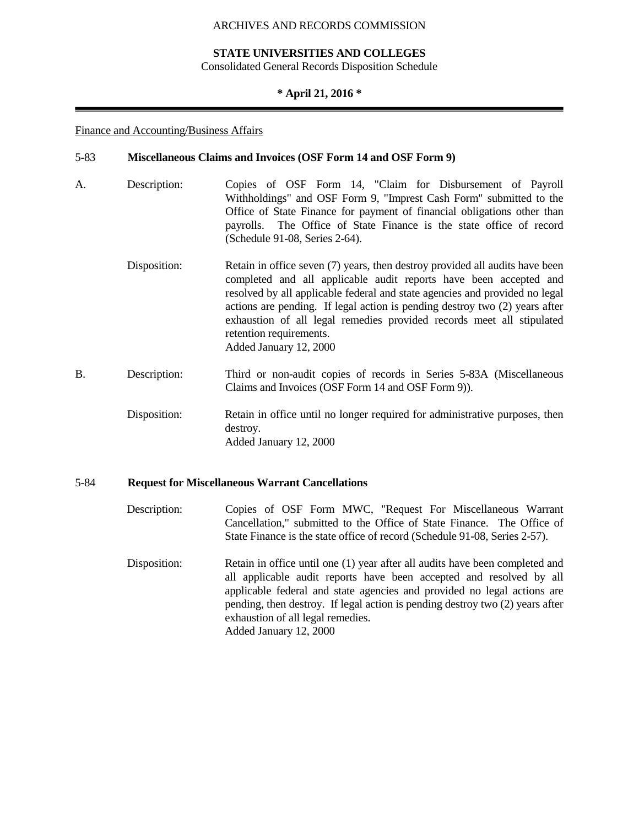## **STATE UNIVERSITIES AND COLLEGES**

Consolidated General Records Disposition Schedule

## **\* April 21, 2016 \***

#### Finance and Accounting/Business Affairs

#### 5-83 **Miscellaneous Claims and Invoices (OSF Form 14 and OSF Form 9)**

- A. Description: Copies of OSF Form 14, "Claim for Disbursement of Payroll Withholdings" and OSF Form 9, "Imprest Cash Form" submitted to the Office of State Finance for payment of financial obligations other than payrolls. The Office of State Finance is the state office of record (Schedule 91-08, Series 2-64). Disposition: Retain in office seven (7) years, then destroy provided all audits have been completed and all applicable audit reports have been accepted and resolved by all applicable federal and state agencies and provided no legal actions are pending. If legal action is pending destroy two (2) years after
- exhaustion of all legal remedies provided records meet all stipulated retention requirements. Added January 12, 2000 B. Description: Third or non-audit copies of records in Series 5-83A (Miscellaneous Claims and Invoices (OSF Form 14 and OSF Form 9)).
	- Disposition: Retain in office until no longer required for administrative purposes, then destroy. Added January 12, 2000

## 5-84 **Request for Miscellaneous Warrant Cancellations**

- Description: Copies of OSF Form MWC, "Request For Miscellaneous Warrant Cancellation," submitted to the Office of State Finance. The Office of State Finance is the state office of record (Schedule 91-08, Series 2-57).
- Disposition: Retain in office until one (1) year after all audits have been completed and all applicable audit reports have been accepted and resolved by all applicable federal and state agencies and provided no legal actions are pending, then destroy. If legal action is pending destroy two (2) years after exhaustion of all legal remedies. Added January 12, 2000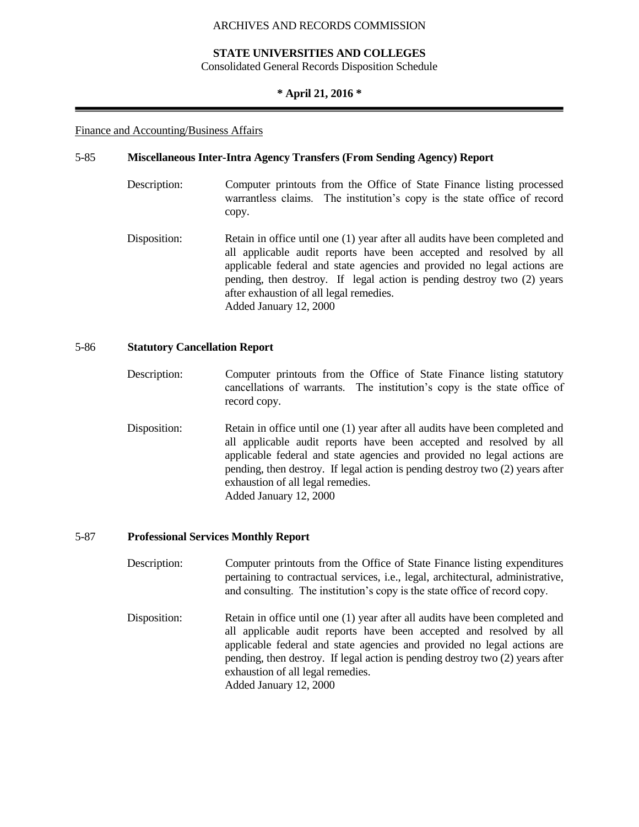## **STATE UNIVERSITIES AND COLLEGES**

Consolidated General Records Disposition Schedule

#### **\* April 21, 2016 \***

#### Finance and Accounting/Business Affairs

#### 5-85 **Miscellaneous Inter-Intra Agency Transfers (From Sending Agency) Report**

- Description: Computer printouts from the Office of State Finance listing processed warrantless claims. The institution's copy is the state office of record copy.
- Disposition: Retain in office until one (1) year after all audits have been completed and all applicable audit reports have been accepted and resolved by all applicable federal and state agencies and provided no legal actions are pending, then destroy. If legal action is pending destroy two (2) years after exhaustion of all legal remedies. Added January 12, 2000

## 5-86 **Statutory Cancellation Report**

- Description: Computer printouts from the Office of State Finance listing statutory cancellations of warrants. The institution's copy is the state office of record copy.
- Disposition: Retain in office until one (1) year after all audits have been completed and all applicable audit reports have been accepted and resolved by all applicable federal and state agencies and provided no legal actions are pending, then destroy. If legal action is pending destroy two (2) years after exhaustion of all legal remedies. Added January 12, 2000

#### 5-87 **Professional Services Monthly Report**

- Description: Computer printouts from the Office of State Finance listing expenditures pertaining to contractual services, i.e., legal, architectural, administrative, and consulting. The institution's copy is the state office of record copy.
- Disposition: Retain in office until one (1) year after all audits have been completed and all applicable audit reports have been accepted and resolved by all applicable federal and state agencies and provided no legal actions are pending, then destroy. If legal action is pending destroy two (2) years after exhaustion of all legal remedies. Added January 12, 2000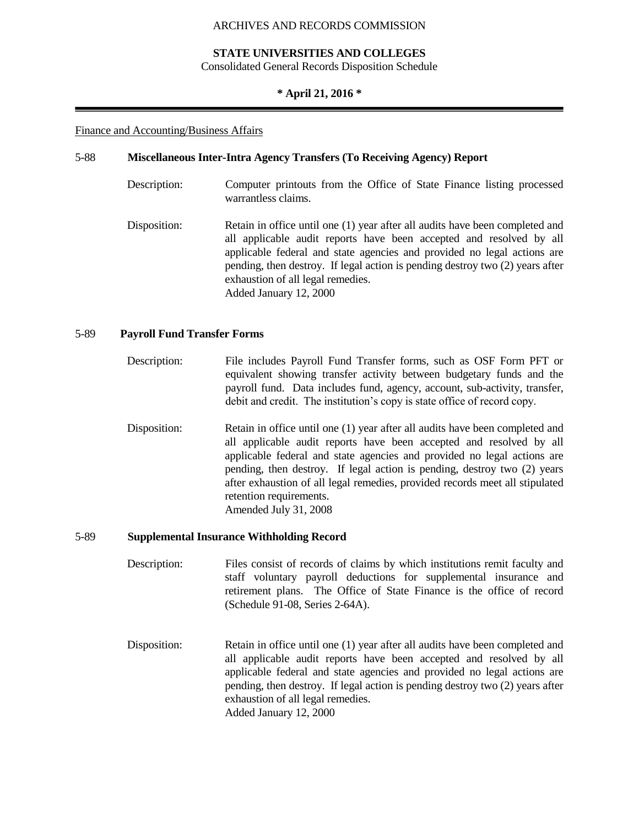## **STATE UNIVERSITIES AND COLLEGES**

Consolidated General Records Disposition Schedule

#### **\* April 21, 2016 \***

#### Finance and Accounting/Business Affairs

#### 5-88 **Miscellaneous Inter-Intra Agency Transfers (To Receiving Agency) Report**

- Description: Computer printouts from the Office of State Finance listing processed warrantless claims.
- Disposition: Retain in office until one (1) year after all audits have been completed and all applicable audit reports have been accepted and resolved by all applicable federal and state agencies and provided no legal actions are pending, then destroy. If legal action is pending destroy two (2) years after exhaustion of all legal remedies. Added January 12, 2000

## 5-89 **Payroll Fund Transfer Forms**

- Description: File includes Payroll Fund Transfer forms, such as OSF Form PFT or equivalent showing transfer activity between budgetary funds and the payroll fund. Data includes fund, agency, account, sub-activity, transfer, debit and credit. The institution's copy is state office of record copy.
- Disposition: Retain in office until one (1) year after all audits have been completed and all applicable audit reports have been accepted and resolved by all applicable federal and state agencies and provided no legal actions are pending, then destroy. If legal action is pending, destroy two (2) years after exhaustion of all legal remedies, provided records meet all stipulated retention requirements. Amended July 31, 2008

#### 5-89 **Supplemental Insurance Withholding Record**

- Description: Files consist of records of claims by which institutions remit faculty and staff voluntary payroll deductions for supplemental insurance and retirement plans. The Office of State Finance is the office of record (Schedule 91-08, Series 2-64A).
- Disposition: Retain in office until one (1) year after all audits have been completed and all applicable audit reports have been accepted and resolved by all applicable federal and state agencies and provided no legal actions are pending, then destroy. If legal action is pending destroy two (2) years after exhaustion of all legal remedies. Added January 12, 2000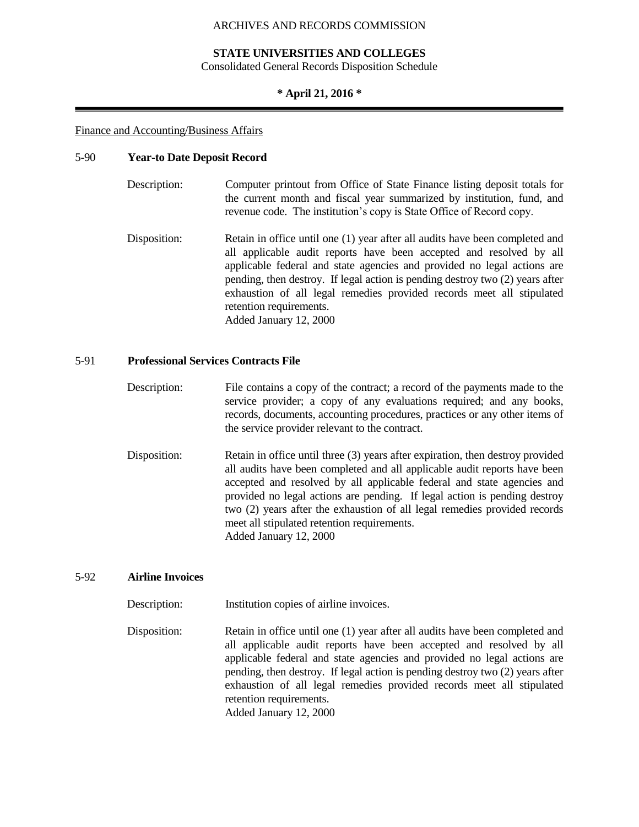### **STATE UNIVERSITIES AND COLLEGES**

Consolidated General Records Disposition Schedule

#### **\* April 21, 2016 \***

#### Finance and Accounting/Business Affairs

#### 5-90 **Year-to Date Deposit Record**

| Description: | Computer printout from Office of State Finance listing deposit totals for |
|--------------|---------------------------------------------------------------------------|
|              | the current month and fiscal year summarized by institution, fund, and    |
|              | revenue code. The institution's copy is State Office of Record copy.      |

Disposition: Retain in office until one (1) year after all audits have been completed and all applicable audit reports have been accepted and resolved by all applicable federal and state agencies and provided no legal actions are pending, then destroy. If legal action is pending destroy two (2) years after exhaustion of all legal remedies provided records meet all stipulated retention requirements. Added January 12, 2000

## 5-91 **Professional Services Contracts File**

- Description: File contains a copy of the contract; a record of the payments made to the service provider; a copy of any evaluations required; and any books, records, documents, accounting procedures, practices or any other items of the service provider relevant to the contract.
- Disposition: Retain in office until three (3) years after expiration, then destroy provided all audits have been completed and all applicable audit reports have been accepted and resolved by all applicable federal and state agencies and provided no legal actions are pending. If legal action is pending destroy two (2) years after the exhaustion of all legal remedies provided records meet all stipulated retention requirements. Added January 12, 2000

#### 5-92 **Airline Invoices**

Description: Institution copies of airline invoices.

Disposition: Retain in office until one (1) year after all audits have been completed and all applicable audit reports have been accepted and resolved by all applicable federal and state agencies and provided no legal actions are pending, then destroy. If legal action is pending destroy two (2) years after exhaustion of all legal remedies provided records meet all stipulated retention requirements. Added January 12, 2000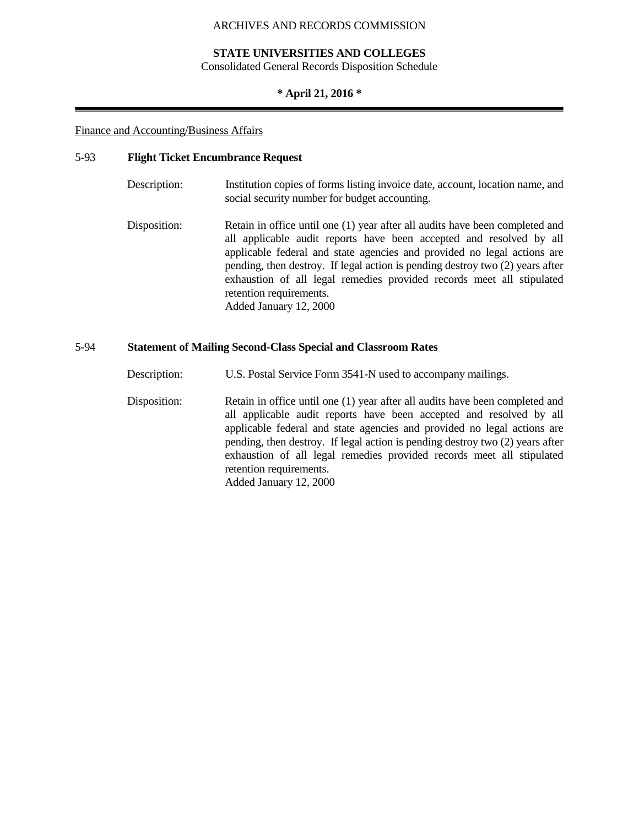### **STATE UNIVERSITIES AND COLLEGES**

Consolidated General Records Disposition Schedule

## **\* April 21, 2016 \***

#### Finance and Accounting/Business Affairs

## 5-93 **Flight Ticket Encumbrance Request**

| Description: | Institution copies of forms listing invoice date, account, location name, and<br>social security number for budget accounting.                                                                                                                                                                                                                                                                                                                |
|--------------|-----------------------------------------------------------------------------------------------------------------------------------------------------------------------------------------------------------------------------------------------------------------------------------------------------------------------------------------------------------------------------------------------------------------------------------------------|
| Disposition: | Retain in office until one (1) year after all audits have been completed and<br>all applicable audit reports have been accepted and resolved by all<br>applicable federal and state agencies and provided no legal actions are<br>pending, then destroy. If legal action is pending destroy two (2) years after<br>exhaustion of all legal remedies provided records meet all stipulated<br>retention requirements.<br>Added January 12, 2000 |

## 5-94 **Statement of Mailing Second-Class Special and Classroom Rates**

Description: U.S. Postal Service Form 3541-N used to accompany mailings.

Disposition: Retain in office until one (1) year after all audits have been completed and all applicable audit reports have been accepted and resolved by all applicable federal and state agencies and provided no legal actions are pending, then destroy. If legal action is pending destroy two (2) years after exhaustion of all legal remedies provided records meet all stipulated retention requirements. Added January 12, 2000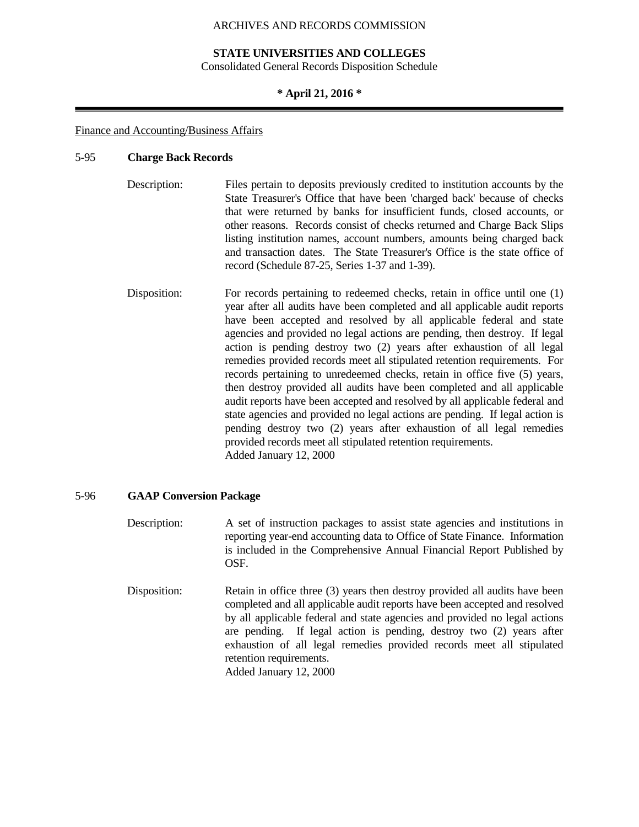#### **STATE UNIVERSITIES AND COLLEGES**

Consolidated General Records Disposition Schedule

#### **\* April 21, 2016 \***

#### Finance and Accounting/Business Affairs

#### 5-95 **Charge Back Records**

| Files pertain to deposits previously credited to institution accounts by the |
|------------------------------------------------------------------------------|
| State Treasurer's Office that have been 'charged back' because of checks     |
| that were returned by banks for insufficient funds, closed accounts, or      |
| other reasons. Records consist of checks returned and Charge Back Slips      |
| listing institution names, account numbers, amounts being charged back       |
| and transaction dates. The State Treasurer's Office is the state office of   |
| record (Schedule $87-25$ , Series 1-37 and 1-39).                            |
|                                                                              |
|                                                                              |

Disposition: For records pertaining to redeemed checks, retain in office until one (1) year after all audits have been completed and all applicable audit reports have been accepted and resolved by all applicable federal and state agencies and provided no legal actions are pending, then destroy. If legal action is pending destroy two (2) years after exhaustion of all legal remedies provided records meet all stipulated retention requirements. For records pertaining to unredeemed checks, retain in office five (5) years, then destroy provided all audits have been completed and all applicable audit reports have been accepted and resolved by all applicable federal and state agencies and provided no legal actions are pending. If legal action is pending destroy two (2) years after exhaustion of all legal remedies provided records meet all stipulated retention requirements. Added January 12, 2000

#### 5-96 **GAAP Conversion Package**

Description: A set of instruction packages to assist state agencies and institutions in reporting year-end accounting data to Office of State Finance. Information is included in the Comprehensive Annual Financial Report Published by OSF.

Disposition: Retain in office three (3) years then destroy provided all audits have been completed and all applicable audit reports have been accepted and resolved by all applicable federal and state agencies and provided no legal actions are pending. If legal action is pending, destroy two (2) years after exhaustion of all legal remedies provided records meet all stipulated retention requirements. Added January 12, 2000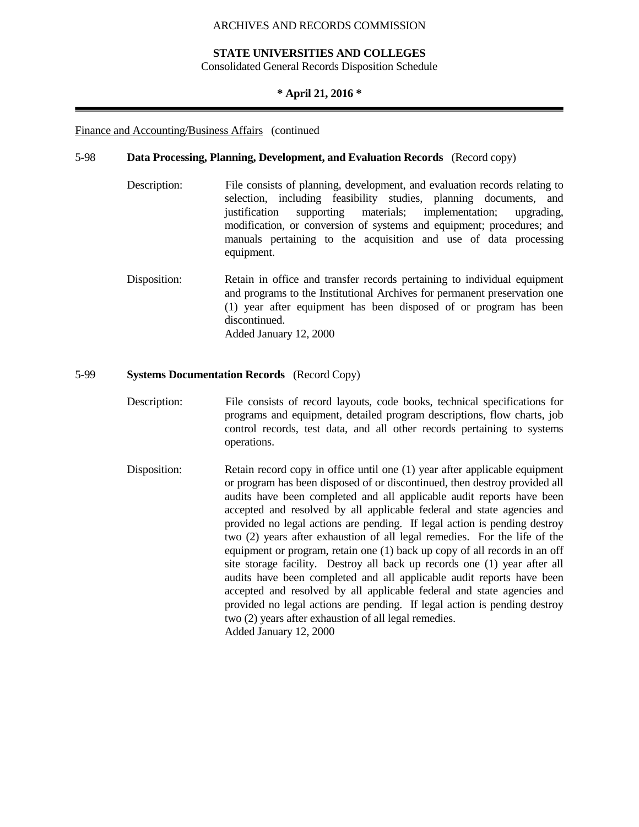#### **STATE UNIVERSITIES AND COLLEGES**

Consolidated General Records Disposition Schedule

#### **\* April 21, 2016 \***

Finance and Accounting/Business Affairs (continued

#### 5-98 **Data Processing, Planning, Development, and Evaluation Records** (Record copy)

- Description: File consists of planning, development, and evaluation records relating to selection, including feasibility studies, planning documents, and justification supporting materials; implementation; upgrading, modification, or conversion of systems and equipment; procedures; and manuals pertaining to the acquisition and use of data processing equipment.
- Disposition: Retain in office and transfer records pertaining to individual equipment and programs to the Institutional Archives for permanent preservation one (1) year after equipment has been disposed of or program has been discontinued. Added January 12, 2000

#### 5-99 **Systems Documentation Records** (Record Copy)

- Description: File consists of record layouts, code books, technical specifications for programs and equipment, detailed program descriptions, flow charts, job control records, test data, and all other records pertaining to systems operations.
- Disposition: Retain record copy in office until one (1) year after applicable equipment or program has been disposed of or discontinued, then destroy provided all audits have been completed and all applicable audit reports have been accepted and resolved by all applicable federal and state agencies and provided no legal actions are pending. If legal action is pending destroy two (2) years after exhaustion of all legal remedies. For the life of the equipment or program, retain one (1) back up copy of all records in an off site storage facility. Destroy all back up records one (1) year after all audits have been completed and all applicable audit reports have been accepted and resolved by all applicable federal and state agencies and provided no legal actions are pending. If legal action is pending destroy two (2) years after exhaustion of all legal remedies. Added January 12, 2000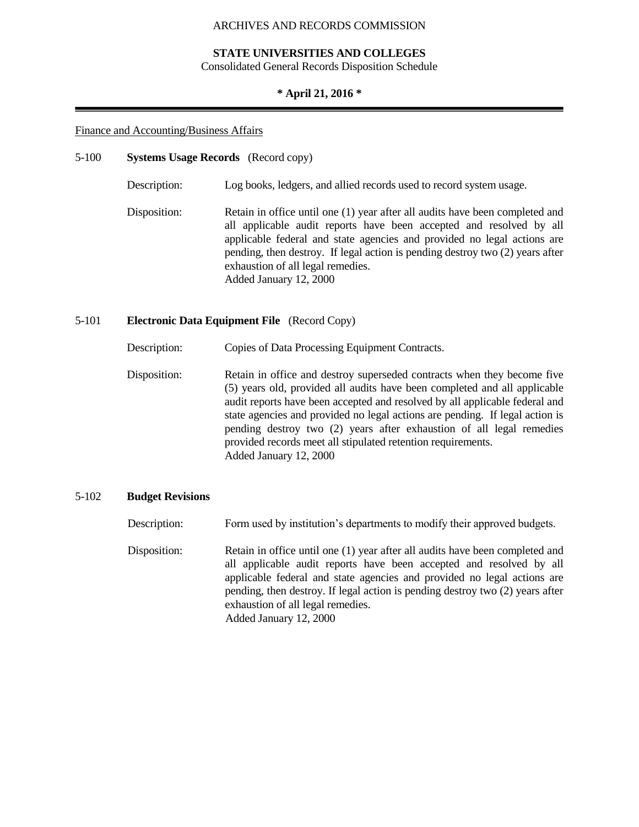#### **STATE UNIVERSITIES AND COLLEGES**

Consolidated General Records Disposition Schedule

#### **\* April 21, 2016 \***

#### Finance and Accounting/Business Affairs

#### 5-100 **Systems Usage Records** (Record copy)

Description: Log books, ledgers, and allied records used to record system usage.

Disposition: Retain in office until one (1) year after all audits have been completed and all applicable audit reports have been accepted and resolved by all applicable federal and state agencies and provided no legal actions are pending, then destroy. If legal action is pending destroy two (2) years after exhaustion of all legal remedies. Added January 12, 2000

#### 5-101 **Electronic Data Equipment File** (Record Copy)

Description: Copies of Data Processing Equipment Contracts.

Disposition: Retain in office and destroy superseded contracts when they become five (5) years old, provided all audits have been completed and all applicable audit reports have been accepted and resolved by all applicable federal and state agencies and provided no legal actions are pending. If legal action is pending destroy two (2) years after exhaustion of all legal remedies provided records meet all stipulated retention requirements. Added January 12, 2000

#### 5-102 **Budget Revisions**

Description: Form used by institution's departments to modify their approved budgets.

Disposition: Retain in office until one (1) year after all audits have been completed and all applicable audit reports have been accepted and resolved by all applicable federal and state agencies and provided no legal actions are pending, then destroy. If legal action is pending destroy two (2) years after exhaustion of all legal remedies. Added January 12, 2000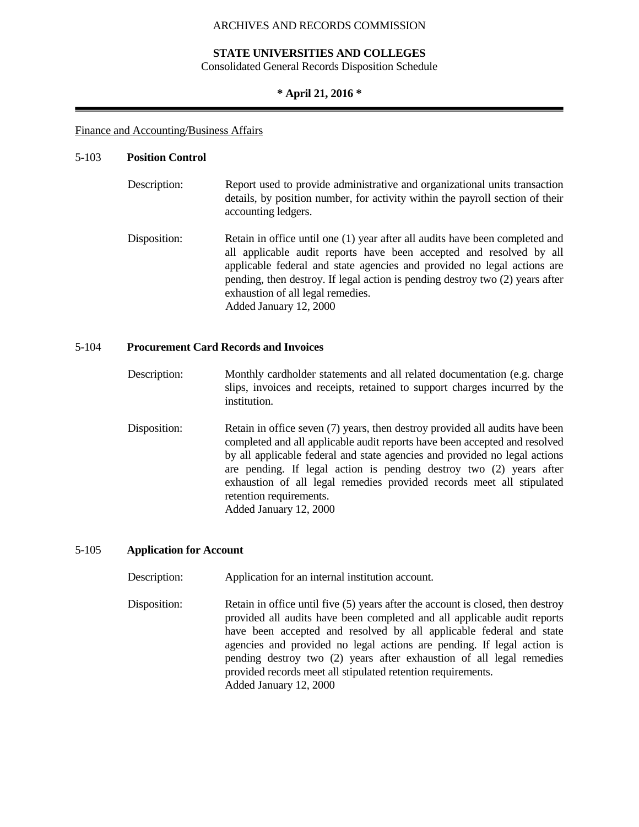#### **STATE UNIVERSITIES AND COLLEGES**

Consolidated General Records Disposition Schedule

#### **\* April 21, 2016 \***

#### Finance and Accounting/Business Affairs

#### 5-103 **Position Control**

| Description: | Report used to provide administrative and organizational units transaction<br>details, by position number, for activity within the payroll section of their<br>accounting ledgers.                                                                                                                                                                                             |
|--------------|--------------------------------------------------------------------------------------------------------------------------------------------------------------------------------------------------------------------------------------------------------------------------------------------------------------------------------------------------------------------------------|
| Disposition: | Retain in office until one (1) year after all audits have been completed and<br>all applicable audit reports have been accepted and resolved by all<br>applicable federal and state agencies and provided no legal actions are<br>pending, then destroy. If legal action is pending destroy two (2) years after<br>exhaustion of all legal remedies.<br>Added January 12, 2000 |

#### 5-104 **Procurement Card Records and Invoices**

- Description: Monthly cardholder statements and all related documentation (e.g. charge slips, invoices and receipts, retained to support charges incurred by the institution.
- Disposition: Retain in office seven (7) years, then destroy provided all audits have been completed and all applicable audit reports have been accepted and resolved by all applicable federal and state agencies and provided no legal actions are pending. If legal action is pending destroy two (2) years after exhaustion of all legal remedies provided records meet all stipulated retention requirements. Added January 12, 2000

#### 5-105 **Application for Account**

Description: Application for an internal institution account.

Disposition: Retain in office until five (5) years after the account is closed, then destroy provided all audits have been completed and all applicable audit reports have been accepted and resolved by all applicable federal and state agencies and provided no legal actions are pending. If legal action is pending destroy two (2) years after exhaustion of all legal remedies provided records meet all stipulated retention requirements. Added January 12, 2000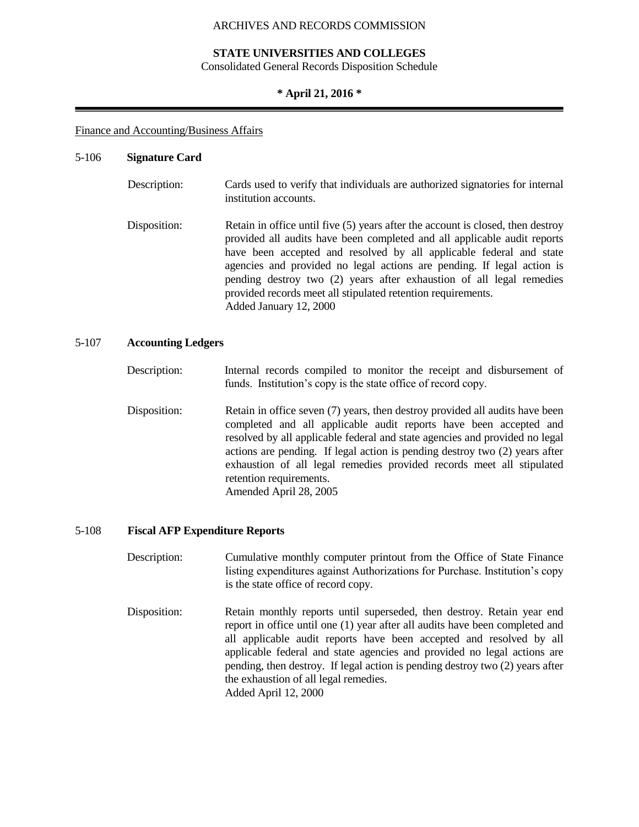#### **STATE UNIVERSITIES AND COLLEGES**

Consolidated General Records Disposition Schedule

#### **\* April 21, 2016 \***

#### Finance and Accounting/Business Affairs

#### 5-106 **Signature Card**

| Description: | Cards used to verify that individuals are authorized signatories for internal<br>institution accounts.                                                                                                                                                                                                                                                                                                                                                                         |
|--------------|--------------------------------------------------------------------------------------------------------------------------------------------------------------------------------------------------------------------------------------------------------------------------------------------------------------------------------------------------------------------------------------------------------------------------------------------------------------------------------|
| Disposition: | Retain in office until five (5) years after the account is closed, then destroy<br>provided all audits have been completed and all applicable audit reports<br>have been accepted and resolved by all applicable federal and state<br>agencies and provided no legal actions are pending. If legal action is<br>pending destroy two (2) years after exhaustion of all legal remedies<br>provided records meet all stipulated retention requirements.<br>Added January 12, 2000 |

#### 5-107 **Accounting Ledgers**

- Description: Internal records compiled to monitor the receipt and disbursement of funds. Institution's copy is the state office of record copy.
- Disposition: Retain in office seven (7) years, then destroy provided all audits have been completed and all applicable audit reports have been accepted and resolved by all applicable federal and state agencies and provided no legal actions are pending. If legal action is pending destroy two (2) years after exhaustion of all legal remedies provided records meet all stipulated retention requirements. Amended April 28, 2005

#### 5-108 **Fiscal AFP Expenditure Reports**

- Description: Cumulative monthly computer printout from the Office of State Finance listing expenditures against Authorizations for Purchase. Institution's copy is the state office of record copy.
- Disposition: Retain monthly reports until superseded, then destroy. Retain year end report in office until one (1) year after all audits have been completed and all applicable audit reports have been accepted and resolved by all applicable federal and state agencies and provided no legal actions are pending, then destroy. If legal action is pending destroy two (2) years after the exhaustion of all legal remedies. Added April 12, 2000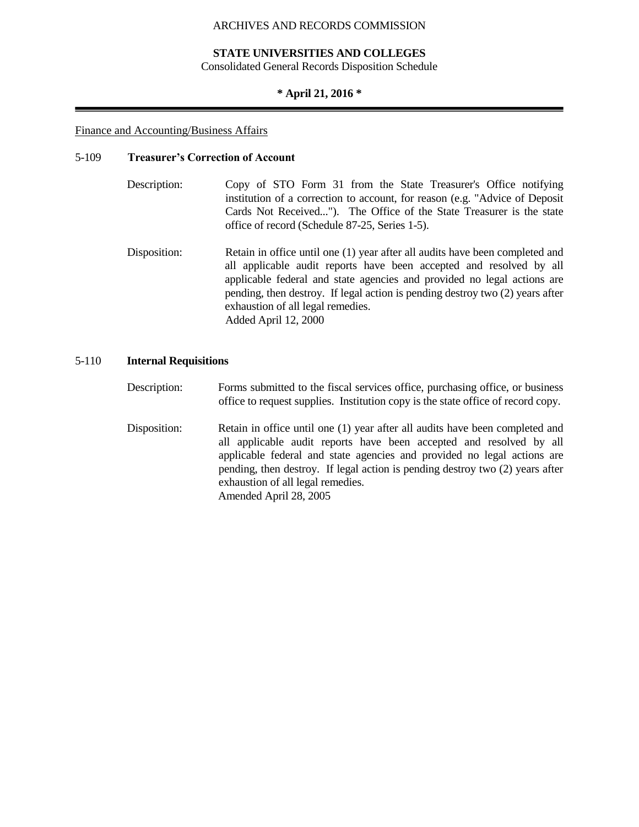#### **STATE UNIVERSITIES AND COLLEGES**

Consolidated General Records Disposition Schedule

#### **\* April 21, 2016 \***

#### Finance and Accounting/Business Affairs

#### 5-109 **Treasurer's Correction of Account**

- Description: Copy of STO Form 31 from the State Treasurer's Office notifying institution of a correction to account, for reason (e.g. "Advice of Deposit Cards Not Received..."). The Office of the State Treasurer is the state office of record (Schedule 87-25, Series 1-5).
- Disposition: Retain in office until one (1) year after all audits have been completed and all applicable audit reports have been accepted and resolved by all applicable federal and state agencies and provided no legal actions are pending, then destroy. If legal action is pending destroy two (2) years after exhaustion of all legal remedies. Added April 12, 2000

#### 5-110 **Internal Requisitions**

Description: Forms submitted to the fiscal services office, purchasing office, or business office to request supplies. Institution copy is the state office of record copy.

Disposition: Retain in office until one (1) year after all audits have been completed and all applicable audit reports have been accepted and resolved by all applicable federal and state agencies and provided no legal actions are pending, then destroy. If legal action is pending destroy two (2) years after exhaustion of all legal remedies. Amended April 28, 2005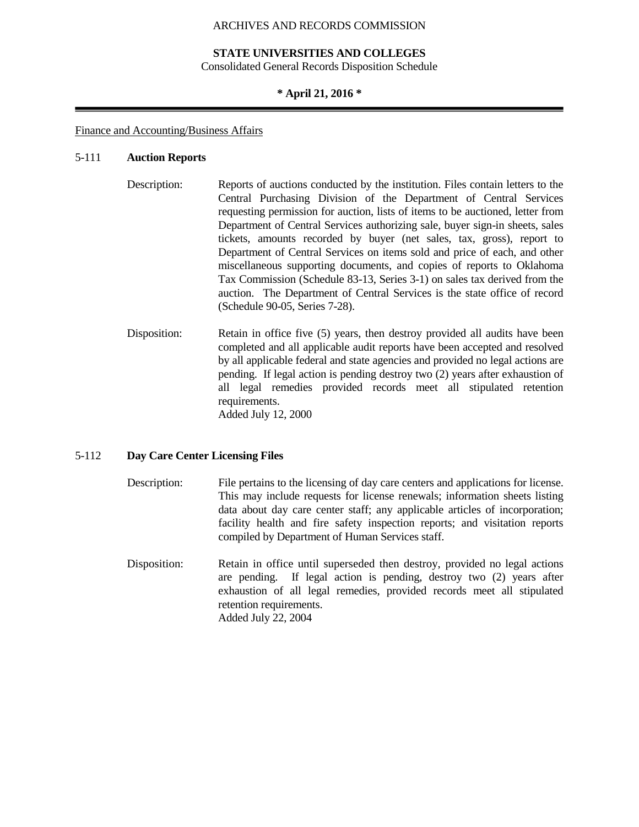#### **STATE UNIVERSITIES AND COLLEGES**

Consolidated General Records Disposition Schedule

#### **\* April 21, 2016 \***

#### Finance and Accounting/Business Affairs

#### 5-111 **Auction Reports**

- Description: Reports of auctions conducted by the institution. Files contain letters to the Central Purchasing Division of the Department of Central Services requesting permission for auction, lists of items to be auctioned, letter from Department of Central Services authorizing sale, buyer sign-in sheets, sales tickets, amounts recorded by buyer (net sales, tax, gross), report to Department of Central Services on items sold and price of each, and other miscellaneous supporting documents, and copies of reports to Oklahoma Tax Commission (Schedule 83-13, Series 3-1) on sales tax derived from the auction. The Department of Central Services is the state office of record (Schedule 90-05, Series 7-28).
- Disposition: Retain in office five (5) years, then destroy provided all audits have been completed and all applicable audit reports have been accepted and resolved by all applicable federal and state agencies and provided no legal actions are pending. If legal action is pending destroy two (2) years after exhaustion of all legal remedies provided records meet all stipulated retention requirements. Added July 12, 2000

#### 5-112 **Day Care Center Licensing Files**

- Description: File pertains to the licensing of day care centers and applications for license. This may include requests for license renewals; information sheets listing data about day care center staff; any applicable articles of incorporation; facility health and fire safety inspection reports; and visitation reports compiled by Department of Human Services staff.
- Disposition: Retain in office until superseded then destroy, provided no legal actions are pending. If legal action is pending, destroy two (2) years after exhaustion of all legal remedies, provided records meet all stipulated retention requirements. Added July 22, 2004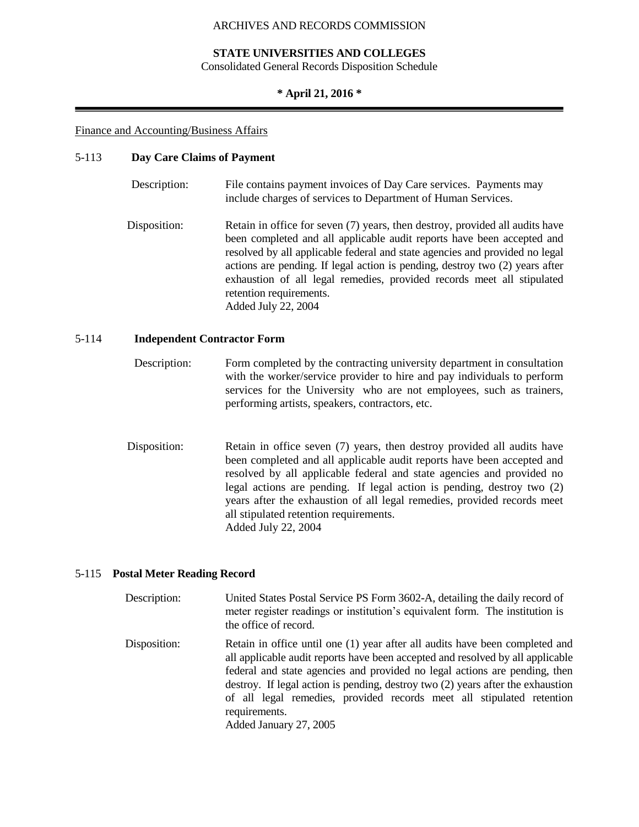#### **STATE UNIVERSITIES AND COLLEGES**

Consolidated General Records Disposition Schedule

#### **\* April 21, 2016 \***

#### Finance and Accounting/Business Affairs

#### 5-113 **Day Care Claims of Payment**

| Description: | File contains payment invoices of Day Care services. Payments may<br>include charges of services to Department of Human Services.                                                                                                                                                                                                                                                                                                                 |
|--------------|---------------------------------------------------------------------------------------------------------------------------------------------------------------------------------------------------------------------------------------------------------------------------------------------------------------------------------------------------------------------------------------------------------------------------------------------------|
| Disposition: | Retain in office for seven (7) years, then destroy, provided all audits have<br>been completed and all applicable audit reports have been accepted and<br>resolved by all applicable federal and state agencies and provided no legal<br>actions are pending. If legal action is pending, destroy two (2) years after<br>exhaustion of all legal remedies, provided records meet all stipulated<br>retention requirements.<br>Added July 22, 2004 |

#### 5-114 **Independent Contractor Form**

- Description: Form completed by the contracting university department in consultation with the worker/service provider to hire and pay individuals to perform services for the University who are not employees, such as trainers, performing artists, speakers, contractors, etc.
- Disposition: Retain in office seven (7) years, then destroy provided all audits have been completed and all applicable audit reports have been accepted and resolved by all applicable federal and state agencies and provided no legal actions are pending. If legal action is pending, destroy two (2) years after the exhaustion of all legal remedies, provided records meet all stipulated retention requirements. Added July 22, 2004

#### 5-115 **Postal Meter Reading Record**

| Description: | United States Postal Service PS Form 3602-A, detailing the daily record of<br>meter register readings or institution's equivalent form. The institution is<br>the office of record.                                                                                                                                                                                                                                                                 |
|--------------|-----------------------------------------------------------------------------------------------------------------------------------------------------------------------------------------------------------------------------------------------------------------------------------------------------------------------------------------------------------------------------------------------------------------------------------------------------|
| Disposition: | Retain in office until one (1) year after all audits have been completed and<br>all applicable audit reports have been accepted and resolved by all applicable<br>federal and state agencies and provided no legal actions are pending, then<br>destroy. If legal action is pending, destroy two (2) years after the exhaustion<br>of all legal remedies, provided records meet all stipulated retention<br>requirements.<br>Added January 27, 2005 |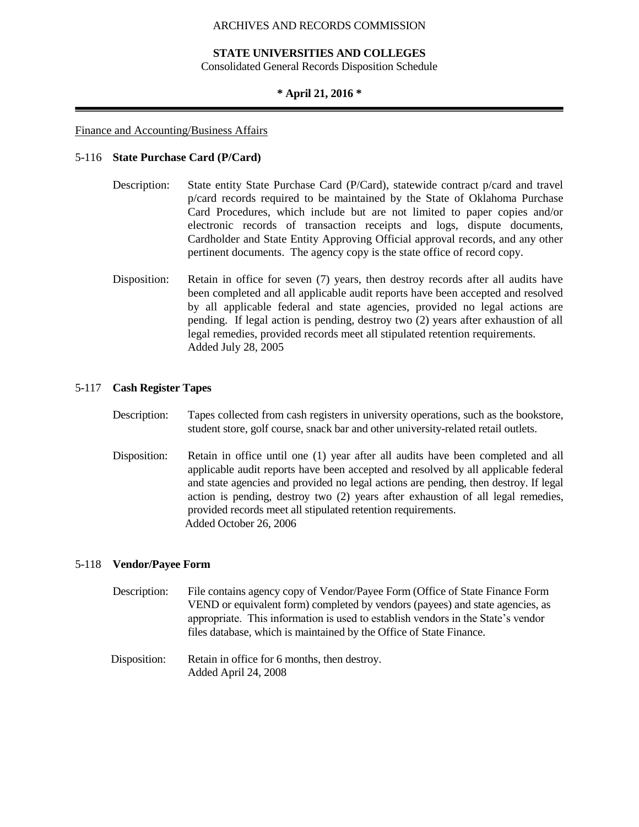#### **STATE UNIVERSITIES AND COLLEGES**

Consolidated General Records Disposition Schedule

#### **\* April 21, 2016 \***

#### Finance and Accounting/Business Affairs

#### 5-116 **State Purchase Card (P/Card)**

- Description: State entity State Purchase Card (P/Card), statewide contract p/card and travel p/card records required to be maintained by the State of Oklahoma Purchase Card Procedures, which include but are not limited to paper copies and/or electronic records of transaction receipts and logs, dispute documents, Cardholder and State Entity Approving Official approval records, and any other pertinent documents. The agency copy is the state office of record copy.
- Disposition: Retain in office for seven (7) years, then destroy records after all audits have been completed and all applicable audit reports have been accepted and resolved by all applicable federal and state agencies, provided no legal actions are pending. If legal action is pending, destroy two (2) years after exhaustion of all legal remedies, provided records meet all stipulated retention requirements. Added July 28, 2005

#### 5-117 **Cash Register Tapes**

- Description: Tapes collected from cash registers in university operations, such as the bookstore, student store, golf course, snack bar and other university-related retail outlets.
- Disposition: Retain in office until one (1) year after all audits have been completed and all applicable audit reports have been accepted and resolved by all applicable federal and state agencies and provided no legal actions are pending, then destroy. If legal action is pending, destroy two (2) years after exhaustion of all legal remedies, provided records meet all stipulated retention requirements. Added October 26, 2006

#### 5-118 **Vendor/Payee Form**

- Description: File contains agency copy of Vendor/Payee Form (Office of State Finance Form VEND or equivalent form) completed by vendors (payees) and state agencies, as appropriate. This information is used to establish vendors in the State's vendor files database, which is maintained by the Office of State Finance.
- Disposition: Retain in office for 6 months, then destroy. Added April 24, 2008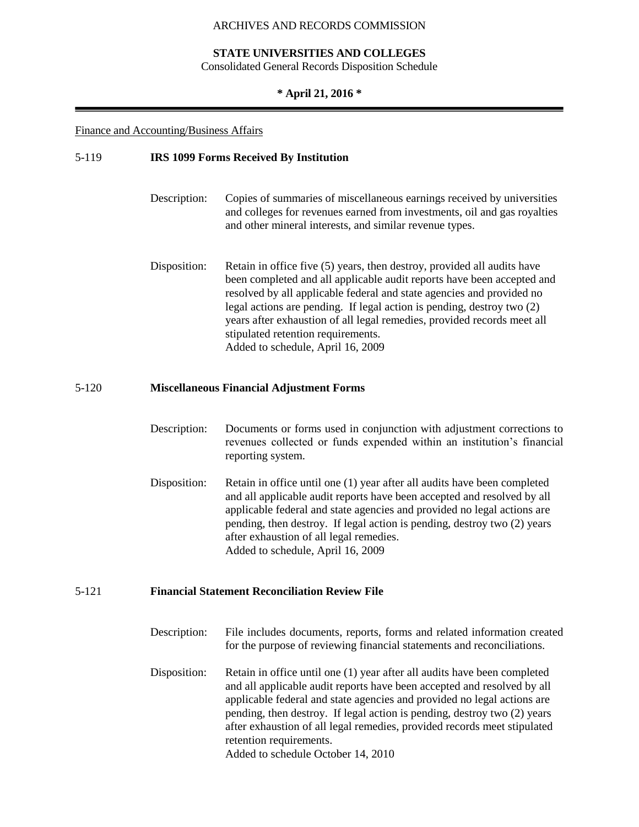#### **STATE UNIVERSITIES AND COLLEGES**

Consolidated General Records Disposition Schedule

#### **\* April 21, 2016 \***

#### Finance and Accounting/Business Affairs

## 5-119 **IRS 1099 Forms Received By Institution** Description: Copies of summaries of miscellaneous earnings received by universities and colleges for revenues earned from investments, oil and gas royalties and other mineral interests, and similar revenue types. Disposition: Retain in office five (5) years, then destroy, provided all audits have been completed and all applicable audit reports have been accepted and resolved by all applicable federal and state agencies and provided no legal actions are pending. If legal action is pending, destroy two (2) years after exhaustion of all legal remedies, provided records meet all stipulated retention requirements. Added to schedule, April 16, 2009 5-120 **Miscellaneous Financial Adjustment Forms** Description: Documents or forms used in conjunction with adjustment corrections to revenues collected or funds expended within an institution's financial reporting system. Disposition: Retain in office until one (1) year after all audits have been completed and all applicable audit reports have been accepted and resolved by all applicable federal and state agencies and provided no legal actions are pending, then destroy. If legal action is pending, destroy two (2) years after exhaustion of all legal remedies. Added to schedule, April 16, 2009 5-121 **Financial Statement Reconciliation Review File** Description: File includes documents, reports, forms and related information created for the purpose of reviewing financial statements and reconciliations. Disposition: Retain in office until one (1) year after all audits have been completed and all applicable audit reports have been accepted and resolved by all applicable federal and state agencies and provided no legal actions are pending, then destroy. If legal action is pending, destroy two (2) years after exhaustion of all legal remedies, provided records meet stipulated retention requirements.

Added to schedule October 14, 2010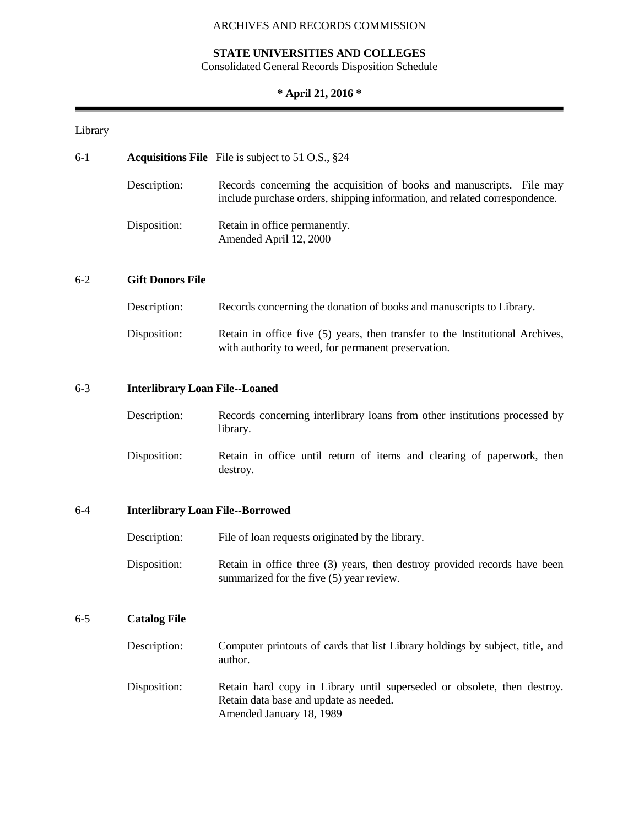#### **STATE UNIVERSITIES AND COLLEGES**

Consolidated General Records Disposition Schedule

## **\* April 21, 2016 \***

## **Library**

| $6-1$   |                                       | <b>Acquisitions File</b> File is subject to 51 O.S., $\S 24$                                                                                        |  |  |  |  |
|---------|---------------------------------------|-----------------------------------------------------------------------------------------------------------------------------------------------------|--|--|--|--|
|         | Description:                          | Records concerning the acquisition of books and manuscripts. File may<br>include purchase orders, shipping information, and related correspondence. |  |  |  |  |
|         | Disposition:                          | Retain in office permanently.<br>Amended April 12, 2000                                                                                             |  |  |  |  |
| $6 - 2$ | <b>Gift Donors File</b>               |                                                                                                                                                     |  |  |  |  |
|         | Description:                          | Records concerning the donation of books and manuscripts to Library.                                                                                |  |  |  |  |
|         | Disposition:                          | Retain in office five (5) years, then transfer to the Institutional Archives,<br>with authority to weed, for permanent preservation.                |  |  |  |  |
| $6 - 3$ | <b>Interlibrary Loan File--Loaned</b> |                                                                                                                                                     |  |  |  |  |
|         | Description:                          | Records concerning interlibrary loans from other institutions processed by                                                                          |  |  |  |  |

|              | library. |  |  |  |  |                                                                        |  |
|--------------|----------|--|--|--|--|------------------------------------------------------------------------|--|
| Disposition: | destroy. |  |  |  |  | Retain in office until return of items and clearing of paperwork, then |  |

## 6-4 **Interlibrary Loan File--Borrowed**

| Description: | File of loan requests originated by the library.                                                                      |
|--------------|-----------------------------------------------------------------------------------------------------------------------|
| Disposition: | Retain in office three (3) years, then destroy provided records have been<br>summarized for the five (5) year review. |

## 6-5 **Catalog File**

| Description: | Computer printouts of cards that list Library holdings by subject, title, and<br>author.                                                      |
|--------------|-----------------------------------------------------------------------------------------------------------------------------------------------|
| Disposition: | Retain hard copy in Library until superseded or obsolete, then destroy.<br>Retain data base and update as needed.<br>Amended January 18, 1989 |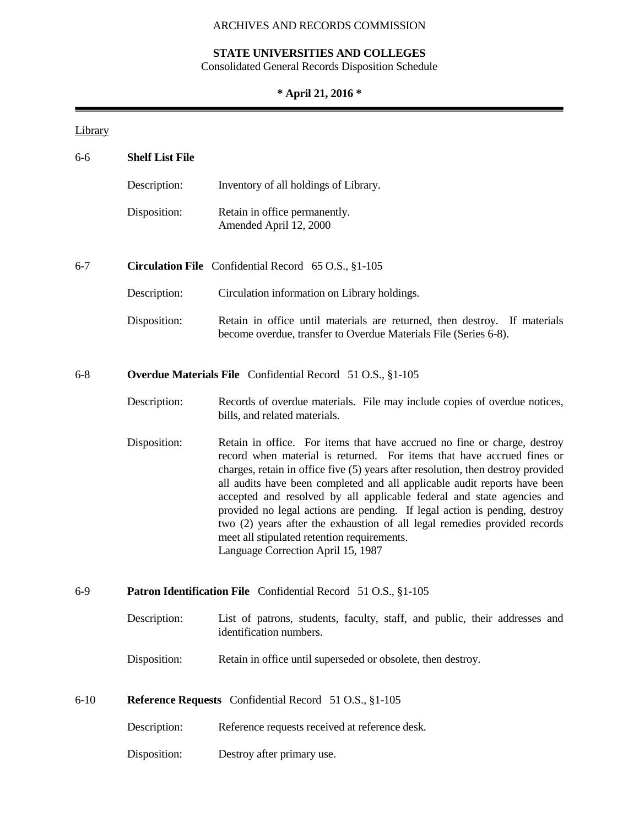## **STATE UNIVERSITIES AND COLLEGES**

Consolidated General Records Disposition Schedule

## **\* April 21, 2016 \***

## **Library**

| $6 - 6$                                                                 | <b>Shelf List File</b> |                                                                                                                                                                                                                                                                                                                                                                                                                                                                                                                                                                                                                                               |
|-------------------------------------------------------------------------|------------------------|-----------------------------------------------------------------------------------------------------------------------------------------------------------------------------------------------------------------------------------------------------------------------------------------------------------------------------------------------------------------------------------------------------------------------------------------------------------------------------------------------------------------------------------------------------------------------------------------------------------------------------------------------|
|                                                                         | Description:           | Inventory of all holdings of Library.                                                                                                                                                                                                                                                                                                                                                                                                                                                                                                                                                                                                         |
|                                                                         | Disposition:           | Retain in office permanently.<br>Amended April 12, 2000                                                                                                                                                                                                                                                                                                                                                                                                                                                                                                                                                                                       |
| $6 - 7$                                                                 |                        | Circulation File Confidential Record 65 O.S., §1-105                                                                                                                                                                                                                                                                                                                                                                                                                                                                                                                                                                                          |
|                                                                         | Description:           | Circulation information on Library holdings.                                                                                                                                                                                                                                                                                                                                                                                                                                                                                                                                                                                                  |
|                                                                         | Disposition:           | Retain in office until materials are returned, then destroy. If materials<br>become overdue, transfer to Overdue Materials File (Series 6-8).                                                                                                                                                                                                                                                                                                                                                                                                                                                                                                 |
| $6 - 8$                                                                 |                        | <b>Overdue Materials File</b> Confidential Record 51 O.S., §1-105                                                                                                                                                                                                                                                                                                                                                                                                                                                                                                                                                                             |
|                                                                         | Description:           | Records of overdue materials. File may include copies of overdue notices,<br>bills, and related materials.                                                                                                                                                                                                                                                                                                                                                                                                                                                                                                                                    |
|                                                                         | Disposition:           | Retain in office. For items that have accrued no fine or charge, destroy<br>record when material is returned. For items that have accrued fines or<br>charges, retain in office five (5) years after resolution, then destroy provided<br>all audits have been completed and all applicable audit reports have been<br>accepted and resolved by all applicable federal and state agencies and<br>provided no legal actions are pending. If legal action is pending, destroy<br>two (2) years after the exhaustion of all legal remedies provided records<br>meet all stipulated retention requirements.<br>Language Correction April 15, 1987 |
| $6-9$<br>Patron Identification File Confidential Record 51 O.S., §1-105 |                        |                                                                                                                                                                                                                                                                                                                                                                                                                                                                                                                                                                                                                                               |
|                                                                         | Description:           | List of patrons, students, faculty, staff, and public, their addresses and<br>identification numbers.                                                                                                                                                                                                                                                                                                                                                                                                                                                                                                                                         |
|                                                                         | Disposition:           | Retain in office until superseded or obsolete, then destroy.                                                                                                                                                                                                                                                                                                                                                                                                                                                                                                                                                                                  |
| $6-10$                                                                  |                        | Reference Requests Confidential Record 51 O.S., §1-105                                                                                                                                                                                                                                                                                                                                                                                                                                                                                                                                                                                        |
|                                                                         | Description:           | Reference requests received at reference desk.                                                                                                                                                                                                                                                                                                                                                                                                                                                                                                                                                                                                |
|                                                                         | Disposition:           | Destroy after primary use.                                                                                                                                                                                                                                                                                                                                                                                                                                                                                                                                                                                                                    |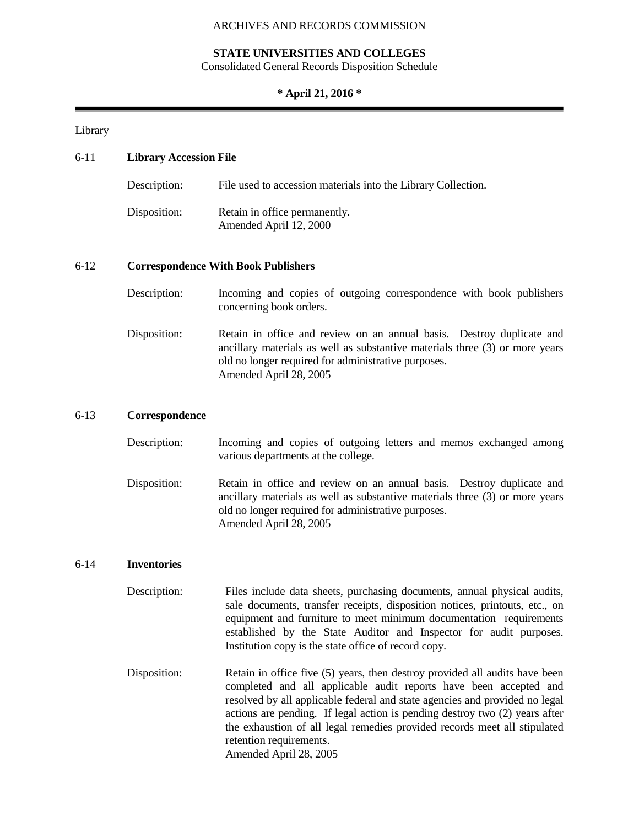## **STATE UNIVERSITIES AND COLLEGES**

Consolidated General Records Disposition Schedule

## **\* April 21, 2016 \***

## **Library**

| $6 - 11$ | <b>Library Accession File</b> |                                                                                                                                                                                                                                                                                                                                                                                             |  |  |
|----------|-------------------------------|---------------------------------------------------------------------------------------------------------------------------------------------------------------------------------------------------------------------------------------------------------------------------------------------------------------------------------------------------------------------------------------------|--|--|
|          | Description:                  | File used to accession materials into the Library Collection.                                                                                                                                                                                                                                                                                                                               |  |  |
|          | Disposition:                  | Retain in office permanently.<br>Amended April 12, 2000                                                                                                                                                                                                                                                                                                                                     |  |  |
| $6 - 12$ |                               | <b>Correspondence With Book Publishers</b>                                                                                                                                                                                                                                                                                                                                                  |  |  |
|          | Description:                  | Incoming and copies of outgoing correspondence with book publishers<br>concerning book orders.                                                                                                                                                                                                                                                                                              |  |  |
|          | Disposition:                  | Retain in office and review on an annual basis. Destroy duplicate and<br>ancillary materials as well as substantive materials three $(3)$ or more years<br>old no longer required for administrative purposes.<br>Amended April 28, 2005                                                                                                                                                    |  |  |
| $6-13$   | Correspondence                |                                                                                                                                                                                                                                                                                                                                                                                             |  |  |
|          | Description:                  | Incoming and copies of outgoing letters and memos exchanged among<br>various departments at the college.                                                                                                                                                                                                                                                                                    |  |  |
|          | Disposition:                  | Retain in office and review on an annual basis. Destroy duplicate and<br>ancillary materials as well as substantive materials three $(3)$ or more years<br>old no longer required for administrative purposes.<br>Amended April 28, 2005                                                                                                                                                    |  |  |
| $6 - 14$ | <b>Inventories</b>            |                                                                                                                                                                                                                                                                                                                                                                                             |  |  |
|          | Description:                  | Files include data sheets, purchasing documents, annual physical audits,<br>sale documents, transfer receipts, disposition notices, printouts, etc., on<br>equipment and furniture to meet minimum documentation requirements<br>established by the State Auditor and Inspector for audit purposes.<br>Institution copy is the state office of record copy.                                 |  |  |
|          | Disposition:                  | Retain in office five (5) years, then destroy provided all audits have been<br>completed and all applicable audit reports have been accepted and<br>resolved by all applicable federal and state agencies and provided no legal<br>actions are pending. If legal action is pending destroy two (2) years after<br>the exhaustion of all legal remedies provided records meet all stipulated |  |  |

retention requirements. Amended April 28, 2005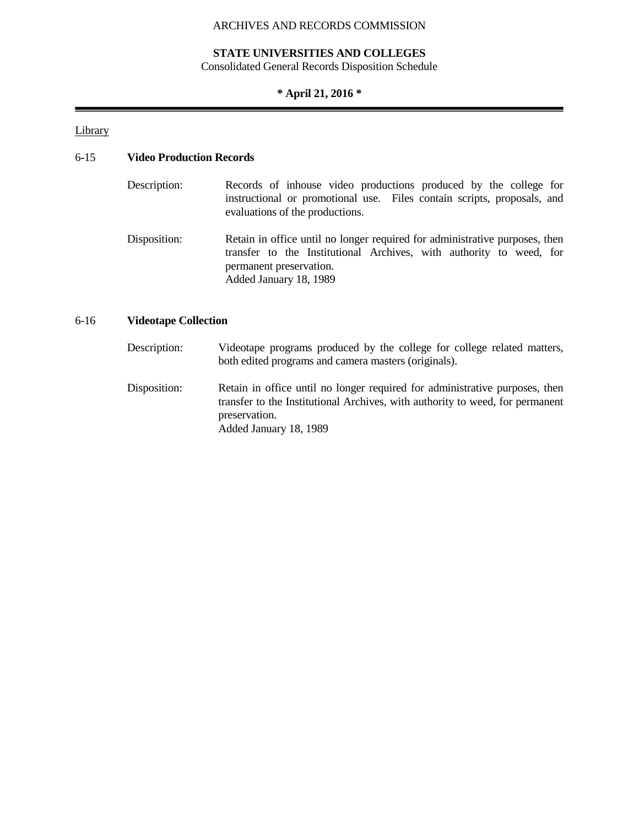#### **STATE UNIVERSITIES AND COLLEGES**

Consolidated General Records Disposition Schedule

## **\* April 21, 2016 \***

**Library** 

### 6-15 **Video Production Records**

| Description: | Records of inhouse video productions produced by the college for<br>instructional or promotional use. Files contain scripts, proposals, and<br>evaluations of the productions.                          |
|--------------|---------------------------------------------------------------------------------------------------------------------------------------------------------------------------------------------------------|
| Disposition: | Retain in office until no longer required for administrative purposes, then<br>transfer to the Institutional Archives, with authority to weed, for<br>permanent preservation.<br>Added January 18, 1989 |

#### 6-16 **Videotape Collection**

- Description: Videotape programs produced by the college for college related matters, both edited programs and camera masters (originals).
- Disposition: Retain in office until no longer required for administrative purposes, then transfer to the Institutional Archives, with authority to weed, for permanent preservation. Added January 18, 1989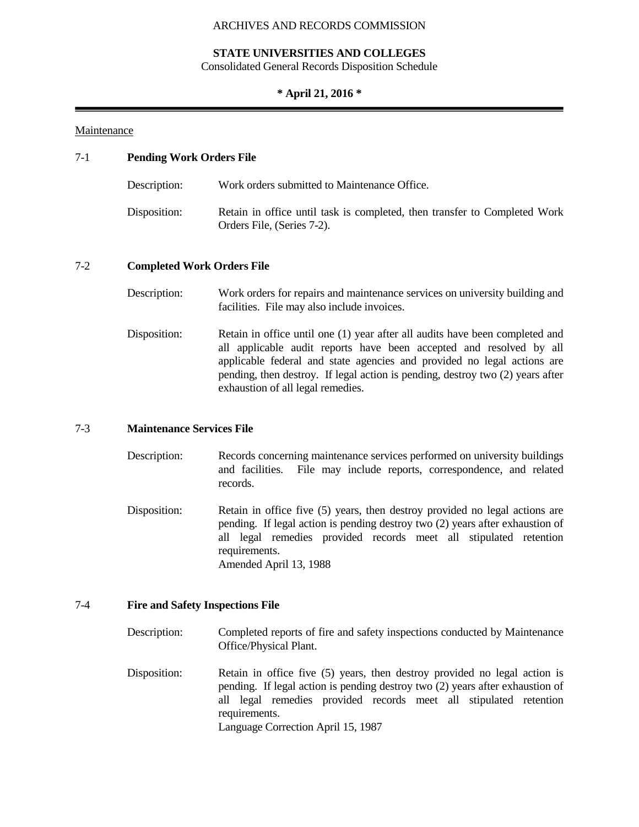#### **STATE UNIVERSITIES AND COLLEGES**

Consolidated General Records Disposition Schedule

#### **\* April 21, 2016 \***

#### Maintenance

# 7-1 **Pending Work Orders File** Description: Work orders submitted to Maintenance Office. Disposition: Retain in office until task is completed, then transfer to Completed Work Orders File, (Series 7-2). 7-2 **Completed Work Orders File**

- Description: Work orders for repairs and maintenance services on university building and facilities. File may also include invoices.
- Disposition: Retain in office until one (1) year after all audits have been completed and all applicable audit reports have been accepted and resolved by all applicable federal and state agencies and provided no legal actions are pending, then destroy. If legal action is pending, destroy two (2) years after exhaustion of all legal remedies.

#### 7-3 **Maintenance Services File**

- Description: Records concerning maintenance services performed on university buildings and facilities. File may include reports, correspondence, and related records.
- Disposition: Retain in office five (5) years, then destroy provided no legal actions are pending. If legal action is pending destroy two (2) years after exhaustion of all legal remedies provided records meet all stipulated retention requirements. Amended April 13, 1988

#### 7-4 **Fire and Safety Inspections File**

- Description: Completed reports of fire and safety inspections conducted by Maintenance Office/Physical Plant.
- Disposition: Retain in office five (5) years, then destroy provided no legal action is pending. If legal action is pending destroy two (2) years after exhaustion of all legal remedies provided records meet all stipulated retention requirements. Language Correction April 15, 1987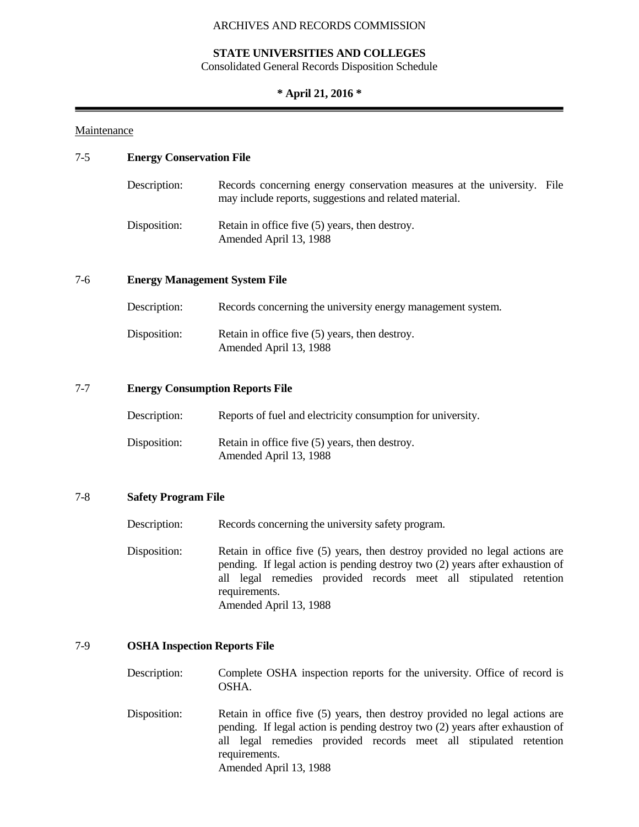#### **STATE UNIVERSITIES AND COLLEGES**

Consolidated General Records Disposition Schedule

#### **\* April 21, 2016 \***

#### Maintenance

#### 7-5 **Energy Conservation File**

| Description: | Records concerning energy conservation measures at the university. File<br>may include reports, suggestions and related material. |  |
|--------------|-----------------------------------------------------------------------------------------------------------------------------------|--|
| Disposition: | Retain in office five (5) years, then destroy.<br>Amended April 13, 1988                                                          |  |

#### 7-6 **Energy Management System File**

| Description: | Records concerning the university energy management system.              |
|--------------|--------------------------------------------------------------------------|
| Disposition: | Retain in office five (5) years, then destroy.<br>Amended April 13, 1988 |

#### 7-7 **Energy Consumption Reports File**

| Description: | Reports of fuel and electricity consumption for university.              |
|--------------|--------------------------------------------------------------------------|
| Disposition: | Retain in office five (5) years, then destroy.<br>Amended April 13, 1988 |

#### 7-8 **Safety Program File**

Description: Records concerning the university safety program.

Disposition: Retain in office five (5) years, then destroy provided no legal actions are pending. If legal action is pending destroy two (2) years after exhaustion of all legal remedies provided records meet all stipulated retention requirements. Amended April 13, 1988

#### 7-9 **OSHA Inspection Reports File**

Description: Complete OSHA inspection reports for the university. Office of record is OSHA.

Disposition: Retain in office five (5) years, then destroy provided no legal actions are pending. If legal action is pending destroy two (2) years after exhaustion of all legal remedies provided records meet all stipulated retention requirements. Amended April 13, 1988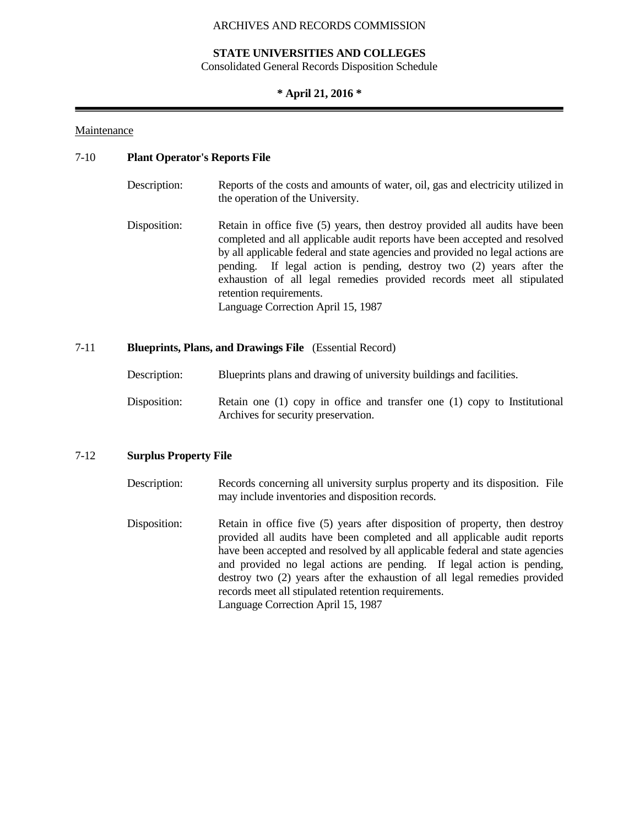#### **STATE UNIVERSITIES AND COLLEGES**

Consolidated General Records Disposition Schedule

#### **\* April 21, 2016 \***

#### Maintenance

#### 7-10 **Plant Operator's Reports File**

| Description: | Reports of the costs and amounts of water, oil, gas and electricity utilized in<br>the operation of the University.                                                                                                                                                                                                                                                                                                                                           |
|--------------|---------------------------------------------------------------------------------------------------------------------------------------------------------------------------------------------------------------------------------------------------------------------------------------------------------------------------------------------------------------------------------------------------------------------------------------------------------------|
| Disposition: | Retain in office five (5) years, then destroy provided all audits have been<br>completed and all applicable audit reports have been accepted and resolved<br>by all applicable federal and state agencies and provided no legal actions are<br>pending. If legal action is pending, destroy two (2) years after the<br>exhaustion of all legal remedies provided records meet all stipulated<br>retention requirements.<br>Language Correction April 15, 1987 |

#### 7-11 **Blueprints, Plans, and Drawings File** (Essential Record)

| Description: | Blueprints plans and drawing of university buildings and facilities. |
|--------------|----------------------------------------------------------------------|
|              |                                                                      |

Disposition: Retain one (1) copy in office and transfer one (1) copy to Institutional Archives for security preservation.

#### 7-12 **Surplus Property File**

- Description: Records concerning all university surplus property and its disposition. File may include inventories and disposition records.
- Disposition: Retain in office five (5) years after disposition of property, then destroy provided all audits have been completed and all applicable audit reports have been accepted and resolved by all applicable federal and state agencies and provided no legal actions are pending. If legal action is pending, destroy two (2) years after the exhaustion of all legal remedies provided records meet all stipulated retention requirements. Language Correction April 15, 1987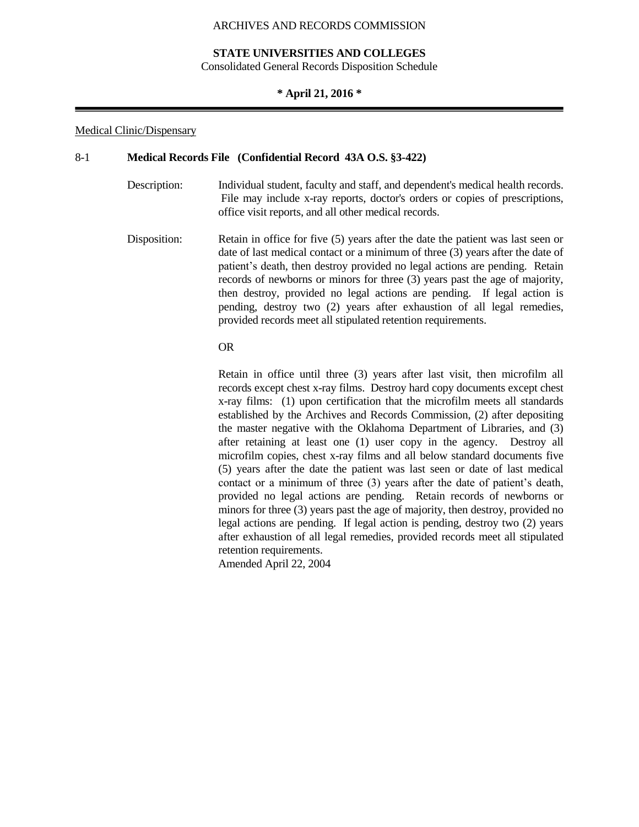#### **STATE UNIVERSITIES AND COLLEGES**

Consolidated General Records Disposition Schedule

#### **\* April 21, 2016 \***

#### Medical Clinic/Dispensary

#### 8-1 **Medical Records File (Confidential Record 43A O.S. §3-422)**

- Description: Individual student, faculty and staff, and dependent's medical health records. File may include x-ray reports, doctor's orders or copies of prescriptions, office visit reports, and all other medical records.
- Disposition: Retain in office for five (5) years after the date the patient was last seen or date of last medical contact or a minimum of three (3) years after the date of patient's death, then destroy provided no legal actions are pending. Retain records of newborns or minors for three (3) years past the age of majority, then destroy, provided no legal actions are pending. If legal action is pending, destroy two (2) years after exhaustion of all legal remedies, provided records meet all stipulated retention requirements.

#### OR

Retain in office until three (3) years after last visit, then microfilm all records except chest x-ray films. Destroy hard copy documents except chest x-ray films: (1) upon certification that the microfilm meets all standards established by the Archives and Records Commission, (2) after depositing the master negative with the Oklahoma Department of Libraries, and (3) after retaining at least one (1) user copy in the agency. Destroy all microfilm copies, chest x-ray films and all below standard documents five (5) years after the date the patient was last seen or date of last medical contact or a minimum of three (3) years after the date of patient's death, provided no legal actions are pending. Retain records of newborns or minors for three (3) years past the age of majority, then destroy, provided no legal actions are pending. If legal action is pending, destroy two (2) years after exhaustion of all legal remedies, provided records meet all stipulated retention requirements.

Amended April 22, 2004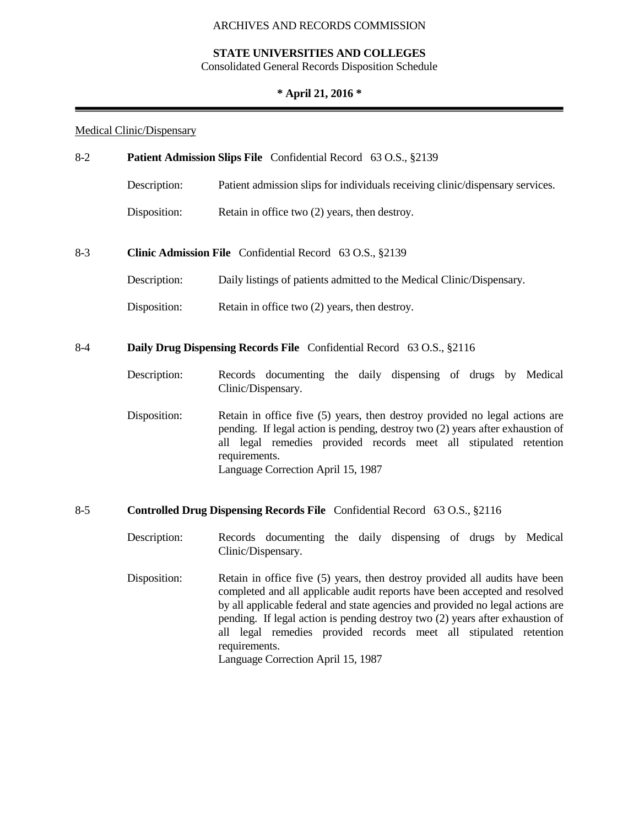## **STATE UNIVERSITIES AND COLLEGES**

Consolidated General Records Disposition Schedule

## **\* April 21, 2016 \***

## Medical Clinic/Dispensary

| $8-2$<br>Patient Admission Slips File Confidential Record 63 O.S., §2139 |              |                                                                                                                                                                                                                                                                                                                                                                                                                                                          |
|--------------------------------------------------------------------------|--------------|----------------------------------------------------------------------------------------------------------------------------------------------------------------------------------------------------------------------------------------------------------------------------------------------------------------------------------------------------------------------------------------------------------------------------------------------------------|
|                                                                          | Description: | Patient admission slips for individuals receiving clinic/dispensary services.                                                                                                                                                                                                                                                                                                                                                                            |
|                                                                          | Disposition: | Retain in office two (2) years, then destroy.                                                                                                                                                                                                                                                                                                                                                                                                            |
| $8-3$                                                                    |              | Clinic Admission File Confidential Record 63 O.S., §2139                                                                                                                                                                                                                                                                                                                                                                                                 |
|                                                                          | Description: | Daily listings of patients admitted to the Medical Clinic/Dispensary.                                                                                                                                                                                                                                                                                                                                                                                    |
|                                                                          | Disposition: | Retain in office two (2) years, then destroy.                                                                                                                                                                                                                                                                                                                                                                                                            |
| $8-4$                                                                    |              | Daily Drug Dispensing Records File Confidential Record 63 O.S., §2116                                                                                                                                                                                                                                                                                                                                                                                    |
|                                                                          | Description: | Records documenting the daily dispensing of drugs by Medical<br>Clinic/Dispensary.                                                                                                                                                                                                                                                                                                                                                                       |
|                                                                          | Disposition: | Retain in office five (5) years, then destroy provided no legal actions are<br>pending. If legal action is pending, destroy two (2) years after exhaustion of<br>all legal remedies provided records meet all stipulated retention<br>requirements.<br>Language Correction April 15, 1987                                                                                                                                                                |
| $8 - 5$                                                                  |              | Controlled Drug Dispensing Records File Confidential Record 63 O.S., §2116                                                                                                                                                                                                                                                                                                                                                                               |
|                                                                          | Description: | Records documenting the daily dispensing of drugs by Medical<br>Clinic/Dispensary.                                                                                                                                                                                                                                                                                                                                                                       |
|                                                                          | Disposition: | Retain in office five (5) years, then destroy provided all audits have been<br>completed and all applicable audit reports have been accepted and resolved<br>by all applicable federal and state agencies and provided no legal actions are<br>pending. If legal action is pending destroy two (2) years after exhaustion of<br>all legal remedies provided records meet all stipulated retention<br>requirements.<br>Language Correction April 15, 1987 |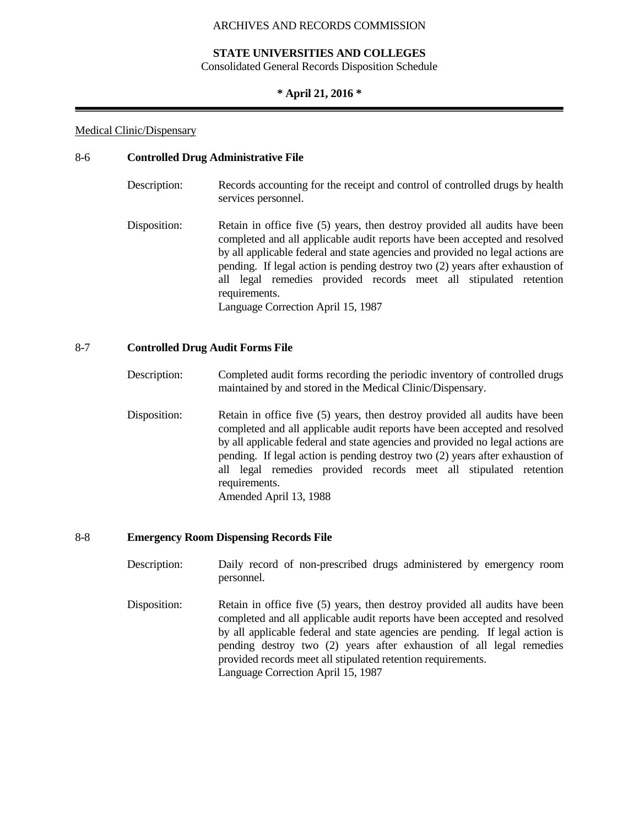#### **STATE UNIVERSITIES AND COLLEGES**

Consolidated General Records Disposition Schedule

#### **\* April 21, 2016 \***

#### Medical Clinic/Dispensary

#### 8-6 **Controlled Drug Administrative File**

| Description: | Records accounting for the receipt and control of controlled drugs by health<br>services personnel.                                                                                                                                                                                                                                                                                                                                                      |
|--------------|----------------------------------------------------------------------------------------------------------------------------------------------------------------------------------------------------------------------------------------------------------------------------------------------------------------------------------------------------------------------------------------------------------------------------------------------------------|
| Disposition: | Retain in office five (5) years, then destroy provided all audits have been<br>completed and all applicable audit reports have been accepted and resolved<br>by all applicable federal and state agencies and provided no legal actions are<br>pending. If legal action is pending destroy two (2) years after exhaustion of<br>all legal remedies provided records meet all stipulated retention<br>requirements.<br>Language Correction April 15, 1987 |

#### 8-7 **Controlled Drug Audit Forms File**

Description: Completed audit forms recording the periodic inventory of controlled drugs maintained by and stored in the Medical Clinic/Dispensary.

Disposition: Retain in office five (5) years, then destroy provided all audits have been completed and all applicable audit reports have been accepted and resolved by all applicable federal and state agencies and provided no legal actions are pending. If legal action is pending destroy two (2) years after exhaustion of all legal remedies provided records meet all stipulated retention requirements. Amended April 13, 1988

#### 8-8 **Emergency Room Dispensing Records File**

- Description: Daily record of non-prescribed drugs administered by emergency room personnel.
- Disposition: Retain in office five (5) years, then destroy provided all audits have been completed and all applicable audit reports have been accepted and resolved by all applicable federal and state agencies are pending. If legal action is pending destroy two (2) years after exhaustion of all legal remedies provided records meet all stipulated retention requirements. Language Correction April 15, 1987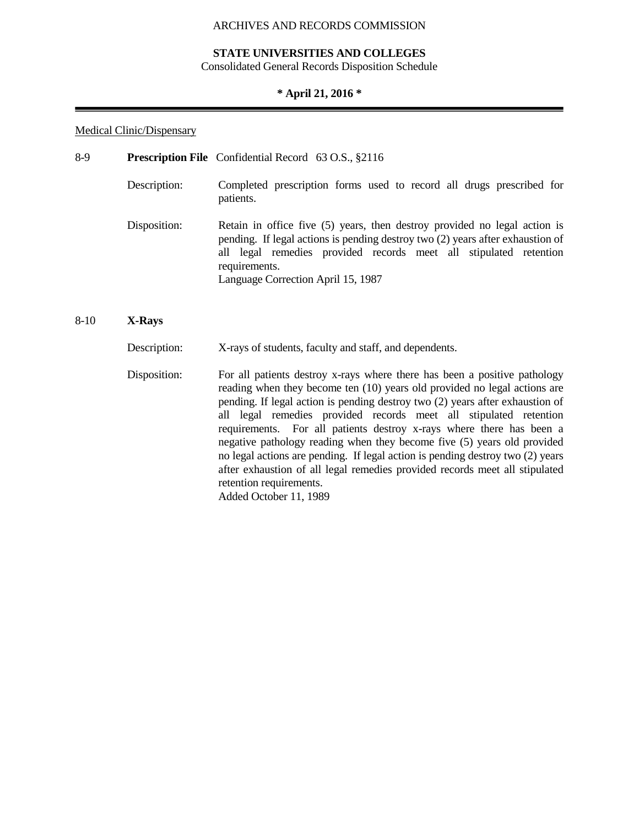#### **STATE UNIVERSITIES AND COLLEGES**

Consolidated General Records Disposition Schedule

#### **\* April 21, 2016 \***

#### Medical Clinic/Dispensary

| 8-9 |              | <b>Prescription File</b> Confidential Record 63 O.S., §2116                                                                                                                                                                                                                             |
|-----|--------------|-----------------------------------------------------------------------------------------------------------------------------------------------------------------------------------------------------------------------------------------------------------------------------------------|
|     | Description: | Completed prescription forms used to record all drugs prescribed for<br>patients.                                                                                                                                                                                                       |
|     | Disposition: | Retain in office five (5) years, then destroy provided no legal action is<br>pending. If legal actions is pending destroy two (2) years after exhaustion of<br>all legal remedies provided records meet all stipulated retention<br>requirements.<br>Language Correction April 15, 1987 |

#### 8-10 **X-Rays**

Description: X-rays of students, faculty and staff, and dependents.

Disposition: For all patients destroy x-rays where there has been a positive pathology reading when they become ten (10) years old provided no legal actions are pending. If legal action is pending destroy two (2) years after exhaustion of all legal remedies provided records meet all stipulated retention requirements. For all patients destroy x-rays where there has been a negative pathology reading when they become five (5) years old provided no legal actions are pending. If legal action is pending destroy two (2) years after exhaustion of all legal remedies provided records meet all stipulated retention requirements. Added October 11, 1989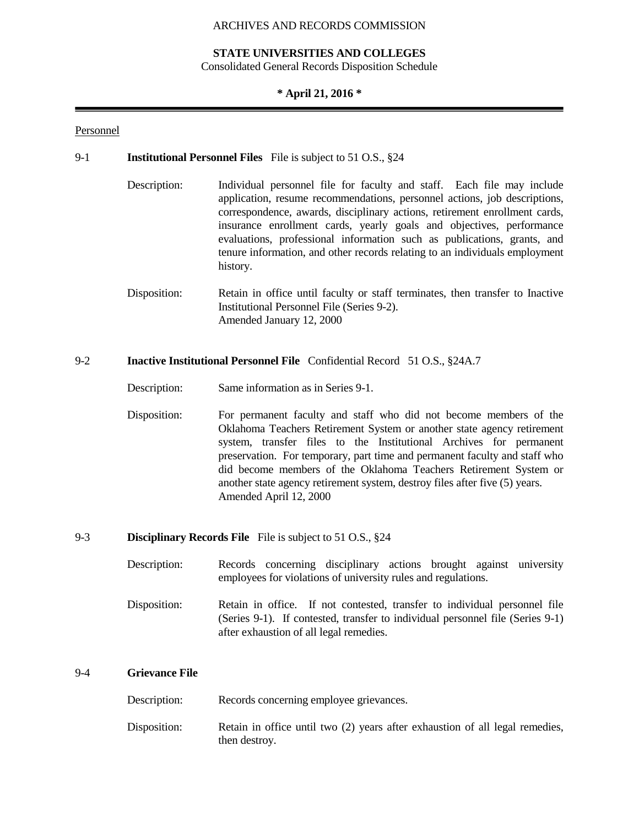#### **STATE UNIVERSITIES AND COLLEGES**

Consolidated General Records Disposition Schedule

#### **\* April 21, 2016 \***

#### Personnel

#### 9-1 **Institutional Personnel Files** File is subject to 51 O.S., §24

- Description: Individual personnel file for faculty and staff. Each file may include application, resume recommendations, personnel actions, job descriptions, correspondence, awards, disciplinary actions, retirement enrollment cards, insurance enrollment cards, yearly goals and objectives, performance evaluations, professional information such as publications, grants, and tenure information, and other records relating to an individuals employment history.
- Disposition: Retain in office until faculty or staff terminates, then transfer to Inactive Institutional Personnel File (Series 9-2). Amended January 12, 2000

#### 9-2 **Inactive Institutional Personnel File** Confidential Record 51 O.S., §24A.7

Description: Same information as in Series 9-1.

Disposition: For permanent faculty and staff who did not become members of the Oklahoma Teachers Retirement System or another state agency retirement system, transfer files to the Institutional Archives for permanent preservation. For temporary, part time and permanent faculty and staff who did become members of the Oklahoma Teachers Retirement System or another state agency retirement system, destroy files after five (5) years. Amended April 12, 2000

#### 9-3 **Disciplinary Records File** File is subject to 51 O.S., §24

- Description: Records concerning disciplinary actions brought against university employees for violations of university rules and regulations.
- Disposition: Retain in office. If not contested, transfer to individual personnel file (Series 9-1). If contested, transfer to individual personnel file (Series 9-1) after exhaustion of all legal remedies.

#### 9-4 **Grievance File**

Description: Records concerning employee grievances.

Disposition: Retain in office until two (2) years after exhaustion of all legal remedies, then destroy.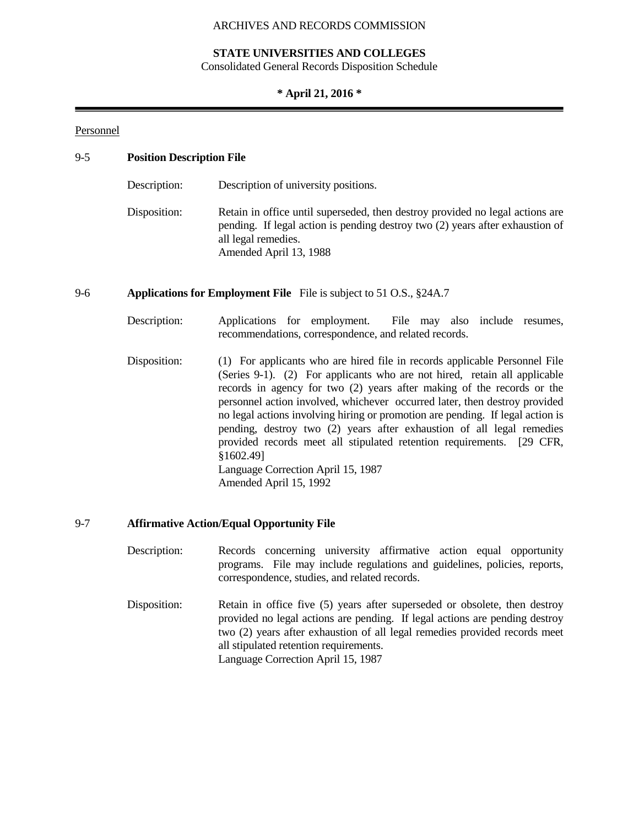#### **STATE UNIVERSITIES AND COLLEGES**

Consolidated General Records Disposition Schedule

#### **\* April 21, 2016 \***

#### Personnel

#### 9-5 **Position Description File**

| Description: | Description of university positions.                                                                                                                                                                            |
|--------------|-----------------------------------------------------------------------------------------------------------------------------------------------------------------------------------------------------------------|
| Disposition: | Retain in office until superseded, then destroy provided no legal actions are<br>pending. If legal action is pending destroy two (2) years after exhaustion of<br>all legal remedies.<br>Amended April 13, 1988 |

#### 9-6 **Applications for Employment File** File is subject to 51 O.S., §24A.7

- Description: Applications for employment. File may also include resumes, recommendations, correspondence, and related records.
- Disposition: (1) For applicants who are hired file in records applicable Personnel File (Series 9-1). (2) For applicants who are not hired, retain all applicable records in agency for two (2) years after making of the records or the personnel action involved, whichever occurred later, then destroy provided no legal actions involving hiring or promotion are pending. If legal action is pending, destroy two (2) years after exhaustion of all legal remedies provided records meet all stipulated retention requirements. [29 CFR, §1602.49] Language Correction April 15, 1987 Amended April 15, 1992

#### 9-7 **Affirmative Action/Equal Opportunity File**

| Description: |                                               |  |  | Records concerning university affirmative action equal opportunity        |
|--------------|-----------------------------------------------|--|--|---------------------------------------------------------------------------|
|              | correspondence, studies, and related records. |  |  | programs. File may include regulations and guidelines, policies, reports, |
|              |                                               |  |  |                                                                           |

Disposition: Retain in office five (5) years after superseded or obsolete, then destroy provided no legal actions are pending. If legal actions are pending destroy two (2) years after exhaustion of all legal remedies provided records meet all stipulated retention requirements. Language Correction April 15, 1987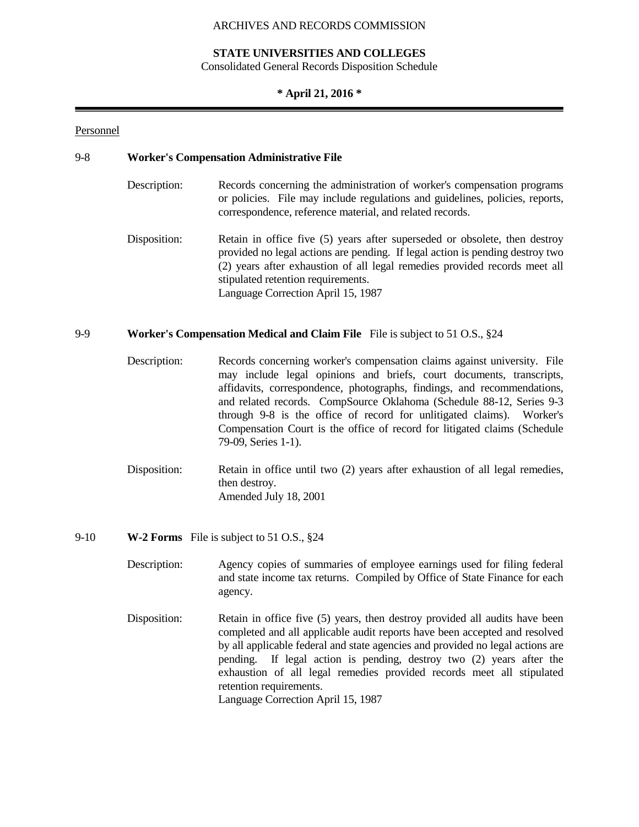#### **STATE UNIVERSITIES AND COLLEGES**

Consolidated General Records Disposition Schedule

#### **\* April 21, 2016 \***

#### Personnel

#### 9-8 **Worker's Compensation Administrative File**

- Description: Records concerning the administration of worker's compensation programs or policies. File may include regulations and guidelines, policies, reports, correspondence, reference material, and related records.
- Disposition: Retain in office five (5) years after superseded or obsolete, then destroy provided no legal actions are pending. If legal action is pending destroy two (2) years after exhaustion of all legal remedies provided records meet all stipulated retention requirements. Language Correction April 15, 1987

#### 9-9 **Worker's Compensation Medical and Claim File** File is subject to 51 O.S., §24

- Description: Records concerning worker's compensation claims against university. File may include legal opinions and briefs, court documents, transcripts, affidavits, correspondence, photographs, findings, and recommendations, and related records. CompSource Oklahoma (Schedule 88-12, Series 9-3 through 9-8 is the office of record for unlitigated claims). Worker's Compensation Court is the office of record for litigated claims (Schedule 79-09, Series 1-1).
- Disposition: Retain in office until two (2) years after exhaustion of all legal remedies, then destroy. Amended July 18, 2001

#### 9-10 **W-2 Forms** File is subject to 51 O.S., §24

- Description: Agency copies of summaries of employee earnings used for filing federal and state income tax returns. Compiled by Office of State Finance for each agency.
- Disposition: Retain in office five (5) years, then destroy provided all audits have been completed and all applicable audit reports have been accepted and resolved by all applicable federal and state agencies and provided no legal actions are pending. If legal action is pending, destroy two (2) years after the exhaustion of all legal remedies provided records meet all stipulated retention requirements. Language Correction April 15, 1987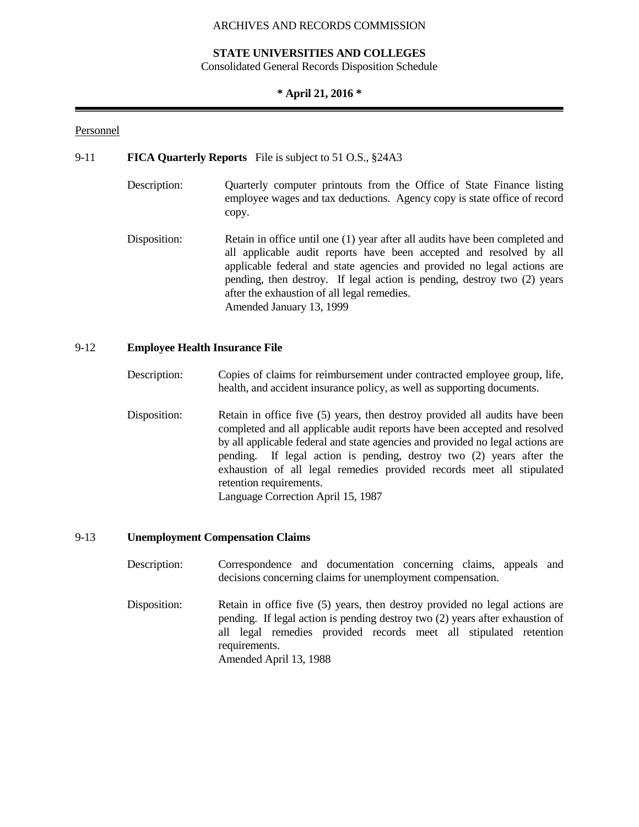#### **STATE UNIVERSITIES AND COLLEGES**

Consolidated General Records Disposition Schedule

#### **\* April 21, 2016 \***

#### Personnel

#### 9-11 **FICA Quarterly Reports** File is subject to 51 O.S., §24A3

- Description: Quarterly computer printouts from the Office of State Finance listing employee wages and tax deductions. Agency copy is state office of record copy.
- Disposition: Retain in office until one (1) year after all audits have been completed and all applicable audit reports have been accepted and resolved by all applicable federal and state agencies and provided no legal actions are pending, then destroy. If legal action is pending, destroy two (2) years after the exhaustion of all legal remedies. Amended January 13, 1999

#### 9-12 **Employee Health Insurance File**

- Description: Copies of claims for reimbursement under contracted employee group, life, health, and accident insurance policy, as well as supporting documents.
- Disposition: Retain in office five (5) years, then destroy provided all audits have been completed and all applicable audit reports have been accepted and resolved by all applicable federal and state agencies and provided no legal actions are pending. If legal action is pending, destroy two (2) years after the exhaustion of all legal remedies provided records meet all stipulated retention requirements. Language Correction April 15, 1987

#### 9-13 **Unemployment Compensation Claims**

- Description: Correspondence and documentation concerning claims, appeals and decisions concerning claims for unemployment compensation.
- Disposition: Retain in office five (5) years, then destroy provided no legal actions are pending. If legal action is pending destroy two (2) years after exhaustion of all legal remedies provided records meet all stipulated retention requirements. Amended April 13, 1988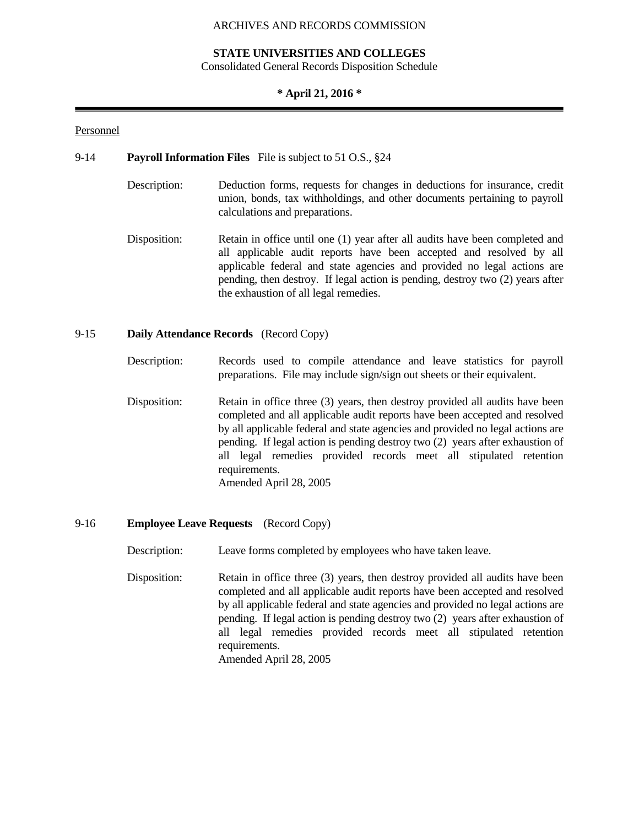#### **STATE UNIVERSITIES AND COLLEGES**

Consolidated General Records Disposition Schedule

#### **\* April 21, 2016 \***

#### Personnel

#### 9-14 **Payroll Information Files** File is subject to 51 O.S., §24

- Description: Deduction forms, requests for changes in deductions for insurance, credit union, bonds, tax withholdings, and other documents pertaining to payroll calculations and preparations.
- Disposition: Retain in office until one (1) year after all audits have been completed and all applicable audit reports have been accepted and resolved by all applicable federal and state agencies and provided no legal actions are pending, then destroy. If legal action is pending, destroy two (2) years after the exhaustion of all legal remedies.

#### 9-15 **Daily Attendance Records** (Record Copy)

- Description: Records used to compile attendance and leave statistics for payroll preparations. File may include sign/sign out sheets or their equivalent.
- Disposition: Retain in office three (3) years, then destroy provided all audits have been completed and all applicable audit reports have been accepted and resolved by all applicable federal and state agencies and provided no legal actions are pending. If legal action is pending destroy two (2) years after exhaustion of all legal remedies provided records meet all stipulated retention requirements. Amended April 28, 2005

#### 9-16 **Employee Leave Requests** (Record Copy)

Description: Leave forms completed by employees who have taken leave.

Disposition: Retain in office three (3) years, then destroy provided all audits have been completed and all applicable audit reports have been accepted and resolved by all applicable federal and state agencies and provided no legal actions are pending. If legal action is pending destroy two (2) years after exhaustion of all legal remedies provided records meet all stipulated retention requirements.

Amended April 28, 2005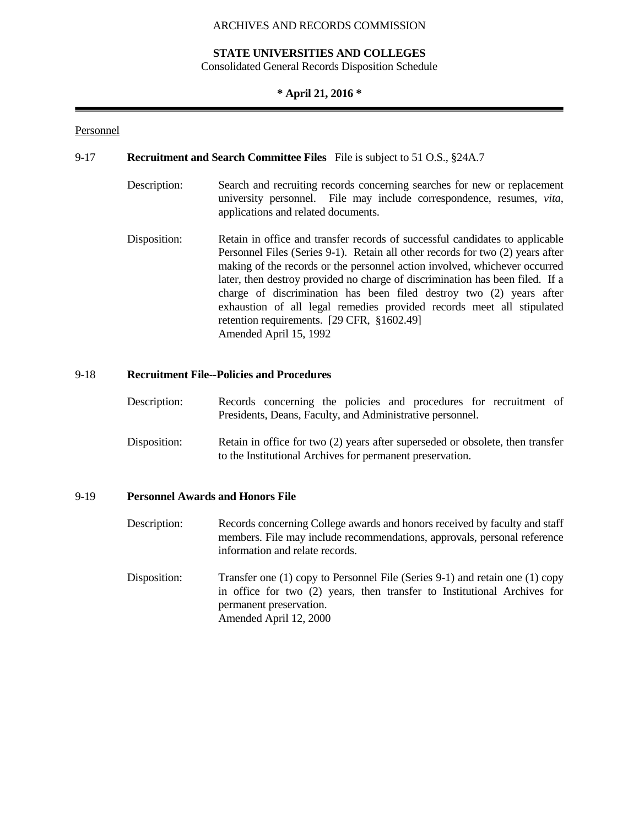#### **STATE UNIVERSITIES AND COLLEGES**

Consolidated General Records Disposition Schedule

#### **\* April 21, 2016 \***

#### Personnel

#### 9-17 **Recruitment and Search Committee Files** File is subject to 51 O.S., §24A.7

- Description: Search and recruiting records concerning searches for new or replacement university personnel. File may include correspondence, resumes, *vita*, applications and related documents.
- Disposition: Retain in office and transfer records of successful candidates to applicable Personnel Files (Series 9-1). Retain all other records for two (2) years after making of the records or the personnel action involved, whichever occurred later, then destroy provided no charge of discrimination has been filed. If a charge of discrimination has been filed destroy two (2) years after exhaustion of all legal remedies provided records meet all stipulated retention requirements. [29 CFR, §1602.49] Amended April 15, 1992

#### 9-18 **Recruitment File--Policies and Procedures**

- Description: Records concerning the policies and procedures for recruitment of Presidents, Deans, Faculty, and Administrative personnel.
- Disposition: Retain in office for two (2) years after superseded or obsolete, then transfer to the Institutional Archives for permanent preservation.

#### 9-19 **Personnel Awards and Honors File**

- Description: Records concerning College awards and honors received by faculty and staff members. File may include recommendations, approvals, personal reference information and relate records.
- Disposition: Transfer one (1) copy to Personnel File (Series 9-1) and retain one (1) copy in office for two (2) years, then transfer to Institutional Archives for permanent preservation. Amended April 12, 2000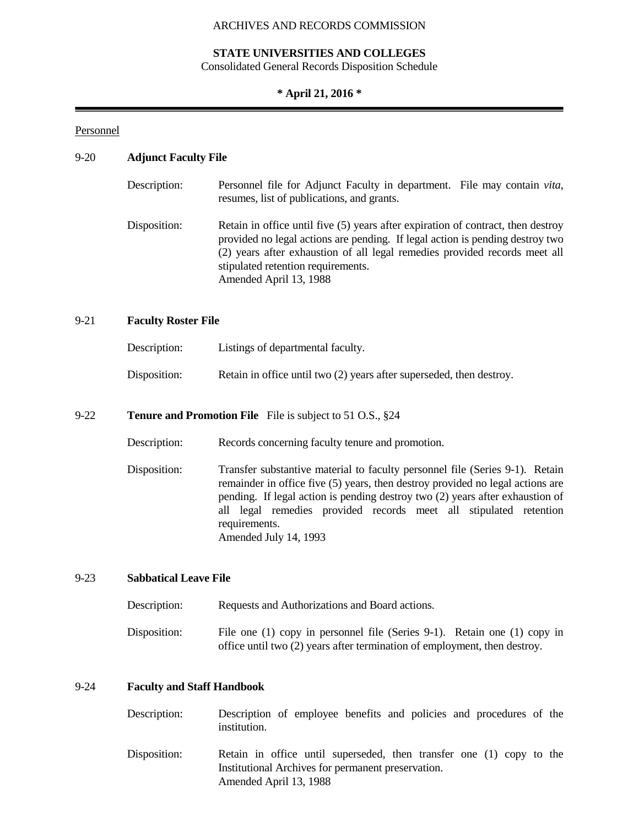#### **STATE UNIVERSITIES AND COLLEGES**

Consolidated General Records Disposition Schedule

#### **\* April 21, 2016 \***

#### Personnel

#### 9-20 **Adjunct Faculty File**

| Description: | Personnel file for Adjunct Faculty in department. File may contain <i>vita</i> ,<br>resumes, list of publications, and grants.                                                                                                                                                                                  |
|--------------|-----------------------------------------------------------------------------------------------------------------------------------------------------------------------------------------------------------------------------------------------------------------------------------------------------------------|
| Disposition: | Retain in office until five (5) years after expiration of contract, then destroy<br>provided no legal actions are pending. If legal action is pending destroy two<br>(2) years after exhaustion of all legal remedies provided records meet all<br>stipulated retention requirements.<br>Amended April 13, 1988 |

#### 9-21 **Faculty Roster File**

| Description: | Listings of departmental faculty.                                    |
|--------------|----------------------------------------------------------------------|
| Disposition: | Retain in office until two (2) years after superseded, then destroy. |

#### 9-22 **Tenure and Promotion File** File is subject to 51 O.S., §24

| Description: | Records concerning faculty tenure and promotion. |  |  |
|--------------|--------------------------------------------------|--|--|
|              |                                                  |  |  |

Disposition: Transfer substantive material to faculty personnel file (Series 9-1). Retain remainder in office five (5) years, then destroy provided no legal actions are pending. If legal action is pending destroy two (2) years after exhaustion of all legal remedies provided records meet all stipulated retention requirements. Amended July 14, 1993

#### 9-23 **Sabbatical Leave File**

| Description: | Requests and Authorizations and Board actions.                                                                                                        |
|--------------|-------------------------------------------------------------------------------------------------------------------------------------------------------|
| Disposition: | File one (1) copy in personnel file (Series 9-1). Retain one (1) copy in<br>office until two (2) years after termination of employment, then destroy. |

#### 9-24 **Faculty and Staff Handbook**

| Description: | Description of employee benefits and policies and procedures of the<br>institution. |  |  |  |  |  |
|--------------|-------------------------------------------------------------------------------------|--|--|--|--|--|
| Dienosition: | Retain in office until superseded then transfer one (1) conv to the                 |  |  |  |  |  |

Disposition: Retain in office until superseded, then transfer one (1) copy to the Institutional Archives for permanent preservation. Amended April 13, 1988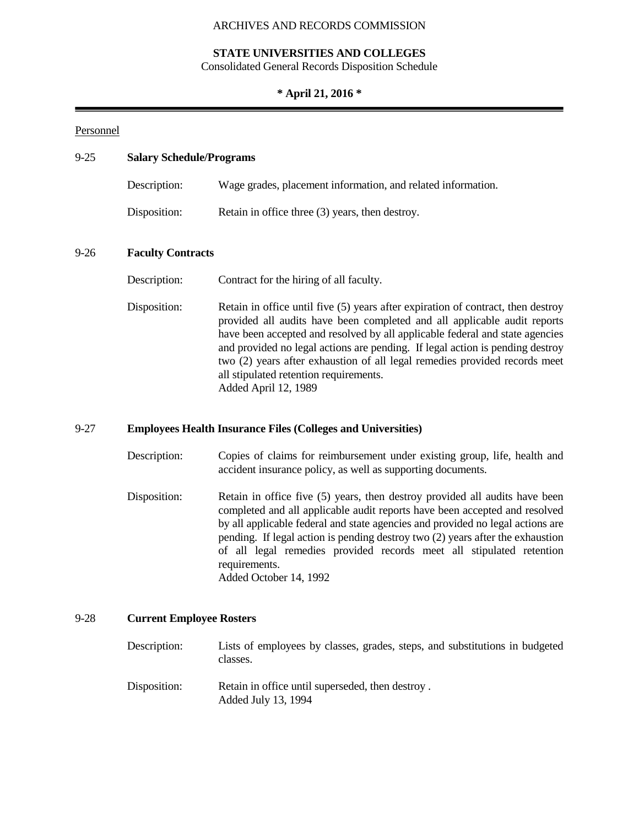#### **STATE UNIVERSITIES AND COLLEGES**

Consolidated General Records Disposition Schedule

#### **\* April 21, 2016 \***

#### Personnel

#### 9-25 **Salary Schedule/Programs**

| Description: | Wage grades, placement information, and related information. |
|--------------|--------------------------------------------------------------|
| Disposition: | Retain in office three (3) years, then destroy.              |

#### 9-26 **Faculty Contracts**

Description: Contract for the hiring of all faculty.

Disposition: Retain in office until five (5) years after expiration of contract, then destroy provided all audits have been completed and all applicable audit reports have been accepted and resolved by all applicable federal and state agencies and provided no legal actions are pending. If legal action is pending destroy two (2) years after exhaustion of all legal remedies provided records meet all stipulated retention requirements. Added April 12, 1989

#### 9-27 **Employees Health Insurance Files (Colleges and Universities)**

- Description: Copies of claims for reimbursement under existing group, life, health and accident insurance policy, as well as supporting documents.
- Disposition: Retain in office five (5) years, then destroy provided all audits have been completed and all applicable audit reports have been accepted and resolved by all applicable federal and state agencies and provided no legal actions are pending. If legal action is pending destroy two (2) years after the exhaustion of all legal remedies provided records meet all stipulated retention requirements. Added October 14, 1992

#### 9-28 **Current Employee Rosters**

- Description: Lists of employees by classes, grades, steps, and substitutions in budgeted classes.
- Disposition: Retain in office until superseded, then destroy. Added July 13, 1994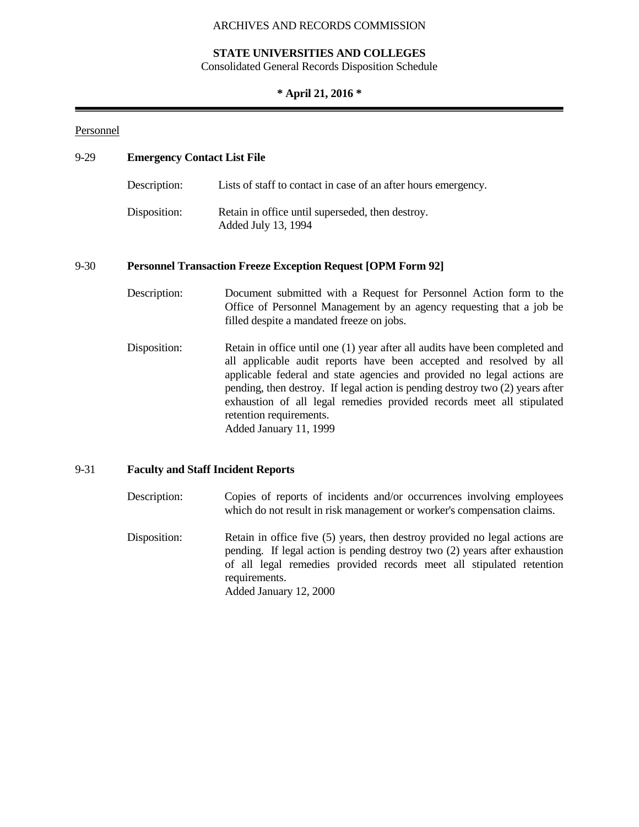#### **STATE UNIVERSITIES AND COLLEGES**

Consolidated General Records Disposition Schedule

## **\* April 21, 2016 \***

#### Personnel

| $9-29$ | <b>Emergency Contact List File</b> |                                                                                                                                                                                                                                                                                                                                                                                                                                               |  |  |  |  |
|--------|------------------------------------|-----------------------------------------------------------------------------------------------------------------------------------------------------------------------------------------------------------------------------------------------------------------------------------------------------------------------------------------------------------------------------------------------------------------------------------------------|--|--|--|--|
|        | Description:                       | Lists of staff to contact in case of an after hours emergency.                                                                                                                                                                                                                                                                                                                                                                                |  |  |  |  |
|        | Disposition:                       | Retain in office until superseded, then destroy.<br>Added July 13, 1994                                                                                                                                                                                                                                                                                                                                                                       |  |  |  |  |
| 9-30   |                                    | <b>Personnel Transaction Freeze Exception Request [OPM Form 92]</b>                                                                                                                                                                                                                                                                                                                                                                           |  |  |  |  |
|        | Description:                       | Document submitted with a Request for Personnel Action form to the<br>Office of Personnel Management by an agency requesting that a job be<br>filled despite a mandated freeze on jobs.                                                                                                                                                                                                                                                       |  |  |  |  |
|        | Disposition:                       | Retain in office until one (1) year after all audits have been completed and<br>all applicable audit reports have been accepted and resolved by all<br>applicable federal and state agencies and provided no legal actions are<br>pending, then destroy. If legal action is pending destroy two (2) years after<br>exhaustion of all legal remedies provided records meet all stipulated<br>retention requirements.<br>Added January 11, 1999 |  |  |  |  |

#### 9-31 **Faculty and Staff Incident Reports**

Description: Copies of reports of incidents and/or occurrences involving employees which do not result in risk management or worker's compensation claims. Disposition: Retain in office five (5) years, then destroy provided no legal actions are pending. If legal action is pending destroy two (2) years after exhaustion of all legal remedies provided records meet all stipulated retention requirements. Added January 12, 2000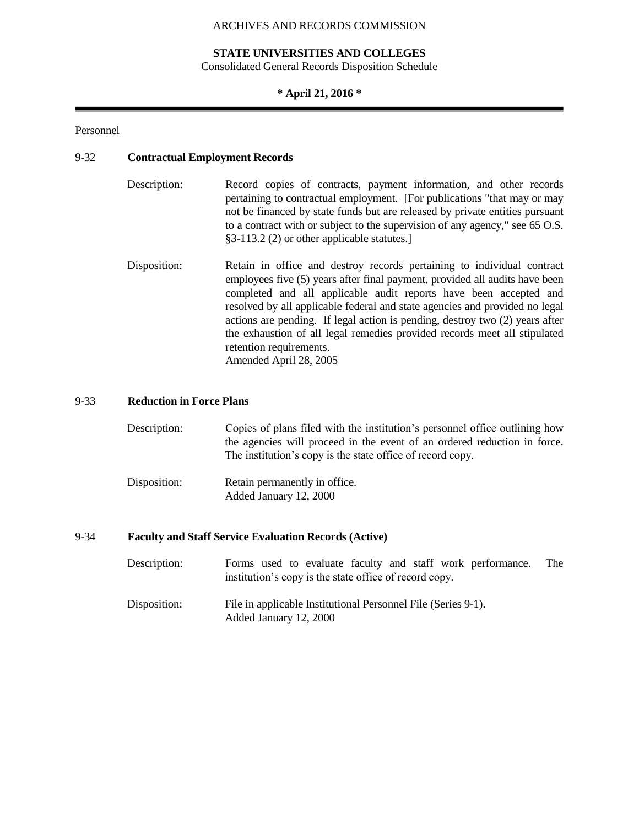#### **STATE UNIVERSITIES AND COLLEGES**

Consolidated General Records Disposition Schedule

#### **\* April 21, 2016 \***

#### Personnel

#### 9-32 **Contractual Employment Records**

- Description: Record copies of contracts, payment information, and other records pertaining to contractual employment. [For publications "that may or may not be financed by state funds but are released by private entities pursuant to a contract with or subject to the supervision of any agency," see 65 O.S. §3-113.2 (2) or other applicable statutes.]
- Disposition: Retain in office and destroy records pertaining to individual contract employees five (5) years after final payment, provided all audits have been completed and all applicable audit reports have been accepted and resolved by all applicable federal and state agencies and provided no legal actions are pending. If legal action is pending, destroy two (2) years after the exhaustion of all legal remedies provided records meet all stipulated retention requirements. Amended April 28, 2005

#### 9-33 **Reduction in Force Plans**

| Description:   | Copies of plans filed with the institution's personnel office outlining how<br>the agencies will proceed in the event of an ordered reduction in force.<br>The institution's copy is the state office of record copy. |
|----------------|-----------------------------------------------------------------------------------------------------------------------------------------------------------------------------------------------------------------------|
| Disse said sur | $D_{\text{at}}$ in normal proof $I_{\text{at}}$ in affine                                                                                                                                                             |

Disposition: Retain permanently in office. Added January 12, 2000

#### 9-34 **Faculty and Staff Service Evaluation Records (Active)**

- Description: Forms used to evaluate faculty and staff work performance. The institution's copy is the state office of record copy.
- Disposition: File in applicable Institutional Personnel File (Series 9-1). Added January 12, 2000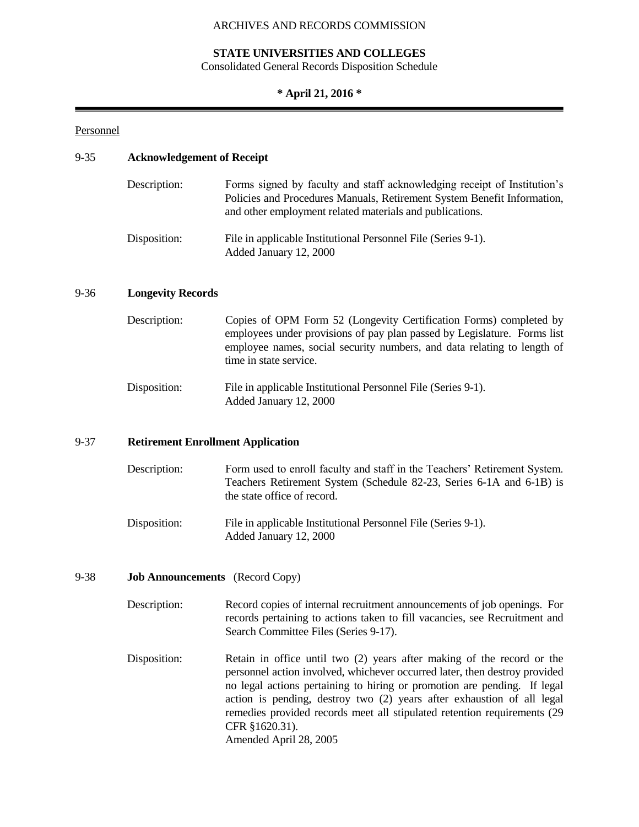#### **STATE UNIVERSITIES AND COLLEGES**

Consolidated General Records Disposition Schedule

#### **\* April 21, 2016 \***

#### Personnel

#### 9-35 **Acknowledgement of Receipt**

| Description: | Forms signed by faculty and staff acknowledging receipt of Institution's<br>Policies and Procedures Manuals, Retirement System Benefit Information,<br>and other employment related materials and publications. |
|--------------|-----------------------------------------------------------------------------------------------------------------------------------------------------------------------------------------------------------------|
| Disposition: | File in applicable Institutional Personnel File (Series 9-1).<br>Added January 12, 2000                                                                                                                         |

#### 9-36 **Longevity Records**

| Description: | Copies of OPM Form 52 (Longevity Certification Forms) completed by<br>employees under provisions of pay plan passed by Legislature. Forms list<br>employee names, social security numbers, and data relating to length of<br>time in state service. |
|--------------|-----------------------------------------------------------------------------------------------------------------------------------------------------------------------------------------------------------------------------------------------------|
| Disposition. | $\Gamma$ . $\Gamma$ in equal capital Institutional Democracy $\Gamma$ . $\Gamma$                                                                                                                                                                    |

#### Disposition: File in applicable Institutional Personnel File (Series 9-1). Added January 12, 2000

#### 9-37 **Retirement Enrollment Application**

| Description: | Form used to enroll faculty and staff in the Teachers' Retirement System. |
|--------------|---------------------------------------------------------------------------|
|              | Teachers Retirement System (Schedule 82-23, Series 6-1A and 6-1B) is      |
|              | the state office of record.                                               |
|              |                                                                           |

Disposition: File in applicable Institutional Personnel File (Series 9-1). Added January 12, 2000

#### 9-38 **Job Announcements** (Record Copy)

- Description: Record copies of internal recruitment announcements of job openings. For records pertaining to actions taken to fill vacancies, see Recruitment and Search Committee Files (Series 9-17).
- Disposition: Retain in office until two (2) years after making of the record or the personnel action involved, whichever occurred later, then destroy provided no legal actions pertaining to hiring or promotion are pending. If legal action is pending, destroy two (2) years after exhaustion of all legal remedies provided records meet all stipulated retention requirements (29 CFR §1620.31). Amended April 28, 2005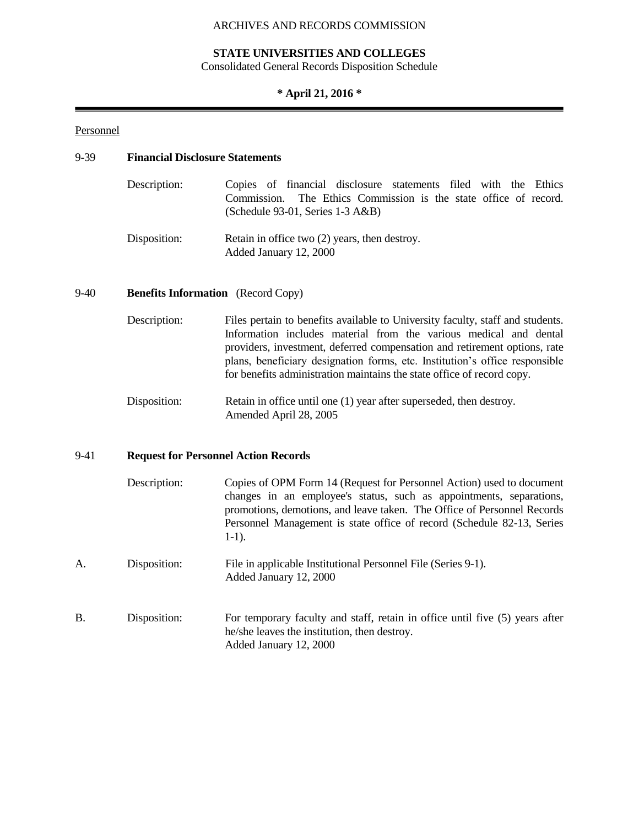#### **STATE UNIVERSITIES AND COLLEGES**

Consolidated General Records Disposition Schedule

#### **\* April 21, 2016 \***

#### Personnel

#### 9-39 **Financial Disclosure Statements**

| Description:  | Copies of financial disclosure statements filed with the Ethics                                        |  |  |  |  |  |
|---------------|--------------------------------------------------------------------------------------------------------|--|--|--|--|--|
|               | Commission. The Ethics Commission is the state office of record.<br>$(Schedule 93-01, Series 1-3 A&B)$ |  |  |  |  |  |
| Dissanti sa c | $D_{\text{stain}}$ in affine two $\langle 2 \rangle$ vecue then decture.                               |  |  |  |  |  |

Disposition: Retain in office two (2) years, then destroy. Added January 12, 2000

#### 9-40 **Benefits Information** (Record Copy)

- Description: Files pertain to benefits available to University faculty, staff and students. Information includes material from the various medical and dental providers, investment, deferred compensation and retirement options, rate plans, beneficiary designation forms, etc. Institution's office responsible for benefits administration maintains the state office of record copy.
- Disposition: Retain in office until one (1) year after superseded, then destroy. Amended April 28, 2005

#### 9-41 **Request for Personnel Action Records**

| Description: | Copies of OPM Form 14 (Request for Personnel Action) used to document   |
|--------------|-------------------------------------------------------------------------|
|              | changes in an employee's status, such as appointments, separations,     |
|              | promotions, demotions, and leave taken. The Office of Personnel Records |
|              | Personnel Management is state office of record (Schedule 82-13, Series  |
|              | $1-1$ ).                                                                |
|              |                                                                         |

- A. Disposition: File in applicable Institutional Personnel File (Series 9-1). Added January 12, 2000
- B. Disposition: For temporary faculty and staff, retain in office until five (5) years after he/she leaves the institution, then destroy. Added January 12, 2000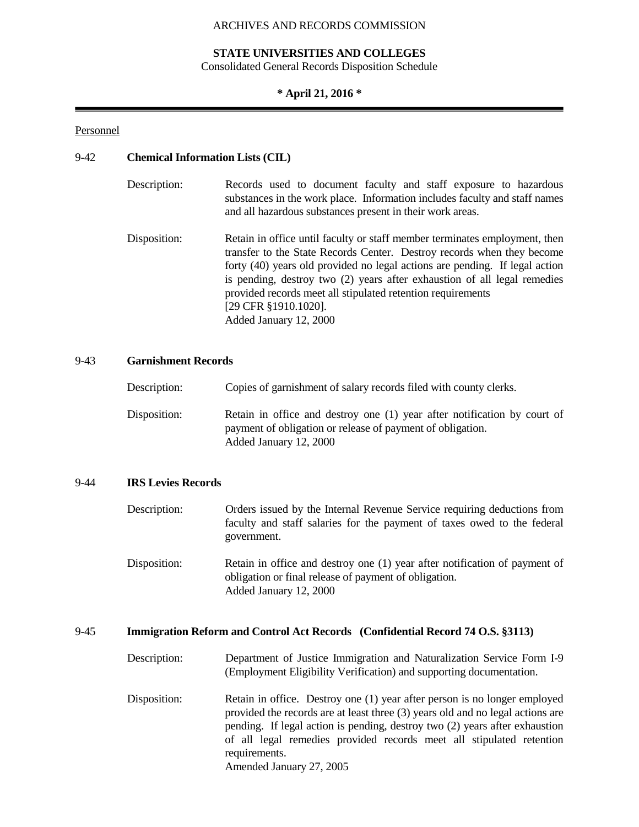#### **STATE UNIVERSITIES AND COLLEGES**

Consolidated General Records Disposition Schedule

#### **\* April 21, 2016 \***

#### Personnel

#### 9-42 **Chemical Information Lists (CIL)**

| Description: | Records used to document faculty and staff exposure to hazardous<br>substances in the work place. Information includes faculty and staff names<br>and all hazardous substances present in their work areas.                                                                                                                                                                                                                      |
|--------------|----------------------------------------------------------------------------------------------------------------------------------------------------------------------------------------------------------------------------------------------------------------------------------------------------------------------------------------------------------------------------------------------------------------------------------|
| Disposition: | Retain in office until faculty or staff member terminates employment, then<br>transfer to the State Records Center. Destroy records when they become<br>forty (40) years old provided no legal actions are pending. If legal action<br>is pending, destroy two (2) years after exhaustion of all legal remedies<br>provided records meet all stipulated retention requirements<br>[29 CFR §1910.1020].<br>Added January 12, 2000 |

#### 9-43 **Garnishment Records**

| Description: | Copies of garnishment of salary records filed with county clerks.                                                                                                |
|--------------|------------------------------------------------------------------------------------------------------------------------------------------------------------------|
| Disposition: | Retain in office and destroy one (1) year after notification by court of<br>payment of obligation or release of payment of obligation.<br>Added January 12, 2000 |

#### 9-44 **IRS Levies Records**

| Description: | Orders issued by the Internal Revenue Service requiring deductions from<br>faculty and staff salaries for the payment of taxes owed to the federal<br>government. |
|--------------|-------------------------------------------------------------------------------------------------------------------------------------------------------------------|
| Disposition: | Retain in office and destroy one (1) year after notification of payment of<br>obligation or final release of payment of obligation.                               |

Added January 12, 2000

## 9-45 **Immigration Reform and Control Act Records (Confidential Record 74 O.S. §3113)**

| Description: | Department of Justice Immigration and Naturalization Service Form I-9 |
|--------------|-----------------------------------------------------------------------|
|              | (Employment Eligibility Verification) and supporting documentation.   |

Disposition: Retain in office. Destroy one (1) year after person is no longer employed provided the records are at least three (3) years old and no legal actions are pending. If legal action is pending, destroy two (2) years after exhaustion of all legal remedies provided records meet all stipulated retention requirements. Amended January 27, 2005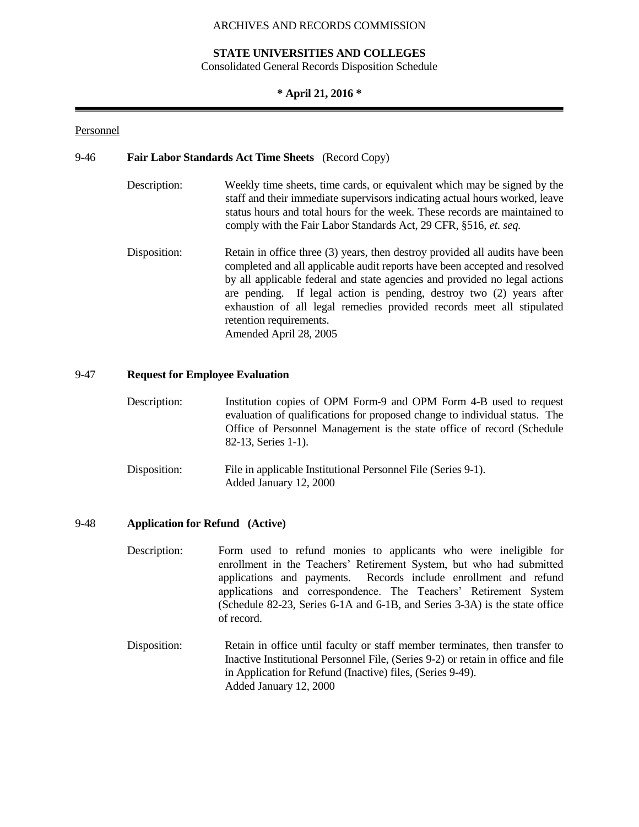#### **STATE UNIVERSITIES AND COLLEGES**

Consolidated General Records Disposition Schedule

#### **\* April 21, 2016 \***

#### Personnel

#### 9-46 **Fair Labor Standards Act Time Sheets** (Record Copy)

- Description: Weekly time sheets, time cards, or equivalent which may be signed by the staff and their immediate supervisors indicating actual hours worked, leave status hours and total hours for the week. These records are maintained to comply with the Fair Labor Standards Act, 29 CFR, §516, *et. seq.*
- Disposition: Retain in office three (3) years, then destroy provided all audits have been completed and all applicable audit reports have been accepted and resolved by all applicable federal and state agencies and provided no legal actions are pending. If legal action is pending, destroy two (2) years after exhaustion of all legal remedies provided records meet all stipulated retention requirements. Amended April 28, 2005

#### 9-47 **Request for Employee Evaluation**

- Description: Institution copies of OPM Form-9 and OPM Form 4-B used to request evaluation of qualifications for proposed change to individual status. The Office of Personnel Management is the state office of record (Schedule 82-13, Series 1-1).
- Disposition: File in applicable Institutional Personnel File (Series 9-1). Added January 12, 2000

#### 9-48 **Application for Refund (Active)**

- Description: Form used to refund monies to applicants who were ineligible for enrollment in the Teachers' Retirement System, but who had submitted applications and payments. Records include enrollment and refund applications and correspondence. The Teachers' Retirement System (Schedule 82-23, Series 6-1A and 6-1B, and Series 3-3A) is the state office of record.
- Disposition: Retain in office until faculty or staff member terminates, then transfer to Inactive Institutional Personnel File, (Series 9-2) or retain in office and file in Application for Refund (Inactive) files, (Series 9-49). Added January 12, 2000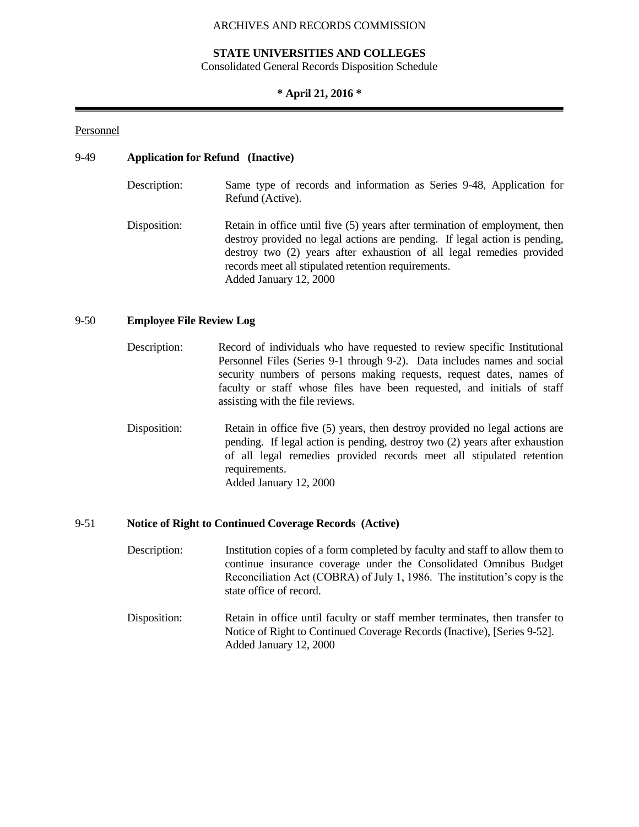#### **STATE UNIVERSITIES AND COLLEGES**

Consolidated General Records Disposition Schedule

#### **\* April 21, 2016 \***

#### Personnel

#### 9-49 **Application for Refund (Inactive)**

| Description: | Same type of records and information as Series 9-48, Application for<br>Refund (Active).                                                                                                                                                                                                                            |
|--------------|---------------------------------------------------------------------------------------------------------------------------------------------------------------------------------------------------------------------------------------------------------------------------------------------------------------------|
| Disposition: | Retain in office until five (5) years after termination of employment, then<br>destroy provided no legal actions are pending. If legal action is pending,<br>destroy two (2) years after exhaustion of all legal remedies provided<br>records meet all stipulated retention requirements.<br>Added January 12, 2000 |

#### 9-50 **Employee File Review Log**

- Description: Record of individuals who have requested to review specific Institutional Personnel Files (Series 9-1 through 9-2). Data includes names and social security numbers of persons making requests, request dates, names of faculty or staff whose files have been requested, and initials of staff assisting with the file reviews.
- Disposition: Retain in office five (5) years, then destroy provided no legal actions are pending. If legal action is pending, destroy two (2) years after exhaustion of all legal remedies provided records meet all stipulated retention requirements. Added January 12, 2000

#### 9-51 **Notice of Right to Continued Coverage Records (Active)**

- Description: Institution copies of a form completed by faculty and staff to allow them to continue insurance coverage under the Consolidated Omnibus Budget Reconciliation Act (COBRA) of July 1, 1986. The institution's copy is the state office of record.
- Disposition: Retain in office until faculty or staff member terminates, then transfer to Notice of Right to Continued Coverage Records (Inactive), [Series 9-52]. Added January 12, 2000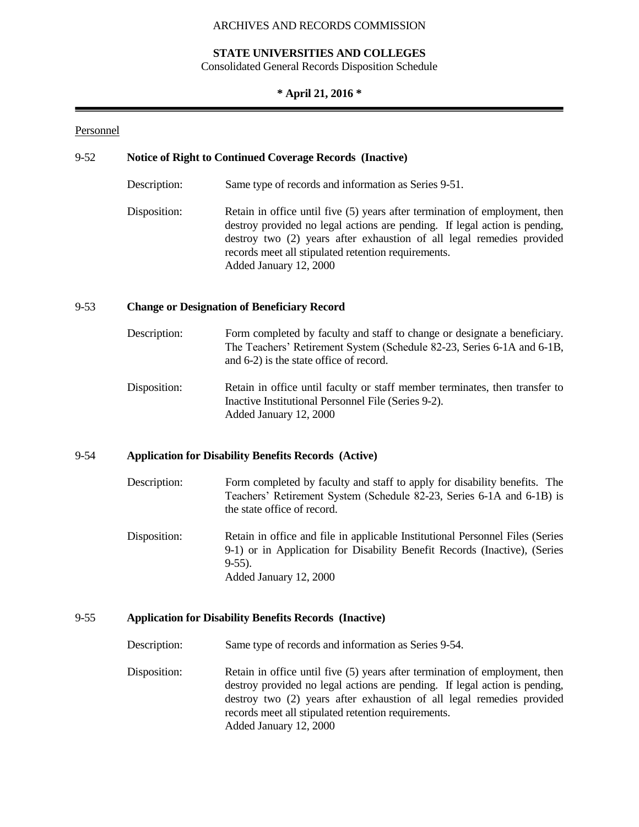## **STATE UNIVERSITIES AND COLLEGES**

Consolidated General Records Disposition Schedule

### **\* April 21, 2016 \***

#### Personnel

## 9-52 **Notice of Right to Continued Coverage Records (Inactive)**

- Description: Same type of records and information as Series 9-51.
- Disposition: Retain in office until five (5) years after termination of employment, then destroy provided no legal actions are pending. If legal action is pending, destroy two (2) years after exhaustion of all legal remedies provided records meet all stipulated retention requirements. Added January 12, 2000

#### 9-53 **Change or Designation of Beneficiary Record**

- Description: Form completed by faculty and staff to change or designate a beneficiary. The Teachers' Retirement System (Schedule 82-23, Series 6-1A and 6-1B, and 6-2) is the state office of record.
- Disposition: Retain in office until faculty or staff member terminates, then transfer to Inactive Institutional Personnel File (Series 9-2). Added January 12, 2000

## 9-54 **Application for Disability Benefits Records (Active)**

- Description: Form completed by faculty and staff to apply for disability benefits. The Teachers' Retirement System (Schedule 82-23, Series 6-1A and 6-1B) is the state office of record.
- Disposition: Retain in office and file in applicable Institutional Personnel Files (Series 9-1) or in Application for Disability Benefit Records (Inactive), (Series  $9-55$ ). Added January 12, 2000

#### 9-55 **Application for Disability Benefits Records (Inactive)**

Description: Same type of records and information as Series 9-54.

Disposition: Retain in office until five (5) years after termination of employment, then destroy provided no legal actions are pending. If legal action is pending, destroy two (2) years after exhaustion of all legal remedies provided records meet all stipulated retention requirements. Added January 12, 2000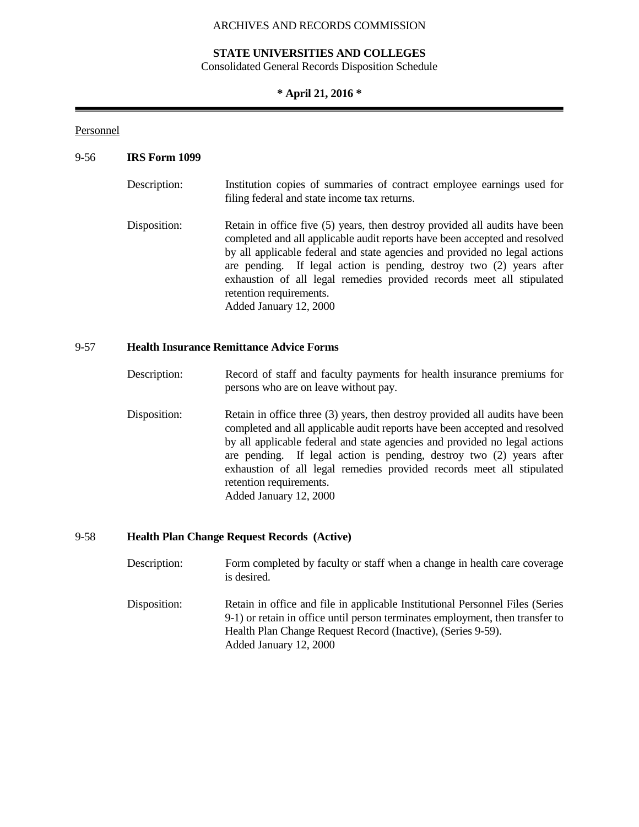## **STATE UNIVERSITIES AND COLLEGES**

Consolidated General Records Disposition Schedule

## **\* April 21, 2016 \***

## Personnel

## 9-56 **IRS Form 1099**

| Description: | Institution copies of summaries of contract employee earnings used for<br>filing federal and state income tax returns.                                                                                                                                                                                                                                                                                                                        |
|--------------|-----------------------------------------------------------------------------------------------------------------------------------------------------------------------------------------------------------------------------------------------------------------------------------------------------------------------------------------------------------------------------------------------------------------------------------------------|
| Disposition: | Retain in office five (5) years, then destroy provided all audits have been<br>completed and all applicable audit reports have been accepted and resolved<br>by all applicable federal and state agencies and provided no legal actions<br>are pending. If legal action is pending, destroy two (2) years after<br>exhaustion of all legal remedies provided records meet all stipulated<br>retention requirements.<br>Added January 12, 2000 |

## 9-57 **Health Insurance Remittance Advice Forms**

- Description: Record of staff and faculty payments for health insurance premiums for persons who are on leave without pay.
- Disposition: Retain in office three (3) years, then destroy provided all audits have been completed and all applicable audit reports have been accepted and resolved by all applicable federal and state agencies and provided no legal actions are pending. If legal action is pending, destroy two (2) years after exhaustion of all legal remedies provided records meet all stipulated retention requirements. Added January 12, 2000

## 9-58 **Health Plan Change Request Records (Active)**

- Description: Form completed by faculty or staff when a change in health care coverage is desired.
- Disposition: Retain in office and file in applicable Institutional Personnel Files (Series 9-1) or retain in office until person terminates employment, then transfer to Health Plan Change Request Record (Inactive), (Series 9-59). Added January 12, 2000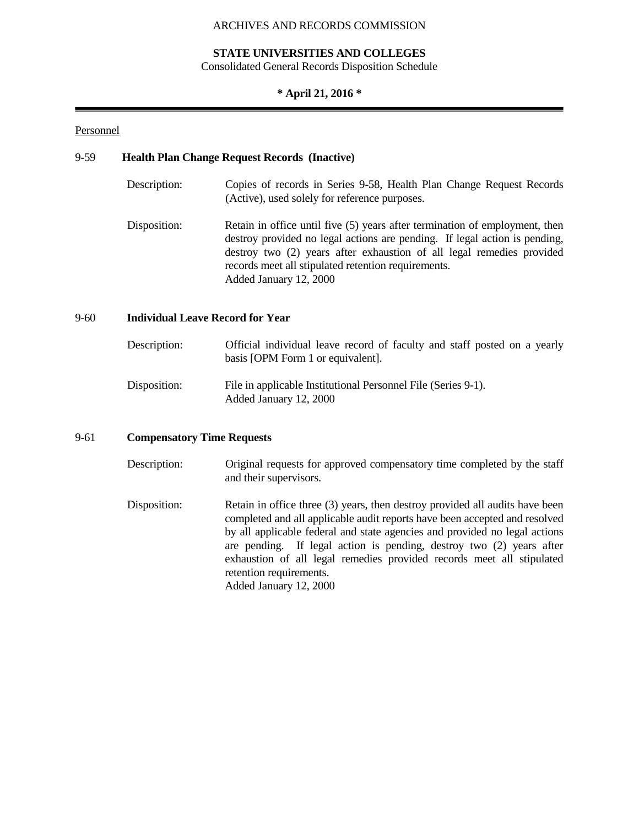## **STATE UNIVERSITIES AND COLLEGES**

Consolidated General Records Disposition Schedule

## **\* April 21, 2016 \***

## Personnel

## 9-59 **Health Plan Change Request Records (Inactive)**

Description: Copies of records in Series 9-58, Health Plan Change Request Records (Active), used solely for reference purposes. Disposition: Retain in office until five (5) years after termination of employment, then destroy provided no legal actions are pending. If legal action is pending, destroy two (2) years after exhaustion of all legal remedies provided records meet all stipulated retention requirements. Added January 12, 2000

## 9-60 **Individual Leave Record for Year**

| Description: | Official individual leave record of faculty and staff posted on a yearly<br>basis [OPM Form 1 or equivalent]. |
|--------------|---------------------------------------------------------------------------------------------------------------|
| Disposition: | File in applicable Institutional Personnel File (Series 9-1).<br>Added January 12, 2000                       |

## 9-61 **Compensatory Time Requests**

- Description: Original requests for approved compensatory time completed by the staff and their supervisors.
- Disposition: Retain in office three (3) years, then destroy provided all audits have been completed and all applicable audit reports have been accepted and resolved by all applicable federal and state agencies and provided no legal actions are pending. If legal action is pending, destroy two (2) years after exhaustion of all legal remedies provided records meet all stipulated retention requirements. Added January 12, 2000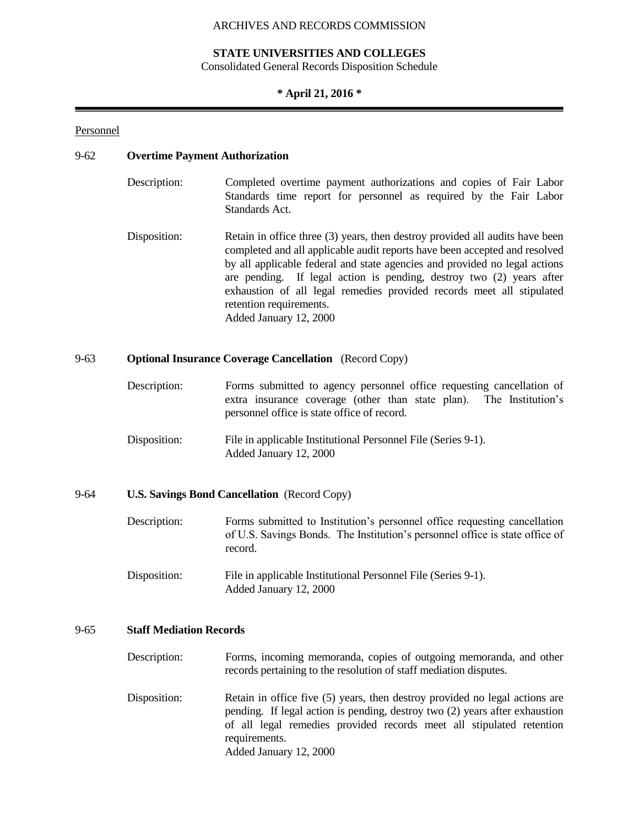## **STATE UNIVERSITIES AND COLLEGES**

Consolidated General Records Disposition Schedule

### **\* April 21, 2016 \***

#### Personnel

## 9-62 **Overtime Payment Authorization**

- Description: Completed overtime payment authorizations and copies of Fair Labor Standards time report for personnel as required by the Fair Labor Standards Act.
- Disposition: Retain in office three (3) years, then destroy provided all audits have been completed and all applicable audit reports have been accepted and resolved by all applicable federal and state agencies and provided no legal actions are pending. If legal action is pending, destroy two (2) years after exhaustion of all legal remedies provided records meet all stipulated retention requirements. Added January 12, 2000

## 9-63 **Optional Insurance Coverage Cancellation** (Record Copy)

- Description: Forms submitted to agency personnel office requesting cancellation of extra insurance coverage (other than state plan). The Institution's personnel office is state office of record.
- Disposition: File in applicable Institutional Personnel File (Series 9-1). Added January 12, 2000

## 9-64 **U.S. Savings Bond Cancellation** (Record Copy)

- Description: Forms submitted to Institution's personnel office requesting cancellation of U.S. Savings Bonds. The Institution's personnel office is state office of record.
- Disposition: File in applicable Institutional Personnel File (Series 9-1). Added January 12, 2000

#### 9-65 **Staff Mediation Records**

- Description: Forms, incoming memoranda, copies of outgoing memoranda, and other records pertaining to the resolution of staff mediation disputes.
- Disposition: Retain in office five (5) years, then destroy provided no legal actions are pending. If legal action is pending, destroy two (2) years after exhaustion of all legal remedies provided records meet all stipulated retention requirements. Added January 12, 2000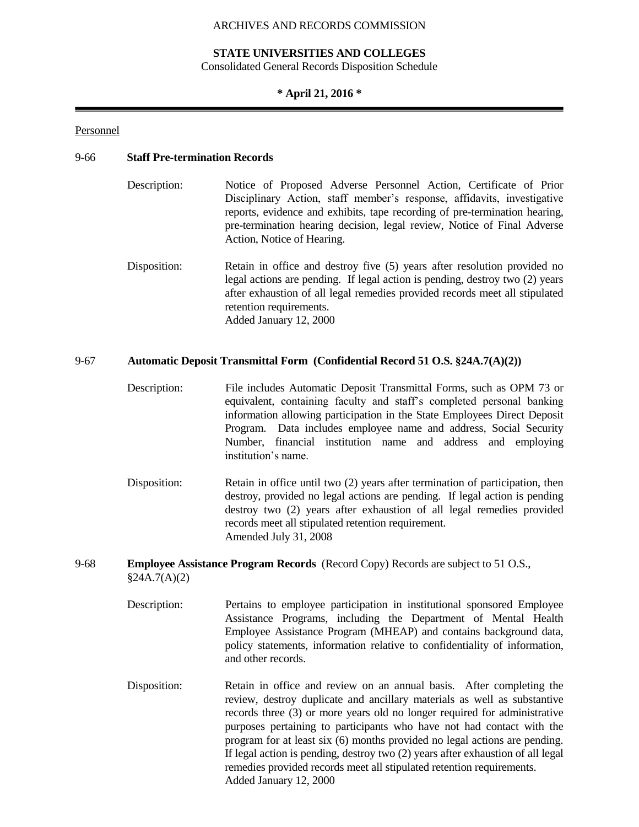### **STATE UNIVERSITIES AND COLLEGES**

Consolidated General Records Disposition Schedule

## **\* April 21, 2016 \***

#### Personnel

#### 9-66 **Staff Pre-termination Records**

- Description: Notice of Proposed Adverse Personnel Action, Certificate of Prior Disciplinary Action, staff member's response, affidavits, investigative reports, evidence and exhibits, tape recording of pre-termination hearing, pre-termination hearing decision, legal review, Notice of Final Adverse Action, Notice of Hearing.
- Disposition: Retain in office and destroy five (5) years after resolution provided no legal actions are pending. If legal action is pending, destroy two (2) years after exhaustion of all legal remedies provided records meet all stipulated retention requirements. Added January 12, 2000

### 9-67 **Automatic Deposit Transmittal Form (Confidential Record 51 O.S. §24A.7(A)(2))**

- Description: File includes Automatic Deposit Transmittal Forms, such as OPM 73 or equivalent, containing faculty and staff's completed personal banking information allowing participation in the State Employees Direct Deposit Program. Data includes employee name and address, Social Security Number, financial institution name and address and employing institution's name.
- Disposition: Retain in office until two (2) years after termination of participation, then destroy, provided no legal actions are pending. If legal action is pending destroy two (2) years after exhaustion of all legal remedies provided records meet all stipulated retention requirement. Amended July 31, 2008
- 9-68 **Employee Assistance Program Records** (Record Copy) Records are subject to 51 O.S.,  $§24A.7(A)(2)$ 
	- Description: Pertains to employee participation in institutional sponsored Employee Assistance Programs, including the Department of Mental Health Employee Assistance Program (MHEAP) and contains background data, policy statements, information relative to confidentiality of information, and other records.
	- Disposition: Retain in office and review on an annual basis. After completing the review, destroy duplicate and ancillary materials as well as substantive records three (3) or more years old no longer required for administrative purposes pertaining to participants who have not had contact with the program for at least six (6) months provided no legal actions are pending. If legal action is pending, destroy two (2) years after exhaustion of all legal remedies provided records meet all stipulated retention requirements. Added January 12, 2000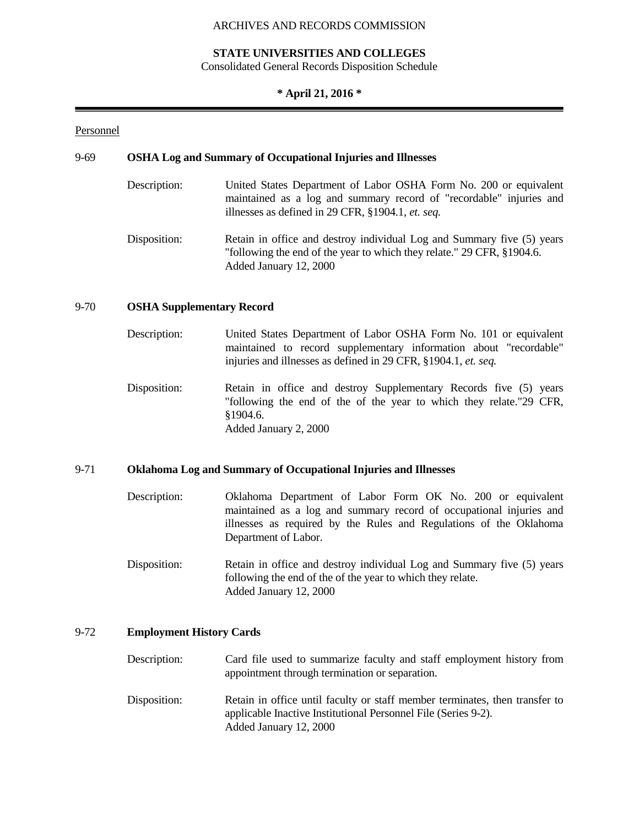## **STATE UNIVERSITIES AND COLLEGES**

Consolidated General Records Disposition Schedule

## **\* April 21, 2016 \***

## Personnel

### 9-69 **OSHA Log and Summary of Occupational Injuries and Illnesses**

Description: United States Department of Labor OSHA Form No. 200 or equivalent maintained as a log and summary record of "recordable" injuries and illnesses as defined in 29 CFR, §1904.1, *et. seq.* Disposition: Retain in office and destroy individual Log and Summary five (5) years "following the end of the year to which they relate." 29 CFR, §1904.6. Added January 12, 2000

## 9-70 **OSHA Supplementary Record**

- Description: United States Department of Labor OSHA Form No. 101 or equivalent maintained to record supplementary information about "recordable" injuries and illnesses as defined in 29 CFR, §1904.1, *et. seq.*
- Disposition: Retain in office and destroy Supplementary Records five (5) years "following the end of the of the year to which they relate."29 CFR, §1904.6. Added January 2, 2000

### 9-71 **Oklahoma Log and Summary of Occupational Injuries and Illnesses**

- Description: Oklahoma Department of Labor Form OK No. 200 or equivalent maintained as a log and summary record of occupational injuries and illnesses as required by the Rules and Regulations of the Oklahoma Department of Labor.
- Disposition: Retain in office and destroy individual Log and Summary five (5) years following the end of the of the year to which they relate. Added January 12, 2000

## 9-72 **Employment History Cards**

- Description: Card file used to summarize faculty and staff employment history from appointment through termination or separation.
- Disposition: Retain in office until faculty or staff member terminates, then transfer to applicable Inactive Institutional Personnel File (Series 9-2). Added January 12, 2000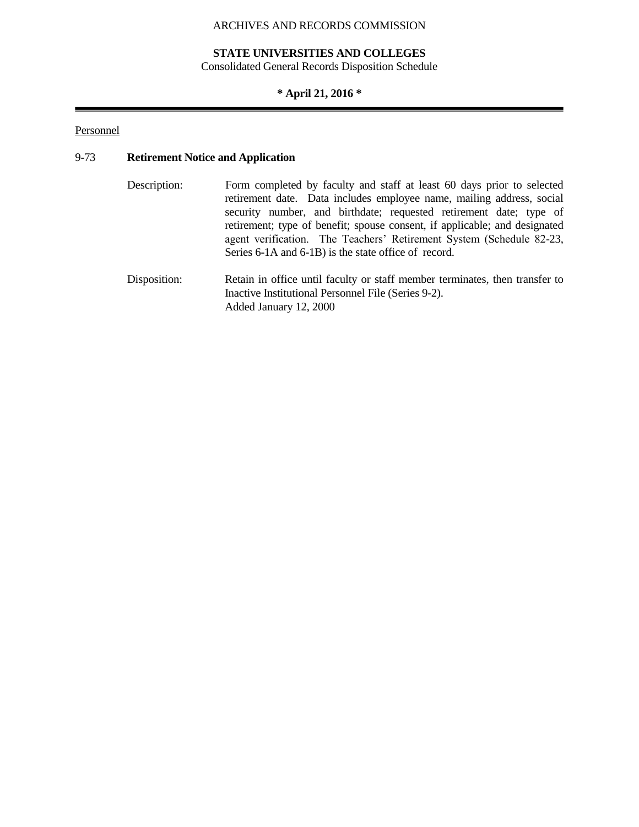# **STATE UNIVERSITIES AND COLLEGES**

Consolidated General Records Disposition Schedule

# **\* April 21, 2016 \***

## Personnel

# 9-73 **Retirement Notice and Application**

| Description: | Form completed by faculty and staff at least 60 days prior to selected<br>retirement date. Data includes employee name, mailing address, social<br>security number, and birthdate; requested retirement date; type of<br>retirement; type of benefit; spouse consent, if applicable; and designated<br>agent verification. The Teachers' Retirement System (Schedule 82-23,<br>Series 6-1A and 6-1B) is the state office of record. |
|--------------|-------------------------------------------------------------------------------------------------------------------------------------------------------------------------------------------------------------------------------------------------------------------------------------------------------------------------------------------------------------------------------------------------------------------------------------|
| Disposition: | Retain in office until faculty or staff member terminates, then transfer to<br>Inactive Institutional Personnel File (Series 9-2).<br>Added January 12, 2000                                                                                                                                                                                                                                                                        |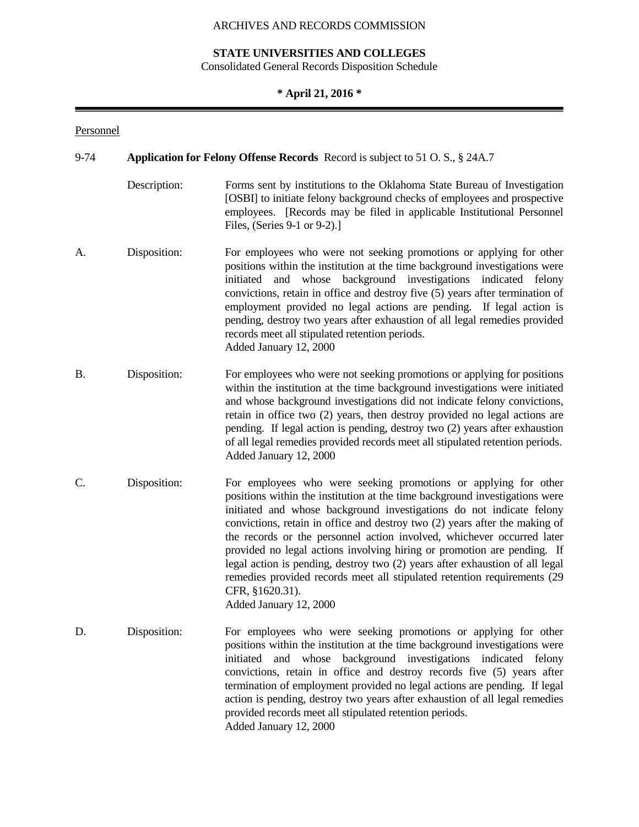# **STATE UNIVERSITIES AND COLLEGES**

Consolidated General Records Disposition Schedule

# **\* April 21, 2016 \***

## Personnel

| 9-74<br><b>Application for Felony Offense Records</b> Record is subject to 51 O. S., § 24A.7 |              |                                                                                                                                                                                                                                                                                                                                                                                                                                                                                                                                                                                                                                                                     |
|----------------------------------------------------------------------------------------------|--------------|---------------------------------------------------------------------------------------------------------------------------------------------------------------------------------------------------------------------------------------------------------------------------------------------------------------------------------------------------------------------------------------------------------------------------------------------------------------------------------------------------------------------------------------------------------------------------------------------------------------------------------------------------------------------|
|                                                                                              | Description: | Forms sent by institutions to the Oklahoma State Bureau of Investigation<br>[OSBI] to initiate felony background checks of employees and prospective<br>employees. [Records may be filed in applicable Institutional Personnel<br>Files, (Series 9-1 or 9-2).]                                                                                                                                                                                                                                                                                                                                                                                                      |
| A.                                                                                           | Disposition: | For employees who were not seeking promotions or applying for other<br>positions within the institution at the time background investigations were<br>background investigations<br>initiated<br>whose<br>indicated felony<br>and<br>convictions, retain in office and destroy five (5) years after termination of<br>employment provided no legal actions are pending. If legal action is<br>pending, destroy two years after exhaustion of all legal remedies provided<br>records meet all stipulated retention periods.<br>Added January 12, 2000                                                                                                                 |
| <b>B.</b>                                                                                    | Disposition: | For employees who were not seeking promotions or applying for positions<br>within the institution at the time background investigations were initiated<br>and whose background investigations did not indicate felony convictions,<br>retain in office two (2) years, then destroy provided no legal actions are<br>pending. If legal action is pending, destroy two (2) years after exhaustion<br>of all legal remedies provided records meet all stipulated retention periods.<br>Added January 12, 2000                                                                                                                                                          |
| C.                                                                                           | Disposition: | For employees who were seeking promotions or applying for other<br>positions within the institution at the time background investigations were<br>initiated and whose background investigations do not indicate felony<br>convictions, retain in office and destroy two (2) years after the making of<br>the records or the personnel action involved, whichever occurred later<br>provided no legal actions involving hiring or promotion are pending. If<br>legal action is pending, destroy two (2) years after exhaustion of all legal<br>remedies provided records meet all stipulated retention requirements (29<br>CFR, §1620.31).<br>Added January 12, 2000 |
| D.                                                                                           | Disposition: | For employees who were seeking promotions or applying for other<br>positions within the institution at the time background investigations were<br>whose background investigations indicated felony<br>initiated<br>and<br>convictions, retain in office and destroy records five (5) years after<br>termination of employment provided no legal actions are pending. If legal<br>action is pending, destroy two years after exhaustion of all legal remedies<br>provided records meet all stipulated retention periods.<br>Added January 12, 2000                                                                                                                   |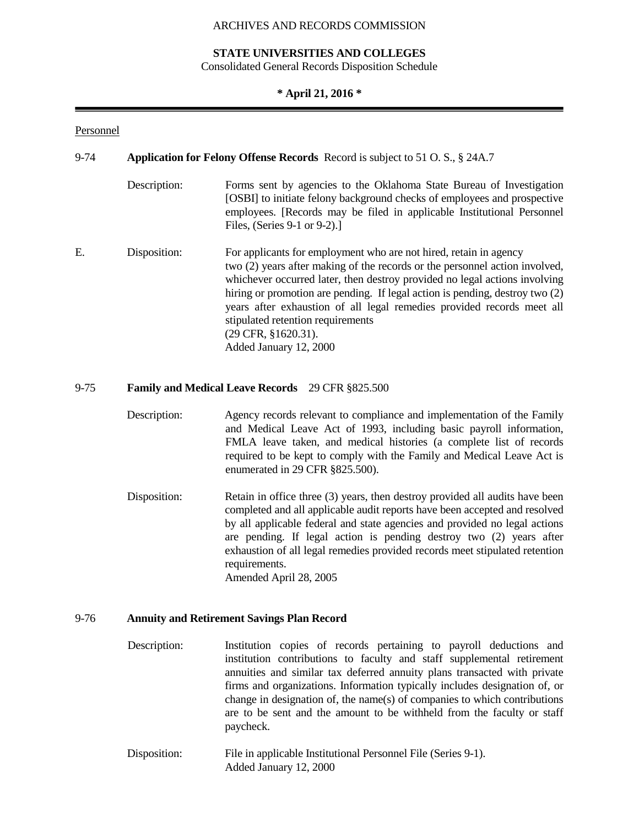## **STATE UNIVERSITIES AND COLLEGES**

Consolidated General Records Disposition Schedule

## **\* April 21, 2016 \***

## Personnel

| $9 - 74$ |              | Application for Felony Offense Records Record is subject to 51 O.S., § 24A.7                                                                                                                                                                                                                                                                                                                                                                                                                    |  |  |
|----------|--------------|-------------------------------------------------------------------------------------------------------------------------------------------------------------------------------------------------------------------------------------------------------------------------------------------------------------------------------------------------------------------------------------------------------------------------------------------------------------------------------------------------|--|--|
|          | Description: | Forms sent by agencies to the Oklahoma State Bureau of Investigation<br>[OSBI] to initiate felony background checks of employees and prospective<br>employees. [Records may be filed in applicable Institutional Personnel<br>Files, (Series 9-1 or 9-2).                                                                                                                                                                                                                                       |  |  |
| Ε.       | Disposition: | For applicants for employment who are not hired, retain in agency<br>two (2) years after making of the records or the personnel action involved,<br>whichever occurred later, then destroy provided no legal actions involving<br>hiring or promotion are pending. If legal action is pending, destroy two (2)<br>years after exhaustion of all legal remedies provided records meet all<br>stipulated retention requirements<br>$(29 \text{ CFR}, \text{$}1620.31).$<br>Added January 12, 2000 |  |  |

## 9-75 **Family and Medical Leave Records** 29 CFR §825.500

- Description: Agency records relevant to compliance and implementation of the Family and Medical Leave Act of 1993, including basic payroll information, FMLA leave taken, and medical histories (a complete list of records required to be kept to comply with the Family and Medical Leave Act is enumerated in 29 CFR §825.500).
- Disposition: Retain in office three (3) years, then destroy provided all audits have been completed and all applicable audit reports have been accepted and resolved by all applicable federal and state agencies and provided no legal actions are pending. If legal action is pending destroy two (2) years after exhaustion of all legal remedies provided records meet stipulated retention requirements. Amended April 28, 2005

9-76 **Annuity and Retirement Savings Plan Record**

- Description: Institution copies of records pertaining to payroll deductions and institution contributions to faculty and staff supplemental retirement annuities and similar tax deferred annuity plans transacted with private firms and organizations. Information typically includes designation of, or change in designation of, the name(s) of companies to which contributions are to be sent and the amount to be withheld from the faculty or staff paycheck.
- Disposition: File in applicable Institutional Personnel File (Series 9-1). Added January 12, 2000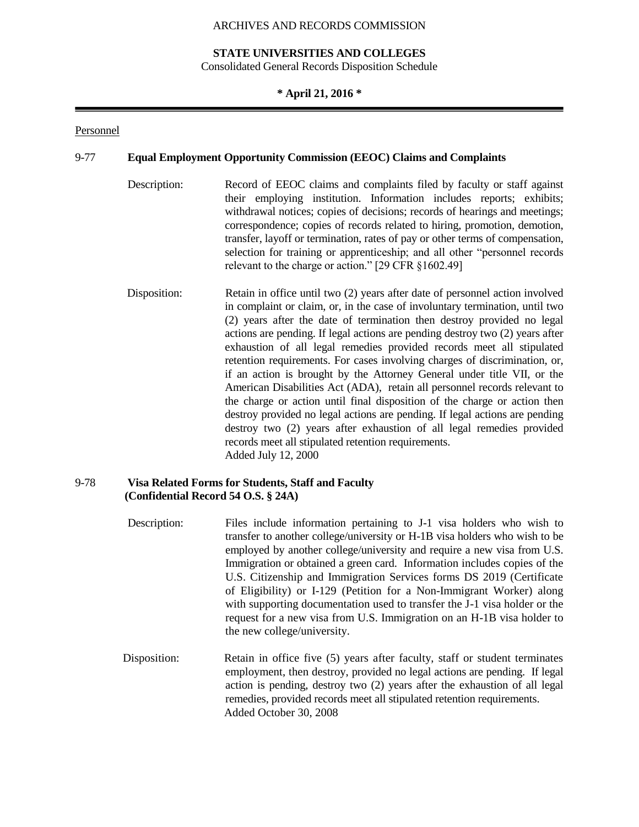## **STATE UNIVERSITIES AND COLLEGES**

Consolidated General Records Disposition Schedule

## **\* April 21, 2016 \***

#### Personnel

#### 9-77 **Equal Employment Opportunity Commission (EEOC) Claims and Complaints**

- Description: Record of EEOC claims and complaints filed by faculty or staff against their employing institution. Information includes reports; exhibits; withdrawal notices; copies of decisions; records of hearings and meetings; correspondence; copies of records related to hiring, promotion, demotion, transfer, layoff or termination, rates of pay or other terms of compensation, selection for training or apprenticeship; and all other "personnel records relevant to the charge or action." [29 CFR §1602.49]
- Disposition: Retain in office until two (2) years after date of personnel action involved in complaint or claim, or, in the case of involuntary termination, until two (2) years after the date of termination then destroy provided no legal actions are pending. If legal actions are pending destroy two (2) years after exhaustion of all legal remedies provided records meet all stipulated retention requirements. For cases involving charges of discrimination, or, if an action is brought by the Attorney General under title VII, or the American Disabilities Act (ADA), retain all personnel records relevant to the charge or action until final disposition of the charge or action then destroy provided no legal actions are pending. If legal actions are pending destroy two (2) years after exhaustion of all legal remedies provided records meet all stipulated retention requirements. Added July 12, 2000

## 9-78 **Visa Related Forms for Students, Staff and Faculty (Confidential Record 54 O.S. § 24A)**

- Description: Files include information pertaining to J-1 visa holders who wish to transfer to another college/university or H-1B visa holders who wish to be employed by another college/university and require a new visa from U.S. Immigration or obtained a green card. Information includes copies of the U.S. Citizenship and Immigration Services forms DS 2019 (Certificate of Eligibility) or I-129 (Petition for a Non-Immigrant Worker) along with supporting documentation used to transfer the J-1 visa holder or the request for a new visa from U.S. Immigration on an H-1B visa holder to the new college/university.
- Disposition: Retain in office five (5) years after faculty, staff or student terminates employment, then destroy, provided no legal actions are pending. If legal action is pending, destroy two (2) years after the exhaustion of all legal remedies, provided records meet all stipulated retention requirements. Added October 30, 2008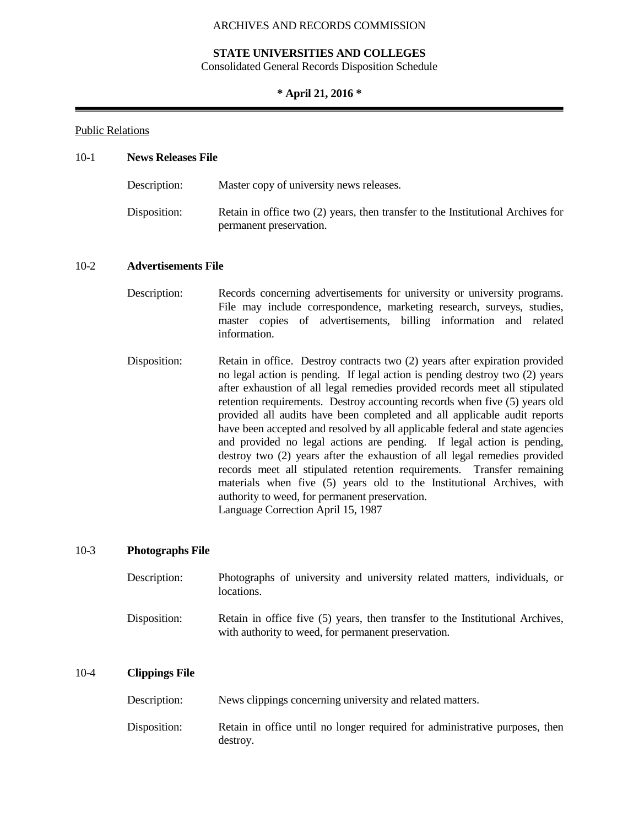## **STATE UNIVERSITIES AND COLLEGES**

Consolidated General Records Disposition Schedule

## **\* April 21, 2016 \***

## Public Relations

## 10-1 **News Releases File**

| Description: | Master copy of university news releases.                                                                   |
|--------------|------------------------------------------------------------------------------------------------------------|
| Disposition: | Retain in office two (2) years, then transfer to the Institutional Archives for<br>permanent preservation. |

## 10-2 **Advertisements File**

- Description: Records concerning advertisements for university or university programs. File may include correspondence, marketing research, surveys, studies, master copies of advertisements, billing information and related information.
- Disposition: Retain in office. Destroy contracts two (2) years after expiration provided no legal action is pending. If legal action is pending destroy two (2) years after exhaustion of all legal remedies provided records meet all stipulated retention requirements. Destroy accounting records when five (5) years old provided all audits have been completed and all applicable audit reports have been accepted and resolved by all applicable federal and state agencies and provided no legal actions are pending. If legal action is pending, destroy two (2) years after the exhaustion of all legal remedies provided records meet all stipulated retention requirements. Transfer remaining materials when five (5) years old to the Institutional Archives, with authority to weed, for permanent preservation. Language Correction April 15, 1987

## 10-3 **Photographs File**

| Description: | Photographs of university and university related matters, individuals, or<br>locations.                                              |
|--------------|--------------------------------------------------------------------------------------------------------------------------------------|
| Disposition: | Retain in office five (5) years, then transfer to the Institutional Archives,<br>with authority to weed, for permanent preservation. |

## 10-4 **Clippings File**

| Description: |  | News clippings concerning university and related matters. |  |
|--------------|--|-----------------------------------------------------------|--|
|--------------|--|-----------------------------------------------------------|--|

Disposition: Retain in office until no longer required for administrative purposes, then destroy.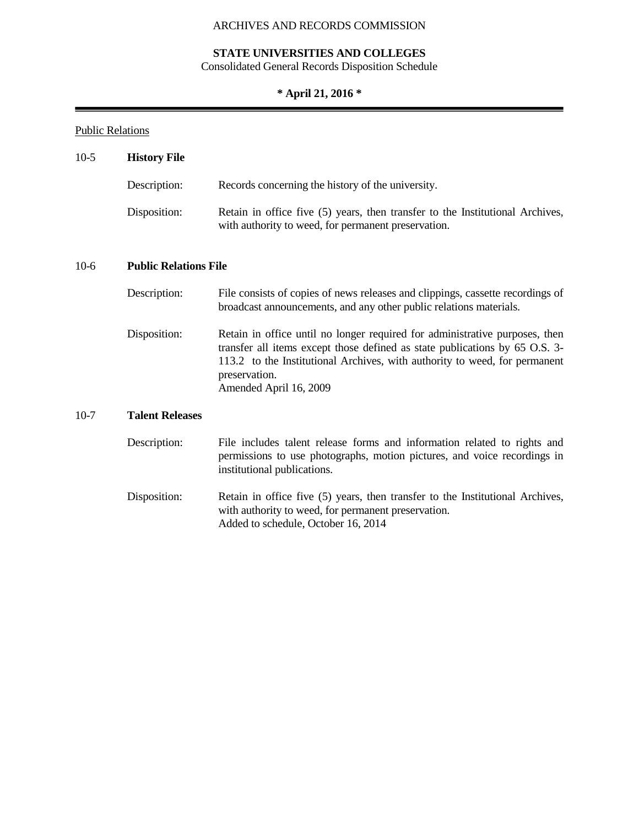# **STATE UNIVERSITIES AND COLLEGES**

Consolidated General Records Disposition Schedule

# **\* April 21, 2016 \***

۰

# Public Relations

| $10-5$ | <b>History File</b>          |                                                                                                                                                                                                                                                                                     |  |
|--------|------------------------------|-------------------------------------------------------------------------------------------------------------------------------------------------------------------------------------------------------------------------------------------------------------------------------------|--|
|        | Description:                 | Records concerning the history of the university.                                                                                                                                                                                                                                   |  |
|        | Disposition:                 | Retain in office five (5) years, then transfer to the Institutional Archives,<br>with authority to weed, for permanent preservation.                                                                                                                                                |  |
| $10-6$ | <b>Public Relations File</b> |                                                                                                                                                                                                                                                                                     |  |
|        | Description:                 | File consists of copies of news releases and clippings, cassette recordings of<br>broadcast announcements, and any other public relations materials.                                                                                                                                |  |
|        | Disposition:                 | Retain in office until no longer required for administrative purposes, then<br>transfer all items except those defined as state publications by 65 O.S. 3-<br>113.2 to the Institutional Archives, with authority to weed, for permanent<br>preservation.<br>Amended April 16, 2009 |  |
| $10-7$ | <b>Talent Releases</b>       |                                                                                                                                                                                                                                                                                     |  |
|        | Description:                 | File includes talent release forms and information related to rights and<br>permissions to use photographs, motion pictures, and voice recordings in<br>institutional publications.                                                                                                 |  |
|        | Disposition:                 | Retain in office five (5) years, then transfer to the Institutional Archives,<br>with authority to weed, for permanent preservation.<br>Added to schedule, October 16, 2014                                                                                                         |  |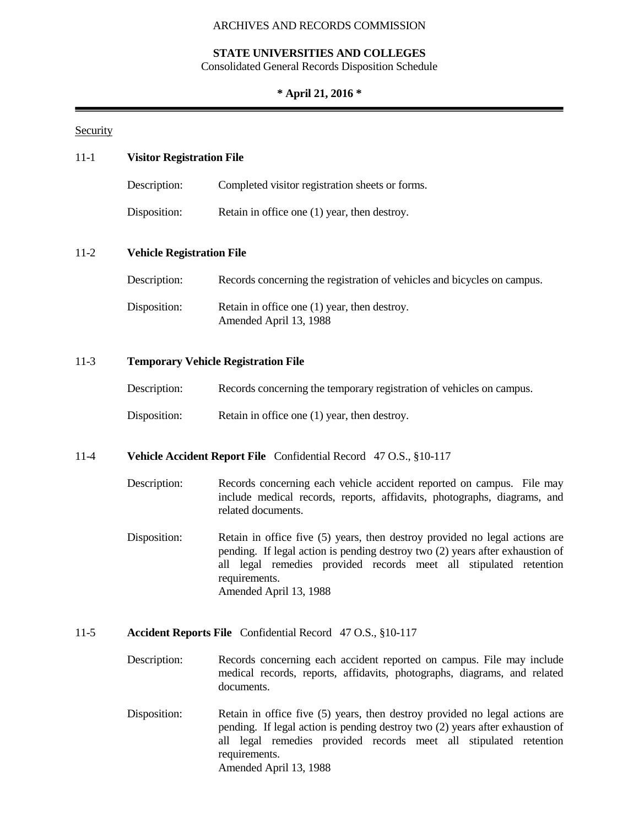## **STATE UNIVERSITIES AND COLLEGES**

Consolidated General Records Disposition Schedule

## **\* April 21, 2016 \***

## **Security**

| $11 - 1$<br><b>Visitor Registration File</b> |                                  |                                                                                                                                                                                                                                                                              |  |  |
|----------------------------------------------|----------------------------------|------------------------------------------------------------------------------------------------------------------------------------------------------------------------------------------------------------------------------------------------------------------------------|--|--|
|                                              | Description:                     | Completed visitor registration sheets or forms.                                                                                                                                                                                                                              |  |  |
|                                              | Disposition:                     | Retain in office one (1) year, then destroy.                                                                                                                                                                                                                                 |  |  |
| $11-2$                                       | <b>Vehicle Registration File</b> |                                                                                                                                                                                                                                                                              |  |  |
|                                              | Description:                     | Records concerning the registration of vehicles and bicycles on campus.                                                                                                                                                                                                      |  |  |
|                                              | Disposition:                     | Retain in office one (1) year, then destroy.<br>Amended April 13, 1988                                                                                                                                                                                                       |  |  |
| $11-3$                                       |                                  | <b>Temporary Vehicle Registration File</b>                                                                                                                                                                                                                                   |  |  |
|                                              | Description:                     | Records concerning the temporary registration of vehicles on campus.                                                                                                                                                                                                         |  |  |
|                                              | Disposition:                     | Retain in office one (1) year, then destroy.                                                                                                                                                                                                                                 |  |  |
| $11-4$                                       |                                  | Vehicle Accident Report File Confidential Record 47 O.S., §10-117                                                                                                                                                                                                            |  |  |
|                                              | Description:                     | Records concerning each vehicle accident reported on campus. File may<br>include medical records, reports, affidavits, photographs, diagrams, and<br>related documents.                                                                                                      |  |  |
|                                              | Disposition:                     | Retain in office five (5) years, then destroy provided no legal actions are<br>pending. If legal action is pending destroy two (2) years after exhaustion of<br>all legal remedies provided records meet all stipulated retention<br>requirements.<br>Amended April 13, 1988 |  |  |
| $11-5$                                       |                                  | Accident Reports File Confidential Record 47 O.S., §10-117                                                                                                                                                                                                                   |  |  |
|                                              |                                  | $\cdots$<br><b>Contract Contract Contract Contract</b>                                                                                                                                                                                                                       |  |  |

- Description: Records concerning each accident reported on campus. File may include medical records, reports, affidavits, photographs, diagrams, and related documents.
- Disposition: Retain in office five (5) years, then destroy provided no legal actions are pending. If legal action is pending destroy two (2) years after exhaustion of all legal remedies provided records meet all stipulated retention requirements. Amended April 13, 1988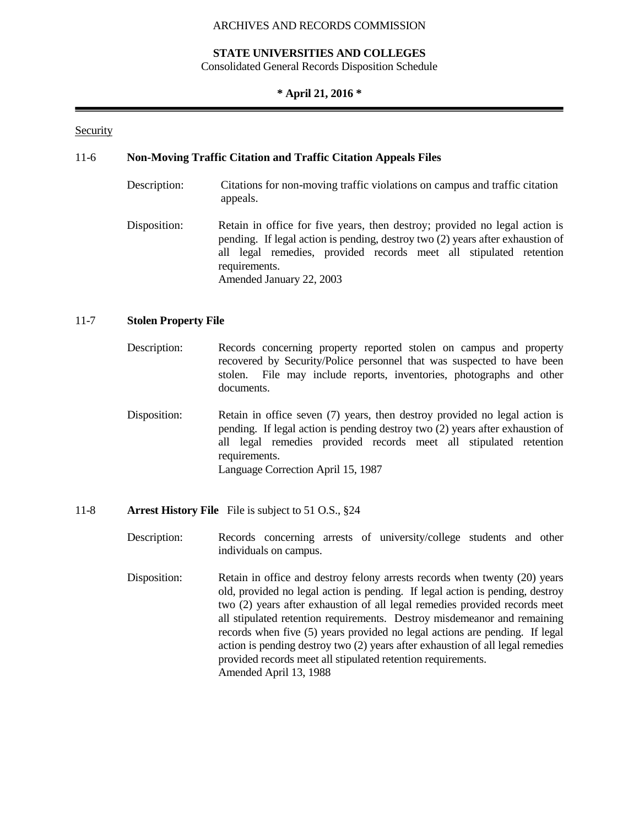## **STATE UNIVERSITIES AND COLLEGES**

Consolidated General Records Disposition Schedule

## **\* April 21, 2016 \***

## Security

## 11-6 **Non-Moving Traffic Citation and Traffic Citation Appeals Files**

- Description: Citations for non-moving traffic violations on campus and traffic citation appeals.
- Disposition: Retain in office for five years, then destroy; provided no legal action is pending. If legal action is pending, destroy two (2) years after exhaustion of all legal remedies, provided records meet all stipulated retention requirements. Amended January 22, 2003

### 11-7 **Stolen Property File**

- Description: Records concerning property reported stolen on campus and property recovered by Security/Police personnel that was suspected to have been stolen. File may include reports, inventories, photographs and other documents.
- Disposition: Retain in office seven (7) years, then destroy provided no legal action is pending. If legal action is pending destroy two (2) years after exhaustion of all legal remedies provided records meet all stipulated retention requirements. Language Correction April 15, 1987

### 11-8 **Arrest History File** File is subject to 51 O.S., §24

- Description: Records concerning arrests of university/college students and other individuals on campus.
- Disposition: Retain in office and destroy felony arrests records when twenty (20) years old, provided no legal action is pending. If legal action is pending, destroy two (2) years after exhaustion of all legal remedies provided records meet all stipulated retention requirements. Destroy misdemeanor and remaining records when five (5) years provided no legal actions are pending. If legal action is pending destroy two (2) years after exhaustion of all legal remedies provided records meet all stipulated retention requirements. Amended April 13, 1988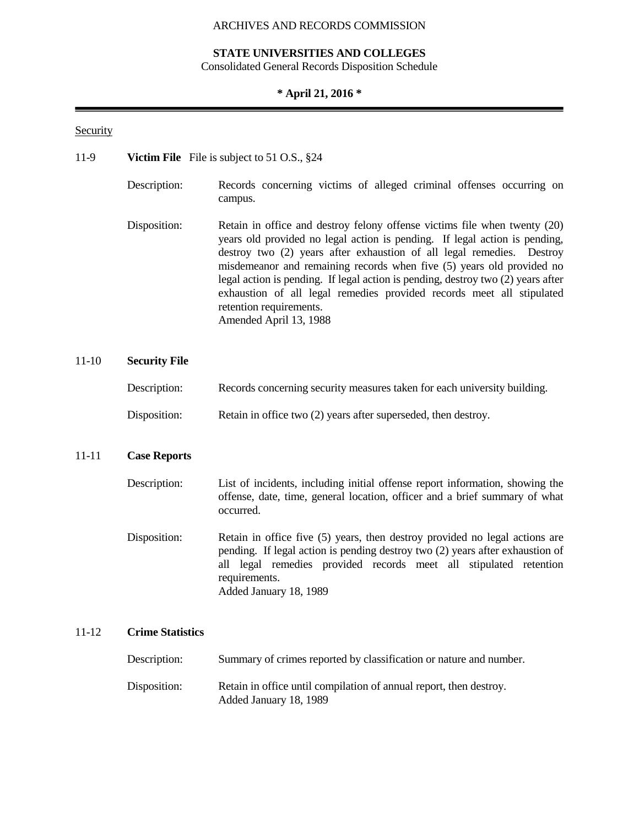## **STATE UNIVERSITIES AND COLLEGES**

Consolidated General Records Disposition Schedule

## **\* April 21, 2016 \***

## Security

- 11-9 **Victim File** File is subject to 51 O.S., §24
	- Description: Records concerning victims of alleged criminal offenses occurring on campus.
	- Disposition: Retain in office and destroy felony offense victims file when twenty (20) years old provided no legal action is pending. If legal action is pending, destroy two (2) years after exhaustion of all legal remedies. Destroy misdemeanor and remaining records when five (5) years old provided no legal action is pending. If legal action is pending, destroy two (2) years after exhaustion of all legal remedies provided records meet all stipulated retention requirements. Amended April 13, 1988

## 11-10 **Security File**

| Records concerning security measures taken for each university building.<br>Description: |  |
|------------------------------------------------------------------------------------------|--|
|------------------------------------------------------------------------------------------|--|

Disposition: Retain in office two (2) years after superseded, then destroy.

## 11-11 **Case Reports**

- Description: List of incidents, including initial offense report information, showing the offense, date, time, general location, officer and a brief summary of what occurred.
- Disposition: Retain in office five (5) years, then destroy provided no legal actions are pending. If legal action is pending destroy two (2) years after exhaustion of all legal remedies provided records meet all stipulated retention requirements. Added January 18, 1989

## 11-12 **Crime Statistics**

| Description: | Summary of crimes reported by classification or nature and number.                           |
|--------------|----------------------------------------------------------------------------------------------|
| Disposition: | Retain in office until compilation of annual report, then destroy.<br>Added January 18, 1989 |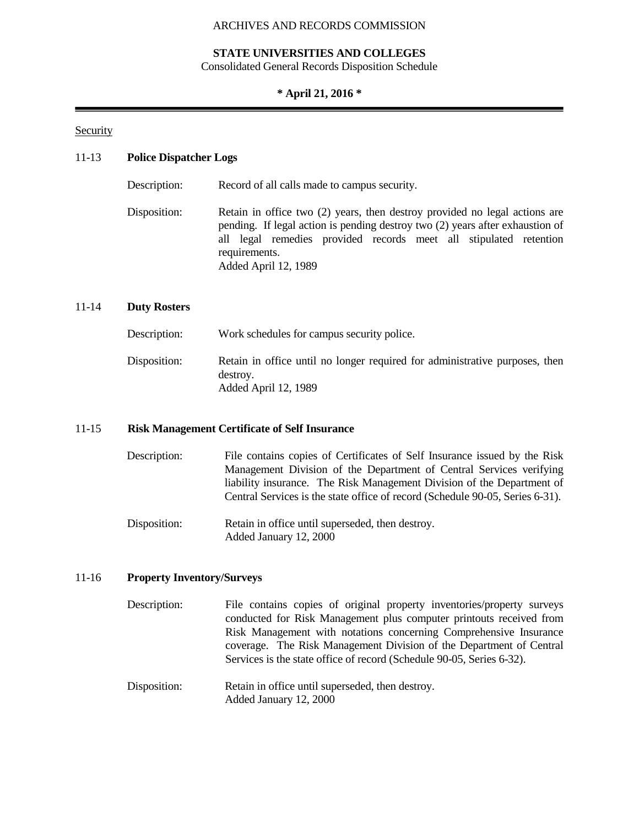## **STATE UNIVERSITIES AND COLLEGES**

Consolidated General Records Disposition Schedule

## **\* April 21, 2016 \***

## Security

## 11-13 **Police Dispatcher Logs**

Description: Record of all calls made to campus security. Disposition: Retain in office two (2) years, then destroy provided no legal actions are pending. If legal action is pending destroy two (2) years after exhaustion of all legal remedies provided records meet all stipulated retention requirements. Added April 12, 1989

## 11-14 **Duty Rosters**

| Description: | Work schedules for campus security police.                                                                      |
|--------------|-----------------------------------------------------------------------------------------------------------------|
| Disposition: | Retain in office until no longer required for administrative purposes, then<br>destroy.<br>Added April 12, 1989 |

### 11-15 **Risk Management Certificate of Self Insurance**

Description: File contains copies of Certificates of Self Insurance issued by the Risk Management Division of the Department of Central Services verifying liability insurance. The Risk Management Division of the Department of Central Services is the state office of record (Schedule 90-05, Series 6-31).

Disposition: Retain in office until superseded, then destroy. Added January 12, 2000

### 11-16 **Property Inventory/Surveys**

- Description: File contains copies of original property inventories/property surveys conducted for Risk Management plus computer printouts received from Risk Management with notations concerning Comprehensive Insurance coverage. The Risk Management Division of the Department of Central Services is the state office of record (Schedule 90-05, Series 6-32).
- Disposition: Retain in office until superseded, then destroy. Added January 12, 2000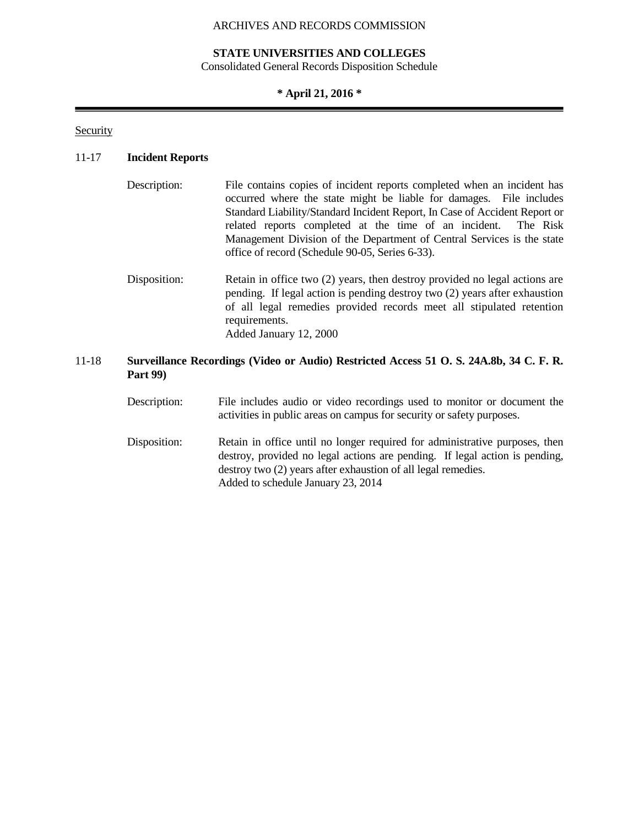## **STATE UNIVERSITIES AND COLLEGES**

Consolidated General Records Disposition Schedule

## **\* April 21, 2016 \***

**Security** 

## 11-17 **Incident Reports**

| Description: | File contains copies of incident reports completed when an incident has<br>occurred where the state might be liable for damages. File includes<br>Standard Liability/Standard Incident Report, In Case of Accident Report or<br>related reports completed at the time of an incident. The Risk<br>Management Division of the Department of Central Services is the state<br>office of record (Schedule 90-05, Series 6-33). |
|--------------|-----------------------------------------------------------------------------------------------------------------------------------------------------------------------------------------------------------------------------------------------------------------------------------------------------------------------------------------------------------------------------------------------------------------------------|
| Disposition: | Retain in office two (2) years, then destroy provided no legal actions are<br>pending. If legal action is pending destroy two (2) years after exhaustion<br>of all legal remedies provided records meet all stipulated retention<br>requirements.<br>Added January 12, 2000                                                                                                                                                 |

## 11-18 **Surveillance Recordings (Video or Audio) Restricted Access 51 O. S. 24A.8b, 34 C. F. R. Part 99)**

Description: File includes audio or video recordings used to monitor or document the activities in public areas on campus for security or safety purposes.

Disposition: Retain in office until no longer required for administrative purposes, then destroy, provided no legal actions are pending. If legal action is pending, destroy two (2) years after exhaustion of all legal remedies. Added to schedule January 23, 2014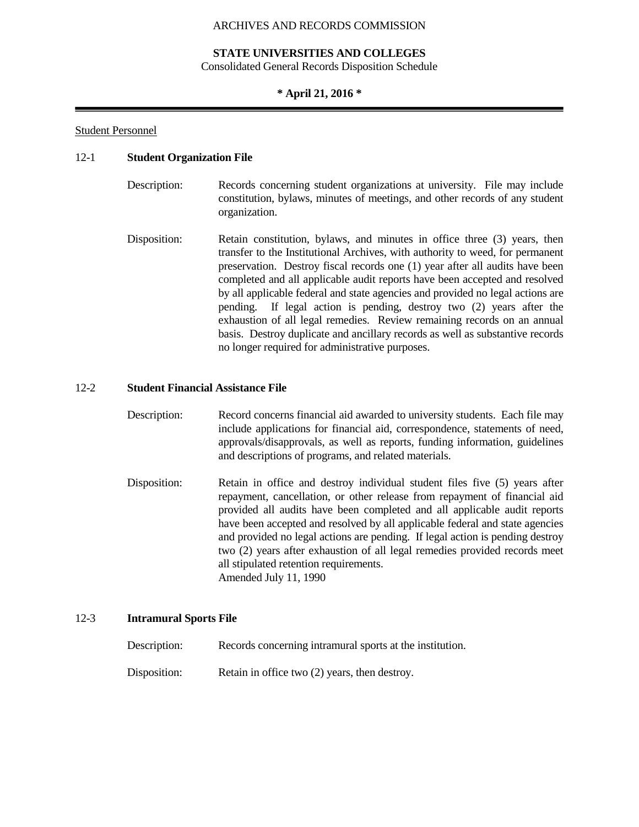## **STATE UNIVERSITIES AND COLLEGES**

Consolidated General Records Disposition Schedule

## **\* April 21, 2016 \***

## Student Personnel

## 12-1 **Student Organization File**

- Description: Records concerning student organizations at university. File may include constitution, bylaws, minutes of meetings, and other records of any student organization.
- Disposition: Retain constitution, bylaws, and minutes in office three (3) years, then transfer to the Institutional Archives, with authority to weed, for permanent preservation. Destroy fiscal records one (1) year after all audits have been completed and all applicable audit reports have been accepted and resolved by all applicable federal and state agencies and provided no legal actions are pending. If legal action is pending, destroy two (2) years after the exhaustion of all legal remedies. Review remaining records on an annual basis. Destroy duplicate and ancillary records as well as substantive records no longer required for administrative purposes.

## 12-2 **Student Financial Assistance File**

- Description: Record concerns financial aid awarded to university students. Each file may include applications for financial aid, correspondence, statements of need, approvals/disapprovals, as well as reports, funding information, guidelines and descriptions of programs, and related materials.
- Disposition: Retain in office and destroy individual student files five (5) years after repayment, cancellation, or other release from repayment of financial aid provided all audits have been completed and all applicable audit reports have been accepted and resolved by all applicable federal and state agencies and provided no legal actions are pending. If legal action is pending destroy two (2) years after exhaustion of all legal remedies provided records meet all stipulated retention requirements. Amended July 11, 1990

### 12-3 **Intramural Sports File**

Description: Records concerning intramural sports at the institution. Disposition: Retain in office two (2) years, then destroy.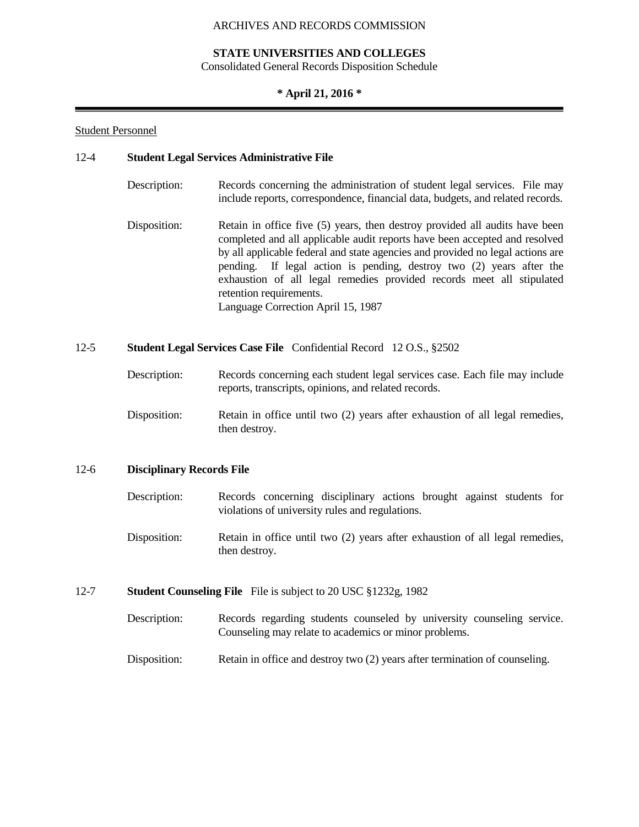## **STATE UNIVERSITIES AND COLLEGES**

Consolidated General Records Disposition Schedule

## **\* April 21, 2016 \***

## Student Personnel

## 12-4 **Student Legal Services Administrative File**

Description: Records concerning the administration of student legal services. File may include reports, correspondence, financial data, budgets, and related records. Disposition: Retain in office five (5) years, then destroy provided all audits have been completed and all applicable audit reports have been accepted and resolved by all applicable federal and state agencies and provided no legal actions are pending. If legal action is pending, destroy two (2) years after the exhaustion of all legal remedies provided records meet all stipulated retention requirements. Language Correction April 15, 1987

## 12-5 **Student Legal Services Case File** Confidential Record 12 O.S., §2502

| Description: | Records concerning each student legal services case. Each file may include |
|--------------|----------------------------------------------------------------------------|
|              | reports, transcripts, opinions, and related records.                       |

Disposition: Retain in office until two (2) years after exhaustion of all legal remedies, then destroy.

### 12-6 **Disciplinary Records File**

- Description: Records concerning disciplinary actions brought against students for violations of university rules and regulations.
- Disposition: Retain in office until two (2) years after exhaustion of all legal remedies, then destroy.
- 12-7 **Student Counseling File** File is subject to 20 USC §1232g, 1982
	- Description: Records regarding students counseled by university counseling service. Counseling may relate to academics or minor problems.
	- Disposition: Retain in office and destroy two (2) years after termination of counseling.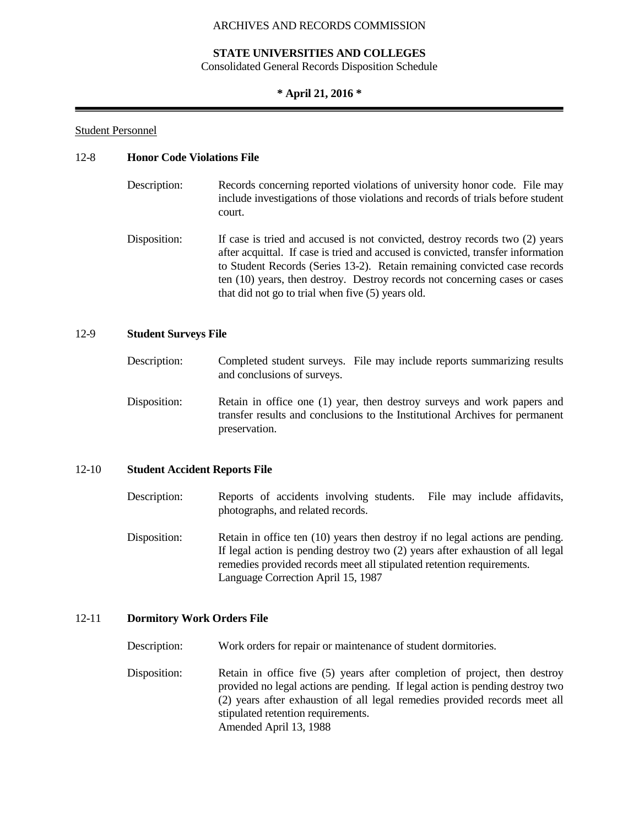## **STATE UNIVERSITIES AND COLLEGES**

Consolidated General Records Disposition Schedule

#### **\* April 21, 2016 \***

#### Student Personnel

## 12-8 **Honor Code Violations File**

| Description: | Records concerning reported violations of university honor code. File may       |
|--------------|---------------------------------------------------------------------------------|
|              | include investigations of those violations and records of trials before student |
|              | court.                                                                          |

Disposition: If case is tried and accused is not convicted, destroy records two (2) years after acquittal. If case is tried and accused is convicted, transfer information to Student Records (Series 13-2). Retain remaining convicted case records ten (10) years, then destroy. Destroy records not concerning cases or cases that did not go to trial when five (5) years old.

#### 12-9 **Student Surveys File**

- Description: Completed student surveys. File may include reports summarizing results and conclusions of surveys.
- Disposition: Retain in office one (1) year, then destroy surveys and work papers and transfer results and conclusions to the Institutional Archives for permanent preservation.

#### 12-10 **Student Accident Reports File**

- Description: Reports of accidents involving students. File may include affidavits, photographs, and related records.
- Disposition: Retain in office ten (10) years then destroy if no legal actions are pending. If legal action is pending destroy two (2) years after exhaustion of all legal remedies provided records meet all stipulated retention requirements. Language Correction April 15, 1987

#### 12-11 **Dormitory Work Orders File**

Description: Work orders for repair or maintenance of student dormitories.

Disposition: Retain in office five (5) years after completion of project, then destroy provided no legal actions are pending. If legal action is pending destroy two (2) years after exhaustion of all legal remedies provided records meet all stipulated retention requirements. Amended April 13, 1988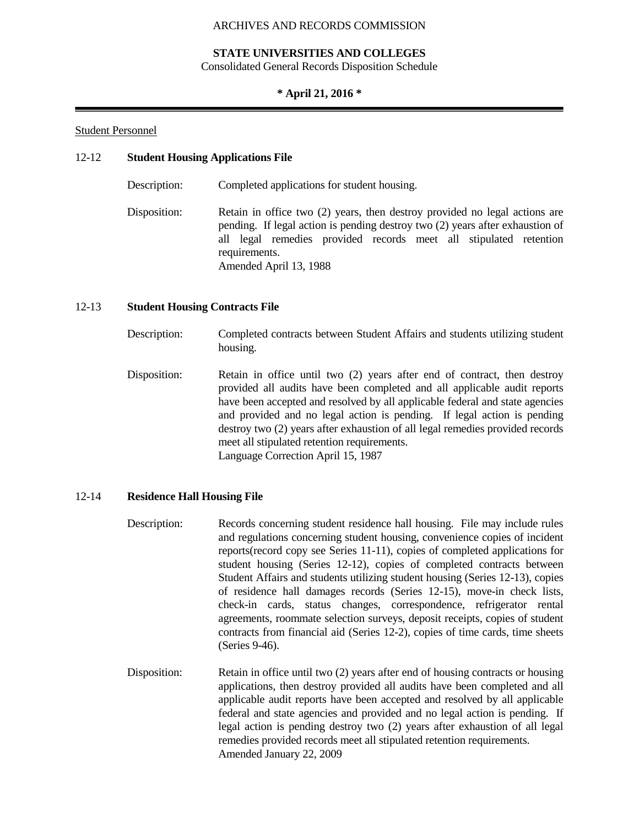## **STATE UNIVERSITIES AND COLLEGES**

Consolidated General Records Disposition Schedule

## **\* April 21, 2016 \***

## Student Personnel

## 12-12 **Student Housing Applications File**

| Description: | Completed applications for student housing.                                                                                                                                                                                                                                 |
|--------------|-----------------------------------------------------------------------------------------------------------------------------------------------------------------------------------------------------------------------------------------------------------------------------|
| Disposition: | Retain in office two (2) years, then destroy provided no legal actions are<br>pending. If legal action is pending destroy two (2) years after exhaustion of<br>all legal remedies provided records meet all stipulated retention<br>requirements.<br>Amended April 13, 1988 |

## 12-13 **Student Housing Contracts File**

- Description: Completed contracts between Student Affairs and students utilizing student housing.
- Disposition: Retain in office until two (2) years after end of contract, then destroy provided all audits have been completed and all applicable audit reports have been accepted and resolved by all applicable federal and state agencies and provided and no legal action is pending. If legal action is pending destroy two (2) years after exhaustion of all legal remedies provided records meet all stipulated retention requirements. Language Correction April 15, 1987

## 12-14 **Residence Hall Housing File**

- Description: Records concerning student residence hall housing. File may include rules and regulations concerning student housing, convenience copies of incident reports(record copy see Series 11-11), copies of completed applications for student housing (Series 12-12), copies of completed contracts between Student Affairs and students utilizing student housing (Series 12-13), copies of residence hall damages records (Series 12-15), move-in check lists, check-in cards, status changes, correspondence, refrigerator rental agreements, roommate selection surveys, deposit receipts, copies of student contracts from financial aid (Series 12-2), copies of time cards, time sheets (Series 9-46).
- Disposition: Retain in office until two (2) years after end of housing contracts or housing applications, then destroy provided all audits have been completed and all applicable audit reports have been accepted and resolved by all applicable federal and state agencies and provided and no legal action is pending. If legal action is pending destroy two (2) years after exhaustion of all legal remedies provided records meet all stipulated retention requirements. Amended January 22, 2009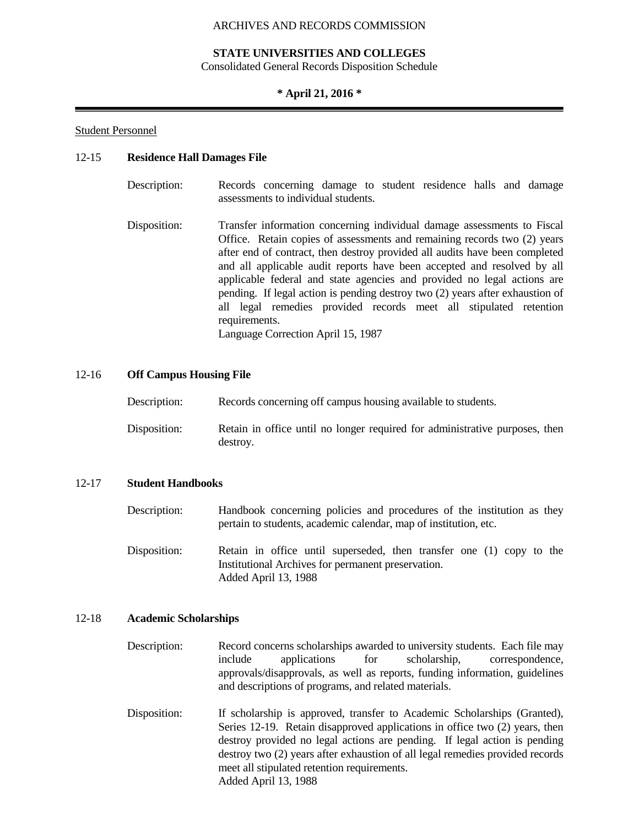## **STATE UNIVERSITIES AND COLLEGES**

Consolidated General Records Disposition Schedule

### **\* April 21, 2016 \***

#### Student Personnel

#### 12-15 **Residence Hall Damages File**

| Description: | Records concerning damage to student residence halls and damage |  |  |  |  |
|--------------|-----------------------------------------------------------------|--|--|--|--|
|              | assessments to individual students.                             |  |  |  |  |

Disposition: Transfer information concerning individual damage assessments to Fiscal Office. Retain copies of assessments and remaining records two (2) years after end of contract, then destroy provided all audits have been completed and all applicable audit reports have been accepted and resolved by all applicable federal and state agencies and provided no legal actions are pending. If legal action is pending destroy two (2) years after exhaustion of all legal remedies provided records meet all stipulated retention requirements. Language Correction April 15, 1987

#### 12-16 **Off Campus Housing File**

| Description: | Records concerning off campus housing available to students.                            |
|--------------|-----------------------------------------------------------------------------------------|
| Disposition: | Retain in office until no longer required for administrative purposes, then<br>destroy. |

#### 12-17 **Student Handbooks**

| Description: | Handbook concerning policies and procedures of the institution as they |
|--------------|------------------------------------------------------------------------|
|              | pertain to students, academic calendar, map of institution, etc.       |

Disposition: Retain in office until superseded, then transfer one (1) copy to the Institutional Archives for permanent preservation. Added April 13, 1988

#### 12-18 **Academic Scholarships**

Description: Record concerns scholarships awarded to university students. Each file may include applications for scholarship, correspondence, approvals/disapprovals, as well as reports, funding information, guidelines and descriptions of programs, and related materials.

Disposition: If scholarship is approved, transfer to Academic Scholarships (Granted), Series 12-19. Retain disapproved applications in office two (2) years, then destroy provided no legal actions are pending. If legal action is pending destroy two (2) years after exhaustion of all legal remedies provided records meet all stipulated retention requirements. Added April 13, 1988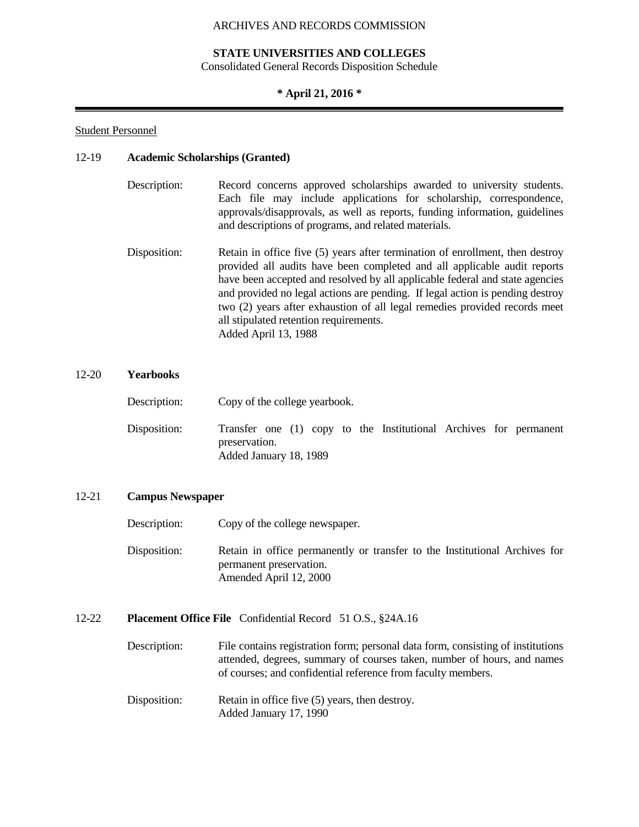## **STATE UNIVERSITIES AND COLLEGES**

Consolidated General Records Disposition Schedule

## **\* April 21, 2016 \***

## Student Personnel

### 12-19 **Academic Scholarships (Granted)**

| Description: | Record concerns approved scholarships awarded to university students.       |
|--------------|-----------------------------------------------------------------------------|
|              | Each file may include applications for scholarship, correspondence,         |
|              | approvals/disapprovals, as well as reports, funding information, guidelines |
|              | and descriptions of programs, and related materials.                        |

Disposition: Retain in office five (5) years after termination of enrollment, then destroy provided all audits have been completed and all applicable audit reports have been accepted and resolved by all applicable federal and state agencies and provided no legal actions are pending. If legal action is pending destroy two (2) years after exhaustion of all legal remedies provided records meet all stipulated retention requirements. Added April 13, 1988

## 12-20 **Yearbooks**

| Description: | Copy of the college yearbook.                                                                                |  |  |
|--------------|--------------------------------------------------------------------------------------------------------------|--|--|
| Disposition: | Transfer one (1) copy to the Institutional Archives for permanent<br>preservation.<br>Added January 18, 1989 |  |  |

### 12-21 **Campus Newspaper**

Description: Copy of the college newspaper.

Disposition: Retain in office permanently or transfer to the Institutional Archives for permanent preservation. Amended April 12, 2000

## 12-22 **Placement Office File** Confidential Record 51 O.S., §24A.16

- Description: File contains registration form; personal data form, consisting of institutions attended, degrees, summary of courses taken, number of hours, and names of courses; and confidential reference from faculty members.
- Disposition: Retain in office five (5) years, then destroy. Added January 17, 1990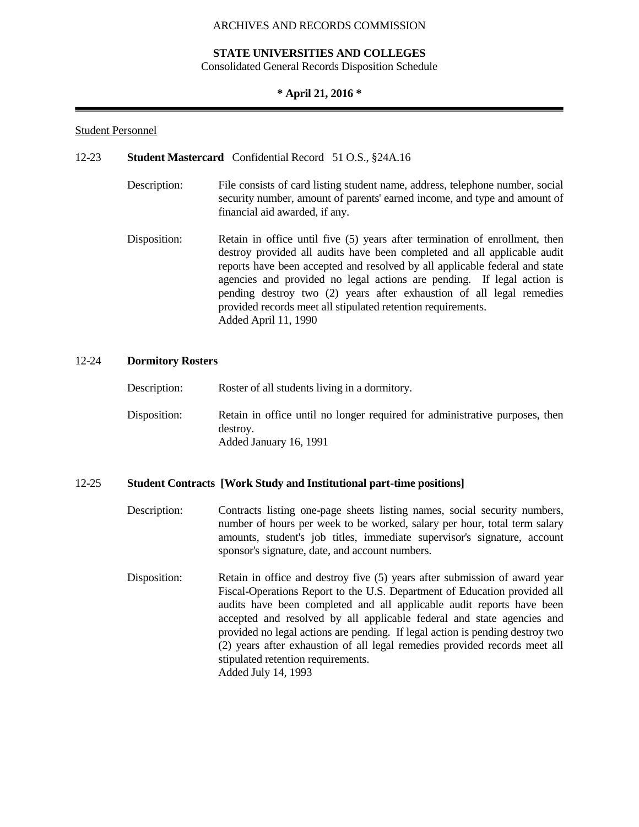## **STATE UNIVERSITIES AND COLLEGES**

Consolidated General Records Disposition Schedule

### **\* April 21, 2016 \***

#### Student Personnel

### 12-23 **Student Mastercard** Confidential Record 51 O.S., §24A.16

- Description: File consists of card listing student name, address, telephone number, social security number, amount of parents' earned income, and type and amount of financial aid awarded, if any.
- Disposition: Retain in office until five (5) years after termination of enrollment, then destroy provided all audits have been completed and all applicable audit reports have been accepted and resolved by all applicable federal and state agencies and provided no legal actions are pending. If legal action is pending destroy two (2) years after exhaustion of all legal remedies provided records meet all stipulated retention requirements. Added April 11, 1990

#### 12-24 **Dormitory Rosters**

| Description: | Roster of all students living in a dormitory.                                                                     |
|--------------|-------------------------------------------------------------------------------------------------------------------|
| Disposition: | Retain in office until no longer required for administrative purposes, then<br>destroy.<br>Added January 16, 1991 |

## 12-25 **Student Contracts [Work Study and Institutional part-time positions]**

Description: Contracts listing one-page sheets listing names, social security numbers, number of hours per week to be worked, salary per hour, total term salary amounts, student's job titles, immediate supervisor's signature, account sponsor's signature, date, and account numbers. Disposition: Retain in office and destroy five (5) years after submission of award year Fiscal-Operations Report to the U.S. Department of Education provided all audits have been completed and all applicable audit reports have been accepted and resolved by all applicable federal and state agencies and provided no legal actions are pending. If legal action is pending destroy two (2) years after exhaustion of all legal remedies provided records meet all stipulated retention requirements. Added July 14, 1993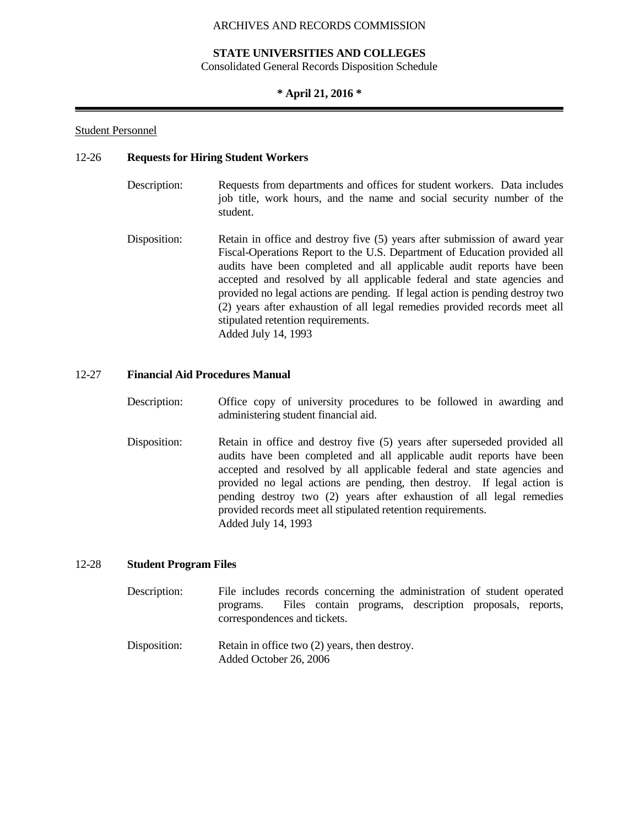## **STATE UNIVERSITIES AND COLLEGES**

Consolidated General Records Disposition Schedule

## **\* April 21, 2016 \***

## Student Personnel

## 12-26 **Requests for Hiring Student Workers**

- Description: Requests from departments and offices for student workers. Data includes job title, work hours, and the name and social security number of the student.
- Disposition: Retain in office and destroy five (5) years after submission of award year Fiscal-Operations Report to the U.S. Department of Education provided all audits have been completed and all applicable audit reports have been accepted and resolved by all applicable federal and state agencies and provided no legal actions are pending. If legal action is pending destroy two (2) years after exhaustion of all legal remedies provided records meet all stipulated retention requirements. Added July 14, 1993

## 12-27 **Financial Aid Procedures Manual**

- Description: Office copy of university procedures to be followed in awarding and administering student financial aid.
- Disposition: Retain in office and destroy five (5) years after superseded provided all audits have been completed and all applicable audit reports have been accepted and resolved by all applicable federal and state agencies and provided no legal actions are pending, then destroy. If legal action is pending destroy two (2) years after exhaustion of all legal remedies provided records meet all stipulated retention requirements. Added July 14, 1993

## 12-28 **Student Program Files**

- Description: File includes records concerning the administration of student operated programs. Files contain programs, description proposals, reports, correspondences and tickets.
- Disposition: Retain in office two (2) years, then destroy. Added October 26, 2006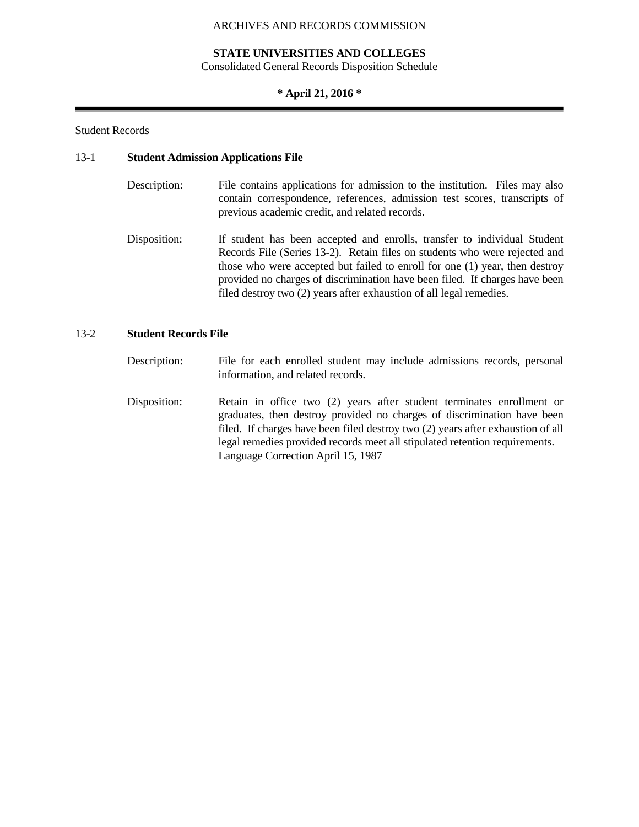## **STATE UNIVERSITIES AND COLLEGES**

Consolidated General Records Disposition Schedule

## **\* April 21, 2016 \***

## Student Records

## 13-1 **Student Admission Applications File**

- Description: File contains applications for admission to the institution. Files may also contain correspondence, references, admission test scores, transcripts of previous academic credit, and related records.
- Disposition: If student has been accepted and enrolls, transfer to individual Student Records File (Series 13-2). Retain files on students who were rejected and those who were accepted but failed to enroll for one (1) year, then destroy provided no charges of discrimination have been filed. If charges have been filed destroy two (2) years after exhaustion of all legal remedies.

## 13-2 **Student Records File**

- Description: File for each enrolled student may include admissions records, personal information, and related records.
- Disposition: Retain in office two (2) years after student terminates enrollment or graduates, then destroy provided no charges of discrimination have been filed. If charges have been filed destroy two (2) years after exhaustion of all legal remedies provided records meet all stipulated retention requirements. Language Correction April 15, 1987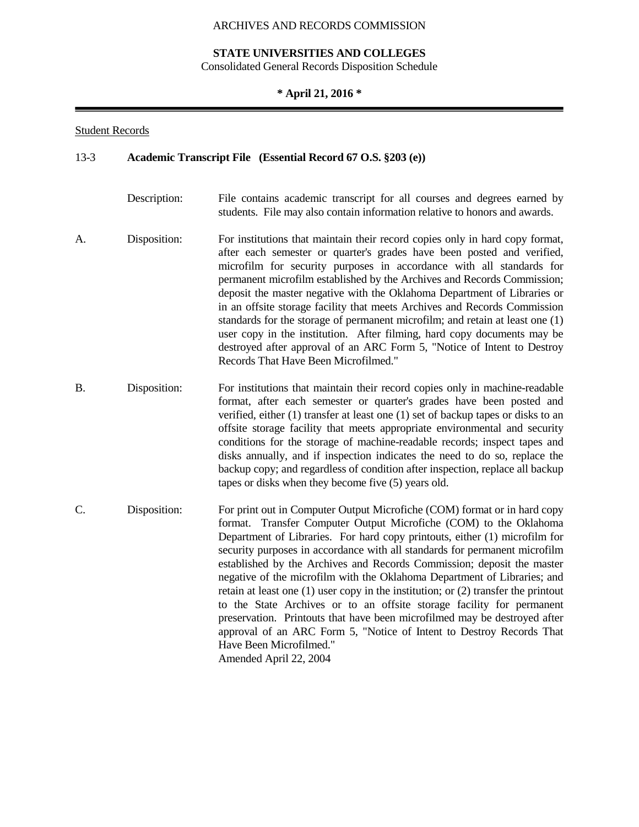## **STATE UNIVERSITIES AND COLLEGES**

Consolidated General Records Disposition Schedule

## **\* April 21, 2016 \***

## Student Records

#### 13-3 **Academic Transcript File (Essential Record 67 O.S. §203 (e))**

- Description: File contains academic transcript for all courses and degrees earned by students. File may also contain information relative to honors and awards.
- A. Disposition: For institutions that maintain their record copies only in hard copy format, after each semester or quarter's grades have been posted and verified, microfilm for security purposes in accordance with all standards for permanent microfilm established by the Archives and Records Commission; deposit the master negative with the Oklahoma Department of Libraries or in an offsite storage facility that meets Archives and Records Commission standards for the storage of permanent microfilm; and retain at least one (1) user copy in the institution. After filming, hard copy documents may be destroyed after approval of an ARC Form 5, "Notice of Intent to Destroy Records That Have Been Microfilmed."
- B. Disposition: For institutions that maintain their record copies only in machine-readable format, after each semester or quarter's grades have been posted and verified, either (1) transfer at least one (1) set of backup tapes or disks to an offsite storage facility that meets appropriate environmental and security conditions for the storage of machine-readable records; inspect tapes and disks annually, and if inspection indicates the need to do so, replace the backup copy; and regardless of condition after inspection, replace all backup tapes or disks when they become five (5) years old.
- C. Disposition: For print out in Computer Output Microfiche (COM) format or in hard copy format. Transfer Computer Output Microfiche (COM) to the Oklahoma Department of Libraries. For hard copy printouts, either (1) microfilm for security purposes in accordance with all standards for permanent microfilm established by the Archives and Records Commission; deposit the master negative of the microfilm with the Oklahoma Department of Libraries; and retain at least one (1) user copy in the institution; or (2) transfer the printout to the State Archives or to an offsite storage facility for permanent preservation. Printouts that have been microfilmed may be destroyed after approval of an ARC Form 5, "Notice of Intent to Destroy Records That Have Been Microfilmed." Amended April 22, 2004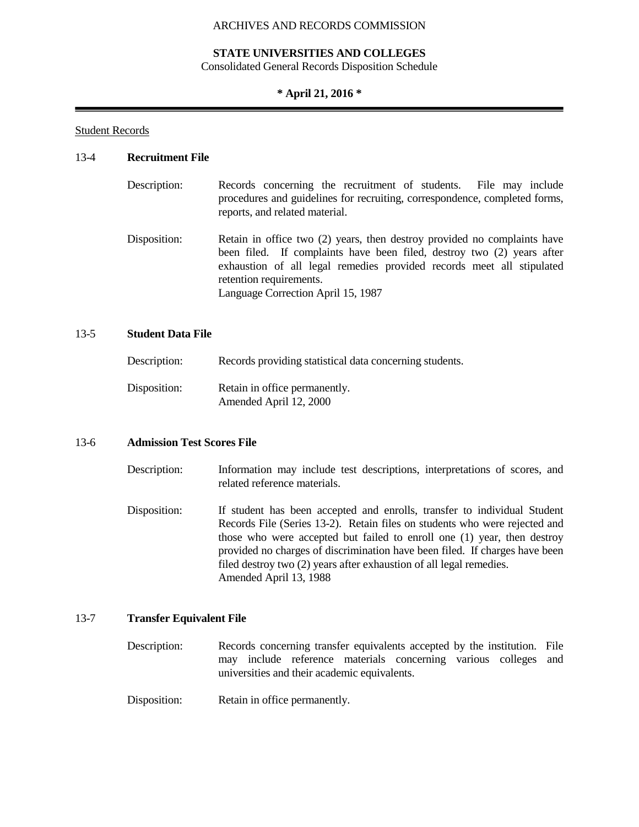## **STATE UNIVERSITIES AND COLLEGES**

Consolidated General Records Disposition Schedule

## **\* April 21, 2016 \***

Student Records

## 13-4 **Recruitment File**

- Description: Records concerning the recruitment of students. File may include procedures and guidelines for recruiting, correspondence, completed forms, reports, and related material.
- Disposition: Retain in office two (2) years, then destroy provided no complaints have been filed. If complaints have been filed, destroy two (2) years after exhaustion of all legal remedies provided records meet all stipulated retention requirements. Language Correction April 15, 1987

## 13-5 **Student Data File**

| Description: | Records providing statistical data concerning students. |
|--------------|---------------------------------------------------------|
| Disposition: | Retain in office permanently.<br>Amended April 12, 2000 |

## 13-6 **Admission Test Scores File**

- Description: Information may include test descriptions, interpretations of scores, and related reference materials.
- Disposition: If student has been accepted and enrolls, transfer to individual Student Records File (Series 13-2). Retain files on students who were rejected and those who were accepted but failed to enroll one (1) year, then destroy provided no charges of discrimination have been filed. If charges have been filed destroy two (2) years after exhaustion of all legal remedies. Amended April 13, 1988

### 13-7 **Transfer Equivalent File**

Description: Records concerning transfer equivalents accepted by the institution. File may include reference materials concerning various colleges and universities and their academic equivalents.

Disposition: Retain in office permanently.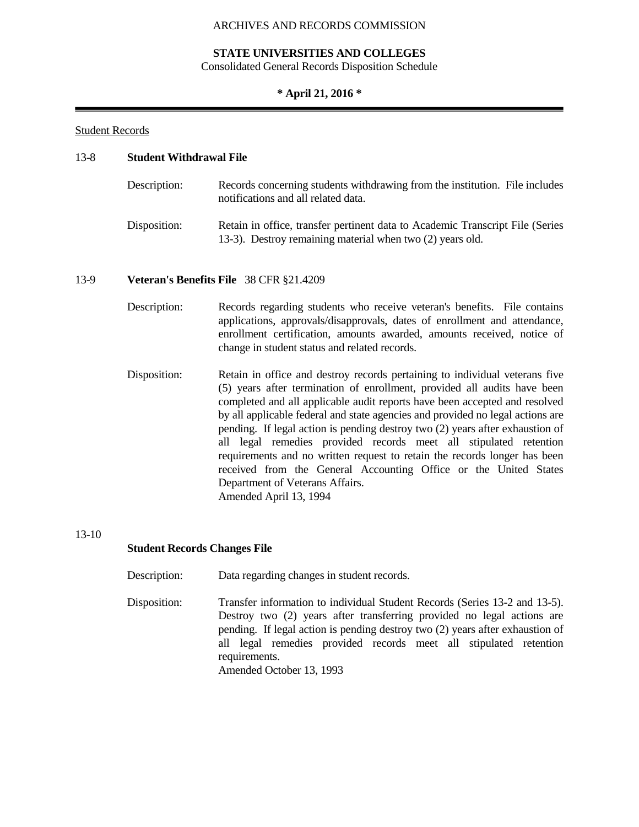## **STATE UNIVERSITIES AND COLLEGES**

Consolidated General Records Disposition Schedule

## **\* April 21, 2016 \***

## Student Records

## 13-8 **Student Withdrawal File**

| Description: | Records concerning students withdrawing from the institution. File includes<br>notifications and all related data.                         |
|--------------|--------------------------------------------------------------------------------------------------------------------------------------------|
| Disposition: | Retain in office, transfer pertinent data to Academic Transcript File (Series<br>13-3). Destroy remaining material when two (2) years old. |

## 13-9 **Veteran's Benefits File** 38 CFR §21.4209

Description: Records regarding students who receive veteran's benefits. File contains applications, approvals/disapprovals, dates of enrollment and attendance, enrollment certification, amounts awarded, amounts received, notice of change in student status and related records.

Disposition: Retain in office and destroy records pertaining to individual veterans five (5) years after termination of enrollment, provided all audits have been completed and all applicable audit reports have been accepted and resolved by all applicable federal and state agencies and provided no legal actions are pending. If legal action is pending destroy two (2) years after exhaustion of all legal remedies provided records meet all stipulated retention requirements and no written request to retain the records longer has been received from the General Accounting Office or the United States Department of Veterans Affairs. Amended April 13, 1994

### 13-10

## **Student Records Changes File**

- Description: Data regarding changes in student records.
- Disposition: Transfer information to individual Student Records (Series 13-2 and 13-5). Destroy two (2) years after transferring provided no legal actions are pending. If legal action is pending destroy two (2) years after exhaustion of all legal remedies provided records meet all stipulated retention requirements. Amended October 13, 1993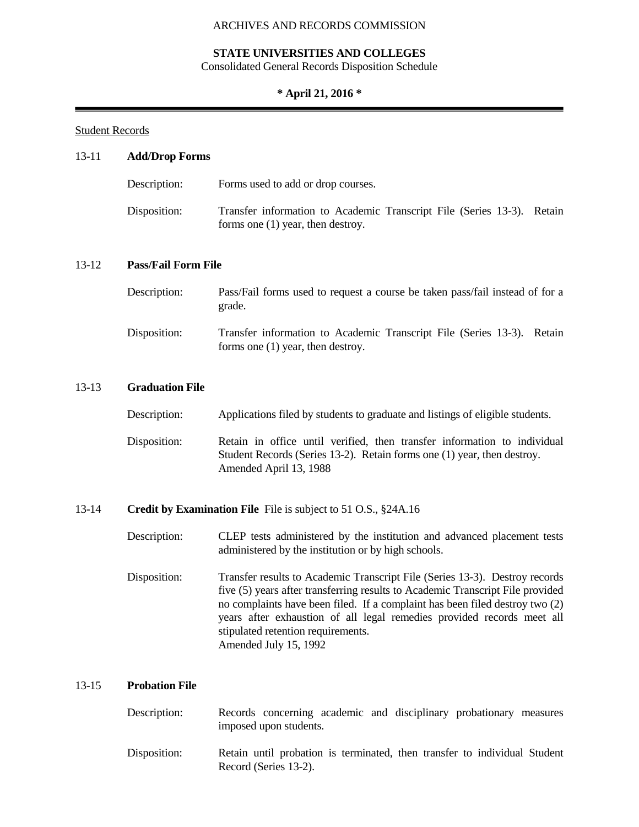## **STATE UNIVERSITIES AND COLLEGES**

Consolidated General Records Disposition Schedule

## **\* April 21, 2016 \***

## Student Records

# 13-11 **Add/Drop Forms**

| Description: | Forms used to add or drop courses.                                                                            |
|--------------|---------------------------------------------------------------------------------------------------------------|
| Disposition: | Transfer information to Academic Transcript File (Series 13-3). Retain<br>forms one $(1)$ year, then destroy. |

## 13-12 **Pass/Fail Form File**

| Description: | Pass/Fail forms used to request a course be taken pass/fail instead of for a<br>grade.                        |
|--------------|---------------------------------------------------------------------------------------------------------------|
| Disposition: | Transfer information to Academic Transcript File (Series 13-3). Retain<br>forms one $(1)$ year, then destroy. |

## 13-13 **Graduation File**

| Description: | Applications filed by students to graduate and listings of eligible students.                                                                                                 |
|--------------|-------------------------------------------------------------------------------------------------------------------------------------------------------------------------------|
| Disposition: | Retain in office until verified, then transfer information to individual<br>Student Records (Series 13-2). Retain forms one (1) year, then destroy.<br>Amended April 13, 1988 |

## 13-14 **Credit by Examination File** File is subject to 51 O.S., §24A.16

| Description: | CLEP tests administered by the institution and advanced placement tests |
|--------------|-------------------------------------------------------------------------|
|              | administered by the institution or by high schools.                     |
|              |                                                                         |

Disposition: Transfer results to Academic Transcript File (Series 13-3). Destroy records five (5) years after transferring results to Academic Transcript File provided no complaints have been filed. If a complaint has been filed destroy two (2) years after exhaustion of all legal remedies provided records meet all stipulated retention requirements. Amended July 15, 1992

## 13-15 **Probation File**

| Description: |                        |  | Records concerning academic and disciplinary probationary measures |  |
|--------------|------------------------|--|--------------------------------------------------------------------|--|
|              | imposed upon students. |  |                                                                    |  |
|              |                        |  |                                                                    |  |

Disposition: Retain until probation is terminated, then transfer to individual Student Record (Series 13-2).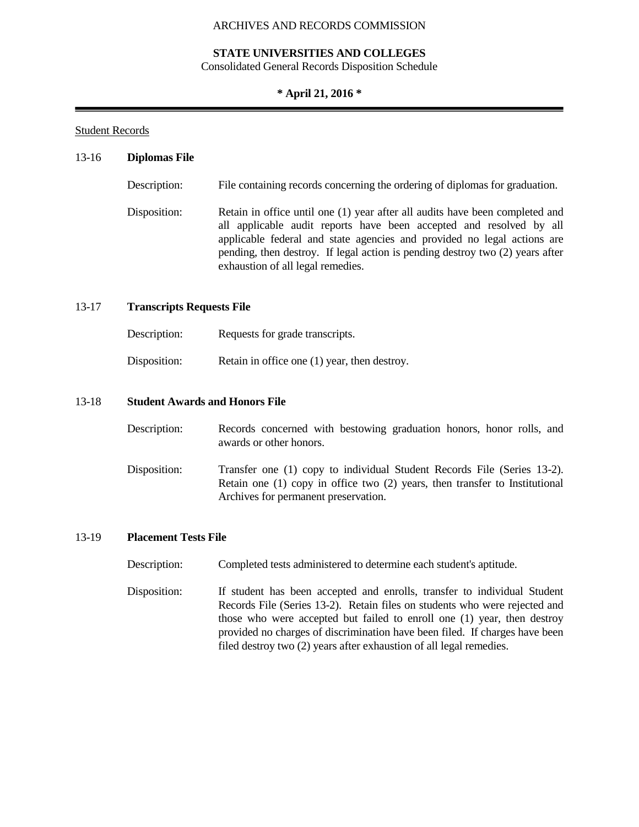## **STATE UNIVERSITIES AND COLLEGES**

Consolidated General Records Disposition Schedule

## **\* April 21, 2016 \***

## Student Records

### 13-16 **Diplomas File**

| Description: | File containing records concerning the ordering of diplomas for graduation.                                                                                                                                                                                                                                                                          |
|--------------|------------------------------------------------------------------------------------------------------------------------------------------------------------------------------------------------------------------------------------------------------------------------------------------------------------------------------------------------------|
| Disposition: | Retain in office until one (1) year after all audits have been completed and<br>all applicable audit reports have been accepted and resolved by all<br>applicable federal and state agencies and provided no legal actions are<br>pending, then destroy. If legal action is pending destroy two (2) years after<br>exhaustion of all legal remedies. |

## 13-17 **Transcripts Requests File**

| Description: | Requests for grade transcripts.                |
|--------------|------------------------------------------------|
| Disposition: | Retain in office one $(1)$ year, then destroy. |

## 13-18 **Student Awards and Honors File**

| Description: | Records concerned with bestowing graduation honors, honor rolls, and<br>awards or other honors.                                                                                                    |
|--------------|----------------------------------------------------------------------------------------------------------------------------------------------------------------------------------------------------|
| Disposition: | Transfer one (1) copy to individual Student Records File (Series 13-2).<br>Retain one $(1)$ copy in office two $(2)$ years, then transfer to Institutional<br>Archives for permanent preservation. |

## 13-19 **Placement Tests File**

Description: Completed tests administered to determine each student's aptitude.

Disposition: If student has been accepted and enrolls, transfer to individual Student Records File (Series 13-2). Retain files on students who were rejected and those who were accepted but failed to enroll one (1) year, then destroy provided no charges of discrimination have been filed. If charges have been filed destroy two (2) years after exhaustion of all legal remedies.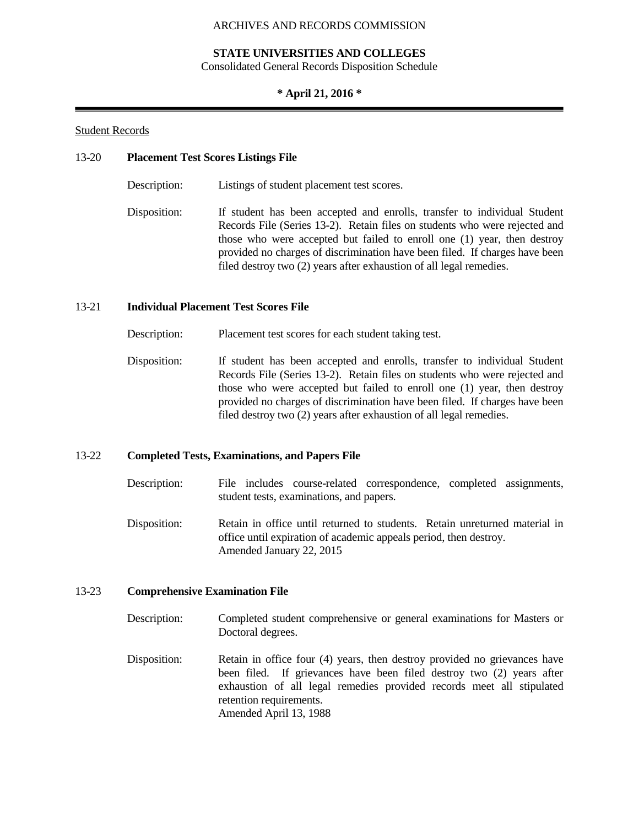## **STATE UNIVERSITIES AND COLLEGES**

Consolidated General Records Disposition Schedule

## **\* April 21, 2016 \***

## Student Records

## 13-20 **Placement Test Scores Listings File**

Description: Listings of student placement test scores.

Disposition: If student has been accepted and enrolls, transfer to individual Student Records File (Series 13-2). Retain files on students who were rejected and those who were accepted but failed to enroll one (1) year, then destroy provided no charges of discrimination have been filed. If charges have been filed destroy two (2) years after exhaustion of all legal remedies.

## 13-21 **Individual Placement Test Scores File**

Description: Placement test scores for each student taking test.

Disposition: If student has been accepted and enrolls, transfer to individual Student Records File (Series 13-2). Retain files on students who were rejected and those who were accepted but failed to enroll one (1) year, then destroy provided no charges of discrimination have been filed. If charges have been filed destroy two (2) years after exhaustion of all legal remedies.

## 13-22 **Completed Tests, Examinations, and Papers File**

- Description: File includes course-related correspondence, completed assignments, student tests, examinations, and papers.
- Disposition: Retain in office until returned to students. Retain unreturned material in office until expiration of academic appeals period, then destroy. Amended January 22, 2015

## 13-23 **Comprehensive Examination File**

- Description: Completed student comprehensive or general examinations for Masters or Doctoral degrees.
- Disposition: Retain in office four (4) years, then destroy provided no grievances have been filed. If grievances have been filed destroy two (2) years after exhaustion of all legal remedies provided records meet all stipulated retention requirements. Amended April 13, 1988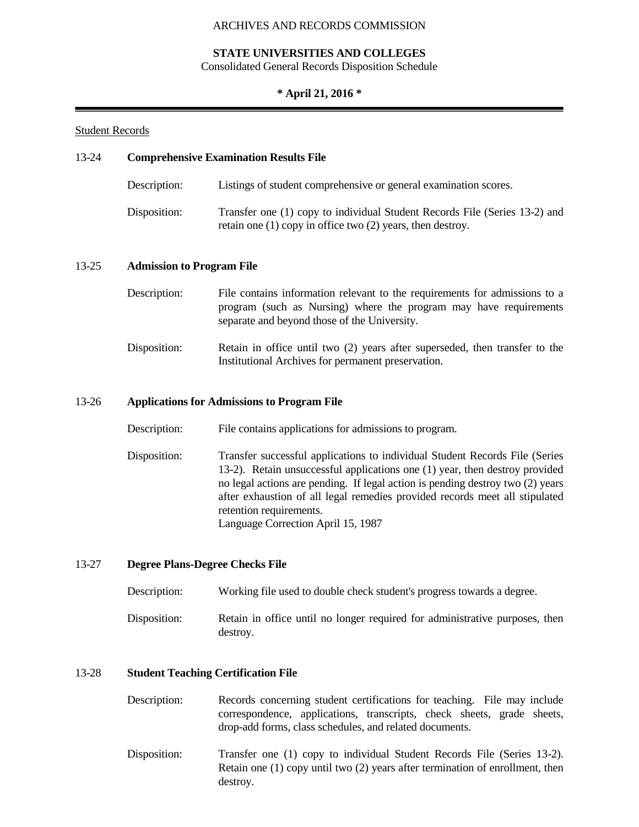## **STATE UNIVERSITIES AND COLLEGES**

Consolidated General Records Disposition Schedule

## **\* April 21, 2016 \***

## Student Records

# 13-24 **Comprehensive Examination Results File** Description: Listings of student comprehensive or general examination scores. Disposition: Transfer one (1) copy to individual Student Records File (Series 13-2) and retain one (1) copy in office two (2) years, then destroy. 13-25 **Admission to Program File** Description: File contains information relevant to the requirements for admissions to a program (such as Nursing) where the program may have requirements separate and beyond those of the University. Disposition: Retain in office until two (2) years after superseded, then transfer to the Institutional Archives for permanent preservation. 13-26 **Applications for Admissions to Program File** Description: File contains applications for admissions to program. Disposition: Transfer successful applications to individual Student Records File (Series 13-2). Retain unsuccessful applications one (1) year, then destroy provided no legal actions are pending. If legal action is pending destroy two (2) years after exhaustion of all legal remedies provided records meet all stipulated retention requirements. Language Correction April 15, 1987

### 13-27 **Degree Plans-Degree Checks File**

| Description: | Working file used to double check student's progress towards a degree.                  |
|--------------|-----------------------------------------------------------------------------------------|
| Disposition: | Retain in office until no longer required for administrative purposes, then<br>destroy. |

### 13-28 **Student Teaching Certification File**

| Description: | Records concerning student certifications for teaching. File may include |  |  |  |
|--------------|--------------------------------------------------------------------------|--|--|--|
|              | correspondence, applications, transcripts, check sheets, grade sheets,   |  |  |  |
|              | drop-add forms, class schedules, and related documents.                  |  |  |  |

Disposition: Transfer one (1) copy to individual Student Records File (Series 13-2). Retain one (1) copy until two (2) years after termination of enrollment, then destroy.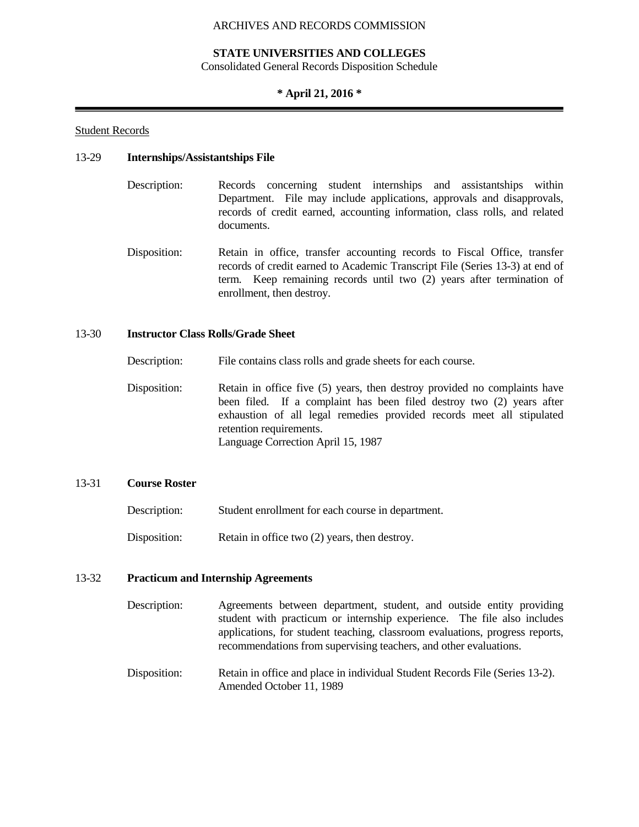## **STATE UNIVERSITIES AND COLLEGES**

Consolidated General Records Disposition Schedule

## **\* April 21, 2016 \***

## Student Records

## 13-29 **Internships/Assistantships File**

- Description: Records concerning student internships and assistantships within Department. File may include applications, approvals and disapprovals, records of credit earned, accounting information, class rolls, and related documents.
- Disposition: Retain in office, transfer accounting records to Fiscal Office, transfer records of credit earned to Academic Transcript File (Series 13-3) at end of term. Keep remaining records until two (2) years after termination of enrollment, then destroy.

## 13-30 **Instructor Class Rolls/Grade Sheet**

Description: File contains class rolls and grade sheets for each course.

Disposition: Retain in office five (5) years, then destroy provided no complaints have been filed. If a complaint has been filed destroy two (2) years after exhaustion of all legal remedies provided records meet all stipulated retention requirements. Language Correction April 15, 1987

## 13-31 **Course Roster**

| Description: | Student enrollment for each course in department. |
|--------------|---------------------------------------------------|
| Disposition: | Retain in office two (2) years, then destroy.     |

### 13-32 **Practicum and Internship Agreements**

- Description: Agreements between department, student, and outside entity providing student with practicum or internship experience. The file also includes applications, for student teaching, classroom evaluations, progress reports, recommendations from supervising teachers, and other evaluations.
- Disposition: Retain in office and place in individual Student Records File (Series 13-2). Amended October 11, 1989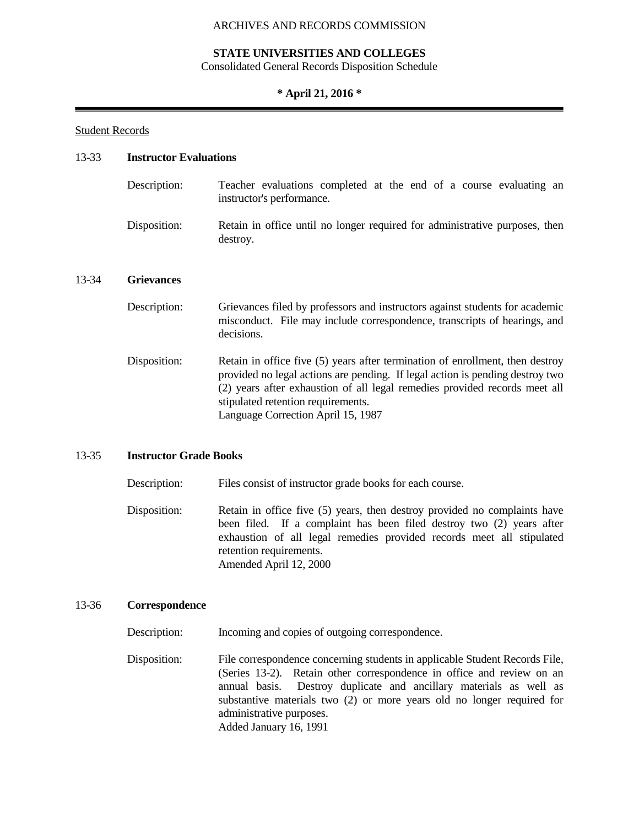## **STATE UNIVERSITIES AND COLLEGES**

Consolidated General Records Disposition Schedule

## **\* April 21, 2016 \***

#### Student Records

## 13-33 **Instructor Evaluations**

destroy.

| Description: | Teacher evaluations completed at the end of a course evaluating an<br>instructor's performance. |
|--------------|-------------------------------------------------------------------------------------------------|
| Disposition: | Retain in office until no longer required for administrative purposes, then                     |

#### 13-34 **Grievances**

| Description: | Grievances filed by professors and instructors against students for academic<br>misconduct. File may include correspondence, transcripts of hearings, and<br>decisions.                                                                                                                                                  |
|--------------|--------------------------------------------------------------------------------------------------------------------------------------------------------------------------------------------------------------------------------------------------------------------------------------------------------------------------|
| Disposition: | Retain in office five (5) years after termination of enrollment, then destroy<br>provided no legal actions are pending. If legal action is pending destroy two<br>(2) years after exhaustion of all legal remedies provided records meet all<br>stipulated retention requirements.<br>Language Correction April 15, 1987 |

#### 13-35 **Instructor Grade Books**

Description: Files consist of instructor grade books for each course.

Disposition: Retain in office five (5) years, then destroy provided no complaints have been filed. If a complaint has been filed destroy two (2) years after exhaustion of all legal remedies provided records meet all stipulated retention requirements. Amended April 12, 2000

## 13-36 **Correspondence**

Description: Incoming and copies of outgoing correspondence.

Disposition: File correspondence concerning students in applicable Student Records File, (Series 13-2). Retain other correspondence in office and review on an annual basis. Destroy duplicate and ancillary materials as well as substantive materials two (2) or more years old no longer required for administrative purposes. Added January 16, 1991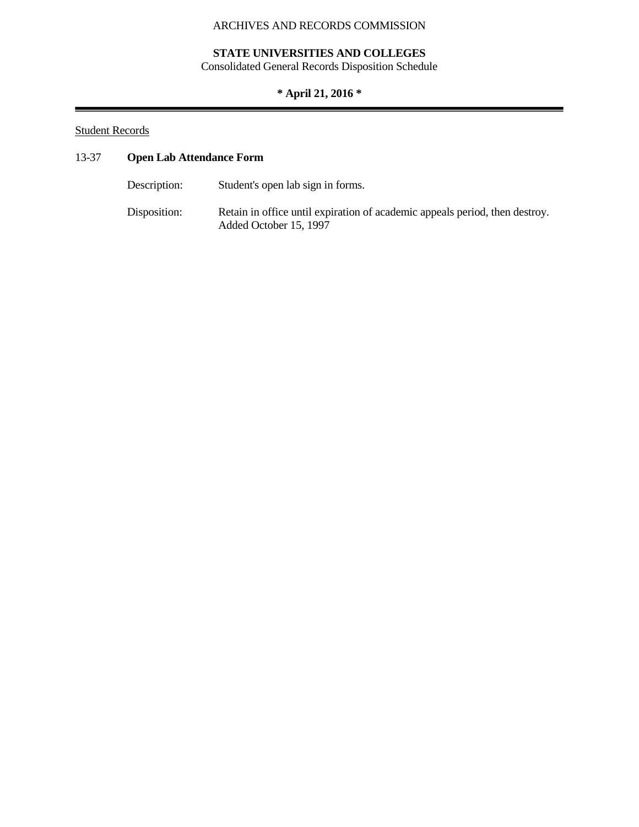# **STATE UNIVERSITIES AND COLLEGES**

Consolidated General Records Disposition Schedule

# **\* April 21, 2016 \***

# Student Records

# 13-37 **Open Lab Attendance Form**

| Description: | Student's open lab sign in forms.                                                                     |
|--------------|-------------------------------------------------------------------------------------------------------|
| Disposition: | Retain in office until expiration of academic appeals period, then destroy.<br>Added October 15, 1997 |

e e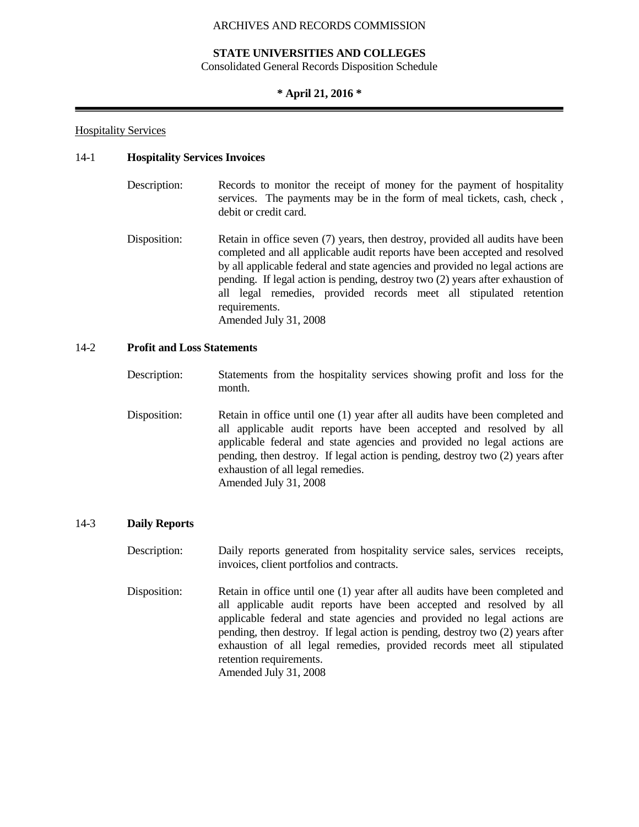# **STATE UNIVERSITIES AND COLLEGES**

Consolidated General Records Disposition Schedule

# **\* April 21, 2016 \***

# Hospitality Services

# 14-1 **Hospitality Services Invoices**

- Description: Records to monitor the receipt of money for the payment of hospitality services. The payments may be in the form of meal tickets, cash, check , debit or credit card.
- Disposition: Retain in office seven (7) years, then destroy, provided all audits have been completed and all applicable audit reports have been accepted and resolved by all applicable federal and state agencies and provided no legal actions are pending. If legal action is pending, destroy two (2) years after exhaustion of all legal remedies, provided records meet all stipulated retention requirements. Amended July 31, 2008

# 14-2 **Profit and Loss Statements**

- Description: Statements from the hospitality services showing profit and loss for the month.
- Disposition: Retain in office until one (1) year after all audits have been completed and all applicable audit reports have been accepted and resolved by all applicable federal and state agencies and provided no legal actions are pending, then destroy. If legal action is pending, destroy two (2) years after exhaustion of all legal remedies. Amended July 31, 2008

#### 14-3 **Daily Reports**

Description: Daily reports generated from hospitality service sales, services receipts, invoices, client portfolios and contracts.

Disposition: Retain in office until one (1) year after all audits have been completed and all applicable audit reports have been accepted and resolved by all applicable federal and state agencies and provided no legal actions are pending, then destroy. If legal action is pending, destroy two (2) years after exhaustion of all legal remedies, provided records meet all stipulated retention requirements. Amended July 31, 2008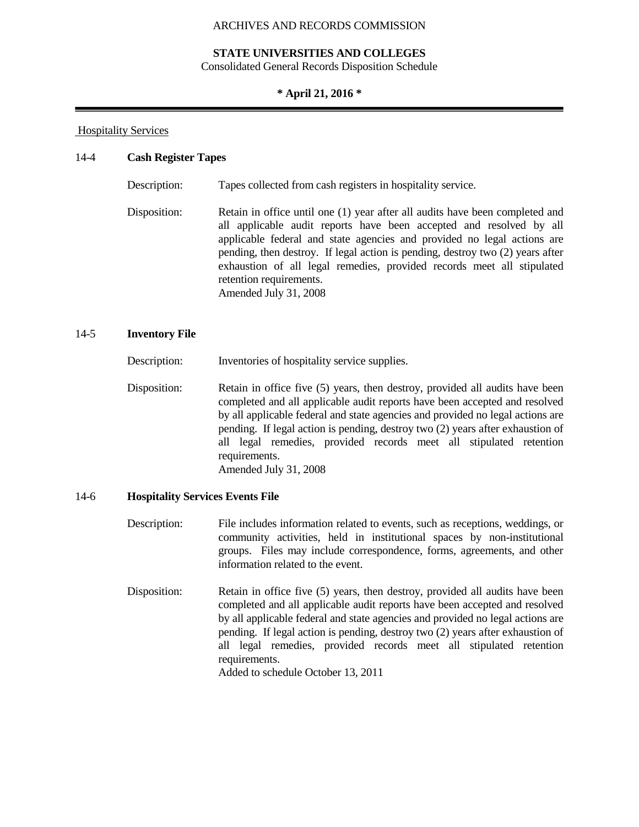# **STATE UNIVERSITIES AND COLLEGES**

Consolidated General Records Disposition Schedule

### **\* April 21, 2016 \***

### Hospitality Services

#### 14-4 **Cash Register Tapes**

Description: Tapes collected from cash registers in hospitality service.

Disposition: Retain in office until one (1) year after all audits have been completed and all applicable audit reports have been accepted and resolved by all applicable federal and state agencies and provided no legal actions are pending, then destroy. If legal action is pending, destroy two (2) years after exhaustion of all legal remedies, provided records meet all stipulated retention requirements. Amended July 31, 2008

# 14-5 **Inventory File**

Description: Inventories of hospitality service supplies.

Disposition: Retain in office five (5) years, then destroy, provided all audits have been completed and all applicable audit reports have been accepted and resolved by all applicable federal and state agencies and provided no legal actions are pending. If legal action is pending, destroy two (2) years after exhaustion of all legal remedies, provided records meet all stipulated retention requirements. Amended July 31, 2008

#### 14-6 **Hospitality Services Events File**

- Description: File includes information related to events, such as receptions, weddings, or community activities, held in institutional spaces by non-institutional groups. Files may include correspondence, forms, agreements, and other information related to the event.
- Disposition: Retain in office five (5) years, then destroy, provided all audits have been completed and all applicable audit reports have been accepted and resolved by all applicable federal and state agencies and provided no legal actions are pending. If legal action is pending, destroy two (2) years after exhaustion of all legal remedies, provided records meet all stipulated retention requirements.

Added to schedule October 13, 2011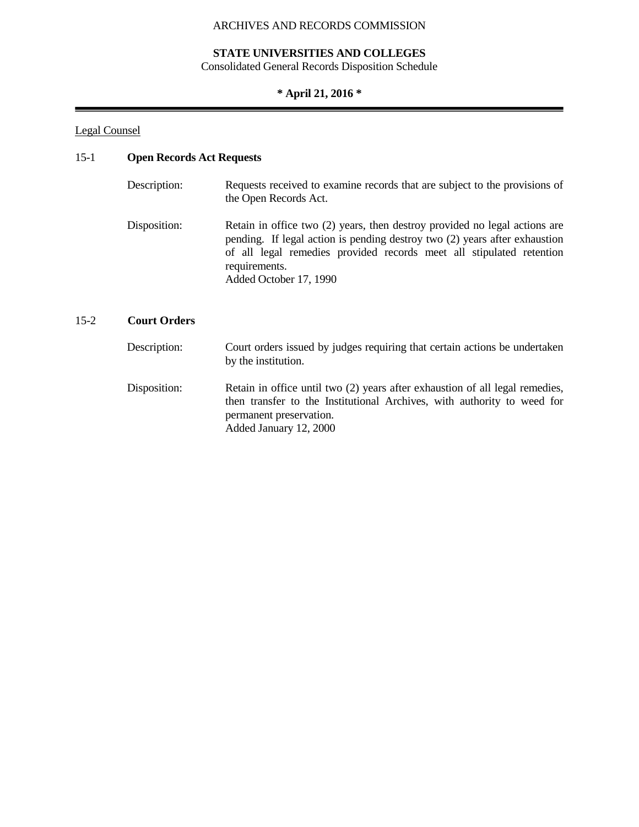# **STATE UNIVERSITIES AND COLLEGES**

Consolidated General Records Disposition Schedule

# **\* April 21, 2016 \***

# Legal Counsel

# 15-1 **Open Records Act Requests**

| Description: | Requests received to examine records that are subject to the provisions of<br>the Open Records Act.                                                                                                                                                                         |
|--------------|-----------------------------------------------------------------------------------------------------------------------------------------------------------------------------------------------------------------------------------------------------------------------------|
| Disposition: | Retain in office two (2) years, then destroy provided no legal actions are<br>pending. If legal action is pending destroy two (2) years after exhaustion<br>of all legal remedies provided records meet all stipulated retention<br>requirements.<br>Added October 17, 1990 |

# 15-2 **Court Orders**

| Description: | Court orders issued by judges requiring that certain actions be undertaken<br>by the institution.                                                                                                            |
|--------------|--------------------------------------------------------------------------------------------------------------------------------------------------------------------------------------------------------------|
| Disposition: | Retain in office until two (2) years after exhaustion of all legal remedies,<br>then transfer to the Institutional Archives, with authority to weed for<br>permanent preservation.<br>Added January 12, 2000 |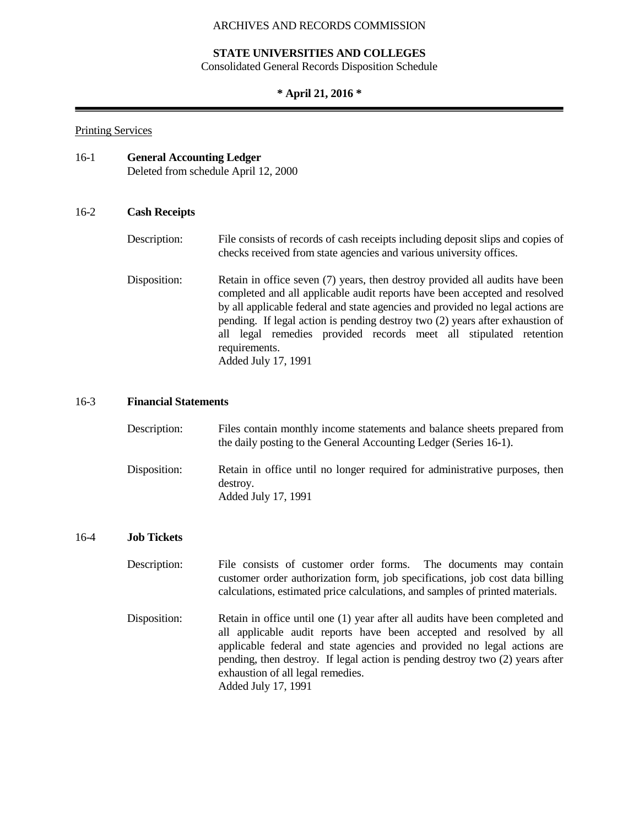## **STATE UNIVERSITIES AND COLLEGES**

Consolidated General Records Disposition Schedule

# **\* April 21, 2016 \***

### Printing Services

| 16-1 | <b>General Accounting Ledger</b>     |
|------|--------------------------------------|
|      | Deleted from schedule April 12, 2000 |

# 16-2 **Cash Receipts**

# Description: File consists of records of cash receipts including deposit slips and copies of checks received from state agencies and various university offices.

Disposition: Retain in office seven (7) years, then destroy provided all audits have been completed and all applicable audit reports have been accepted and resolved by all applicable federal and state agencies and provided no legal actions are pending. If legal action is pending destroy two (2) years after exhaustion of all legal remedies provided records meet all stipulated retention requirements. Added July 17, 1991

# 16-3 **Financial Statements**

| Description: | Files contain monthly income statements and balance sheets prepared from<br>the daily posting to the General Accounting Ledger (Series 16-1). |
|--------------|-----------------------------------------------------------------------------------------------------------------------------------------------|
| Disposition: | Retain in office until no longer required for administrative purposes, then<br>destroy.<br>Added July 17, 1991                                |

#### 16-4 **Job Tickets**

- Description: File consists of customer order forms. The documents may contain customer order authorization form, job specifications, job cost data billing calculations, estimated price calculations, and samples of printed materials.
- Disposition: Retain in office until one (1) year after all audits have been completed and all applicable audit reports have been accepted and resolved by all applicable federal and state agencies and provided no legal actions are pending, then destroy. If legal action is pending destroy two (2) years after exhaustion of all legal remedies. Added July 17, 1991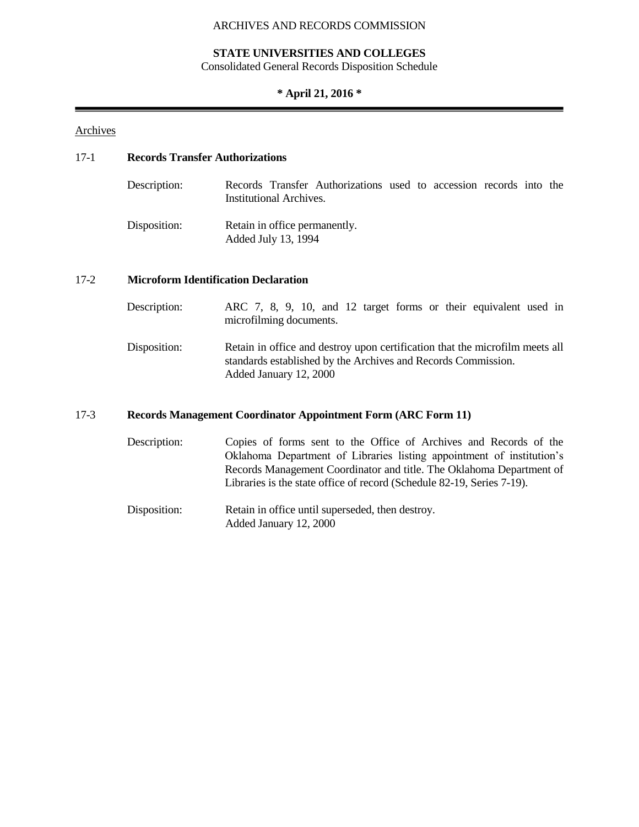### **STATE UNIVERSITIES AND COLLEGES**

Consolidated General Records Disposition Schedule

# **\* April 21, 2016 \***

# **Archives**

# 17-1 **Records Transfer Authorizations**

| Description: | Institutional Archives. | Records Transfer Authorizations used to accession records into the |  |  |  |
|--------------|-------------------------|--------------------------------------------------------------------|--|--|--|
| Disposition: | Added July 13, 1994     | Retain in office permanently.                                      |  |  |  |

#### 17-2 **Microform Identification Declaration**

| Description: | ARC 7, 8, 9, 10, and 12 target forms or their equivalent used in<br>microfilming documents.                                                                             |
|--------------|-------------------------------------------------------------------------------------------------------------------------------------------------------------------------|
| Disposition: | Retain in office and destroy upon certification that the microfilm meets all<br>standards established by the Archives and Records Commission.<br>Added January 12, 2000 |

# 17-3 **Records Management Coordinator Appointment Form (ARC Form 11)**

Description: Copies of forms sent to the Office of Archives and Records of the Oklahoma Department of Libraries listing appointment of institution's Records Management Coordinator and title. The Oklahoma Department of Libraries is the state office of record (Schedule 82-19, Series 7-19).

Disposition: Retain in office until superseded, then destroy. Added January 12, 2000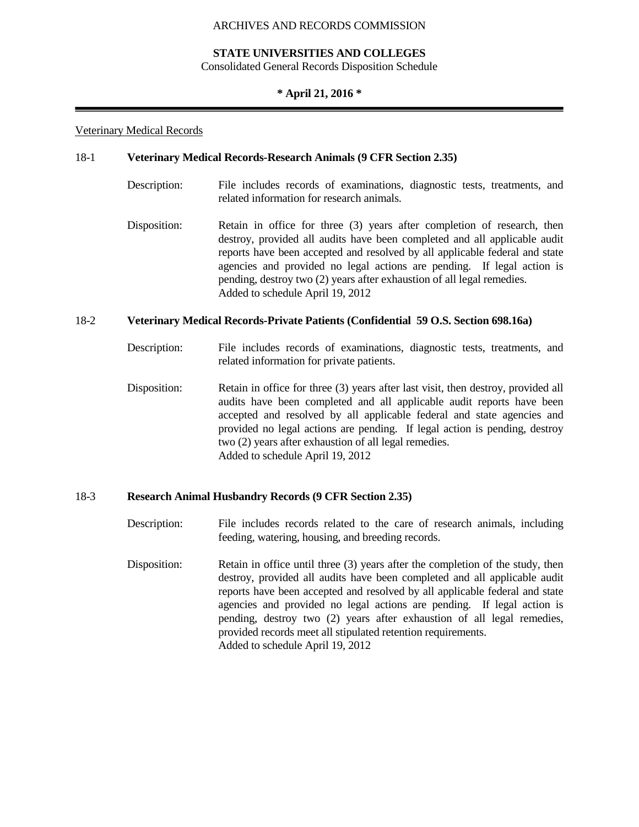# **STATE UNIVERSITIES AND COLLEGES**

Consolidated General Records Disposition Schedule

# **\* April 21, 2016 \***

#### Veterinary Medical Records

#### 18-1 **Veterinary Medical Records-Research Animals (9 CFR Section 2.35)**

- Description: File includes records of examinations, diagnostic tests, treatments, and related information for research animals.
- Disposition: Retain in office for three (3) years after completion of research, then destroy, provided all audits have been completed and all applicable audit reports have been accepted and resolved by all applicable federal and state agencies and provided no legal actions are pending. If legal action is pending, destroy two (2) years after exhaustion of all legal remedies. Added to schedule April 19, 2012

#### 18-2 **Veterinary Medical Records-Private Patients (Confidential 59 O.S. Section 698.16a)**

- Description: File includes records of examinations, diagnostic tests, treatments, and related information for private patients.
- Disposition: Retain in office for three (3) years after last visit, then destroy, provided all audits have been completed and all applicable audit reports have been accepted and resolved by all applicable federal and state agencies and provided no legal actions are pending. If legal action is pending, destroy two (2) years after exhaustion of all legal remedies. Added to schedule April 19, 2012

#### 18-3 **Research Animal Husbandry Records (9 CFR Section 2.35)**

- Description: File includes records related to the care of research animals, including feeding, watering, housing, and breeding records.
- Disposition: Retain in office until three (3) years after the completion of the study, then destroy, provided all audits have been completed and all applicable audit reports have been accepted and resolved by all applicable federal and state agencies and provided no legal actions are pending. If legal action is pending, destroy two (2) years after exhaustion of all legal remedies, provided records meet all stipulated retention requirements. Added to schedule April 19, 2012